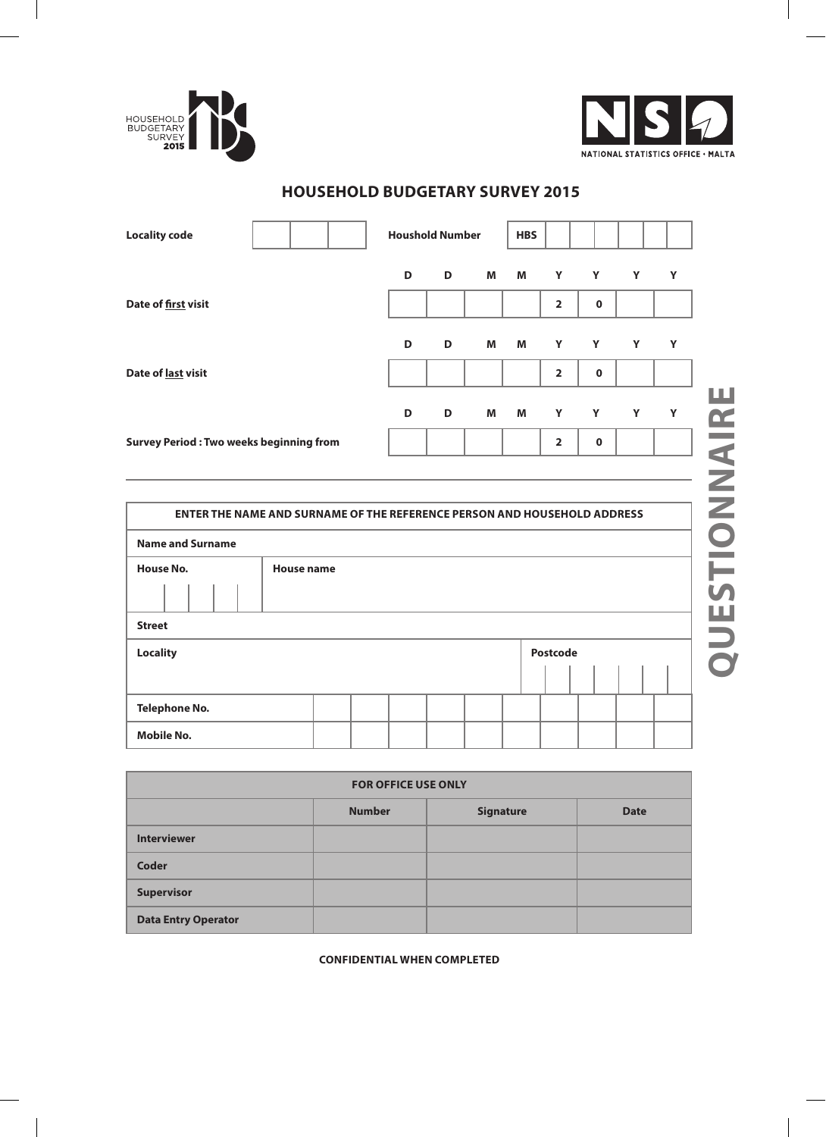



**Questionnaire**

#### **Houshold Number HBS Locality code D Y D M M Y Y Y Date of first visit 2 0 D D M M Y Y Y Y Date of last visit 2 0** QUESTIONNAIRE **D D M M Y Y Y Y 2 0 Survey Period : Two weeks beginning from**

## **household budgetary survey 2015**

| <b>ENTER THE NAME AND SURNAME OF THE REFERENCE PERSON AND HOUSEHOLD ADDRESS</b> |                   |  |  |  |  |  |          |  |  |
|---------------------------------------------------------------------------------|-------------------|--|--|--|--|--|----------|--|--|
| <b>Name and Surname</b>                                                         |                   |  |  |  |  |  |          |  |  |
| <b>House No.</b>                                                                | <b>House name</b> |  |  |  |  |  |          |  |  |
|                                                                                 |                   |  |  |  |  |  |          |  |  |
| <b>Street</b>                                                                   |                   |  |  |  |  |  |          |  |  |
| <b>Locality</b>                                                                 |                   |  |  |  |  |  | Postcode |  |  |
|                                                                                 |                   |  |  |  |  |  |          |  |  |
| <b>Telephone No.</b>                                                            |                   |  |  |  |  |  |          |  |  |
| <b>Mobile No.</b>                                                               |                   |  |  |  |  |  |          |  |  |

| <b>FOR OFFICE USE ONLY</b> |               |                  |             |  |  |
|----------------------------|---------------|------------------|-------------|--|--|
|                            | <b>Number</b> | <b>Signature</b> | <b>Date</b> |  |  |
| <b>Interviewer</b>         |               |                  |             |  |  |
| Coder                      |               |                  |             |  |  |
| <b>Supervisor</b>          |               |                  |             |  |  |
| <b>Data Entry Operator</b> |               |                  |             |  |  |

**CONFIDENTIAL when completed**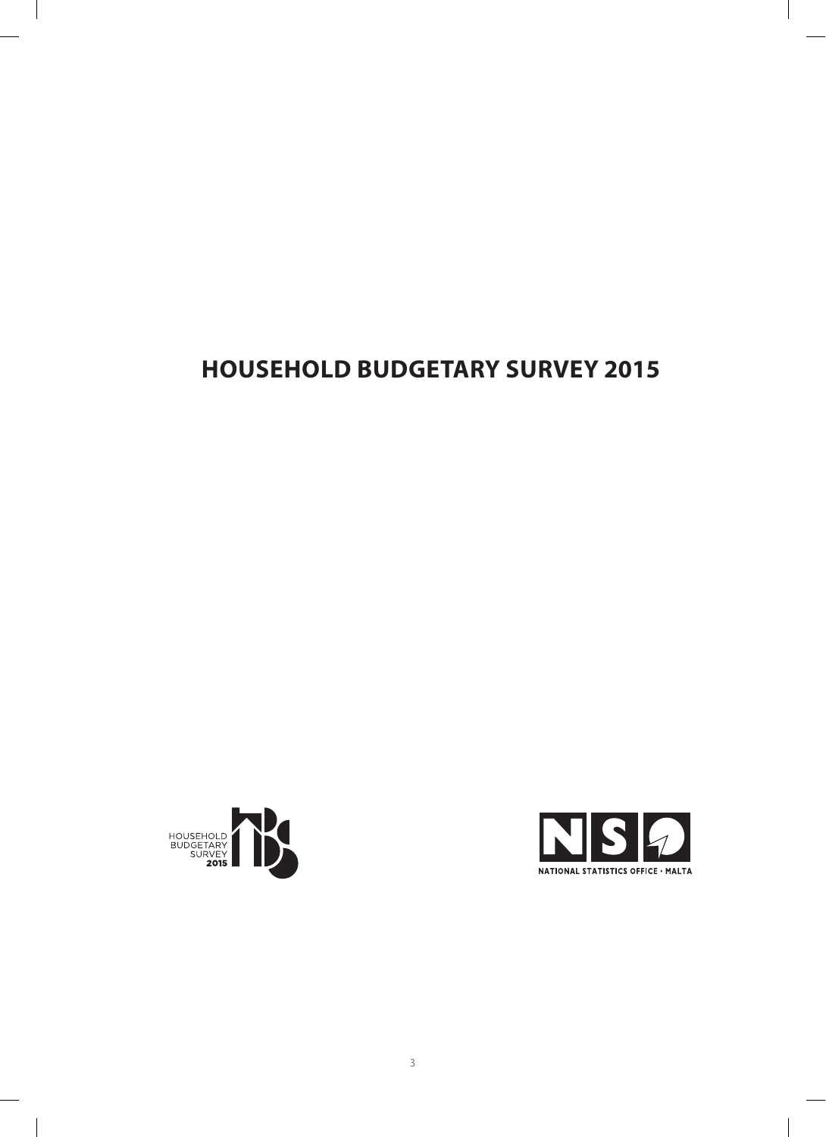# **household budgetary survey 2015**





 $\overline{\phantom{a}}$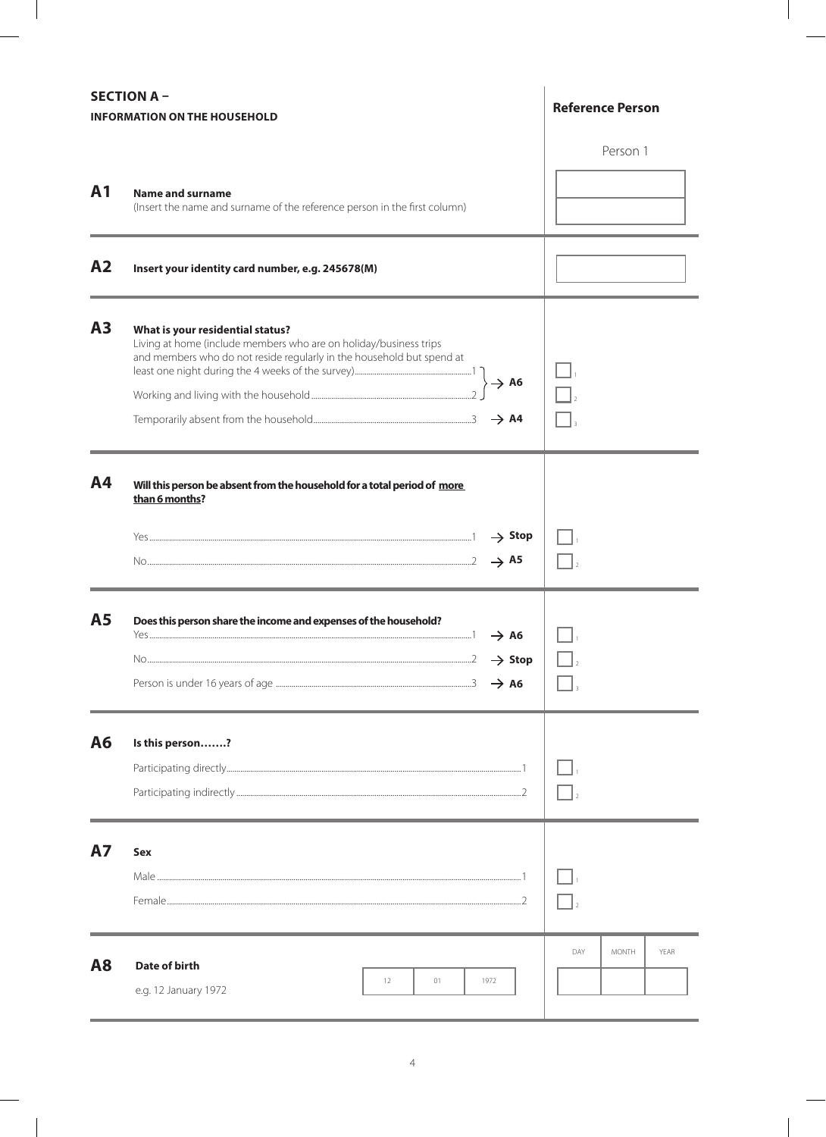|                | <b>SECTION A -</b><br><b>INFORMATION ON THE HOUSEHOLD</b>                                                                                                                                          | <b>Reference Person</b>     |
|----------------|----------------------------------------------------------------------------------------------------------------------------------------------------------------------------------------------------|-----------------------------|
| A <sub>1</sub> | <b>Name and surname</b><br>(Insert the name and surname of the reference person in the first column)                                                                                               | Person 1                    |
| A <sub>2</sub> | Insert your identity card number, e.g. 245678(M)                                                                                                                                                   |                             |
| A <sub>3</sub> | What is your residential status?<br>Living at home (include members who are on holiday/business trips<br>and members who do not reside regularly in the household but spend at<br>$\rightarrow$ A6 |                             |
| A4             | Will this person be absent from the household for a total period of more<br>than 6 months?<br>$\rightarrow$ Stop<br>$\rightarrow$ A5                                                               |                             |
| <b>A5</b>      | Does this person share the income and expenses of the household?<br>$\rightarrow$ A6<br>$\rightarrow$ Stop<br>$\rightarrow$ A6                                                                     |                             |
| A6             | Is this person?                                                                                                                                                                                    |                             |
| <b>A7</b>      | <b>Sex</b>                                                                                                                                                                                         |                             |
| <b>A8</b>      | Date of birth<br>01<br>1972<br>12<br>e.g. 12 January 1972                                                                                                                                          | DAY<br><b>MONTH</b><br>YEAR |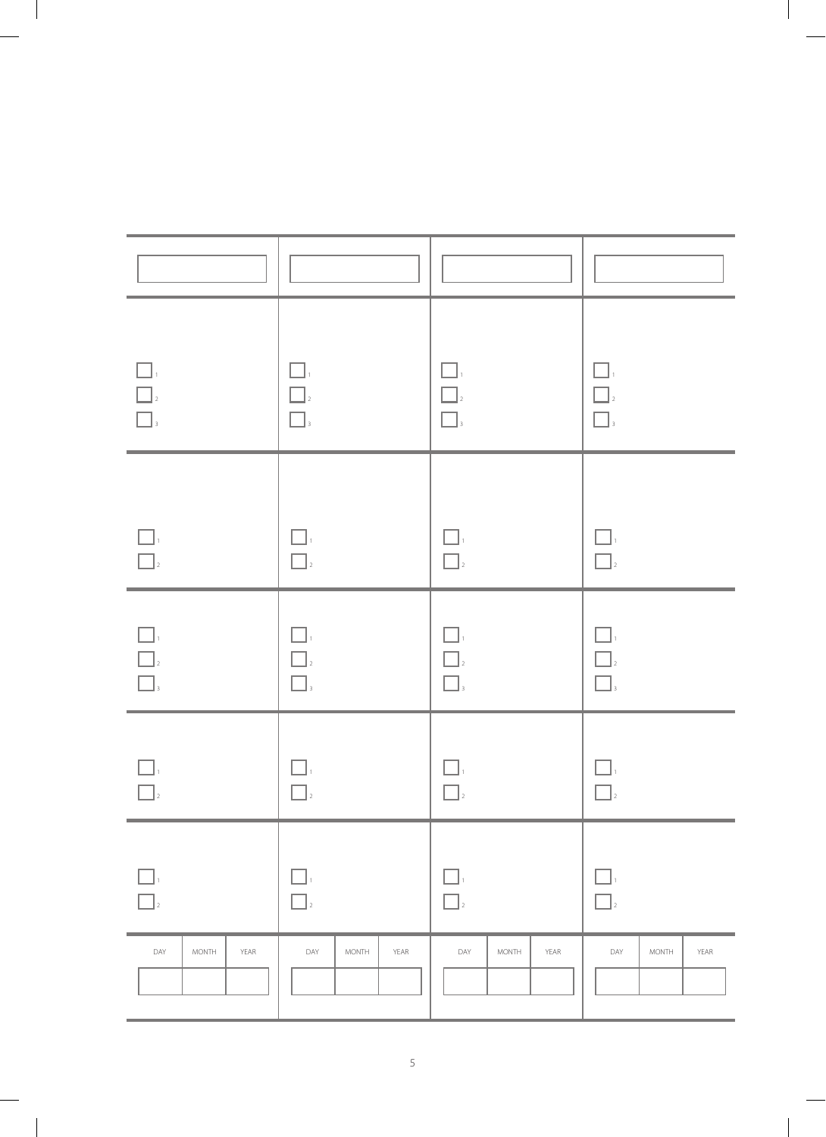| $\Box$<br>$\begin{array}{ c c } \hline \rule{0.2cm}{.04cm} \rule{0.2cm}{.04cm} \rule{0.2cm}{.04cm} \rule{0.2cm}{.04cm} \rule{0.2cm}{.04cm} \rule{0.2cm}{.04cm} \rule{0.2cm}{.04cm} \rule{0.2cm}{.04cm} \rule{0.2cm}{.04cm} \rule{0.2cm}{.04cm} \rule{0.2cm}{.04cm} \rule{0.2cm}{.04cm} \rule{0.2cm}{.04cm} \rule{0.2cm}{.04cm} \rule{0.2cm}{.04cm} \rule{0.2cm}{.04$ | $\Box$<br>$\boxed{\phantom{a}}_2$<br>$\Box$                                                                                                                                                                                                                                                                                                                                                                                                       | $\Box$<br>$\hfill\Box_2$<br>$\boxed{\phantom{a}}_3$                                                            | $\Box$<br>$\begin{tabular}{ c c } \hline \quad \quad & \quad \quad & \quad \quad \\ \hline \quad \quad & \quad \quad & \quad \quad \\ \hline \quad \quad & \quad \quad & \quad \quad \\ \hline \quad \quad & \quad \quad & \quad \quad \\ \hline \quad \quad & \quad \quad & \quad \quad \\ \hline \quad \quad & \quad \quad & \quad \quad \\ \hline \end{tabular}$ |
|----------------------------------------------------------------------------------------------------------------------------------------------------------------------------------------------------------------------------------------------------------------------------------------------------------------------------------------------------------------------|---------------------------------------------------------------------------------------------------------------------------------------------------------------------------------------------------------------------------------------------------------------------------------------------------------------------------------------------------------------------------------------------------------------------------------------------------|----------------------------------------------------------------------------------------------------------------|---------------------------------------------------------------------------------------------------------------------------------------------------------------------------------------------------------------------------------------------------------------------------------------------------------------------------------------------------------------------|
| $\Box.$<br>$\overline{\square}$                                                                                                                                                                                                                                                                                                                                      | $\Box$<br>$\hfill\Box_2$                                                                                                                                                                                                                                                                                                                                                                                                                          | $\Box$<br>$\Box$                                                                                               | $\Box$<br>$\Box$                                                                                                                                                                                                                                                                                                                                                    |
| $\begin{array}{c c c c} \hline \quad & 1 & \\ \hline \quad & 1 & \\ \hline \quad & 2 & \\ \hline \quad & 3 & \\ \hline \end{array}$                                                                                                                                                                                                                                  | $\begin{array}{c} \hline \rule{0pt}{2ex} \rule{0pt}{2ex} \rule{0pt}{2ex} \rule{0pt}{2ex} \rule{0pt}{2ex} \rule{0pt}{2ex} \rule{0pt}{2ex} \rule{0pt}{2ex} \rule{0pt}{2ex} \rule{0pt}{2ex} \rule{0pt}{2ex} \rule{0pt}{2ex} \rule{0pt}{2ex} \rule{0pt}{2ex} \rule{0pt}{2ex} \rule{0pt}{2ex} \rule{0pt}{2ex} \rule{0pt}{2ex} \rule{0pt}{2ex} \rule{0pt}{2ex} \rule{0pt}{2ex} \rule{0pt}{2ex} \rule{0pt}{2ex} \rule{$<br>$\Box_{\scriptscriptstyle 3}$ | $\begin{array}{c} \boxed{\phantom{0}}_1 \\ \boxed{\phantom{0}}_2 \end{array}$<br>$\Box_{\scriptscriptstyle 3}$ | $\Box_{1}$<br>$\Box$<br>$\Box$                                                                                                                                                                                                                                                                                                                                      |
| $\Box$<br>$\Box$                                                                                                                                                                                                                                                                                                                                                     | $\Box$<br>$\Box$                                                                                                                                                                                                                                                                                                                                                                                                                                  | $\Box$                                                                                                         | $\Box$                                                                                                                                                                                                                                                                                                                                                              |
|                                                                                                                                                                                                                                                                                                                                                                      |                                                                                                                                                                                                                                                                                                                                                                                                                                                   |                                                                                                                |                                                                                                                                                                                                                                                                                                                                                                     |
| DAY<br>MONTH<br>YEAR                                                                                                                                                                                                                                                                                                                                                 | DAY<br><b>MONTH</b><br>YEAR                                                                                                                                                                                                                                                                                                                                                                                                                       | DAY<br>MONTH<br>YEAR                                                                                           | DAY<br>MONTH<br>YEAR                                                                                                                                                                                                                                                                                                                                                |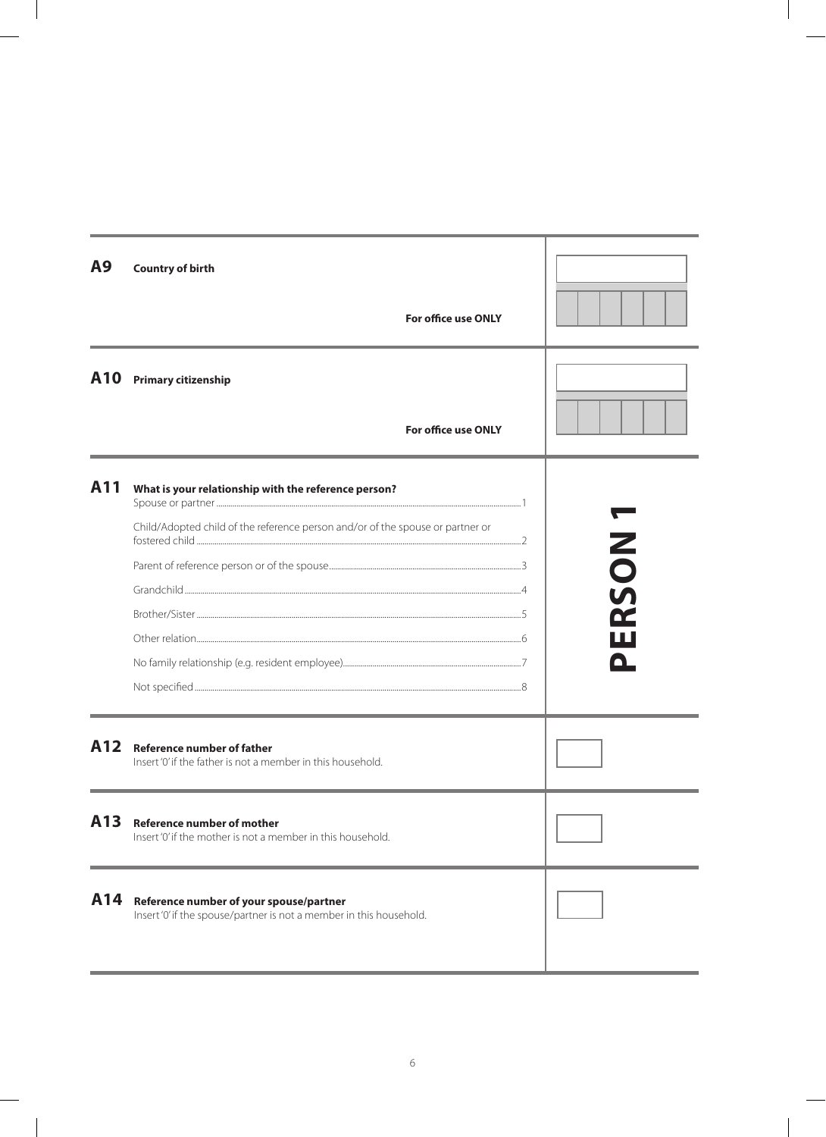| A9  | <b>Country of birth</b>                                                                                        |                            |           |
|-----|----------------------------------------------------------------------------------------------------------------|----------------------------|-----------|
|     |                                                                                                                | <b>For office use ONLY</b> |           |
| A10 | <b>Primary citizenship</b>                                                                                     |                            |           |
|     |                                                                                                                | <b>For office use ONLY</b> |           |
| A11 | What is your relationship with the reference person?                                                           |                            |           |
|     | Child/Adopted child of the reference person and/or of the spouse or partner or                                 | Ζ                          |           |
|     |                                                                                                                |                            | $\bullet$ |
|     |                                                                                                                |                            | <b>S</b>  |
|     |                                                                                                                |                            | Œ         |
|     |                                                                                                                |                            |           |
|     |                                                                                                                |                            |           |
|     |                                                                                                                |                            |           |
| A12 | <b>Reference number of father</b><br>Insert '0' if the father is not a member in this household.               |                            |           |
| A13 | <b>Reference number of mother</b><br>Insert '0' if the mother is not a member in this household.               |                            |           |
| A14 | Reference number of your spouse/partner<br>Insert '0' if the spouse/partner is not a member in this household. |                            |           |
|     |                                                                                                                |                            |           |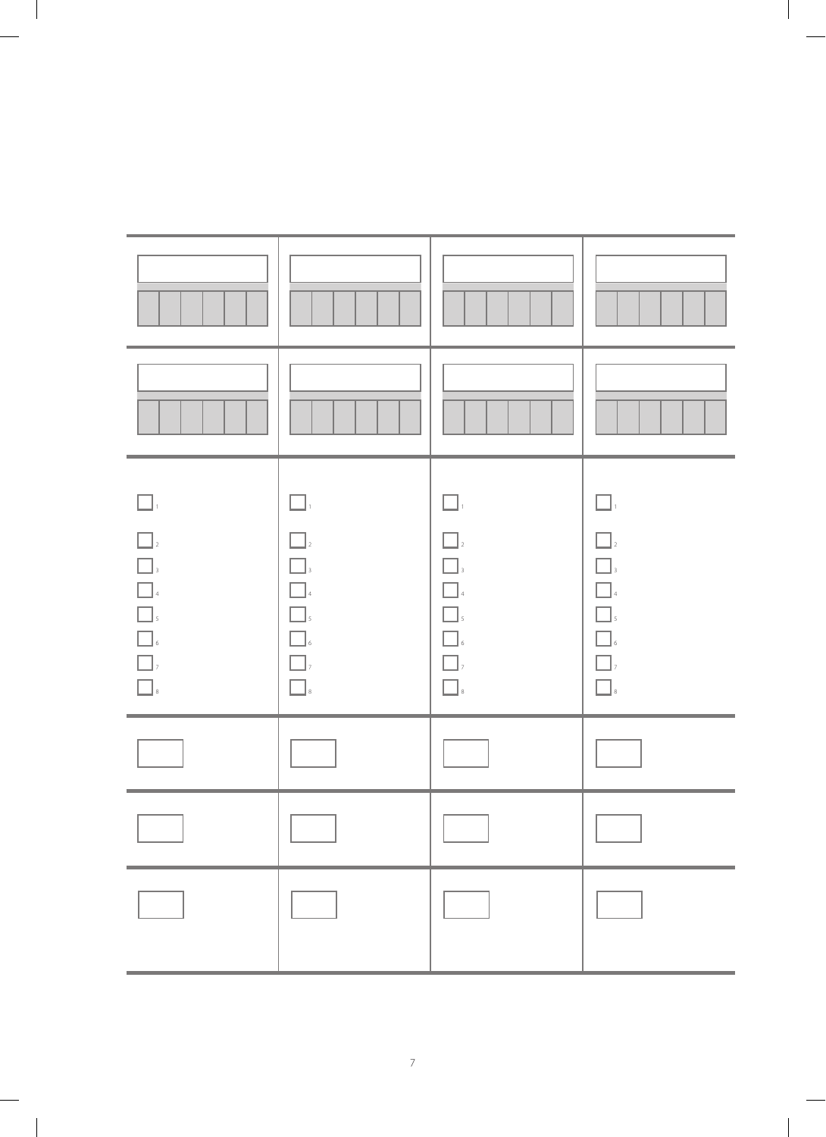| $\boxed{\phantom{a}}$ ,<br>$\Box$ $\Box$<br>$\hfill\blacksquare$<br>$\Box_{\scriptscriptstyle 4}$<br>$\hfill\blacksquare$ $\hfill$<br>$\Box$<br>$\Box$<br>$\Box$<br>$\Box_s$ | $\square$<br>$\Box$<br>$\Box$<br>$\Box$<br>$\Box$<br>$\Box$<br>$\Box$ ,<br>$\Box_{\hbox{\tiny s}}$ | $\square$<br>$\Box$<br>$\square$<br>$\Box$ <sub>4</sub><br>$\Box$<br>$\Box$<br>$\Box$ ,<br>$\Box$ | П.<br>$\Box$<br>$\Box$<br>$\Box$<br>$\Box$<br>П<br>  6<br>$\Box$ ,<br>$\mathbb{C}[\cdot]$ |
|------------------------------------------------------------------------------------------------------------------------------------------------------------------------------|----------------------------------------------------------------------------------------------------|---------------------------------------------------------------------------------------------------|-------------------------------------------------------------------------------------------|
|                                                                                                                                                                              |                                                                                                    |                                                                                                   |                                                                                           |
|                                                                                                                                                                              |                                                                                                    |                                                                                                   |                                                                                           |
|                                                                                                                                                                              |                                                                                                    |                                                                                                   |                                                                                           |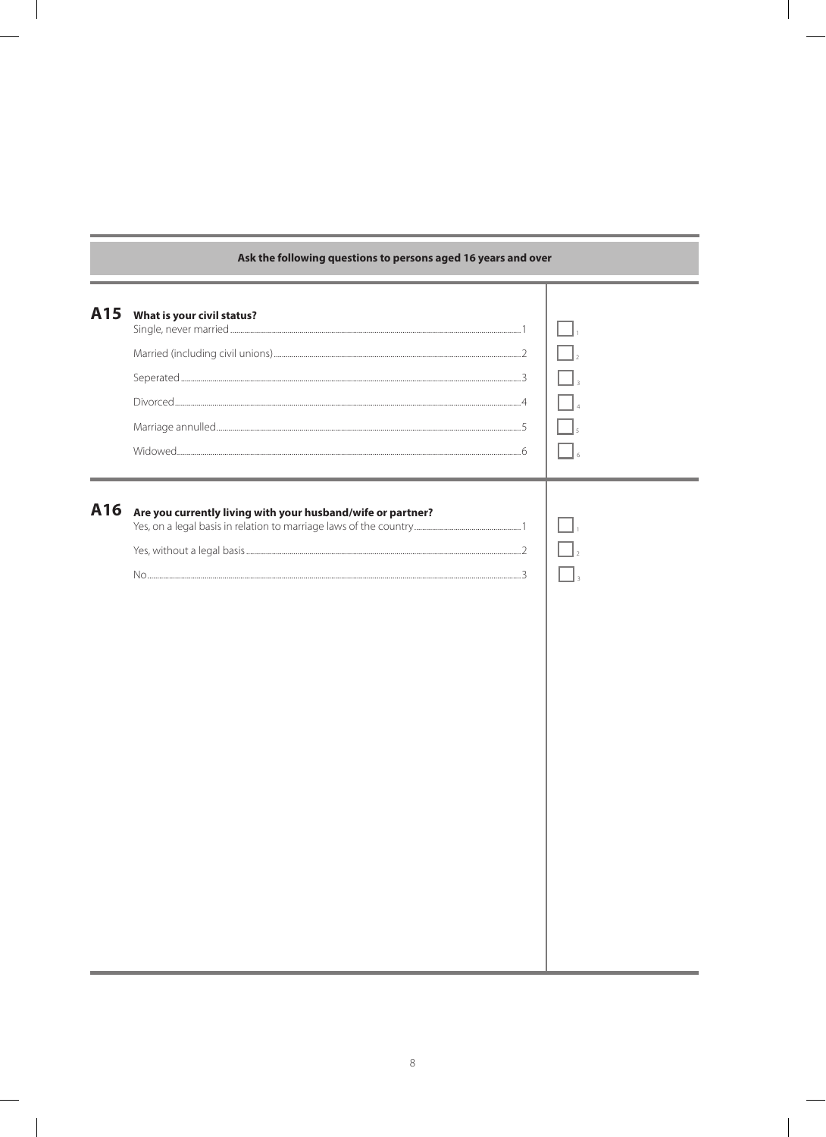|     | Ask the following questions to persons aged to years and over |  |
|-----|---------------------------------------------------------------|--|
| A15 | What is your civil status?                                    |  |
| A16 | Are you currently living with your husband/wife or partner?   |  |

## Ask the following questions to persons aged 16 y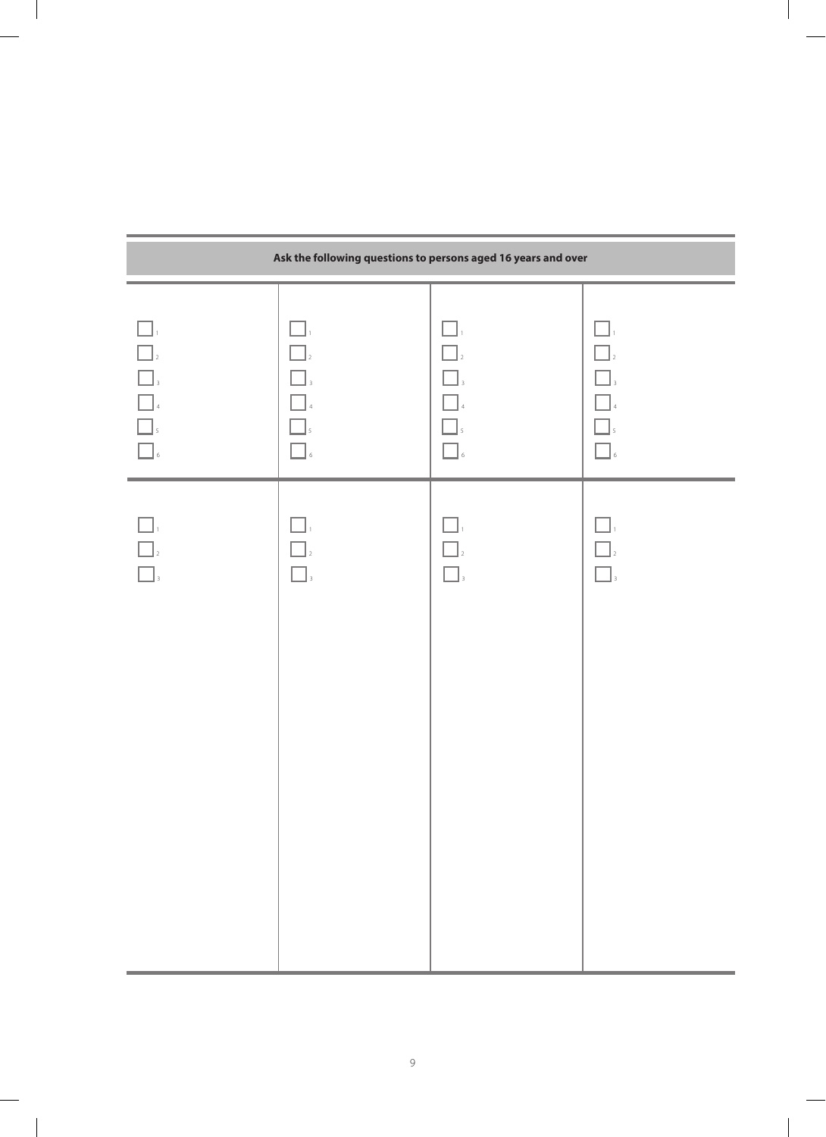|                                                                              | Ask the following questions to persons aged 16 years and over |                                                                           |                                                             |  |  |  |
|------------------------------------------------------------------------------|---------------------------------------------------------------|---------------------------------------------------------------------------|-------------------------------------------------------------|--|--|--|
| $\Box.$<br>$\Box$<br>$\boxed{\phantom{a}}_3$<br>$\Box$<br>$\Box$<br>$\Box$ 6 | $\Box.$<br>$\Box$<br>$\prod_{3}$<br>$\overline{5}$<br>$\,$ 6  | П.<br>$\Box$ <sub>2</sub><br>$\Box$ <sub>3</sub><br>$\square_s$<br>$\Box$ | $\Box.$<br>$\Box$<br>$\Box$<br>$\Box$<br>$\Box$ ,<br>$\Box$ |  |  |  |
| $\mathbb{I}$<br>$\Box$ <sub>2</sub><br>$\Box$                                | ТĪ<br>$\Box$                                                  | $\bigcap_{2}$<br>$\Box$                                                   | $\Box$<br>$\Box$ <sub>3</sub>                               |  |  |  |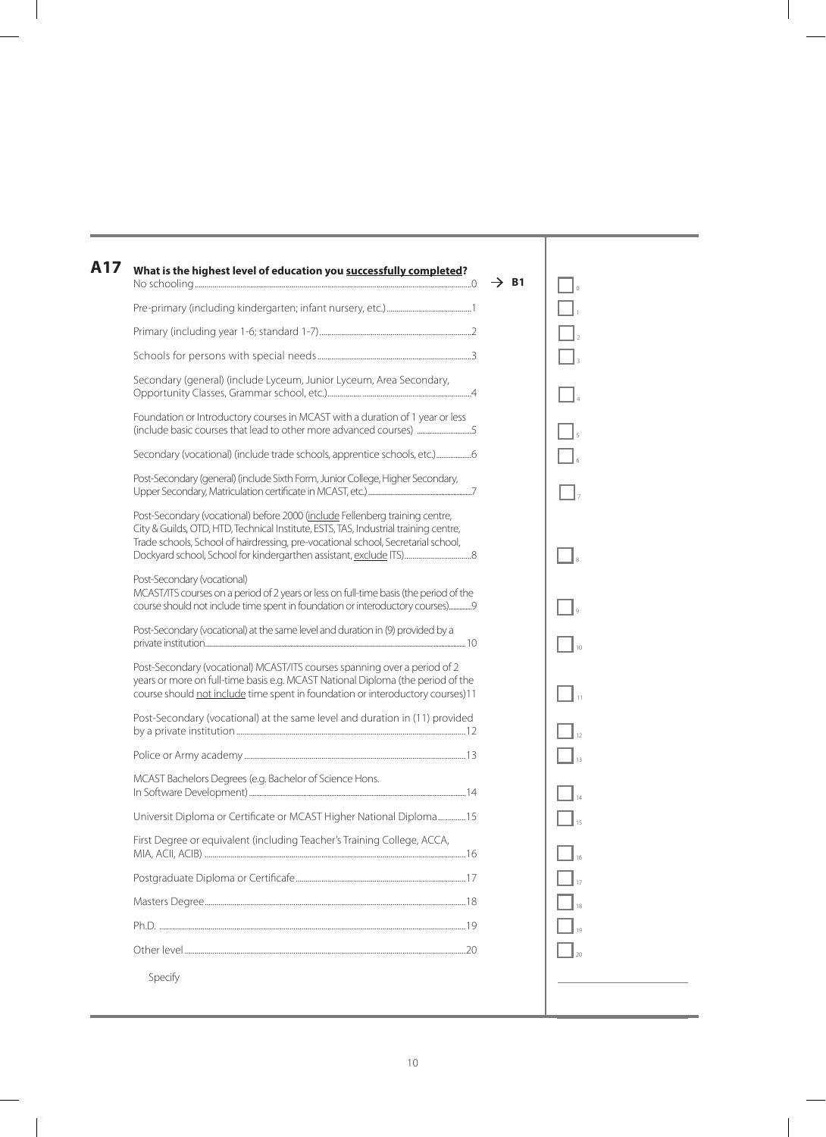| Secondary (general) (include Lyceum, Junior Lyceum, Area Secondary,<br>Foundation or Introductory courses in MCAST with a duration of 1 year or less<br>(include basic courses that lead to other more advanced courses) 5                                |  |
|-----------------------------------------------------------------------------------------------------------------------------------------------------------------------------------------------------------------------------------------------------------|--|
|                                                                                                                                                                                                                                                           |  |
|                                                                                                                                                                                                                                                           |  |
|                                                                                                                                                                                                                                                           |  |
|                                                                                                                                                                                                                                                           |  |
| Secondary (vocational) (include trade schools, apprentice schools, etc.)                                                                                                                                                                                  |  |
| Post-Secondary (general) (include Sixth Form, Junior College, Higher Secondary,                                                                                                                                                                           |  |
| Post-Secondary (vocational) before 2000 (include Fellenberg training centre,<br>City & Guilds, OTD, HTD, Technical Institute, ESTS, TAS, Industrial training centre,<br>Trade schools, School of hairdressing, pre-vocational school, Secretarial school, |  |
| Post-Secondary (vocational)<br>MCAST/ITS courses on a period of 2 years or less on full-time basis (the period of the<br>course should not include time spent in foundation or interoductory courses)                                                     |  |
| Post-Secondary (vocational) at the same level and duration in (9) provided by a                                                                                                                                                                           |  |
| Post-Secondary (vocational) MCAST/ITS courses spanning over a period of 2<br>years or more on full-time basis e.g. MCAST National Diploma (the period of the<br>course should not include time spent in foundation or interoductory courses)11            |  |
| Post-Secondary (vocational) at the same level and duration in (11) provided                                                                                                                                                                               |  |
|                                                                                                                                                                                                                                                           |  |
| MCAST Bachelors Degrees (e.g. Bachelor of Science Hons.                                                                                                                                                                                                   |  |
| Universit Diploma or Certificate or MCAST Higher National Diploma15                                                                                                                                                                                       |  |
| First Degree or equivalent (including Teacher's Training College, ACCA,                                                                                                                                                                                   |  |
|                                                                                                                                                                                                                                                           |  |
|                                                                                                                                                                                                                                                           |  |
|                                                                                                                                                                                                                                                           |  |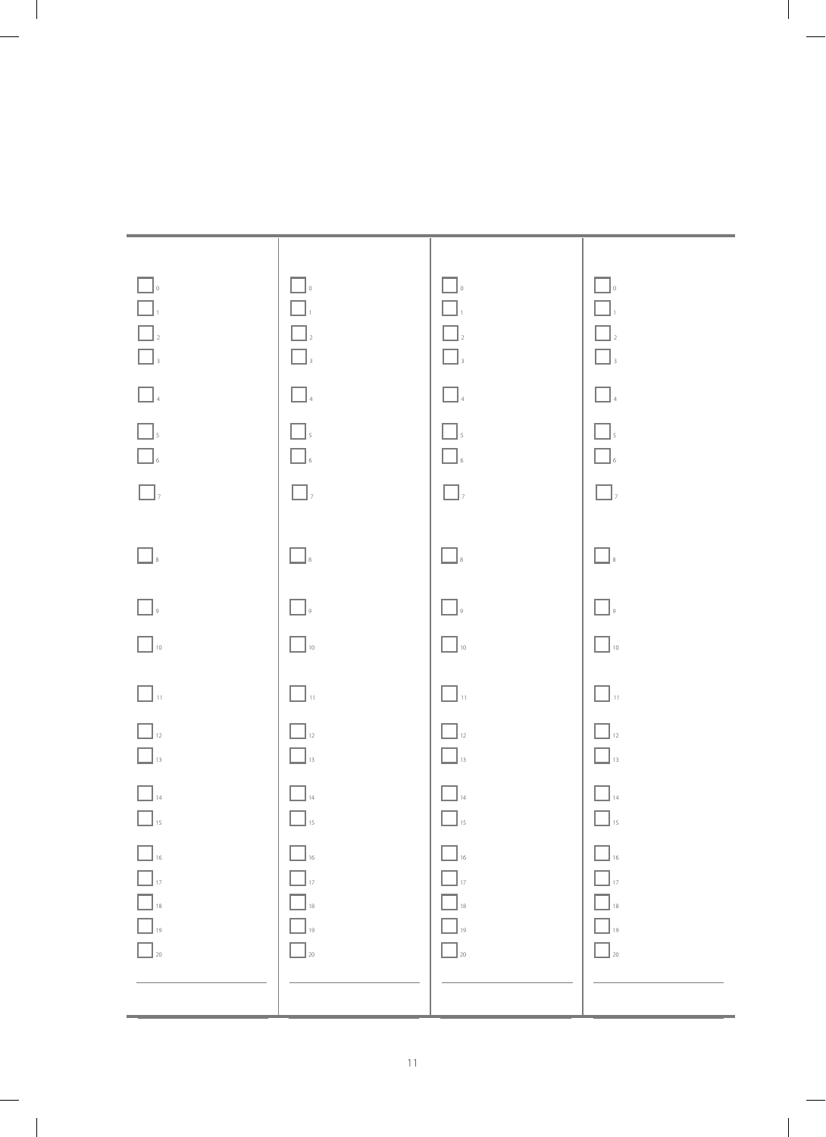| $\Box$<br>$\begin{array}{ c c c }\hline \quad \quad & 1 \\ \hline \quad \quad & 1 \\ \hline \quad \quad & 2 \\ \hline \quad \quad & 3 \\ \hline \end{array}$<br>$\begin{array}{ c c }\hline \quad \quad & \\\hline \quad \quad & \\\hline \quad \quad & \\\hline \quad \quad & \\\hline \quad \quad & \\\hline \end{array}$<br>$\hfill\blacksquare$ $\hfill$<br>$\hfill\blacksquare$ $\hfill$<br>$\Box$ | $\Box$<br>$\Box$<br>$\Box$ $\!$<br>$\hfill\blacksquare$<br>$\hfill\blacksquare$<br>4<br>$\Box$<br>$\Box$<br>$\boxed{\phantom{a}}$ , | $\Box$<br>$\Box$<br>$\hfill\Box$ $\hfill$<br>$\hfill\blacksquare$ $\hfill$<br>$\hfill \square$ $\hfill$<br>$\Box$<br>$\hfill\blacksquare$ $\hfill$<br>$\boxed{\phantom{a}}$ , | $\Box$<br>$\Box$<br>$\boxed{\phantom{a}}_2$<br>$\hfill\blacksquare$ $\hfill$<br>$\hfill\blacksquare$<br>4<br>$\Box$<br>$\Box_{\mathfrak s}$<br>$\boxed{\phantom{a}}$ , |
|---------------------------------------------------------------------------------------------------------------------------------------------------------------------------------------------------------------------------------------------------------------------------------------------------------------------------------------------------------------------------------------------------------|-------------------------------------------------------------------------------------------------------------------------------------|-------------------------------------------------------------------------------------------------------------------------------------------------------------------------------|------------------------------------------------------------------------------------------------------------------------------------------------------------------------|
| $\hfill\blacksquare$                                                                                                                                                                                                                                                                                                                                                                                    | $\hfill\blacksquare$<br><br>$\hfill$                                                                                                | $\Box$                                                                                                                                                                        | $\hfill\blacksquare$                                                                                                                                                   |
| $\hfill\Box$                                                                                                                                                                                                                                                                                                                                                                                            | $\Box$                                                                                                                              | $\Box$                                                                                                                                                                        | $\Box$                                                                                                                                                                 |
| $\hfill\Box$ 10                                                                                                                                                                                                                                                                                                                                                                                         | $\Box$ 10                                                                                                                           | $\Box$ 10                                                                                                                                                                     | $\Box$ 10                                                                                                                                                              |
| $\Box$ $\shortparallel$                                                                                                                                                                                                                                                                                                                                                                                 | $\Box$ $\lrcorner$                                                                                                                  | $\Box$ $\mathfrak{n}$                                                                                                                                                         | $\hfill\blacksquare$ $\scriptscriptstyle\rm II$                                                                                                                        |
| $\Box$ <sub>12</sub><br>$\hfill\Box_{{\bf 13}}$                                                                                                                                                                                                                                                                                                                                                         | $\Box$ <sub>12</sub><br>$\Box$ <sub>13</sub>                                                                                        | $\boxed{\phantom{a}}_{\rm 12}$<br>$\Box$ <sub>13</sub>                                                                                                                        | $\Box$ <sub>12</sub><br>$\Box$ <sub>13</sub>                                                                                                                           |
| $\boxed{\phantom{1}}_{\rm 14}$<br>$\Box$ <sub>15</sub>                                                                                                                                                                                                                                                                                                                                                  | $\hfill \square$ 14<br>$\Box$ <sub>15</sub>                                                                                         | $\Box$ 14<br>$\Box$ <sub>15</sub>                                                                                                                                             | $\Box$ 14<br>$\Box$ <sub>15</sub>                                                                                                                                      |
| $\Box$ <sub>16</sub><br>$\Box$ <sub>17</sub><br>$\Box$ <sub>18</sub><br>$\Box$ <sub>19</sub><br>$\Box$ <sub>20</sub>                                                                                                                                                                                                                                                                                    | $\Box$ <sub>16</sub><br>$\Box$ <sub>17</sub><br>$\Box$ <sub>18</sub><br>$\Box$ <sub>19</sub><br>$\Box$ <sub>20</sub>                | $\Box$ 16<br>$\Box$ <sub>17</sub><br>$\Box$ 18<br>$\Box$ 19<br>$\Box$ 20                                                                                                      | $\Box$ <sub>16</sub><br>$\Box$ <sub>17</sub><br>$\Box$ 18<br>$\Box$ <sub>19</sub><br>$\Box$ 20                                                                         |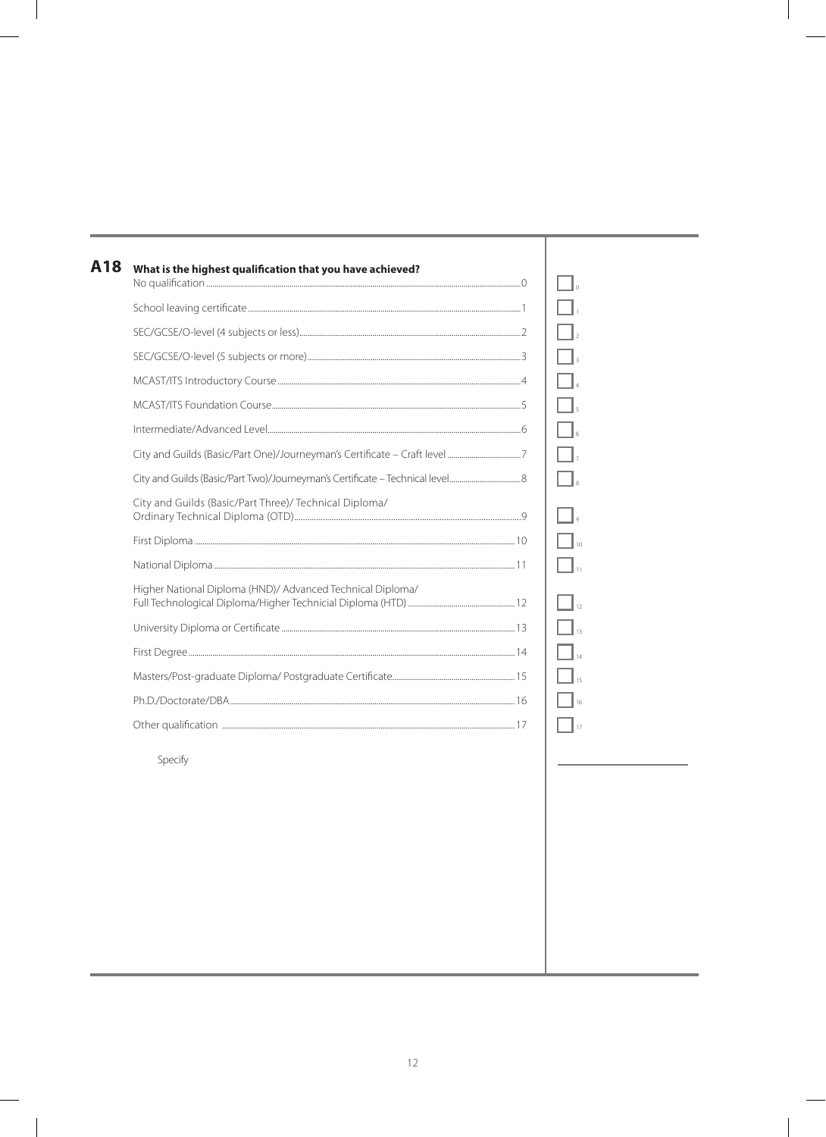| A18 | What is the highest qualification that you have achieved?  |    |
|-----|------------------------------------------------------------|----|
|     |                                                            |    |
|     |                                                            |    |
|     |                                                            |    |
|     |                                                            |    |
|     |                                                            |    |
|     |                                                            |    |
|     |                                                            |    |
|     |                                                            |    |
|     | City and Guilds (Basic/Part Three)/ Technical Diploma/     |    |
|     |                                                            |    |
|     |                                                            |    |
|     | Higher National Diploma (HND)/ Advanced Technical Diploma/ |    |
|     |                                                            |    |
|     |                                                            |    |
|     |                                                            |    |
|     |                                                            |    |
|     |                                                            | 17 |
|     | Specify                                                    |    |
|     |                                                            |    |
|     |                                                            |    |
|     |                                                            |    |
|     |                                                            |    |
|     |                                                            |    |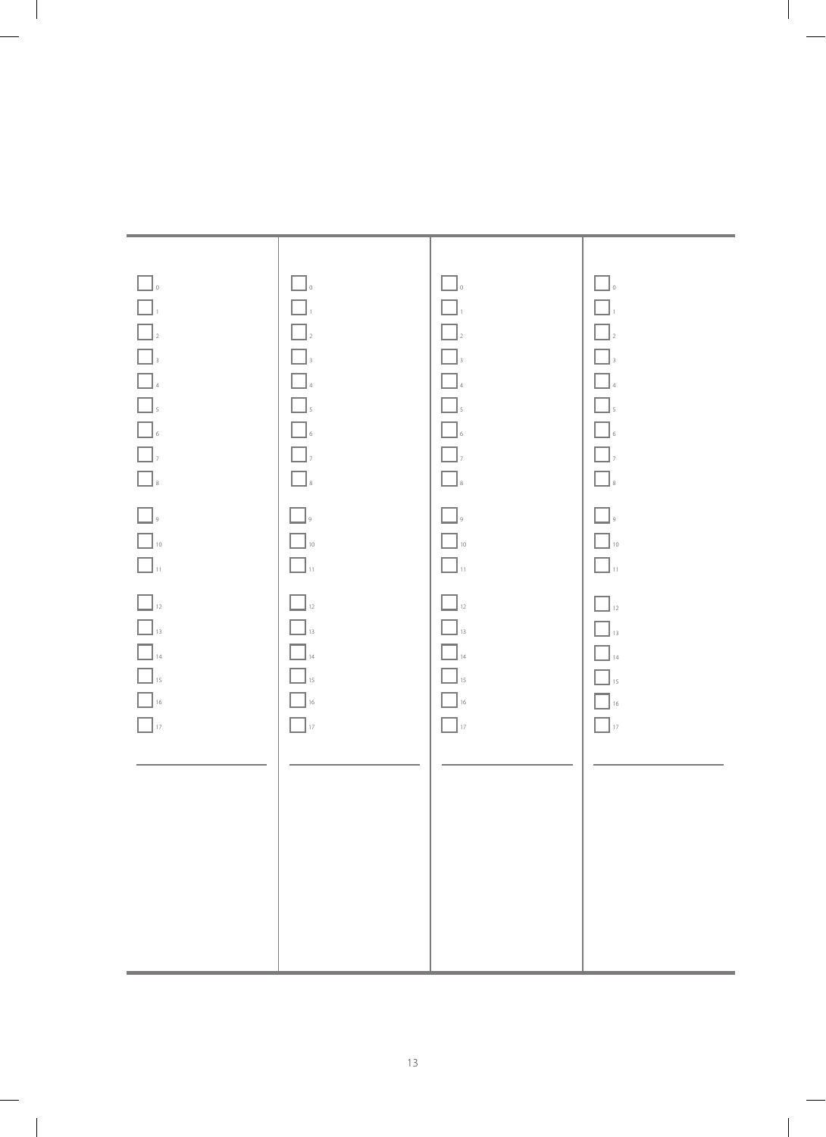| $\Box$ .<br>$\Box_{\scriptscriptstyle{1}}$<br>$\begin{array}{ c } \hline \ \hline \ \hline \ \hline \ \hline \end{array}$<br>$\boxed{\phantom{1}}_3$<br>$\begin{array}{ c c }\hline & & & \\ \hline & & & \\ \hline & & & \\ \hline & & & \\ \hline & & & \\ \hline & & & \\ \hline & & & \\ \hline & & & \\ \hline \end{array}$<br>$\begin{array}{ c c }\hline \rule{0pt}{16pt} \rule{0pt}{2.5pt} \rule{0pt}{2.5pt} \rule{0pt}{2.5pt} \rule{0pt}{2.5pt} \rule{0pt}{2.5pt} \rule{0pt}{2.5pt} \rule{0pt}{2.5pt} \rule{0pt}{2.5pt} \rule{0pt}{2.5pt} \rule{0pt}{2.5pt} \rule{0pt}{2.5pt} \rule{0pt}{2.5pt} \rule{0pt}{2.5pt} \rule{0pt}{2.5pt} \rule{0pt}{2.5pt} \rule{0pt}{2.5pt} \rule{0pt}{2.5pt} \rule{0pt}{2.5pt$<br>$\hfill\blacksquare$<br>$\boxed{\phantom{1}}$<br>$\hfill\blacksquare$ 10<br>$\Box$ $_{\shortparallel}$<br>$\boxed{\phantom{a}}_{\rm 12}$<br>$\boxed{\phantom{1}}_{13}$<br>$\hfill\blacksquare_{\mathit{14}}$<br>$\hfill\blacksquare$ 15<br>$\boxed{\phantom{1}}$ 16<br>$\Box$ 17 | $\Box$ .<br>$\Box$<br>$\Box$<br>$\Box$<br>$\Box$ 4<br>$\Box$<br>$\hfill\blacksquare$ $\hfill$<br>$\Box$ ,<br>$\hfill\blacksquare$<br>$\boxed{\phantom{a}}$ ,<br>$\hfill\Box$ 10<br>$\Box$<br>$\hfill\Box_{12}$<br>$\Box$ <sub>13</sub><br>$\Box$ <sub>14</sub><br>$\Box$ <sub>15</sub><br>$\Box$ 16<br>$\Box$ 17 | $\Box$ .<br>$\Box$<br>$\hfill\Box_2$<br>$\hfill\blacksquare$ $\hfill$<br>$\hfill \square$ $\hfill$<br>$\Box$<br>$\hfill\blacksquare$ $\hfill$<br>$\boxed{\phantom{a}}$ ,<br>$\hfill\blacksquare$ $\hfill$<br>$\Box_{\,{}^{^\circ}}$<br>$\Box$ $\lrcorner$<br>$\boxed{\phantom{1}}_{\rm 12}$<br>$\Box$ <sub>13</sub><br>$\Box$ <sub>14</sub><br>$\Box$ <sub>15</sub><br>$\Box$ 16<br>$\Box$ 17 | $\Box$ .<br>$\Box$<br>$\Box$ <sub>2</sub><br>$\Box$ $_{\tiny 3}$<br>$\Box_{\,4}$<br>$\hfill\blacksquare$ $\hfill$<br>$\hfill\blacksquare$ $\hfill$<br>$\Box$ ,<br>$\hfill\blacksquare$<br>$\Box$ ,<br>$\Box$ 10<br>$\Box$ $_{\rm u}$<br>$\Box$ 12<br>$\Box$ <sub>13</sub><br>$\Box$ <sub>14</sub><br>$\Box$ <sub>15</sub><br>$\Box$ 16<br>$\Box$ 17 |
|----------------------------------------------------------------------------------------------------------------------------------------------------------------------------------------------------------------------------------------------------------------------------------------------------------------------------------------------------------------------------------------------------------------------------------------------------------------------------------------------------------------------------------------------------------------------------------------------------------------------------------------------------------------------------------------------------------------------------------------------------------------------------------------------------------------------------------------------------------------------------------------------------------------------------------------------------------------------------------------------------------|------------------------------------------------------------------------------------------------------------------------------------------------------------------------------------------------------------------------------------------------------------------------------------------------------------------|-----------------------------------------------------------------------------------------------------------------------------------------------------------------------------------------------------------------------------------------------------------------------------------------------------------------------------------------------------------------------------------------------|-----------------------------------------------------------------------------------------------------------------------------------------------------------------------------------------------------------------------------------------------------------------------------------------------------------------------------------------------------|
|                                                                                                                                                                                                                                                                                                                                                                                                                                                                                                                                                                                                                                                                                                                                                                                                                                                                                                                                                                                                          |                                                                                                                                                                                                                                                                                                                  |                                                                                                                                                                                                                                                                                                                                                                                               |                                                                                                                                                                                                                                                                                                                                                     |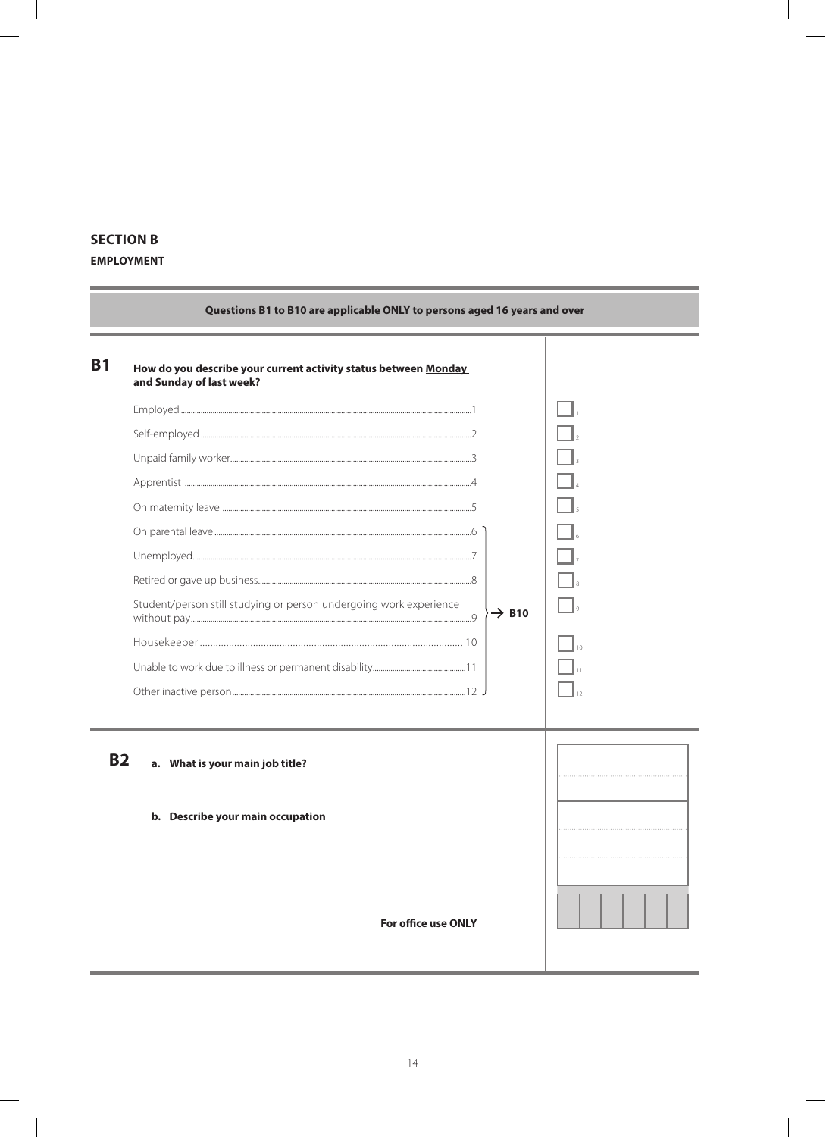## **SECTION B**

#### **EMPLOYMENT**

| <b>B1</b> | How do you describe your current activity status between Monday<br>and Sunday of last week? |  |
|-----------|---------------------------------------------------------------------------------------------|--|
|           |                                                                                             |  |
|           |                                                                                             |  |
|           |                                                                                             |  |
|           |                                                                                             |  |
|           |                                                                                             |  |
|           |                                                                                             |  |
|           |                                                                                             |  |
|           |                                                                                             |  |
|           | Student/person still studying or person undergoing work experience<br>$\rightarrow$ B10     |  |
|           |                                                                                             |  |
|           |                                                                                             |  |
|           |                                                                                             |  |
| <b>B2</b> | a. What is your main job title?                                                             |  |
|           | b. Describe your main occupation<br><b>For office use ONLY</b>                              |  |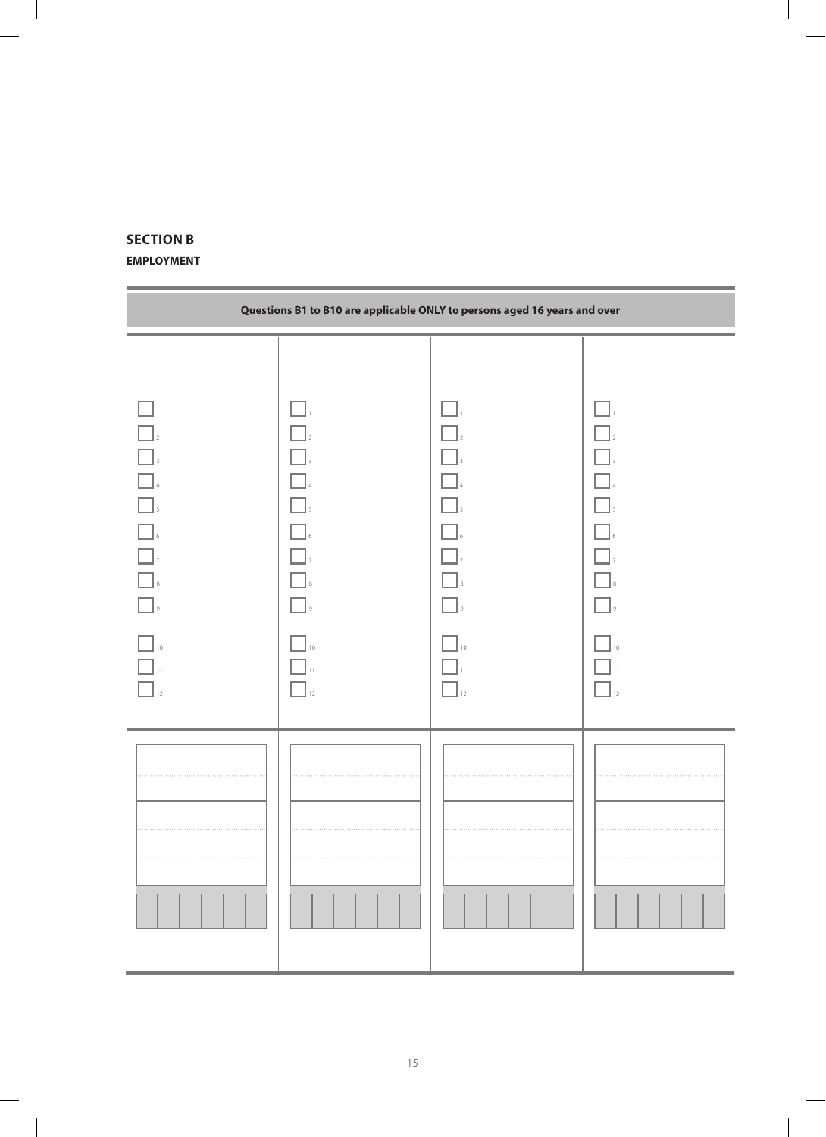### **Section B**

#### **Employment**

| Questions B1 to B10 are applicable ONLY to persons aged 16 years and over                  |                                                    |                                               |                                                                             |  |
|--------------------------------------------------------------------------------------------|----------------------------------------------------|-----------------------------------------------|-----------------------------------------------------------------------------|--|
| $\Box$<br>$\Box$<br>$\Box$<br>$\Box$<br>$\Box$ ,<br>$\Box$<br>$\Box$<br>$10\,$<br>11<br>12 | n d<br>$\Box$<br>- 1<br>$\overline{Q}$<br>10<br>12 | $\mathcal{L}$<br>$\overline{9}$<br>$10$<br>12 | $\ $ $\ $ 4<br>$\mathbb{Z}_{2}$<br>$\mathbb{Z}_{\geq 0}$<br>و ا<br>10<br>12 |  |
|                                                                                            |                                                    |                                               |                                                                             |  |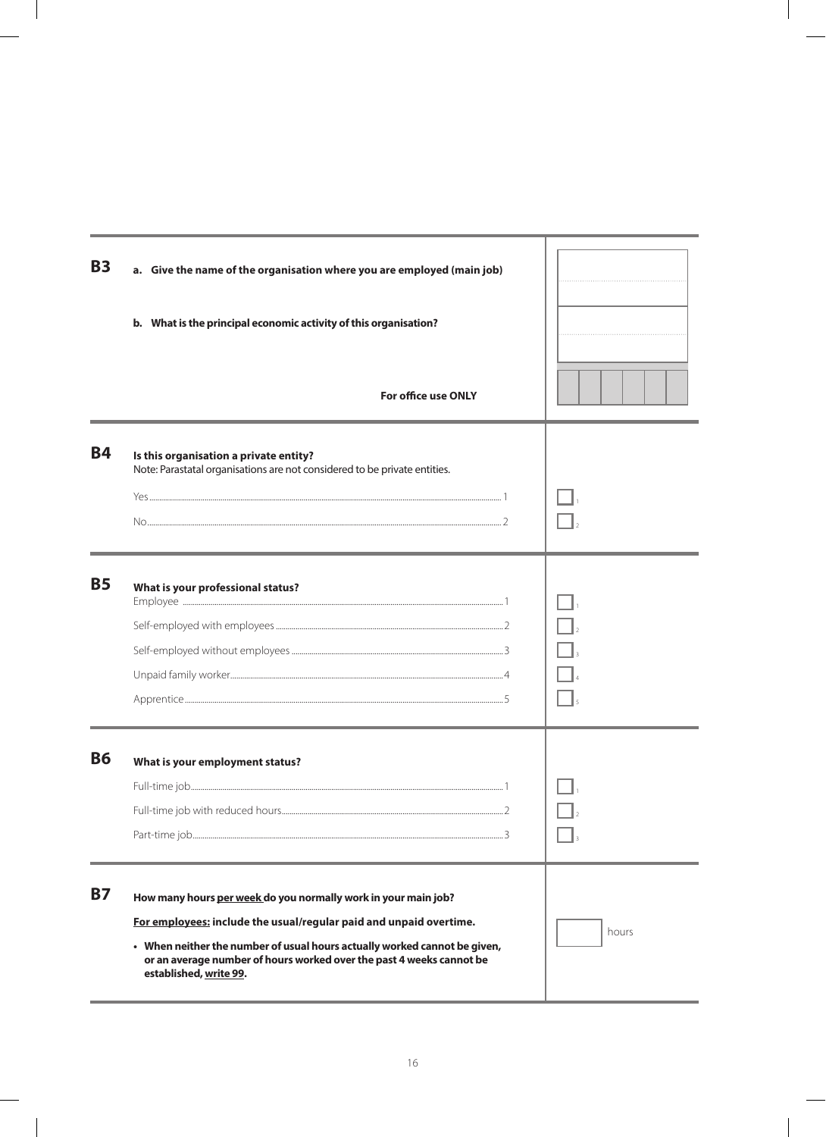| <b>B3</b> | a. Give the name of the organisation where you are employed (main job)                                                                                                      |       |
|-----------|-----------------------------------------------------------------------------------------------------------------------------------------------------------------------------|-------|
|           | b. What is the principal economic activity of this organisation?<br>For office use ONLY                                                                                     |       |
|           |                                                                                                                                                                             |       |
| <b>B4</b> | Is this organisation a private entity?<br>Note: Parastatal organisations are not considered to be private entities.                                                         |       |
|           |                                                                                                                                                                             |       |
| <b>B5</b> | What is your professional status?                                                                                                                                           |       |
|           |                                                                                                                                                                             |       |
|           |                                                                                                                                                                             |       |
|           |                                                                                                                                                                             |       |
|           |                                                                                                                                                                             |       |
| <b>B6</b> | What is your employment status?                                                                                                                                             |       |
|           |                                                                                                                                                                             |       |
|           | $-2$                                                                                                                                                                        |       |
|           |                                                                                                                                                                             |       |
| <b>B7</b> | How many hours per week do you normally work in your main job?                                                                                                              |       |
|           | For employees: include the usual/regular paid and unpaid overtime.                                                                                                          | hours |
|           | • When neither the number of usual hours actually worked cannot be given,<br>or an average number of hours worked over the past 4 weeks cannot be<br>established, write 99. |       |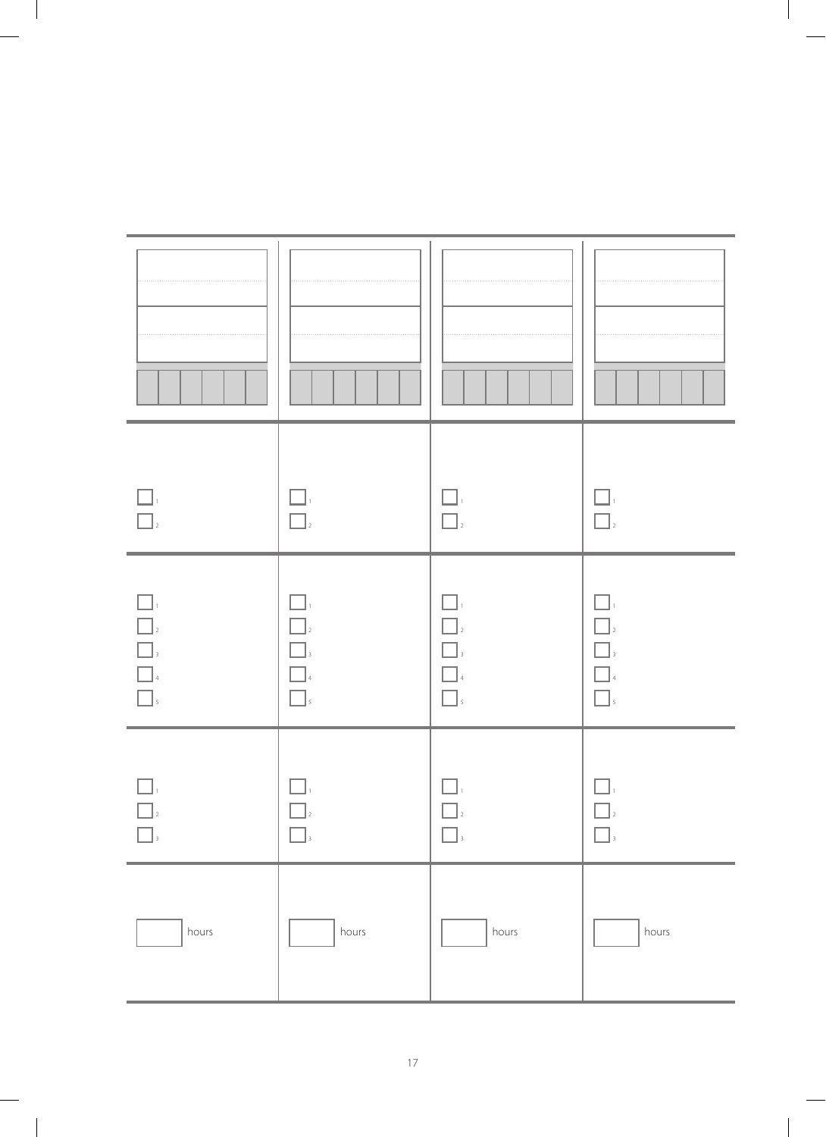| $\Box$                                                                                                               | П                                    | ĔД,<br>$\Box$                   | $\Box$                                            |
|----------------------------------------------------------------------------------------------------------------------|--------------------------------------|---------------------------------|---------------------------------------------------|
| <br><br><br><br><br><br><br><br><br><br><br><br><br><br><br><br><br><br><br><br><br><br><br><br><br><br><br><br><br> | $\Box$<br>$\Box$<br>$\Box$<br>$\Box$ | $\vert$ 3<br>$\Box$<br>$\Box$ s | $\Box$ <sub>2</sub><br>$\Box$<br>$\Box$<br>$\Box$ |
|                                                                                                                      |                                      |                                 |                                                   |
| hours                                                                                                                | hours                                | hours                           | hours                                             |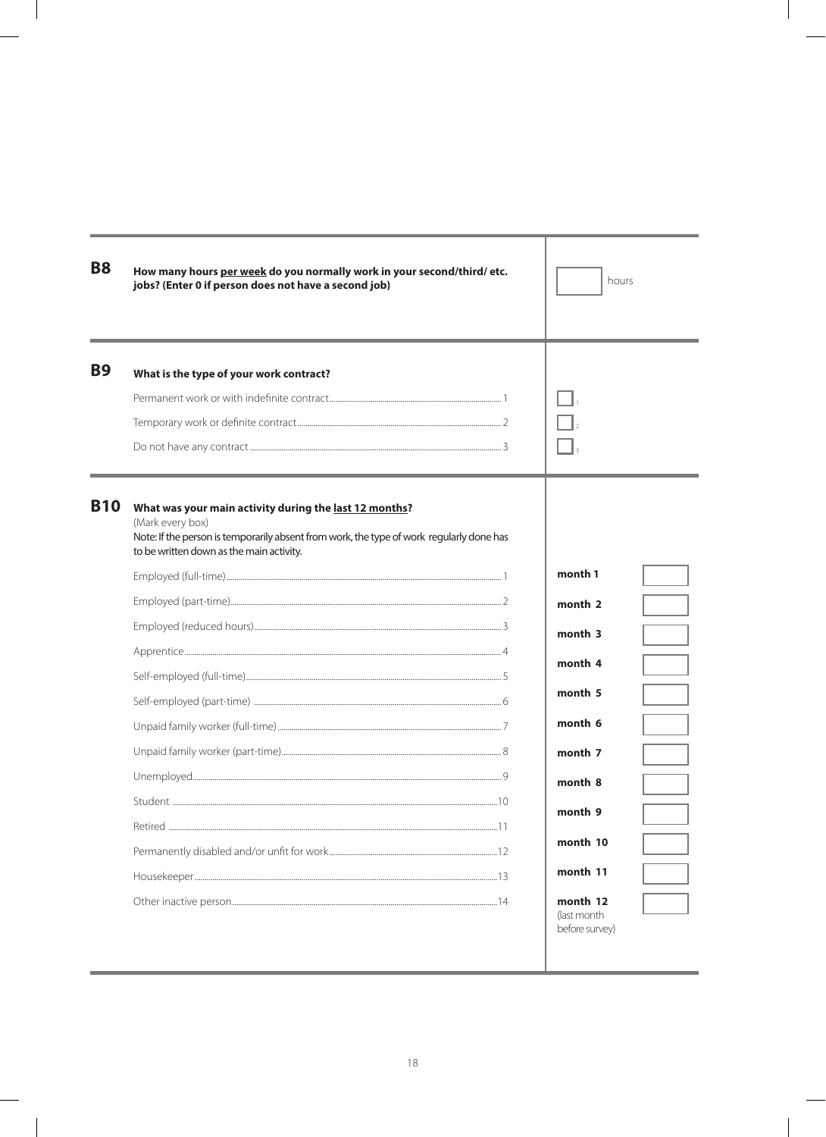| <b>B8</b>  | How many hours per week do you normally work in your second/third/ etc.<br>jobs? (Enter 0 if person does not have a second job)                                                                                    | hours                                                                                           |
|------------|--------------------------------------------------------------------------------------------------------------------------------------------------------------------------------------------------------------------|-------------------------------------------------------------------------------------------------|
| <b>B9</b>  | What is the type of your work contract?                                                                                                                                                                            |                                                                                                 |
| <b>B10</b> | What was your main activity during the last 12 months?<br>(Mark every box)<br>Note: If the person is temporarily absent from work, the type of work regularly done has<br>to be written down as the main activity. | month 1<br>month 2<br>month 3<br>month 4<br>month 5<br>month 6<br>month 7<br>month 8<br>month 9 |
|            |                                                                                                                                                                                                                    | month 10<br>month 11<br>month 12<br>(last month<br>before survey)                               |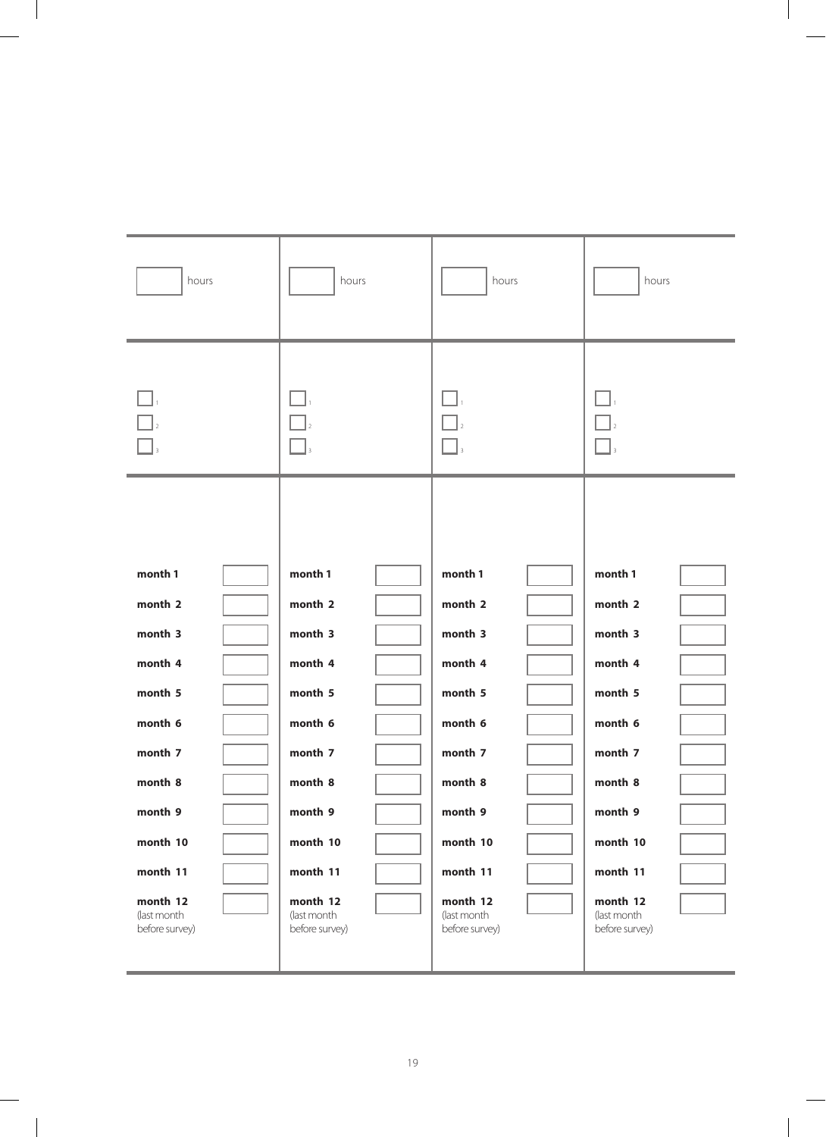| hours<br>hours<br>hours<br>hours<br>month 1<br>month 1<br>month 1<br>month 1<br>month 2<br>month 2<br>month 2<br>month 2<br>month 3<br>month 3<br>month 3<br>month 3<br>month 4<br>month 4<br>month 4<br>month 4 |
|------------------------------------------------------------------------------------------------------------------------------------------------------------------------------------------------------------------|
|                                                                                                                                                                                                                  |
|                                                                                                                                                                                                                  |
|                                                                                                                                                                                                                  |
|                                                                                                                                                                                                                  |
|                                                                                                                                                                                                                  |
|                                                                                                                                                                                                                  |
|                                                                                                                                                                                                                  |
|                                                                                                                                                                                                                  |
| month 5<br>month 5<br>month 5<br>month 5                                                                                                                                                                         |
| month 6<br>month 6<br>month 6<br>month 6                                                                                                                                                                         |
| month 7<br>month 7<br>month 7<br>month 7                                                                                                                                                                         |
|                                                                                                                                                                                                                  |
| month 8<br>month 8<br>month 8<br>month 8                                                                                                                                                                         |
| month 9<br>month 9<br>month 9<br>month 9                                                                                                                                                                         |
| month 10<br>month 10<br>month 10<br>month 10                                                                                                                                                                     |
| month 11<br>month 11<br>month 11<br>month 11                                                                                                                                                                     |
| month 12<br>month 12<br>month 12<br>month 12<br>(last month<br>(last month<br>(last month<br>(last month<br>before survey)<br>before survey)<br>before survey)<br>before survey)                                 |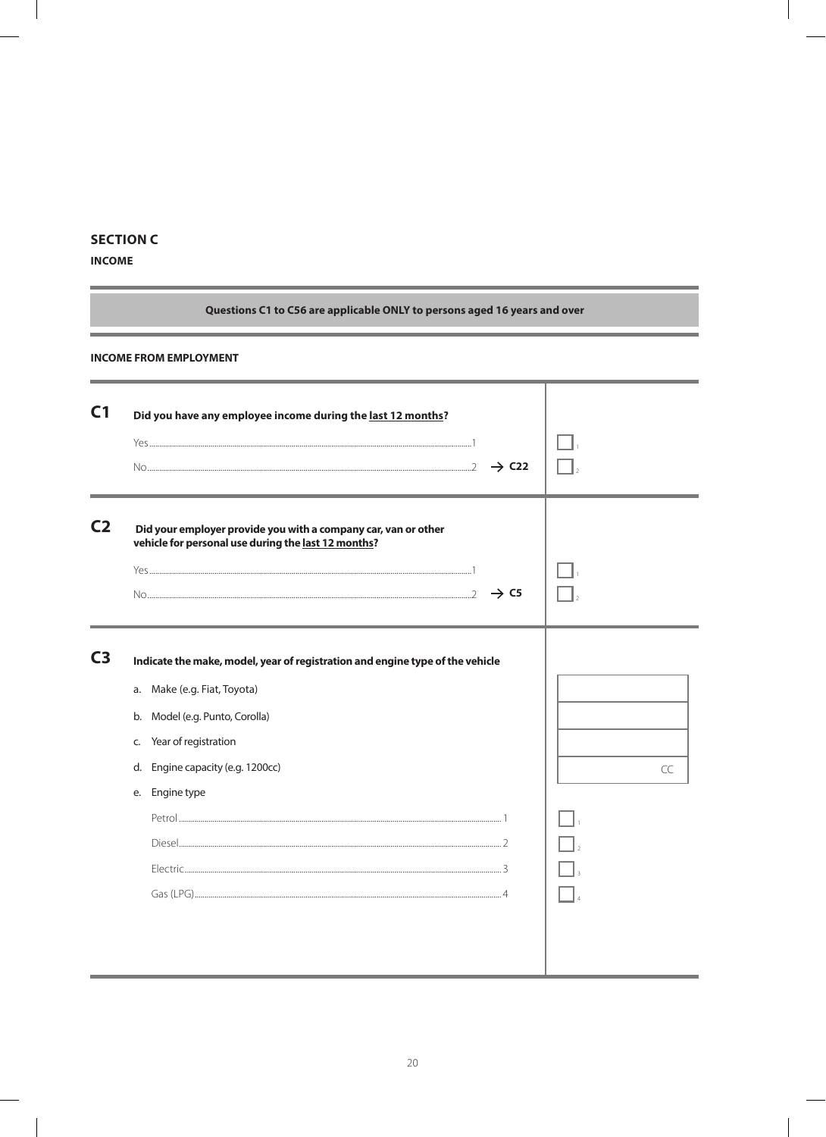#### **SECTION C**

#### **INCOME**

 $\overline{\phantom{a}}$ 

 $\overline{\phantom{a}}$ 

### Questions C1 to C56 are applicable ONLY to persons aged 16 years and over

 $\overline{\phantom{a}}$ 

#### **INCOME FROM EMPLOYMENT**

| C <sub>1</sub> | Did you have any employee income during the last 12 months?<br>$\rightarrow$ C22                                                                                                                                                         |    |
|----------------|------------------------------------------------------------------------------------------------------------------------------------------------------------------------------------------------------------------------------------------|----|
| C <sub>2</sub> | Did your employer provide you with a company car, van or other<br>vehicle for personal use during the last 12 months?<br>$\rightarrow$ C5                                                                                                |    |
| C <sub>3</sub> | Indicate the make, model, year of registration and engine type of the vehicle<br>a. Make (e.g. Fiat, Toyota)<br>b. Model (e.g. Punto, Corolla)<br>Year of registration<br>C.<br>Engine capacity (e.g. 1200cc)<br>d.<br>Engine type<br>е. | CC |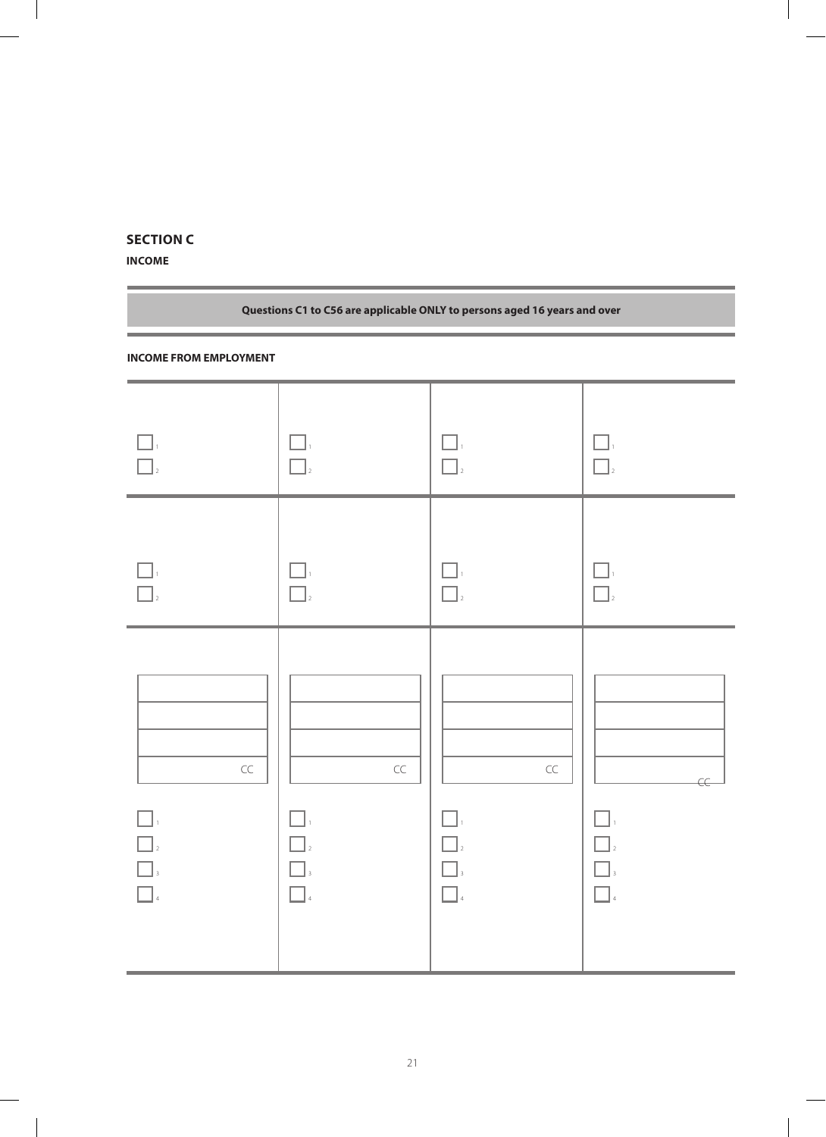## **Section C**

**Income**

| Questions C1 to C56 are applicable ONLY to persons aged 16 years and over |                                                                         |                                       |                                |  |
|---------------------------------------------------------------------------|-------------------------------------------------------------------------|---------------------------------------|--------------------------------|--|
| <b>INCOME FROM EMPLOYMENT</b>                                             |                                                                         |                                       |                                |  |
| $\Box$                                                                    | $\prod_{i=1}^n$<br>$\Box$ <sub>2</sub>                                  | $\Box$ <sub>2</sub>                   | $\Box$ <sub>2</sub>            |  |
| $\Box$                                                                    | $\Box$ <sub>2</sub>                                                     | $\Box$                                | $\Box$ <sub>2</sub>            |  |
| $\subset \subset$<br>$\hfill\Box$ $\hfill$<br>$\Box$ 4                    | $\subset \subset$<br>$\Box_{\scriptscriptstyle \mathsf{3}}$<br>$\Box$ 4 | $\subset \subset$<br>$\Box$<br>$\Box$ | $\in$<br>$\Box$<br>$\Box$<br>4 |  |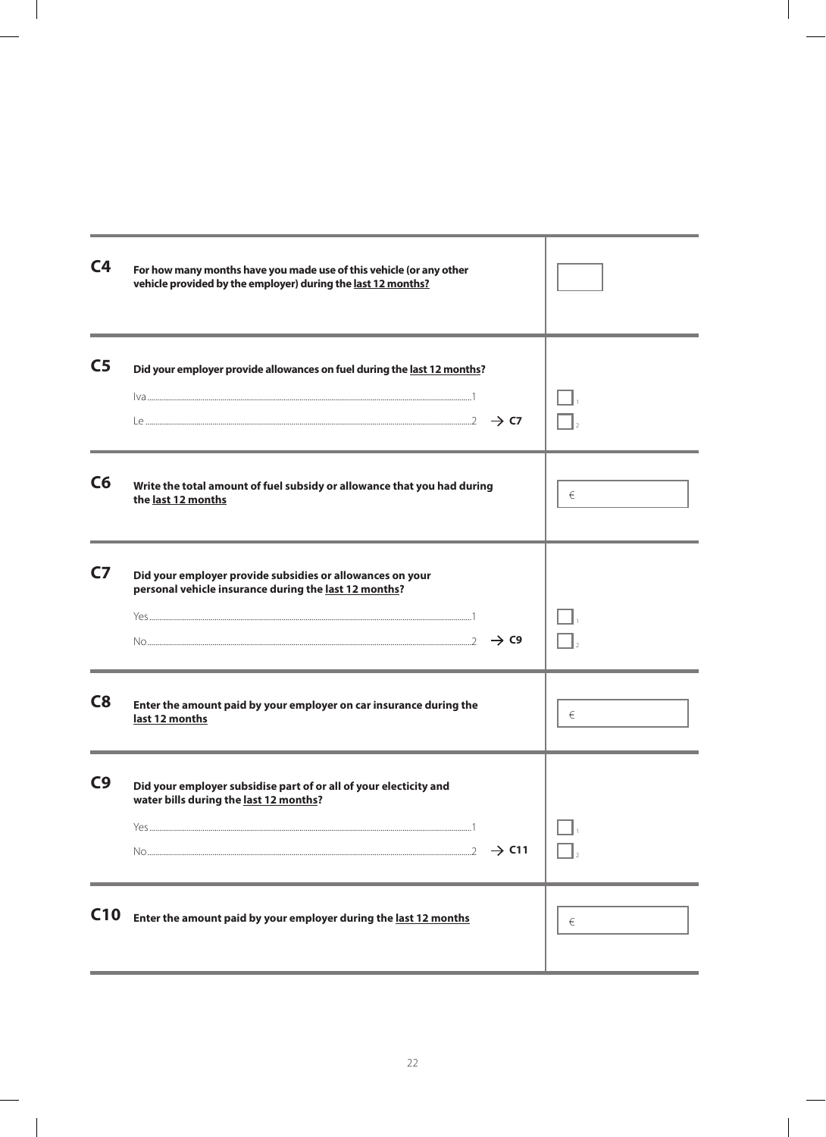| C <sub>4</sub> | For how many months have you made use of this vehicle (or any other<br>vehicle provided by the employer) during the last 12 months?                  |   |
|----------------|------------------------------------------------------------------------------------------------------------------------------------------------------|---|
| C <sub>5</sub> | Did your employer provide allowances on fuel during the last 12 months?                                                                              |   |
| C6             | Write the total amount of fuel subsidy or allowance that you had during<br>the last 12 months                                                        | € |
| C <sub>7</sub> | Did your employer provide subsidies or allowances on your<br>personal vehicle insurance during the last 12 months?<br>$\sim$ $\sim$ $\rightarrow$ C9 |   |
| C8             | Enter the amount paid by your employer on car insurance during the<br>last 12 months                                                                 | € |
| C <sub>9</sub> | Did your employer subsidise part of or all of your electicity and<br>water bills during the last 12 months?<br>$\rightarrow$ C11                     |   |
| C10            | Enter the amount paid by your employer during the last 12 months                                                                                     | € |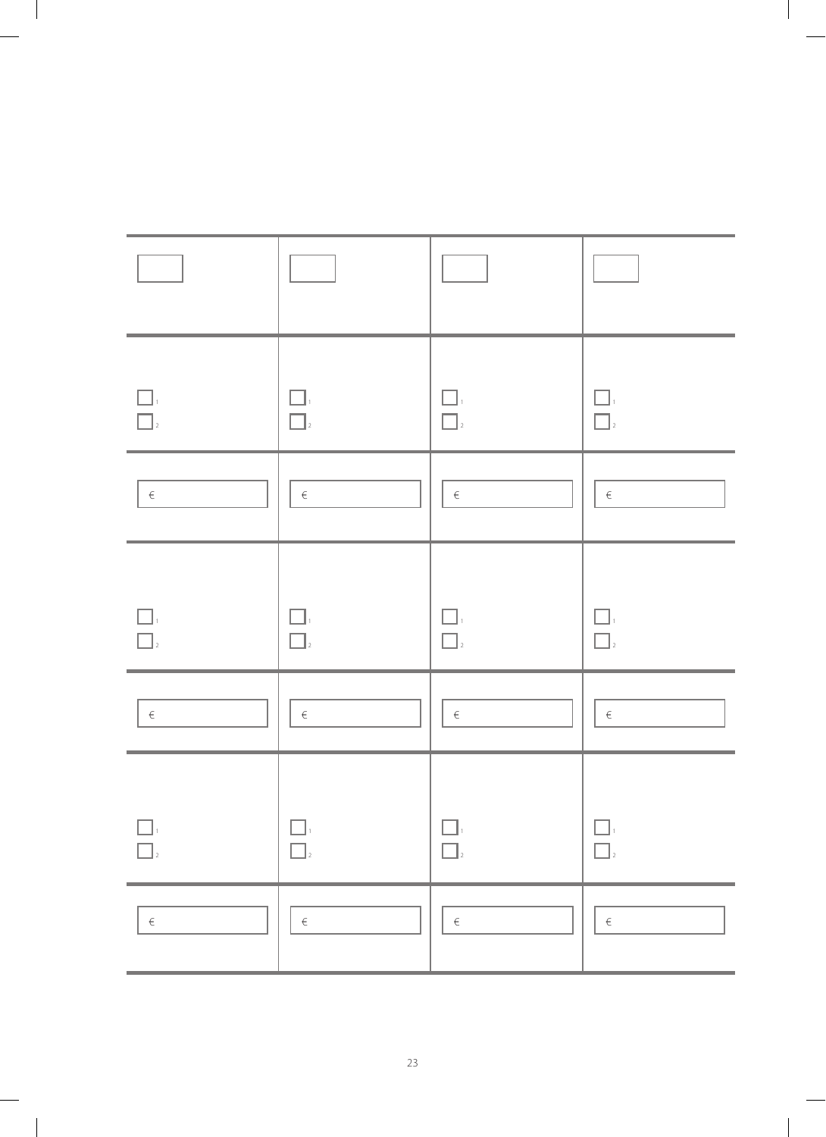| $\Box$<br>$\Box$                              | $\square$<br>$\Box$               | ΓJ,<br>$\Box$    | $\Box$<br>$\Box$ 2                                    |
|-----------------------------------------------|-----------------------------------|------------------|-------------------------------------------------------|
| $\in$                                         | $\in$                             | $\epsilon$       | $\in$                                                 |
| $\Box$<br>$\Box$                              | $\Box$<br>$\Box$                  | $\bigcap_{2}$    | $\Box$                                                |
| $\in$                                         | $\in$                             | $\in$            | $\in$                                                 |
| $\Box$<br>$\hfill\relax{\textstyle\prod}_{2}$ | $\Box$<br>$\boxed{\phantom{a}}_2$ | $\Box$<br>$\Box$ | $\begin{array}{ccc} & \ \\ \hline & \ \\ \end{array}$ |
| $\in$                                         | $\in$                             | $\in$            | $\in$                                                 |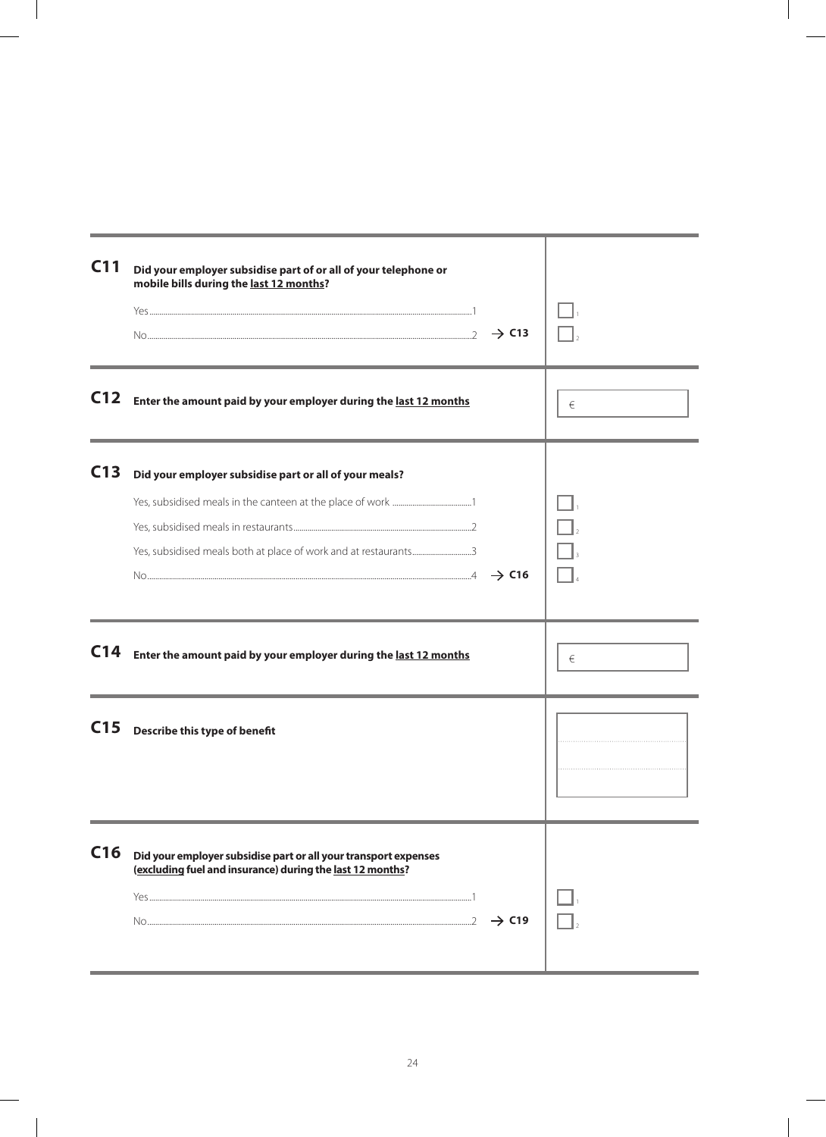| C <sub>11</sub> | Did your employer subsidise part of or all of your telephone or<br>mobile bills during the last 12 months?<br>$\rightarrow$ C13                   |   |
|-----------------|---------------------------------------------------------------------------------------------------------------------------------------------------|---|
| C <sub>12</sub> | Enter the amount paid by your employer during the last 12 months                                                                                  | € |
| C <sub>13</sub> | Did your employer subsidise part or all of your meals?<br>$\text{No} \text{} \xrightarrow{a} \text{C16}$                                          |   |
| C <sub>14</sub> | Enter the amount paid by your employer during the last 12 months                                                                                  | € |
| C <sub>15</sub> | Describe this type of benefit                                                                                                                     |   |
| C16             | Did your employer subsidise part or all your transport expenses<br>(excluding fuel and insurance) during the last 12 months?<br>$\rightarrow$ C19 |   |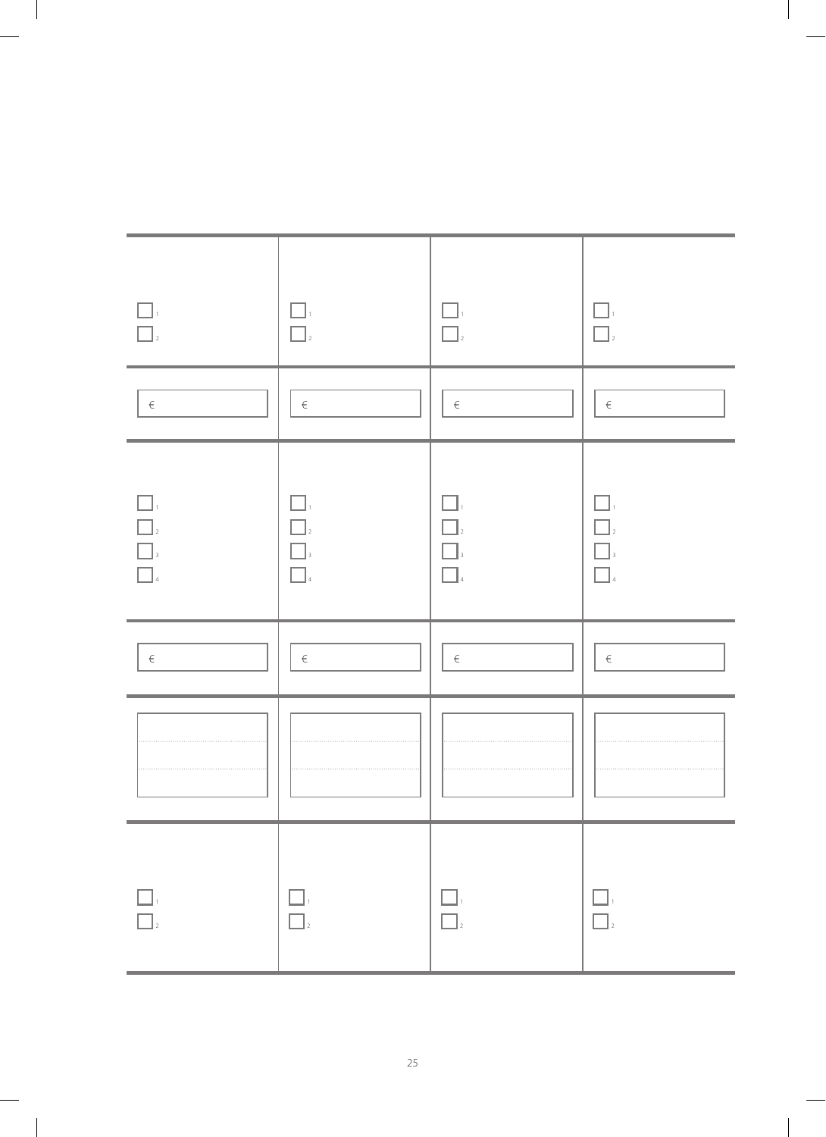| $\Box$<br>$\boxed{\phantom{a}}_2$                                                                                                                                                                                                                                                                                                                                                                               | $\square$<br>$\Box$                                                                                                                                  | $\bigcap_{2}$    | $\mathcal{A}$<br>$\Box$                                                                                                                                                                                                                                                                                                                                                                                          |
|-----------------------------------------------------------------------------------------------------------------------------------------------------------------------------------------------------------------------------------------------------------------------------------------------------------------------------------------------------------------------------------------------------------------|------------------------------------------------------------------------------------------------------------------------------------------------------|------------------|------------------------------------------------------------------------------------------------------------------------------------------------------------------------------------------------------------------------------------------------------------------------------------------------------------------------------------------------------------------------------------------------------------------|
| $\in$                                                                                                                                                                                                                                                                                                                                                                                                           | $\in$                                                                                                                                                | $\in$            | $\in$                                                                                                                                                                                                                                                                                                                                                                                                            |
| П,<br>$\begin{array}{ c c }\hline \rule{0pt}{12pt} \rule{0pt}{2.5pt} \rule{0pt}{2.5pt} \rule{0pt}{2.5pt} \rule{0pt}{2.5pt} \rule{0pt}{2.5pt} \rule{0pt}{2.5pt} \rule{0pt}{2.5pt} \rule{0pt}{2.5pt} \rule{0pt}{2.5pt} \rule{0pt}{2.5pt} \rule{0pt}{2.5pt} \rule{0pt}{2.5pt} \rule{0pt}{2.5pt} \rule{0pt}{2.5pt} \rule{0pt}{2.5pt} \rule{0pt}{2.5pt} \rule{0pt}{2.5pt} \rule{0pt}{2.5pt$<br>$\boxed{\phantom{1}}$ | П.<br>$\Box$<br>$\Box$ <sub>3</sub><br>$\Box$                                                                                                        |                  | $\Box$<br>$\Box_{\scriptscriptstyle{4}}$                                                                                                                                                                                                                                                                                                                                                                         |
| $\in$                                                                                                                                                                                                                                                                                                                                                                                                           | $\in$                                                                                                                                                | $\epsilon$       | $\in$                                                                                                                                                                                                                                                                                                                                                                                                            |
|                                                                                                                                                                                                                                                                                                                                                                                                                 |                                                                                                                                                      |                  |                                                                                                                                                                                                                                                                                                                                                                                                                  |
| $\begin{array}{ c } \hline \quad \quad & \quad \quad & \quad \quad \\ \hline \quad \quad & \quad \quad & \quad \quad \\ \hline \quad \quad & \quad \quad & \quad \quad \\ \hline \quad \quad & \quad \quad & \quad \quad \\ \hline \end{array}$                                                                                                                                                                 | $\begin{array}{ c c }\hline \quad \  \  &\quad \  \  \, \\ \hline \quad \  \  &\quad \  \  \\ \hline \quad \  \  &\quad \  \  \\ \hline \end{array}$ | $\Box$<br>$\Box$ | $\begin{array}{c} \hline \rule{0pt}{2ex} \rule{0pt}{2ex} \rule{0pt}{2ex} \rule{0pt}{2ex} \rule{0pt}{2ex} \rule{0pt}{2ex} \rule{0pt}{2ex} \rule{0pt}{2ex} \rule{0pt}{2ex} \rule{0pt}{2ex} \rule{0pt}{2ex} \rule{0pt}{2ex} \rule{0pt}{2ex} \rule{0pt}{2ex} \rule{0pt}{2ex} \rule{0pt}{2ex} \rule{0pt}{2ex} \rule{0pt}{2ex} \rule{0pt}{2ex} \rule{0pt}{2ex} \rule{0pt}{2ex} \rule{0pt}{2ex} \rule{0pt}{2ex} \rule{$ |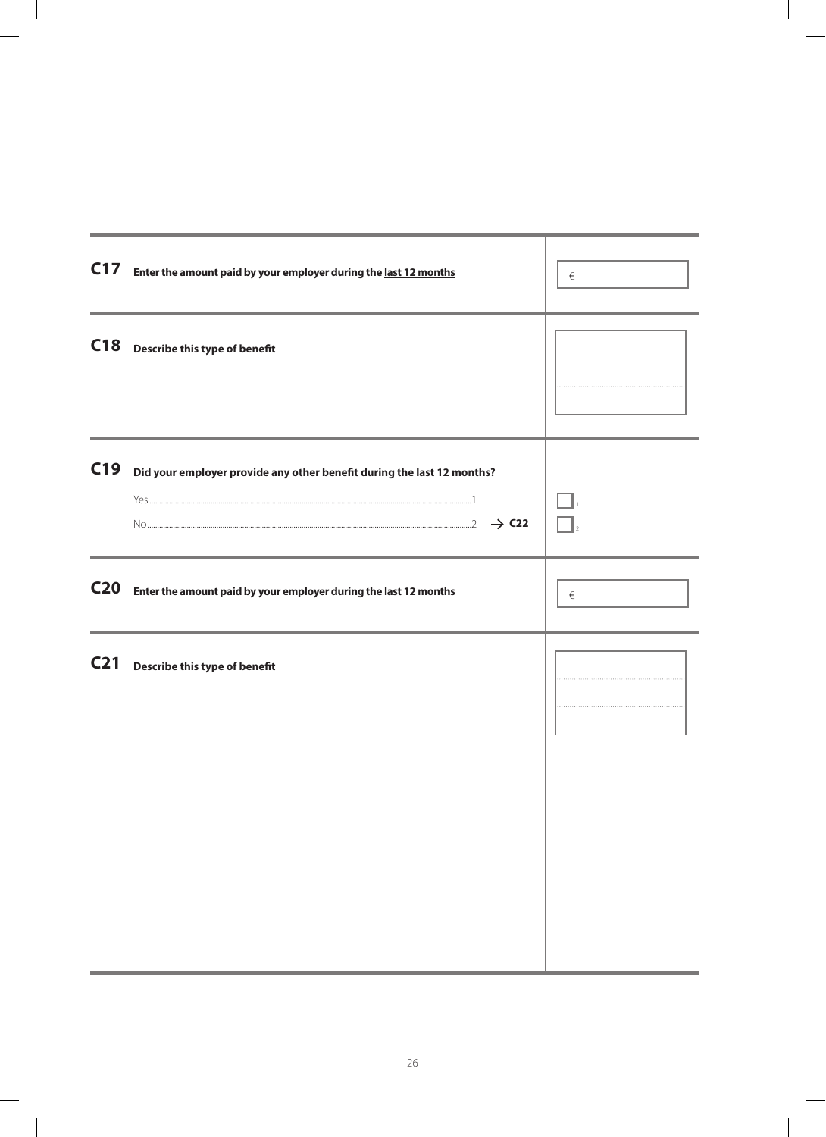| C17             | Enter the amount paid by your employer during the last 12 months       | $\in$ |
|-----------------|------------------------------------------------------------------------|-------|
|                 | C18 Describe this type of benefit                                      |       |
| C19             | Did your employer provide any other benefit during the last 12 months? |       |
| C <sub>20</sub> | Enter the amount paid by your employer during the last 12 months       | €     |
| C <sub>21</sub> | Describe this type of benefit                                          |       |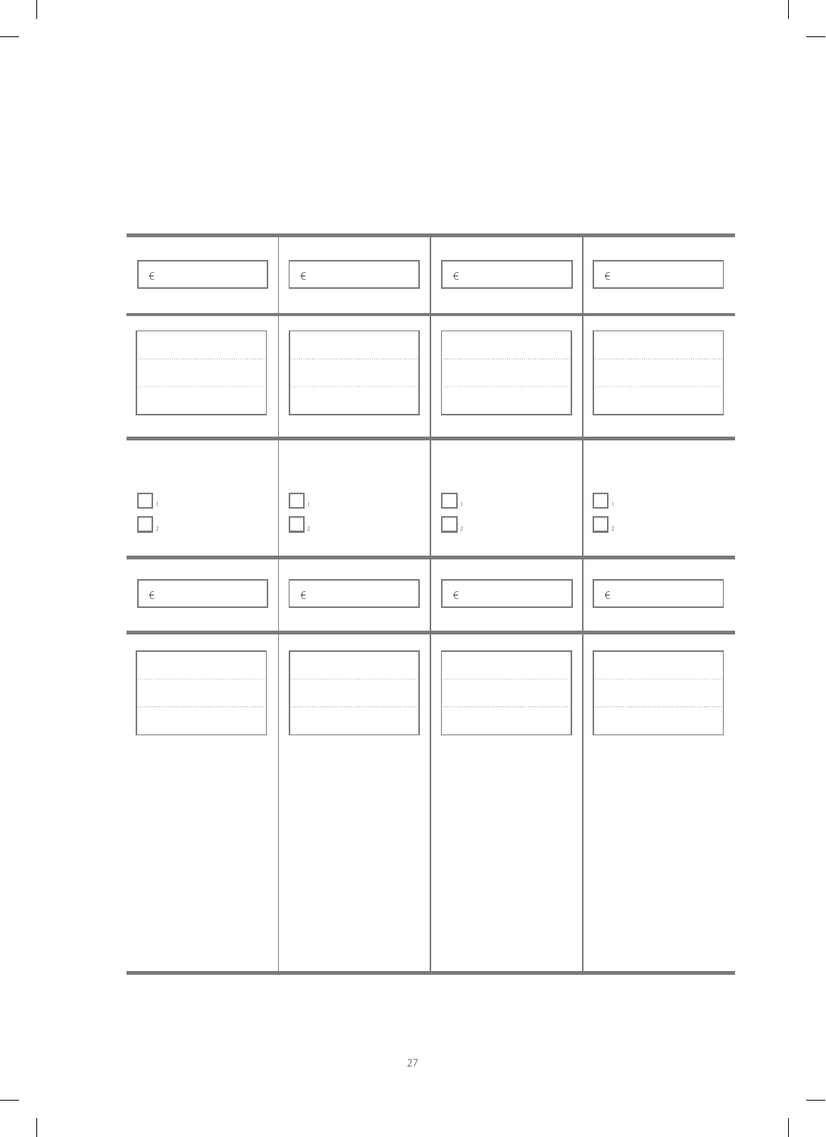| $\in$ | $\in$ | $\in$  | $\in$ |
|-------|-------|--------|-------|
|       |       |        |       |
|       |       |        |       |
| $\in$ | $\in$ | $\in$  | $\in$ |
| .     | .     | .<br>. | .     |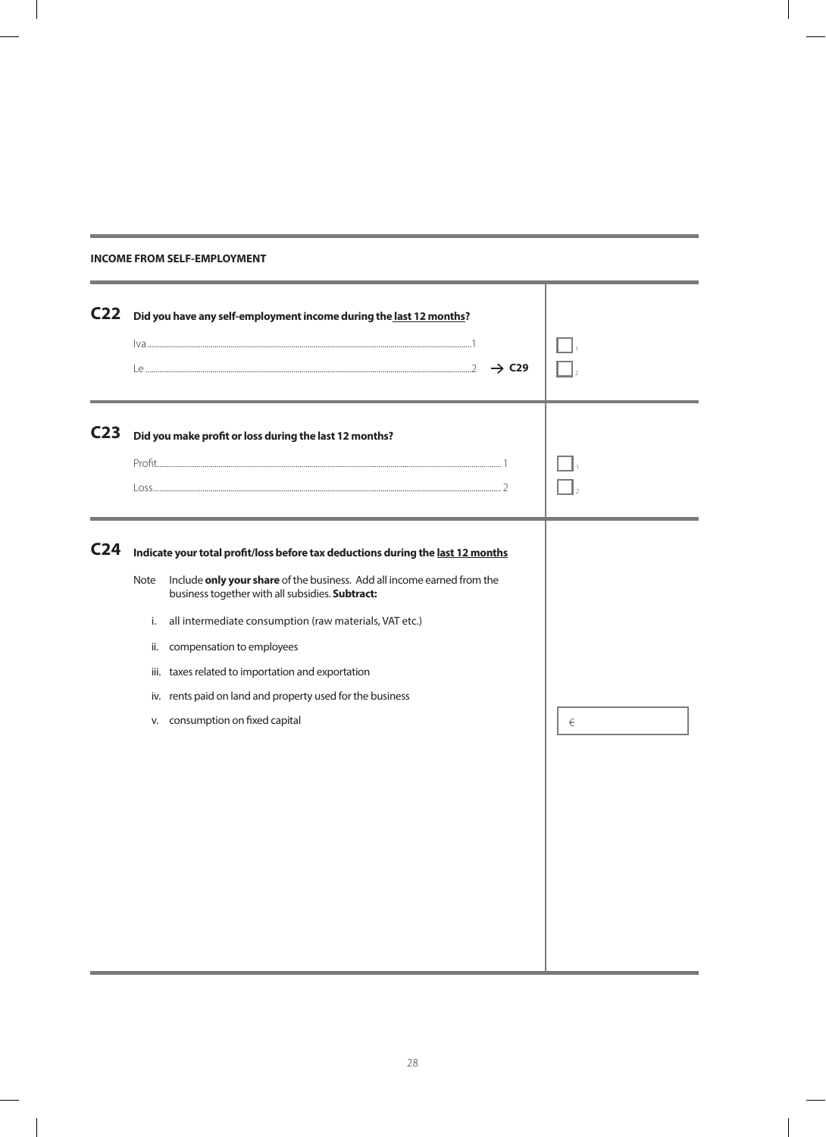|  | INCOME FROM SELF-EMPLOYMENT |  |
|--|-----------------------------|--|
|  |                             |  |

| C <sub>22</sub> |                                 | Did you have any self-employment income during the last 12 months?<br>$\rightarrow$ C29                                                                                                                                                                                                                                                                                                                                                           |   |
|-----------------|---------------------------------|---------------------------------------------------------------------------------------------------------------------------------------------------------------------------------------------------------------------------------------------------------------------------------------------------------------------------------------------------------------------------------------------------------------------------------------------------|---|
| C <sub>23</sub> |                                 | Did you make profit or loss during the last 12 months?                                                                                                                                                                                                                                                                                                                                                                                            |   |
| C <sub>24</sub> | Note<br>i.<br>ii.<br>iii.<br>V. | Indicate your total profit/loss before tax deductions during the last 12 months<br>Include only your share of the business. Add all income earned from the<br>business together with all subsidies. Subtract:<br>all intermediate consumption (raw materials, VAT etc.)<br>compensation to employees<br>taxes related to importation and exportation<br>iv. rents paid on land and property used for the business<br>consumption on fixed capital | € |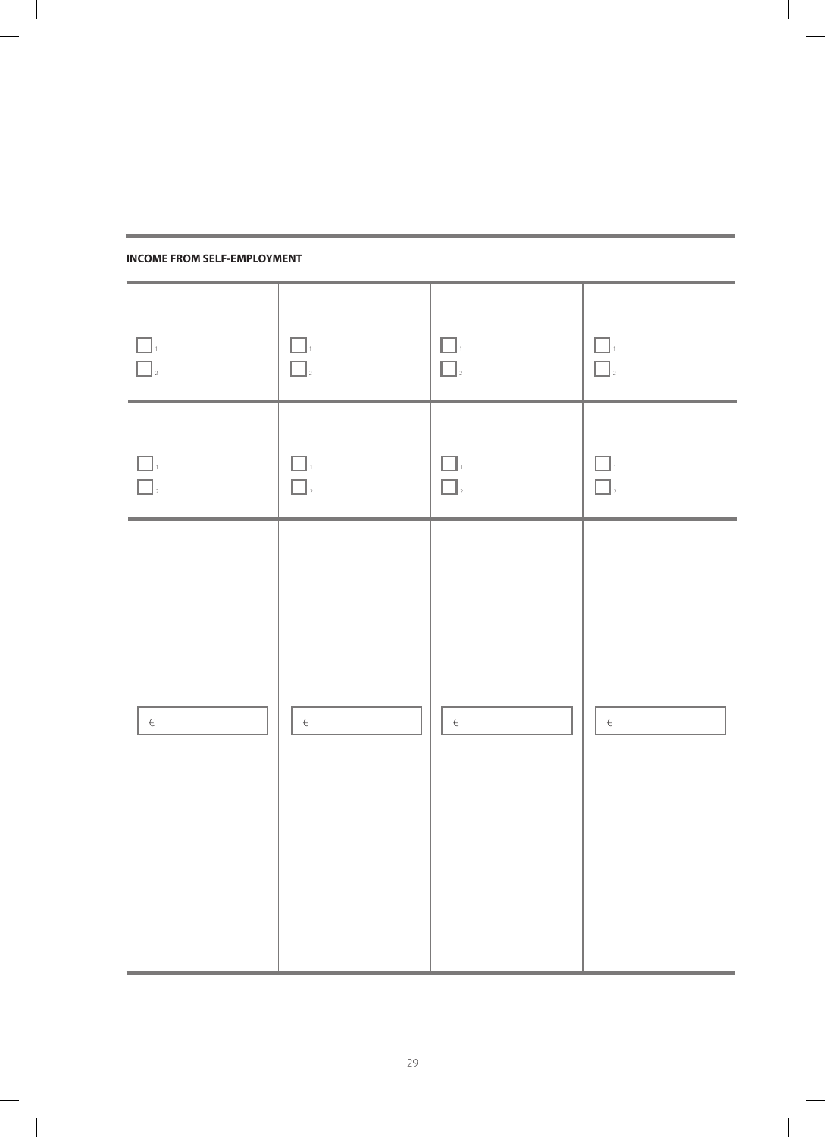| $\Box,$<br>$\overline{\Box}$                                                                                                                                                                                                                                                                                                                                                                                     | $\begin{array}{ c } \hline \quad \quad & 1 \\ \hline \quad \quad & 1 \\ \hline \quad \quad & 2 \end{array}$ | $\begin{array}{c} \hline \rule{0pt}{2ex} \rule{0pt}{2ex} \rule{0pt}{2ex} \rule{0pt}{2ex} \rule{0pt}{2ex} \rule{0pt}{2ex} \rule{0pt}{2ex} \rule{0pt}{2ex} \rule{0pt}{2ex} \rule{0pt}{2ex} \rule{0pt}{2ex} \rule{0pt}{2ex} \rule{0pt}{2ex} \rule{0pt}{2ex} \rule{0pt}{2ex} \rule{0pt}{2ex} \rule{0pt}{2ex} \rule{0pt}{2ex} \rule{0pt}{2ex} \rule{0pt}{2ex} \rule{0pt}{2ex} \rule{0pt}{2ex} \rule{0pt}{2ex} \rule{$ | $\begin{array}{ c c }\hline \quad \  & \quad \  & \quad \  \, \\ \hline \quad \  & \quad \  \, \\ \hline \quad \  & \quad \  \, \\ \hline \quad \  \, \\ \hline \end{array}$ |
|------------------------------------------------------------------------------------------------------------------------------------------------------------------------------------------------------------------------------------------------------------------------------------------------------------------------------------------------------------------------------------------------------------------|-------------------------------------------------------------------------------------------------------------|------------------------------------------------------------------------------------------------------------------------------------------------------------------------------------------------------------------------------------------------------------------------------------------------------------------------------------------------------------------------------------------------------------------|------------------------------------------------------------------------------------------------------------------------------------------------------------------------------|
| $\begin{array}{c} \hline \rule{0pt}{2ex} \rule{0pt}{2ex} \rule{0pt}{2ex} \rule{0pt}{2ex} \rule{0pt}{2ex} \rule{0pt}{2ex} \rule{0pt}{2ex} \rule{0pt}{2ex} \rule{0pt}{2ex} \rule{0pt}{2ex} \rule{0pt}{2ex} \rule{0pt}{2ex} \rule{0pt}{2ex} \rule{0pt}{2ex} \rule{0pt}{2ex} \rule{0pt}{2ex} \rule{0pt}{2ex} \rule{0pt}{2ex} \rule{0pt}{2ex} \rule{0pt}{2ex} \rule{0pt}{2ex} \rule{0pt}{2ex} \rule{0pt}{2ex} \rule{$ | $\begin{array}{c}\n\boxed{\phantom{0}}_1 \\ \boxed{\phantom{0}}_2\n\end{array}$                             | $\begin{array}{c} \hline \rule{0pt}{2ex} \rule{0pt}{2ex} \rule{0pt}{2ex} \rule{0pt}{2ex} \rule{0pt}{2ex} \rule{0pt}{2ex} \rule{0pt}{2ex} \rule{0pt}{2ex} \rule{0pt}{2ex} \rule{0pt}{2ex} \rule{0pt}{2ex} \rule{0pt}{2ex} \rule{0pt}{2ex} \rule{0pt}{2ex} \rule{0pt}{2ex} \rule{0pt}{2ex} \rule{0pt}{2ex} \rule{0pt}{2ex} \rule{0pt}{2ex} \rule{0pt}{2ex} \rule{0pt}{2ex} \rule{0pt}{2ex} \rule{0pt}{2ex} \rule{$ | $\begin{array}{ c c }\hline \quad \  & 1 \\ \hline \quad \  & 1 \\ \hline \quad \  & 2 \\ \hline \end{array}$                                                                |
| $\in$                                                                                                                                                                                                                                                                                                                                                                                                            | $\in$                                                                                                       | $\in$                                                                                                                                                                                                                                                                                                                                                                                                            | $\in$                                                                                                                                                                        |

#### **INCOME FROM SELF-EMPLOYMENT**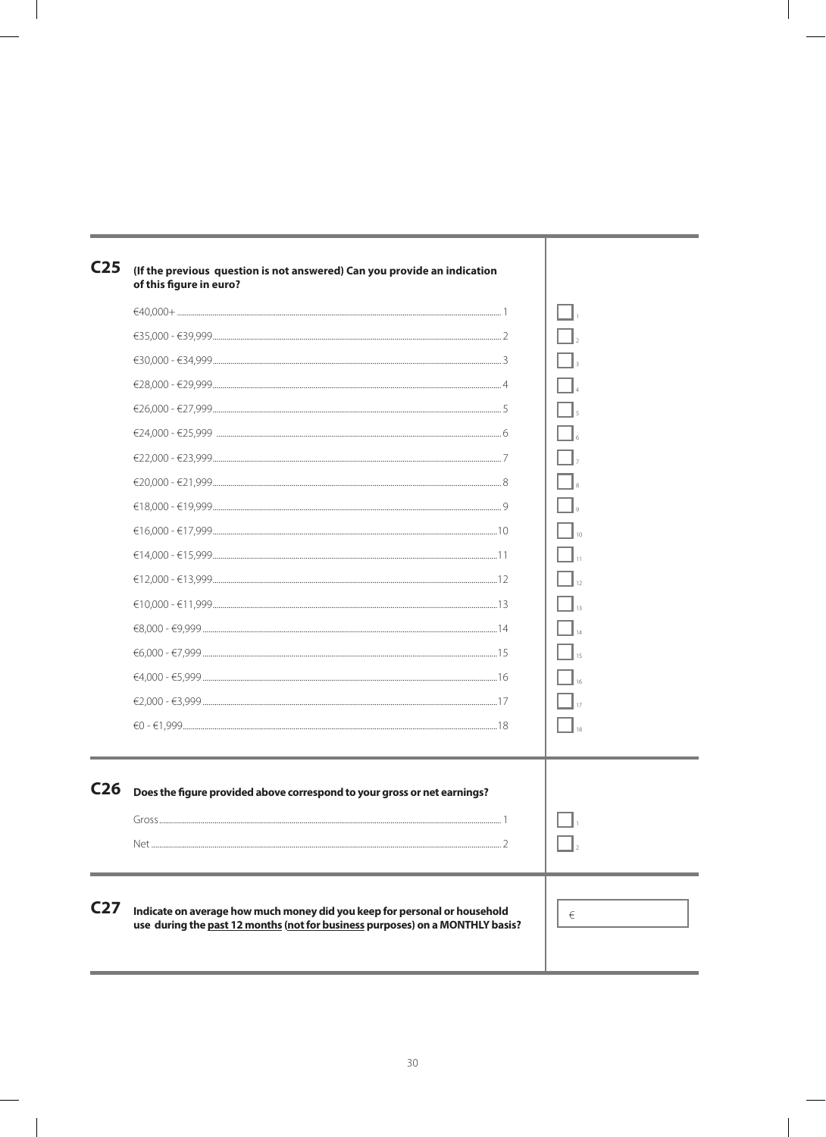| C <sub>25</sub> | (If the previous question is not answered) Can you provide an indication<br>of this figure in euro?                                                        |     |
|-----------------|------------------------------------------------------------------------------------------------------------------------------------------------------------|-----|
|                 |                                                                                                                                                            |     |
|                 |                                                                                                                                                            |     |
|                 |                                                                                                                                                            |     |
|                 |                                                                                                                                                            |     |
|                 |                                                                                                                                                            |     |
|                 |                                                                                                                                                            |     |
|                 |                                                                                                                                                            |     |
|                 |                                                                                                                                                            |     |
|                 |                                                                                                                                                            |     |
|                 | $€16,000 - €17,999$                                                                                                                                        |     |
|                 |                                                                                                                                                            |     |
|                 |                                                                                                                                                            |     |
|                 |                                                                                                                                                            |     |
|                 |                                                                                                                                                            |     |
|                 |                                                                                                                                                            |     |
|                 |                                                                                                                                                            |     |
|                 |                                                                                                                                                            |     |
|                 |                                                                                                                                                            |     |
| C <sub>26</sub> | Does the figure provided above correspond to your gross or net earnings?                                                                                   |     |
|                 | Gross<br>$\overline{1}$                                                                                                                                    | . . |
|                 |                                                                                                                                                            |     |
|                 |                                                                                                                                                            |     |
| C <sub>27</sub> | Indicate on average how much money did you keep for personal or household<br>use during the past 12 months (not for business purposes) on a MONTHLY basis? | €   |
|                 |                                                                                                                                                            |     |

 $\overline{\phantom{a}}$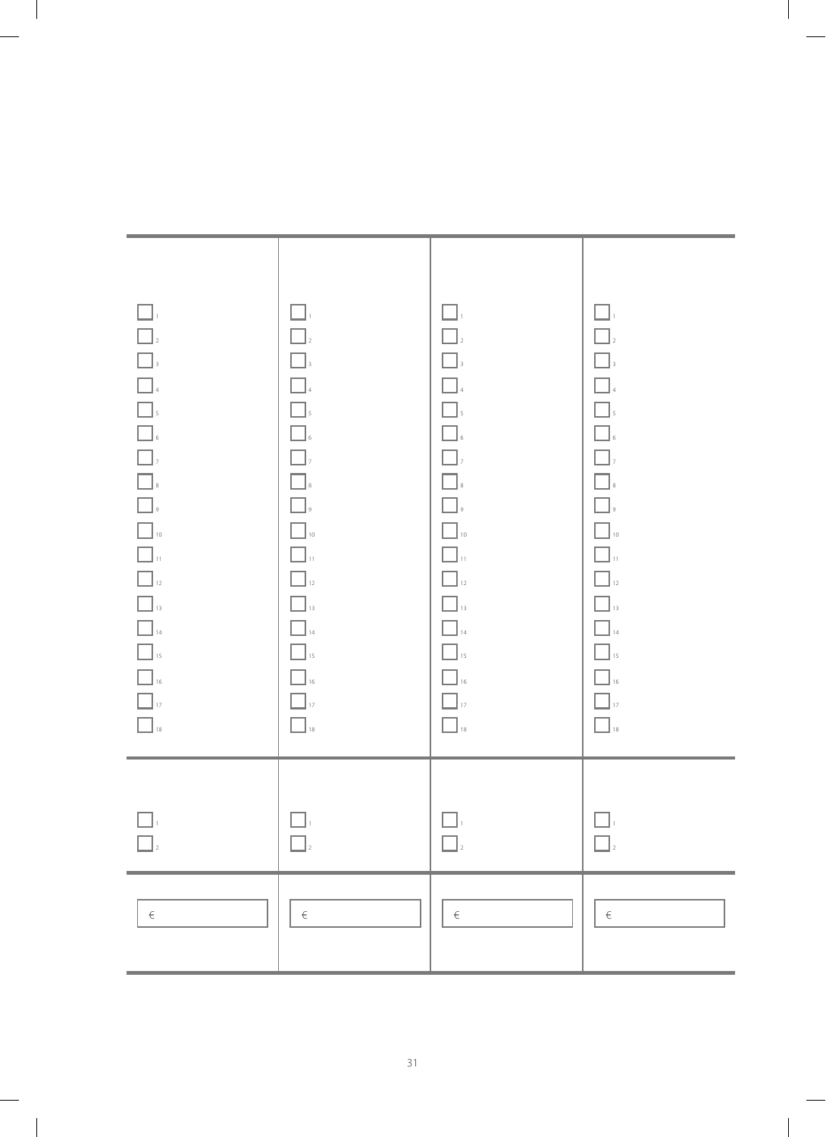| $\Box$<br>$\boxed{\phantom{a}}_2$<br>$\boxed{\phantom{a}}_3$<br>$\hfill \square$<br><b>1</b><br>5<br>6<br>7<br>8<br>9<br>9<br>$\hfill\blacksquare_{\mathsf{10}}$<br>$\Box_{\rm u}$<br>$\hfill\blacksquare_{\mathbf{12}}$<br>$\Box_{\scriptscriptstyle{13}}$<br>$\hfill\blacksquare_{\mathit{14}}$<br>$\hfill\blacksquare_{\text{15}}$<br>$\hfill\Box$ 16<br>$\hfill\Box$ 18 | $\Box$<br>$\Box$<br>$\Box$<br>$\Box$<br>$\Box$<br>$\Box$<br>$\Box$ ,<br>$\Box_{\hbox{\tiny s}}$<br>$\Box$<br>$\Box$ 10<br>$\Box$ 11<br>$\Box$ <sub>12</sub><br>$\Box$ 13<br>$\Box$ 14<br>$\Box$ <sub>15</sub><br>$\Box$ 16<br>$\Box$ 17<br>$\hfill \square$ 18 | $\Box$<br>$\Box$<br>$\Box_{\scriptscriptstyle 3}$<br>$\hfill\blacksquare$<br>4<br>$\Box$<br>$\Box$<br>$\hfill\blacksquare$ $\hfill$<br>$\boxed{\phantom{a}}$ ,<br>$\Box_{\hbox{\tiny 8}}$<br>$\hfill\Box$<br>$\hfill\blacksquare_{\mathsf{10}}$<br>$\Box$ $\mathbf{u}$<br>$\boxed{\phantom{1}}_{12}$<br>$\Box_{\scriptscriptstyle{13}}$<br>$\hfill\blacksquare_{\mathit{14}}$<br>$\hfill\Box$ 15<br>$\hfill\blacksquare$ 16<br>$\Box$ <sub>17</sub><br>$\Box$ 18 | $\Box$<br>$\Box$<br>$\Box_{\scriptscriptstyle 3}$<br>$\hfill\blacksquare$<br>$\hfill\blacksquare$ $\hfill\mbox{\large\bf .}$<br>$\boxed{\phantom{a}}$ ,<br>$\hfill\blacksquare$ $\hfill$<br>$\hfill\blacksquare$<br>$\hfill\blacksquare_{\mathsf{10}}$<br>$\Box_{\mathfrak{n}}$<br>$\Box$ <sub>12</sub><br>$\Box$ 13<br>$\hfill\blacksquare_{\hfill\text{14}}$<br>$\hfill\Box$ 15<br>$\hfill\blacksquare$ 16<br>$\Box$ <sub>17</sub><br>$\hfill\blacksquare$ 18 |
|-----------------------------------------------------------------------------------------------------------------------------------------------------------------------------------------------------------------------------------------------------------------------------------------------------------------------------------------------------------------------------|----------------------------------------------------------------------------------------------------------------------------------------------------------------------------------------------------------------------------------------------------------------|------------------------------------------------------------------------------------------------------------------------------------------------------------------------------------------------------------------------------------------------------------------------------------------------------------------------------------------------------------------------------------------------------------------------------------------------------------------|-----------------------------------------------------------------------------------------------------------------------------------------------------------------------------------------------------------------------------------------------------------------------------------------------------------------------------------------------------------------------------------------------------------------------------------------------------------------|
|                                                                                                                                                                                                                                                                                                                                                                             |                                                                                                                                                                                                                                                                |                                                                                                                                                                                                                                                                                                                                                                                                                                                                  |                                                                                                                                                                                                                                                                                                                                                                                                                                                                 |
| €                                                                                                                                                                                                                                                                                                                                                                           | $\in$                                                                                                                                                                                                                                                          | €                                                                                                                                                                                                                                                                                                                                                                                                                                                                | $\in$                                                                                                                                                                                                                                                                                                                                                                                                                                                           |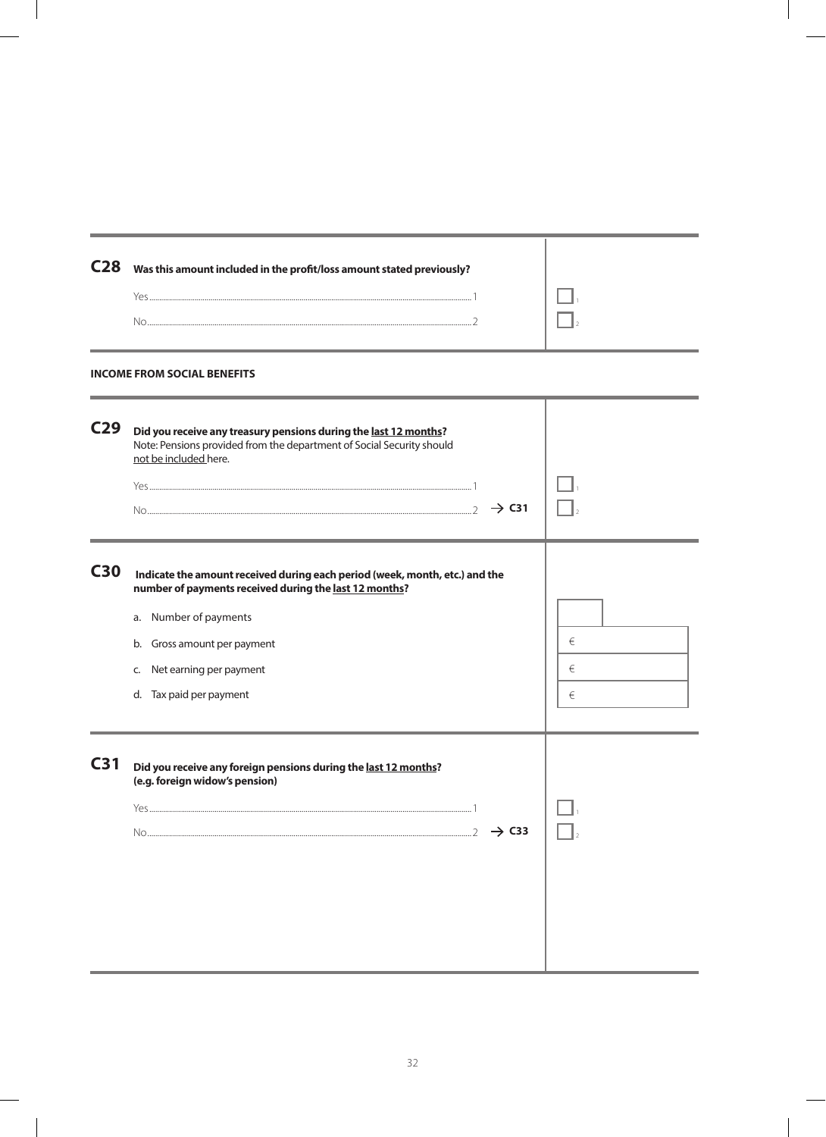| C <sub>28</sub> | Was this amount included in the profit/loss amount stated previously?                                                                                                                                                                                        |             |
|-----------------|--------------------------------------------------------------------------------------------------------------------------------------------------------------------------------------------------------------------------------------------------------------|-------------|
|                 | <b>INCOME FROM SOCIAL BENEFITS</b>                                                                                                                                                                                                                           |             |
| C <sub>29</sub> | Did you receive any treasury pensions during the last 12 months?<br>Note: Pensions provided from the department of Social Security should<br>not be included here.<br>$\rightarrow$ C31                                                                      |             |
| <b>C30</b>      | Indicate the amount received during each period (week, month, etc.) and the<br>number of payments received during the last 12 months?<br>a. Number of payments<br>Gross amount per payment<br>b.<br>Net earning per payment<br>C.<br>d. Tax paid per payment | €<br>€<br>€ |
| C <sub>31</sub> | Did you receive any foreign pensions during the last 12 months?<br>(e.g. foreign widow's pension)<br>Yes.<br>$\mathbf{1}$<br>$\rightarrow$ C33                                                                                                               |             |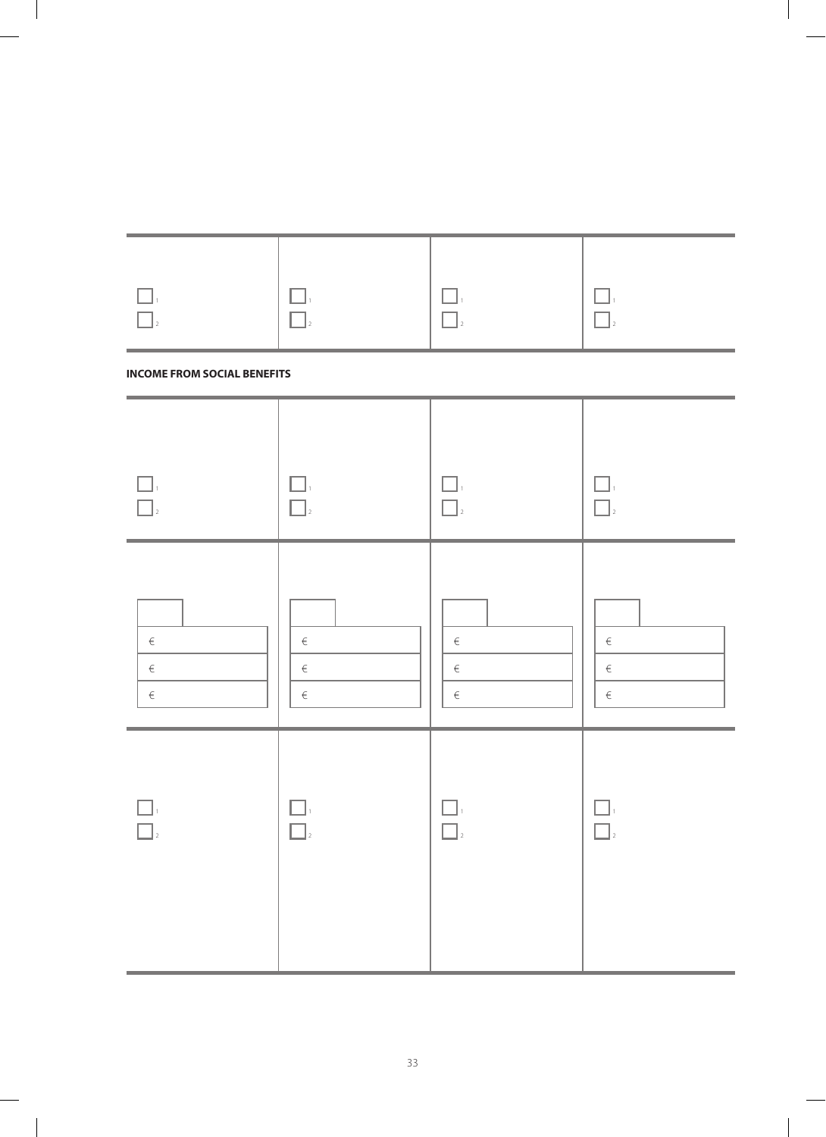| $\Box$                             | $\Box$                                   | $\Box$ <sub>2</sub>           | $\Box$                  |
|------------------------------------|------------------------------------------|-------------------------------|-------------------------|
| <b>INCOME FROM SOCIAL BENEFITS</b> |                                          |                               |                         |
| $\vert$ 2                          | . .<br><b>Contract</b><br>$\overline{2}$ | $\Box$<br>$\Box$ <sub>2</sub> | - 1<br>$\bigcap_{2}$    |
| $\in$<br>$\in$<br>$\in$            | $\in$<br>$\in$<br>$\in$                  | $\in$<br>$\in$<br>$\in$       | $\in$<br>$\in$<br>$\in$ |
| $\Box$<br>$\Big _2$                | ப<br>$\overline{2}$                      | èΤ,<br>$\big _2$              | $\sim$<br>$\bigcap_{2}$ |

| $\Box$ | $\mathbf{1}_{\square}$ | <b>Contract Contract Contract Contract</b> |  |
|--------|------------------------|--------------------------------------------|--|
| $\Box$ | $\perp$                | $\overline{\Pi}$                           |  |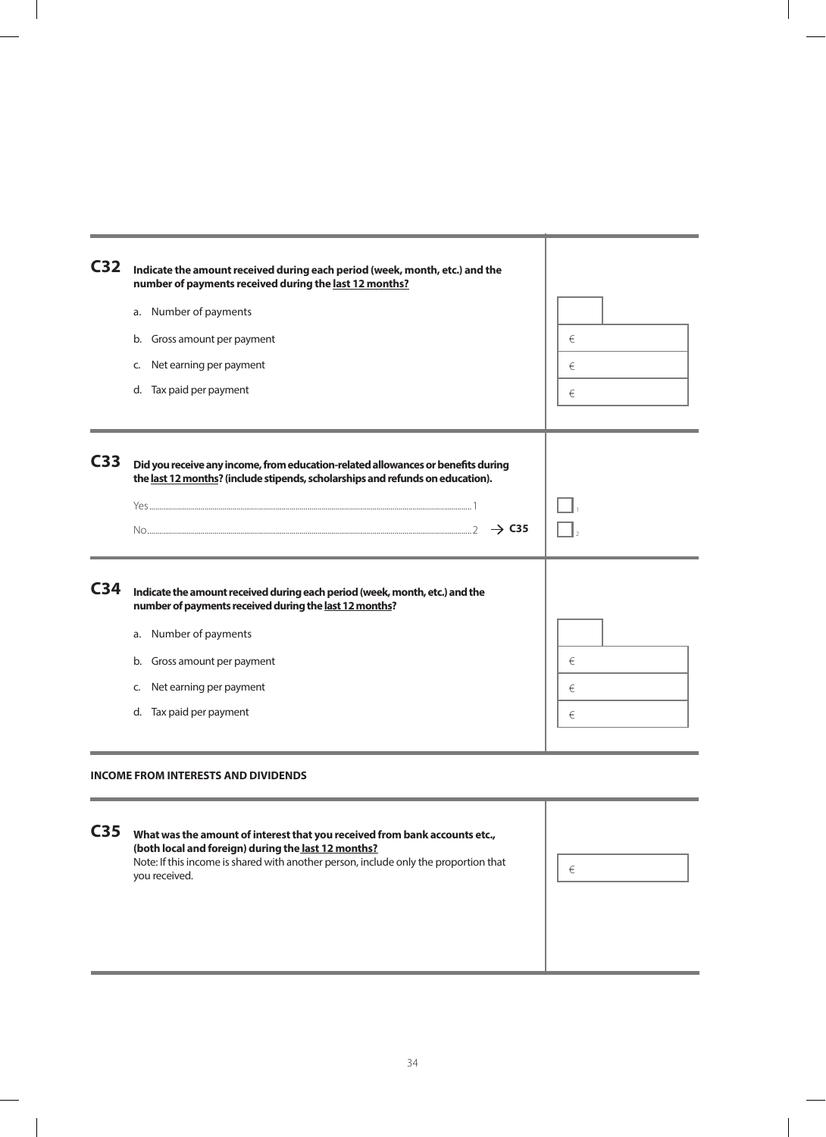| C <sub>32</sub> | Indicate the amount received during each period (week, month, etc.) and the<br>number of payments received during the last 12 months?                                                                                                                           |             |
|-----------------|-----------------------------------------------------------------------------------------------------------------------------------------------------------------------------------------------------------------------------------------------------------------|-------------|
|                 | Number of payments<br>a.<br>Gross amount per payment<br>b.<br>Net earning per payment<br>C.<br>d. Tax paid per payment                                                                                                                                          | €<br>€<br>€ |
| C <sub>33</sub> | Did you receive any income, from education-related allowances or benefits during<br>the last 12 months? (include stipends, scholarships and refunds on education).<br>$\rightarrow$ C35                                                                         |             |
| C <sub>34</sub> | Indicate the amount received during each period (week, month, etc.) and the<br>number of payments received during the last 12 months?<br>Number of payments<br>a.<br>Gross amount per payment<br>b.<br>Net earning per payment<br>C.<br>d. Tax paid per payment | €<br>€<br>€ |

#### **INCOME FROM INTERESTS AND DIVIDENDS**

i.

| C <sub>35</sub> | What was the amount of interest that you received from bank accounts etc.,<br>(both local and foreign) during the last 12 months?<br>Note: If this income is shared with another person, include only the proportion that<br>you received. | € |  |
|-----------------|--------------------------------------------------------------------------------------------------------------------------------------------------------------------------------------------------------------------------------------------|---|--|
|                 |                                                                                                                                                                                                                                            |   |  |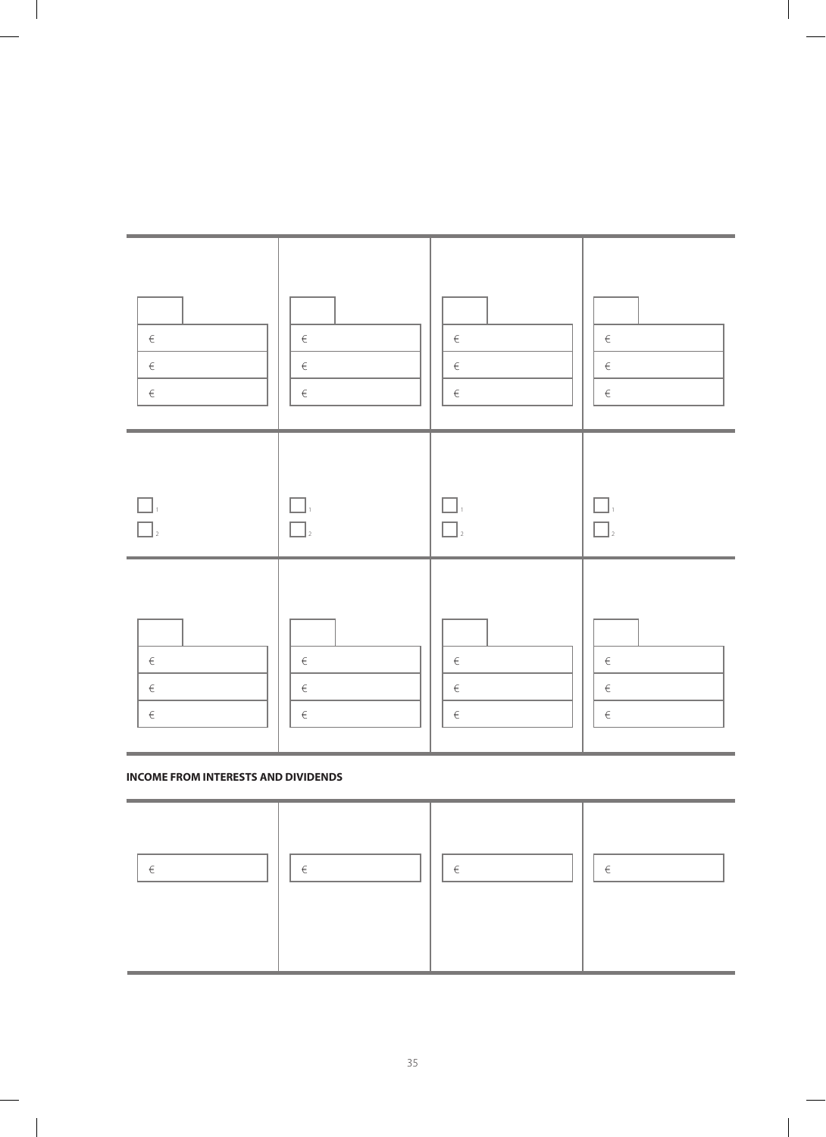| $\in$                     | $\in$                                     | $\in$               | $\in$            |
|---------------------------|-------------------------------------------|---------------------|------------------|
| $\in$                     | $\in$                                     | $\in$               | $\in$            |
| $\in$                     | $\in$                                     | $\in$               | $\in$            |
| L<br>$\vert$ <sub>2</sub> | $\Box$<br>$\mathcal{L}$<br>$\overline{a}$ | H<br>$\overline{a}$ | $\Box$<br>$\Box$ |
| $\in$                     | $\in$                                     | $\in$               | $\in$            |
| $\in$                     | $\in$                                     | $\in$               | $\in$            |
| $\in$                     | $\in$                                     | $\in$               | $\in$            |

#### **INCOME FROM INTERESTS AND DIVIDENDS**

 $\overline{\phantom{a}}$ 

| £ | £ | £ | £ |
|---|---|---|---|
|---|---|---|---|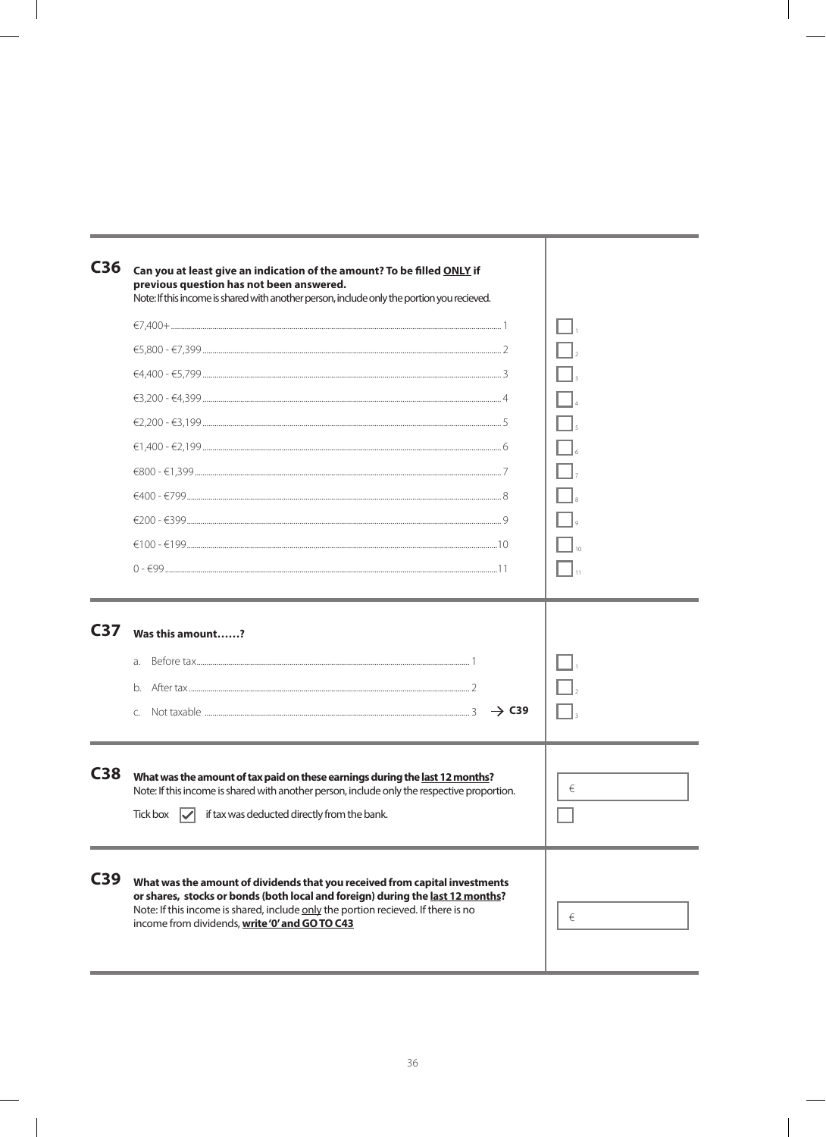| C36             | Can you at least give an indication of the amount? To be filled ONLY if<br>previous question has not been answered.<br>Note: If this income is shared with another person, include only the portion you recieved.                                                                                    |   |
|-----------------|------------------------------------------------------------------------------------------------------------------------------------------------------------------------------------------------------------------------------------------------------------------------------------------------------|---|
|                 |                                                                                                                                                                                                                                                                                                      |   |
|                 |                                                                                                                                                                                                                                                                                                      |   |
|                 |                                                                                                                                                                                                                                                                                                      |   |
|                 |                                                                                                                                                                                                                                                                                                      |   |
|                 |                                                                                                                                                                                                                                                                                                      |   |
|                 |                                                                                                                                                                                                                                                                                                      |   |
|                 |                                                                                                                                                                                                                                                                                                      |   |
|                 |                                                                                                                                                                                                                                                                                                      |   |
|                 |                                                                                                                                                                                                                                                                                                      |   |
|                 |                                                                                                                                                                                                                                                                                                      |   |
|                 | $0 - 1$                                                                                                                                                                                                                                                                                              |   |
| C <sub>37</sub> | Was this amount?<br>b.<br>$\rightarrow$ C39<br>$\mathsf{C}$                                                                                                                                                                                                                                          |   |
| C38             | What was the amount of tax paid on these earnings during the last 12 months?<br>Note: If this income is shared with another person, include only the respective proportion.                                                                                                                          | € |
|                 | Tick box $\sqrt{\checkmark}$ if tax was deducted directly from the bank.                                                                                                                                                                                                                             |   |
| C39             | What was the amount of dividends that you received from capital investments<br>or shares, stocks or bonds (both local and foreign) during the last 12 months?<br>Note: If this income is shared, include only the portion recieved. If there is no<br>income from dividends, write '0' and GO TO C43 | € |

 $\overline{1}$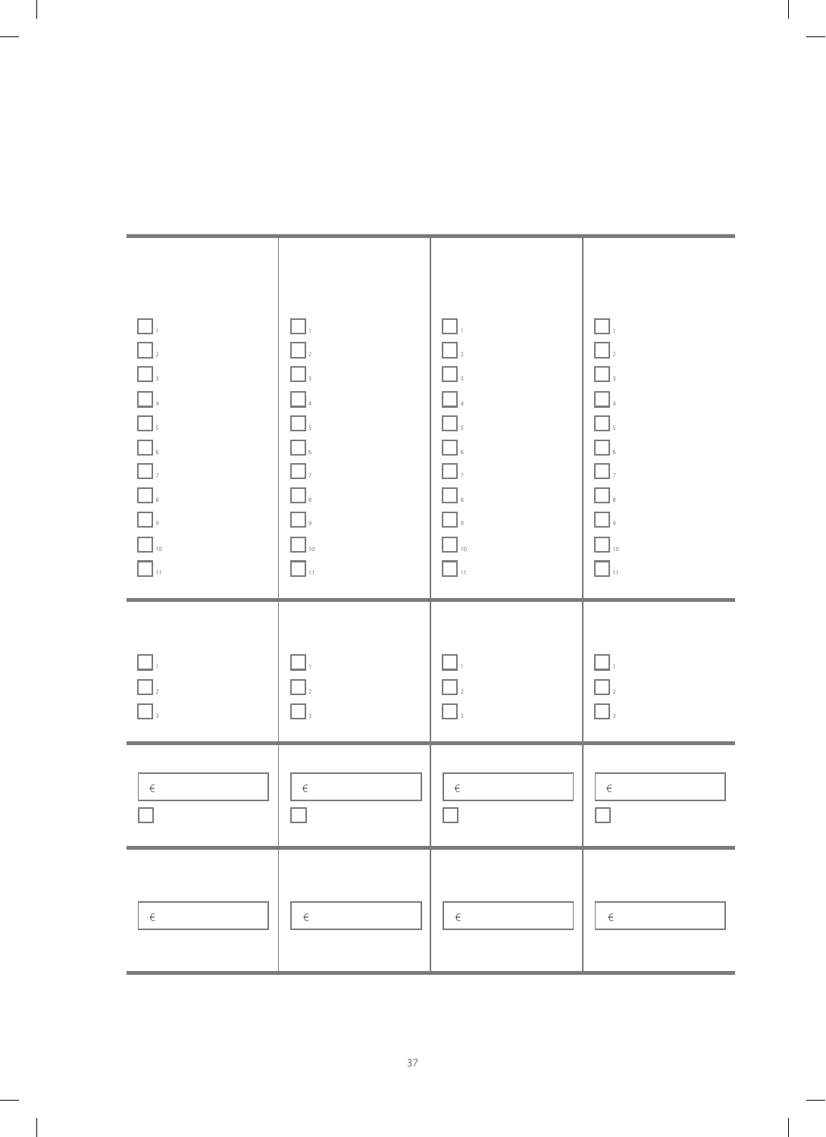| $\Box$<br>$\begin{array}{ c c c c }\hline \rule{0pt}{1ex}\rule{0pt}{2ex}\rule{0pt}{2ex}\rule{0pt}{2ex}\rule{0pt}{2ex}\rule{0pt}{2ex}\rule{0pt}{2ex}\rule{0pt}{2ex}\rule{0pt}{2ex}\rule{0pt}{2ex}\rule{0pt}{2ex}\rule{0pt}{2ex}\rule{0pt}{2ex}\rule{0pt}{2ex}\rule{0pt}{2ex}\rule{0pt}{2ex}\rule{0pt}{2ex}\rule{0pt}{2ex}\rule{0pt}{2ex}\rule{0pt}{2ex}\rule{0pt}{2ex}\rule{0pt}{2ex}\rule{0pt}{2ex}\rule{0pt}{2ex}\rule{0pt}{2ex}\rule{$<br>$\begin{array}{ c c }\hline \quad &\mbox{10}\\ \hline \quad &\mbox{11}\end{array}$ | $\square$ .<br>$\Box$<br>$\Box$<br>$\Box$ $\Box$<br>$\hfill\blacksquare$ $\hfill$<br>$\Box$ $\Box$<br>$\Box$ ,<br>$\hfill\blacksquare$ $\hfill$<br>$\hfill\Box$<br>$\hfill\blacksquare$ 10<br>$\Box$ $\mathfrak{n}$ | $\Box$<br>$\Box$<br>$\Box$<br>$\Box$ 4<br>$\Box$<br>$\hfill\blacksquare$ $\hfill$<br>$\Box$<br>$\begin{array}{ c } \hline \ \end{array}$ s<br>$\Box$<br>$\hfill\blacksquare$ 10<br>$\Box$ . | $\Box$<br>$\Box$ <sub>2</sub><br>$\boxed{\phantom{a}}$ ,<br>$\Box$<br><b>1</b><br>5<br>6<br>7<br>7<br>$\begin{tabular}{ c c } \hline \quad \quad & \quad \quad & \quad \quad \\ \hline \quad \quad & \quad \quad & \quad \quad \\ \hline \quad \quad & \quad \quad & \quad \quad \\ \hline \quad \quad & \quad \quad & \quad \quad \\ \hline \quad \quad & \quad \quad & \quad \quad \\ \hline \end{tabular},$<br>$\hfill\blacksquare$ 10<br>$\Box$ $\lrcorner$ |
|--------------------------------------------------------------------------------------------------------------------------------------------------------------------------------------------------------------------------------------------------------------------------------------------------------------------------------------------------------------------------------------------------------------------------------------------------------------------------------------------------------------------------------|---------------------------------------------------------------------------------------------------------------------------------------------------------------------------------------------------------------------|---------------------------------------------------------------------------------------------------------------------------------------------------------------------------------------------|-----------------------------------------------------------------------------------------------------------------------------------------------------------------------------------------------------------------------------------------------------------------------------------------------------------------------------------------------------------------------------------------------------------------------------------------------------------------|
| $\begin{array}{c} \hline \rule{0pt}{2ex} \rule{0pt}{2ex} \rule{0pt}{2ex} \rule{0pt}{2ex} \rule{0pt}{2ex} \rule{0pt}{2ex} \rule{0pt}{2ex} \rule{0pt}{2ex} \rule{0pt}{2ex} \rule{0pt}{2ex} \rule{0pt}{2ex} \rule{0pt}{2ex} \rule{0pt}{2ex} \rule{0pt}{2ex} \rule{0pt}{2ex} \rule{0pt}{2ex} \rule{0pt}{2ex} \rule{0pt}{2ex} \rule{0pt}{2ex} \rule{0pt}{2ex} \rule{0pt}{2ex} \rule{0pt}{2ex} \rule{0pt}{2ex} \rule{$<br>$\Box_{\scriptscriptstyle 3}$                                                                              | $\Box_{\scriptscriptstyle{1}}$<br>$\Box$<br>$\Box_{\scriptscriptstyle 3}$                                                                                                                                           | $\Box$<br>$\Box$<br>$\Box_{\scriptscriptstyle 3}$                                                                                                                                           | $\Box$<br>$\Box$<br>$\Box$                                                                                                                                                                                                                                                                                                                                                                                                                                      |
| $\in$                                                                                                                                                                                                                                                                                                                                                                                                                                                                                                                          | $\in$                                                                                                                                                                                                               | $\in$                                                                                                                                                                                       | $\in$                                                                                                                                                                                                                                                                                                                                                                                                                                                           |
| $\in$                                                                                                                                                                                                                                                                                                                                                                                                                                                                                                                          | $\in$                                                                                                                                                                                                               | $\in$                                                                                                                                                                                       | $\in$                                                                                                                                                                                                                                                                                                                                                                                                                                                           |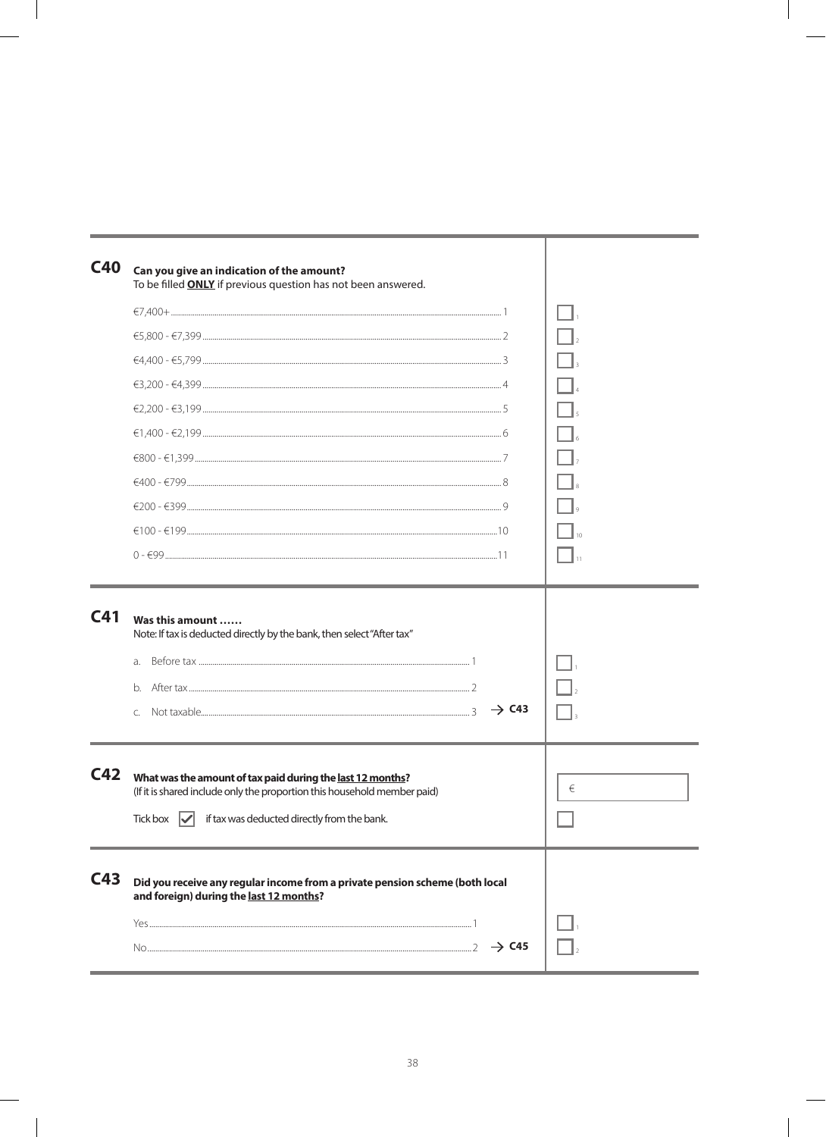| C40             | Can you give an indication of the amount?<br>To be filled <b>ONLY</b> if previous question has not been answered.                                                                                 |   |
|-----------------|---------------------------------------------------------------------------------------------------------------------------------------------------------------------------------------------------|---|
|                 |                                                                                                                                                                                                   |   |
|                 |                                                                                                                                                                                                   |   |
|                 |                                                                                                                                                                                                   |   |
|                 |                                                                                                                                                                                                   |   |
|                 |                                                                                                                                                                                                   |   |
|                 |                                                                                                                                                                                                   |   |
|                 |                                                                                                                                                                                                   |   |
|                 |                                                                                                                                                                                                   |   |
|                 |                                                                                                                                                                                                   |   |
|                 | $€100 - €199$                                                                                                                                                                                     |   |
|                 |                                                                                                                                                                                                   |   |
|                 | Note: If tax is deducted directly by the bank, then select "After tax"<br>a.<br>b.<br>$\rightarrow$ C43<br>Ċ.                                                                                     |   |
| C <sub>42</sub> | What was the amount of tax paid during the last 12 months?<br>(If it is shared include only the proportion this household member paid)<br>if tax was deducted directly from the bank.<br>Tick box | € |
| C43             | Did you receive any regular income from a private pension scheme (both local<br>and foreign) during the last 12 months?<br>$\rightarrow$ C45                                                      |   |
|                 |                                                                                                                                                                                                   |   |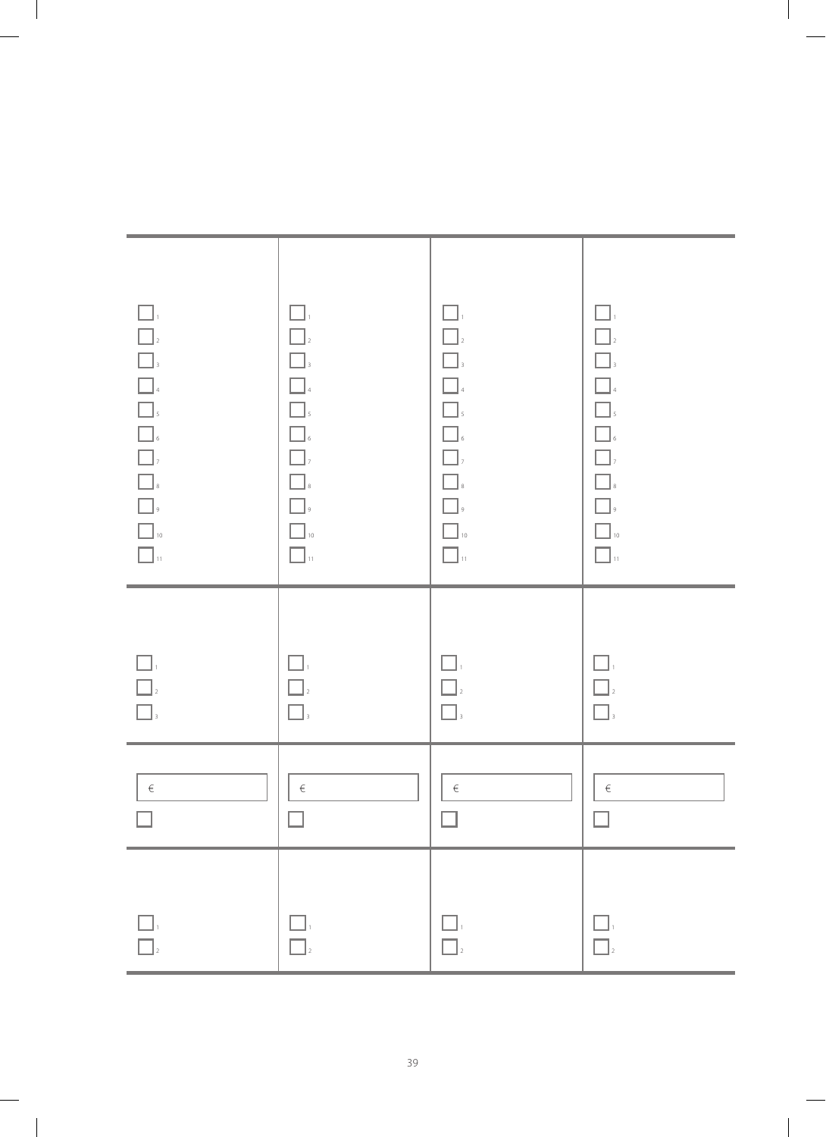| $\Box$<br>$\begin{array}{c} \begin{array}{ccc} \rule{0pt}{2ex} \rule{0pt}{2ex} \rule{0pt}{2ex} \rule{0pt}{2ex} \rule{0pt}{2ex} \rule{0pt}{2ex} \rule{0pt}{2ex} \rule{0pt}{2ex} \rule{0pt}{2ex} \rule{0pt}{2ex} \rule{0pt}{2ex} \rule{0pt}{2ex} \rule{0pt}{2ex} \rule{0pt}{2ex} \rule{0pt}{2ex} \rule{0pt}{2ex} \rule{0pt}{2ex} \rule{0pt}{2ex} \rule{0pt}{2ex} \rule{0pt}{2ex} \rule{0pt}{2ex} \rule{0pt}{2ex} \rule{0pt}{2ex$<br>$\begin{array}{ c c }\hline \rule{0pt}{16pt} \rule{0pt}{2.5pt} \rule{0pt}{2.5pt} \rule{0pt}{2.5pt} \rule{0pt}{2.5pt} \rule{0pt}{2.5pt} \rule{0pt}{2.5pt} \rule{0pt}{2.5pt} \rule{0pt}{2.5pt} \rule{0pt}{2.5pt} \rule{0pt}{2.5pt} \rule{0pt}{2.5pt} \rule{0pt}{2.5pt} \rule{0pt}{2.5pt} \rule{0pt}{2.5pt} \rule{0pt}{2.5pt} \rule{0pt}{2.5pt} \rule{0pt}{2.5pt} \rule{0pt}{2.5pt$ | $\Box$<br>$\Box$<br>$\Box$<br>$\Box$<br>$\Box$<br>$\hfill\blacksquare$ $\hfill$<br>$\Box$ ,<br>$\Box$ $_{s}$<br>$\Box$ ,<br>$\Box$ 10<br>$\overline{\square}$ . | $\Box$<br>$\Box$<br>$\Box$<br>$\Box$<br>$\Box$ <sub>5</sub><br>$\begin{array}{c}\n\bullet \\ \bullet \\ \end{array}$<br>$\Box$<br>$\begin{tabular}{ c c } \hline \quad \quad & \quad \quad & \quad \quad \\ \hline \quad \quad & \quad \quad & \quad \quad \\ \hline \quad \quad & \quad \quad & \quad \quad \\ \hline \quad \quad & \quad \quad & \quad \quad \\ \hline \quad \quad & \quad \quad & \quad \quad \\ \hline \end{tabular},$<br>$\Box$ 10<br>$\Box$ : | $\Box$<br>$\boxed{\phantom{a}}_2$<br>$\Box$<br>$\hfill\blacksquare$<br>4<br><b>1</b><br>5<br>6<br>7<br>7<br>$\Box$<br>$\hfill\Box$<br>$\Box$ <sub>10</sub><br>$\Box$ 11 |
|--------------------------------------------------------------------------------------------------------------------------------------------------------------------------------------------------------------------------------------------------------------------------------------------------------------------------------------------------------------------------------------------------------------------------------------------------------------------------------------------------------------------------------------------------------------------------------------------------------------------------------------------------------------------------------------------------------------------------------------------------------------------------------------------------------------------|-----------------------------------------------------------------------------------------------------------------------------------------------------------------|---------------------------------------------------------------------------------------------------------------------------------------------------------------------------------------------------------------------------------------------------------------------------------------------------------------------------------------------------------------------------------------------------------------------------------------------------------------------|-------------------------------------------------------------------------------------------------------------------------------------------------------------------------|
| $\Box$                                                                                                                                                                                                                                                                                                                                                                                                                                                                                                                                                                                                                                                                                                                                                                                                             | $\Box_{1}$                                                                                                                                                      | $\Box$                                                                                                                                                                                                                                                                                                                                                                                                                                                              | $\Box$                                                                                                                                                                  |
| $\Box$ $\Box$                                                                                                                                                                                                                                                                                                                                                                                                                                                                                                                                                                                                                                                                                                                                                                                                      | $\Box$                                                                                                                                                          | $\Box$                                                                                                                                                                                                                                                                                                                                                                                                                                                              | $\Box$                                                                                                                                                                  |
| $\Box_{\scriptscriptstyle 3}$                                                                                                                                                                                                                                                                                                                                                                                                                                                                                                                                                                                                                                                                                                                                                                                      | $\Box_{\scriptscriptstyle 3}$                                                                                                                                   | $\Box$                                                                                                                                                                                                                                                                                                                                                                                                                                                              | $\Box$                                                                                                                                                                  |
| $\in$                                                                                                                                                                                                                                                                                                                                                                                                                                                                                                                                                                                                                                                                                                                                                                                                              | $\in$                                                                                                                                                           | $\in$                                                                                                                                                                                                                                                                                                                                                                                                                                                               | $\in$                                                                                                                                                                   |
|                                                                                                                                                                                                                                                                                                                                                                                                                                                                                                                                                                                                                                                                                                                                                                                                                    | $\Box$                                                                                                                                                          | $\mathcal{L}$                                                                                                                                                                                                                                                                                                                                                                                                                                                       | $\Box$                                                                                                                                                                  |
|                                                                                                                                                                                                                                                                                                                                                                                                                                                                                                                                                                                                                                                                                                                                                                                                                    | $\Box$                                                                                                                                                          | $\Box$                                                                                                                                                                                                                                                                                                                                                                                                                                                              | $\Box$                                                                                                                                                                  |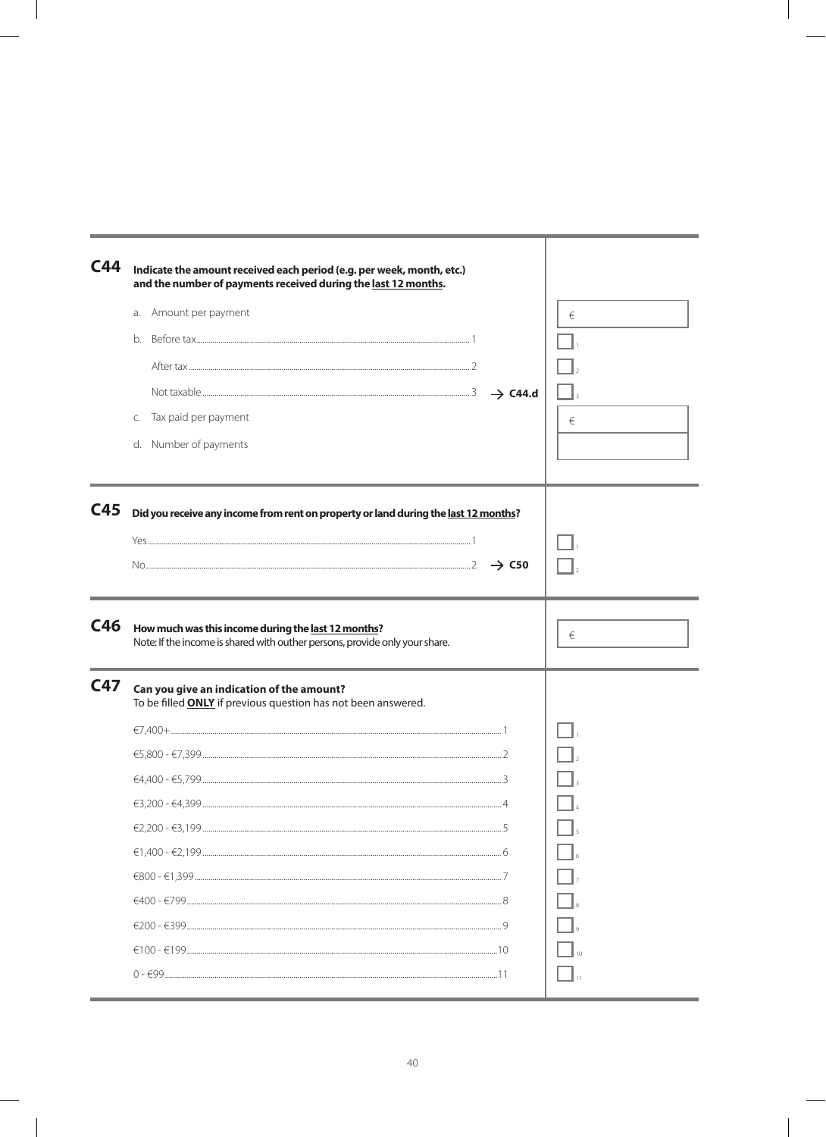| C44        | Indicate the amount received each period (e.g. per week, month, etc.)<br>and the number of payments received during the last 12 months.<br>Amount per payment<br>a. |          |
|------------|---------------------------------------------------------------------------------------------------------------------------------------------------------------------|----------|
|            |                                                                                                                                                                     | €        |
|            | b <sub>1</sub>                                                                                                                                                      |          |
|            |                                                                                                                                                                     |          |
|            |                                                                                                                                                                     |          |
|            | Tax paid per payment<br>C.                                                                                                                                          | €        |
|            | d. Number of payments                                                                                                                                               |          |
|            |                                                                                                                                                                     |          |
| C45        | Did you receive any income from rent on property or land during the last 12 months?                                                                                 |          |
|            |                                                                                                                                                                     |          |
|            | $\rightarrow$ C50                                                                                                                                                   |          |
|            |                                                                                                                                                                     |          |
| C46        | How much was this income during the last 12 months?<br>Note: If the income is shared with outher persons, provide only your share.                                  | €        |
| <b>C47</b> | Can you give an indication of the amount?<br>To be filled <b>ONLY</b> if previous question has not been answered.                                                   |          |
|            |                                                                                                                                                                     |          |
|            |                                                                                                                                                                     |          |
|            |                                                                                                                                                                     |          |
|            |                                                                                                                                                                     | $\Box$ 4 |
|            |                                                                                                                                                                     |          |
|            |                                                                                                                                                                     |          |
|            |                                                                                                                                                                     |          |
|            |                                                                                                                                                                     |          |
|            |                                                                                                                                                                     |          |
|            |                                                                                                                                                                     |          |
|            |                                                                                                                                                                     |          |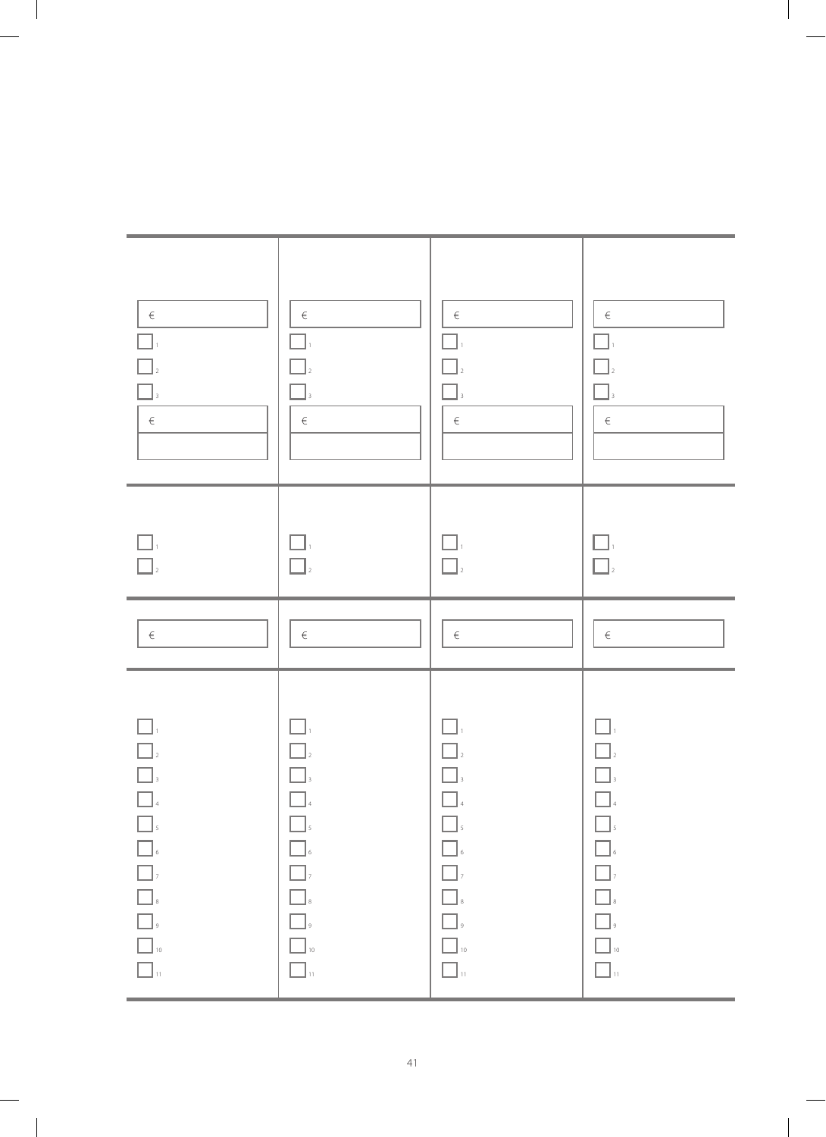| $\overline{\phantom{0}}$ $\overline{\phantom{0}}$ $\overline{\phantom{0}}$ $\overline{\phantom{0}}$ $\overline{\phantom{0}}$ $\overline{\phantom{0}}$ $\overline{\phantom{0}}$ $\overline{\phantom{0}}$ $\overline{\phantom{0}}$ $\overline{\phantom{0}}$ $\overline{\phantom{0}}$ $\overline{\phantom{0}}$ $\overline{\phantom{0}}$ $\overline{\phantom{0}}$ $\overline{\phantom{0}}$ $\overline{\phantom{0}}$ $\overline{\phantom{0}}$ $\overline{\phantom{0}}$ $\overline{\$<br>$\hfill\Box$<br>$\hfill\blacksquare$<br>$\begin{array}{c} \hline \rule{0pt}{2ex} \rule{0pt}{2ex} \rule{0pt}{2ex} \rule{0pt}{2ex} \rule{0pt}{2ex} \rule{0pt}{2ex} \rule{0pt}{2ex} \rule{0pt}{2ex} \rule{0pt}{2ex} \rule{0pt}{2ex} \rule{0pt}{2ex} \rule{0pt}{2ex} \rule{0pt}{2ex} \rule{0pt}{2ex} \rule{0pt}{2ex} \rule{0pt}{2ex} \rule{0pt}{2ex} \rule{0pt}{2ex} \rule{0pt}{2ex} \rule{0pt}{2ex} \rule{0pt}{2ex} \rule{0pt}{2ex} \rule{0pt}{2ex} \rule{$<br>$\hfill\blacksquare$<br>$\Box$ 10<br>$\hfill\Box$ 10<br>$\Box$ $\lrcorner$<br>$\Box$ $\lrcorner$ | $\in$ |                | $\in$<br>$\in$                            |
|-------------------------------------------------------------------------------------------------------------------------------------------------------------------------------------------------------------------------------------------------------------------------------------------------------------------------------------------------------------------------------------------------------------------------------------------------------------------------------------------------------------------------------------------------------------------------------------------------------------------------------------------------------------------------------------------------------------------------------------------------------------------------------------------------------------------------------------------------------------------------------------------------------------------------------------------------------------------------------------------------------------------------------------------------|-------|----------------|-------------------------------------------|
| $ ^4$<br>$\Box$<br>$\hfill\blacksquare$ $\hfill$<br>$\boxed{\phantom{a}}$ ,<br>$\hfill\blacksquare$<br>$\Box_{\mbox{\tiny{g}}}$                                                                                                                                                                                                                                                                                                                                                                                                                                                                                                                                                                                                                                                                                                                                                                                                                                                                                                                 | $\in$ | $\bigcap_{2}$  | $\in$<br>$\mathbb{I}_3$<br>$\in$          |
| $ ^4$<br>$\hfill\blacksquare$ $\hfill$<br>$\Box_{\mathfrak{s}}$<br>$\boxed{\phantom{a}}$ ,<br>$\hfill\blacksquare$<br>$\Box_{\circ}$                                                                                                                                                                                                                                                                                                                                                                                                                                                                                                                                                                                                                                                                                                                                                                                                                                                                                                            | $\in$ | $\prod_{2}$    | $\in$<br>$\overline{\mathbf{3}}$<br>$\in$ |
| $-$ <sup>4</sup><br>$\Box$ ,<br>$\hfill\blacksquare$ $\hfill$<br>$\begin{array}{c}\n\hline\n\end{array}$<br>$\Box_{\scriptscriptstyle{9}}$                                                                                                                                                                                                                                                                                                                                                                                                                                                                                                                                                                                                                                                                                                                                                                                                                                                                                                      | $\in$ | $\mathbf{I}_2$ | $\in$<br>$\Box$<br>$\in$                  |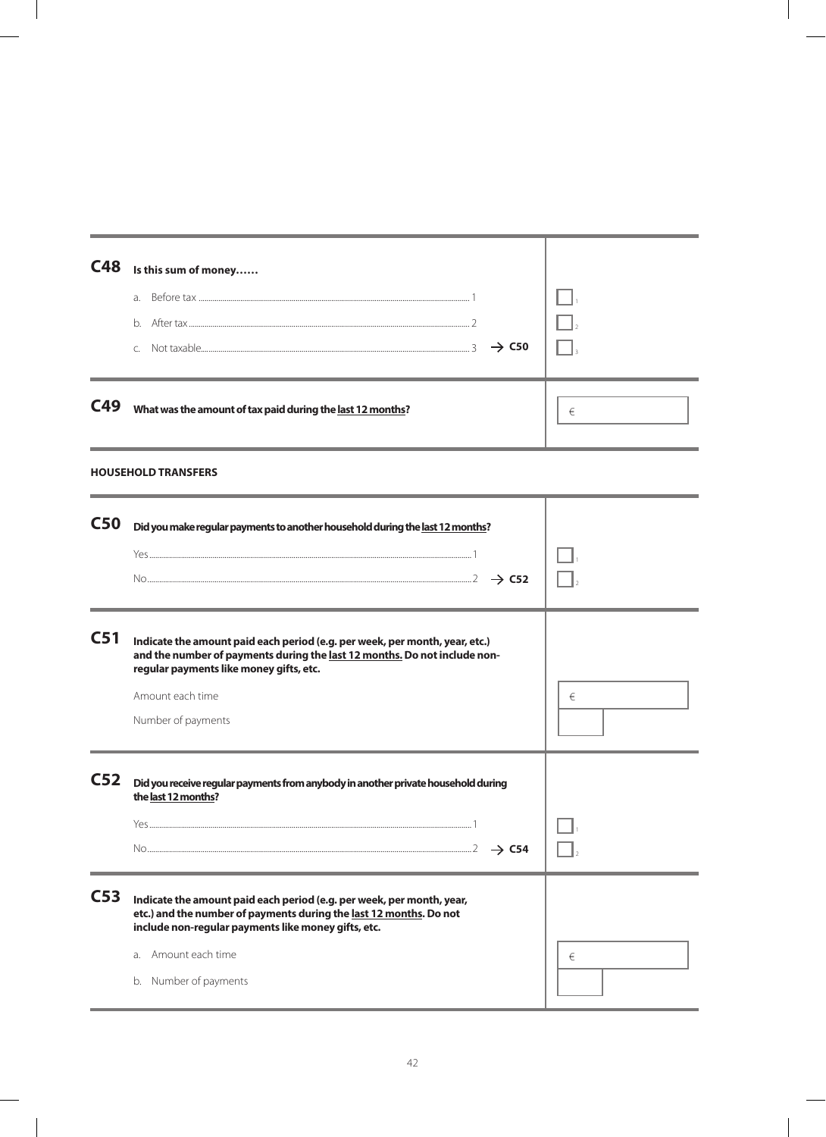| C48             | Is this sum of money                                                                                                                                                                                |   |
|-----------------|-----------------------------------------------------------------------------------------------------------------------------------------------------------------------------------------------------|---|
|                 | a.                                                                                                                                                                                                  |   |
|                 | b.                                                                                                                                                                                                  |   |
|                 | $\rightarrow$ C50<br>$\mathcal{C}$                                                                                                                                                                  |   |
|                 |                                                                                                                                                                                                     |   |
| C49             | What was the amount of tax paid during the last 12 months?                                                                                                                                          | € |
|                 | <b>HOUSEHOLD TRANSFERS</b>                                                                                                                                                                          |   |
| <b>C50</b>      | Did you make regular payments to another household during the last 12 months?                                                                                                                       |   |
|                 |                                                                                                                                                                                                     |   |
|                 |                                                                                                                                                                                                     |   |
| C <sub>51</sub> | Indicate the amount paid each period (e.g. per week, per month, year, etc.)<br>and the number of payments during the last 12 months. Do not include non-<br>regular payments like money gifts, etc. |   |
|                 | Amount each time                                                                                                                                                                                    | € |
|                 | Number of payments                                                                                                                                                                                  |   |
| C <sub>52</sub> | Did you receive regular payments from anybody in another private household during<br>the last 12 months?                                                                                            |   |
|                 |                                                                                                                                                                                                     |   |
|                 | $\rightarrow$ C54                                                                                                                                                                                   |   |
| C <sub>53</sub> | Indicate the amount paid each period (e.g. per week, per month, year,<br>etc.) and the number of payments during the last 12 months. Do not<br>include non-regular payments like money gifts, etc.  |   |
|                 | Amount each time<br>a.                                                                                                                                                                              | € |
|                 | b. Number of payments                                                                                                                                                                               |   |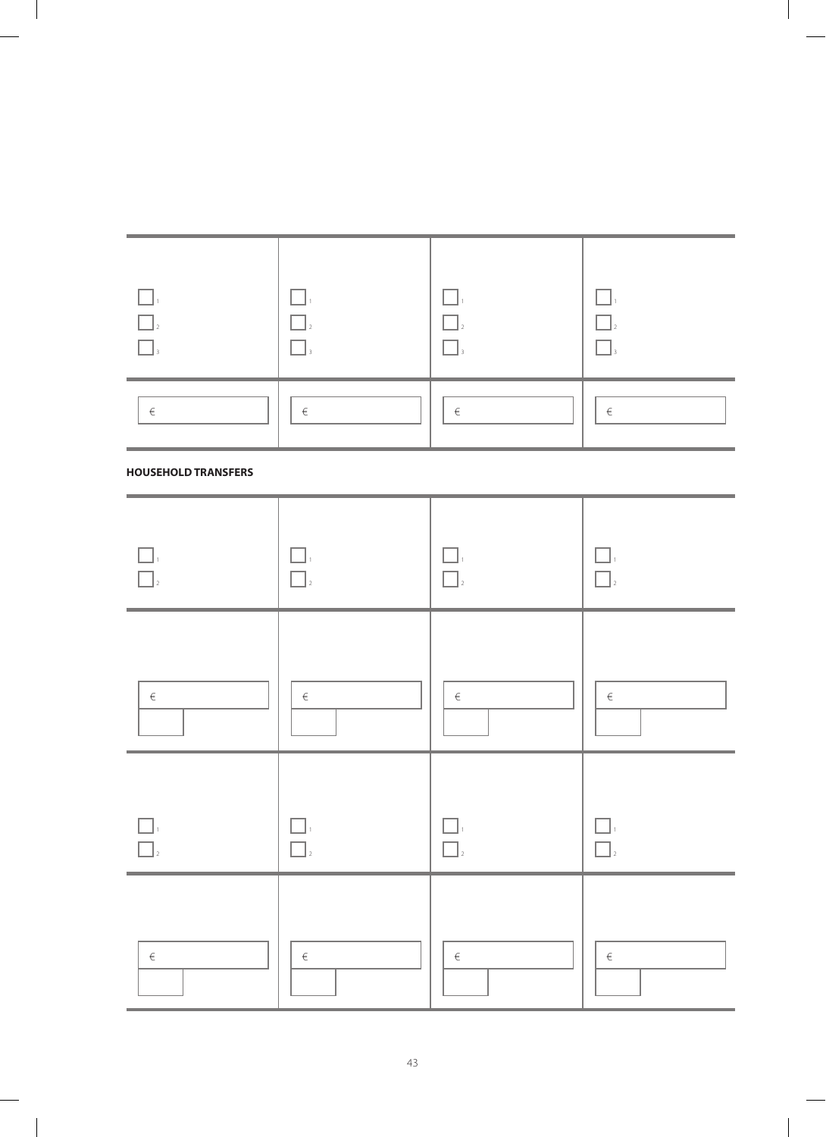| $\begin{array}{c} \hline \rule{0pt}{2ex} \rule{0pt}{2ex} \rule{0pt}{2ex} \rule{0pt}{2ex} \rule{0pt}{2ex} \rule{0pt}{2ex} \rule{0pt}{2ex} \rule{0pt}{2ex} \rule{0pt}{2ex} \rule{0pt}{2ex} \rule{0pt}{2ex} \rule{0pt}{2ex} \rule{0pt}{2ex} \rule{0pt}{2ex} \rule{0pt}{2ex} \rule{0pt}{2ex} \rule{0pt}{2ex} \rule{0pt}{2ex} \rule{0pt}{2ex} \rule{0pt}{2ex} \rule{0pt}{2ex} \rule{0pt}{2ex} \rule{0pt}{2ex} \rule{$<br>$\Box$ <sub>3</sub> | $\Box$<br>$\mathsf{L}$<br>$\Box$ | $\square$ ,<br>$\bigcap_{2}$<br>$\Box$ , | П.<br>$\begin{bmatrix} 1 \\ 2 \end{bmatrix}$<br>$\Box$ |
|-----------------------------------------------------------------------------------------------------------------------------------------------------------------------------------------------------------------------------------------------------------------------------------------------------------------------------------------------------------------------------------------------------------------------------------------|----------------------------------|------------------------------------------|--------------------------------------------------------|
| $\in$                                                                                                                                                                                                                                                                                                                                                                                                                                   | $\in$                            | $\in$                                    | $\in$                                                  |
| <b>HOUSEHOLD TRANSFERS</b>                                                                                                                                                                                                                                                                                                                                                                                                              |                                  |                                          |                                                        |
| $\Box$<br>$\hfill\Box_2$                                                                                                                                                                                                                                                                                                                                                                                                                | $\Box$<br>$\Box$                 | H<br>$\Box$                              | H<br>- 1<br>$\overline{2}$                             |
| $\in$                                                                                                                                                                                                                                                                                                                                                                                                                                   | $\in$                            | $\in$                                    | $\in$                                                  |
|                                                                                                                                                                                                                                                                                                                                                                                                                                         | $\Box$                           | $\Box$ <sub>2</sub>                      |                                                        |
| $\in$                                                                                                                                                                                                                                                                                                                                                                                                                                   | $\in$                            | $\in$                                    | $\in$                                                  |

| <b>Service</b><br>--- |   | -- |   |
|-----------------------|---|----|---|
| €                     | € | €  | € |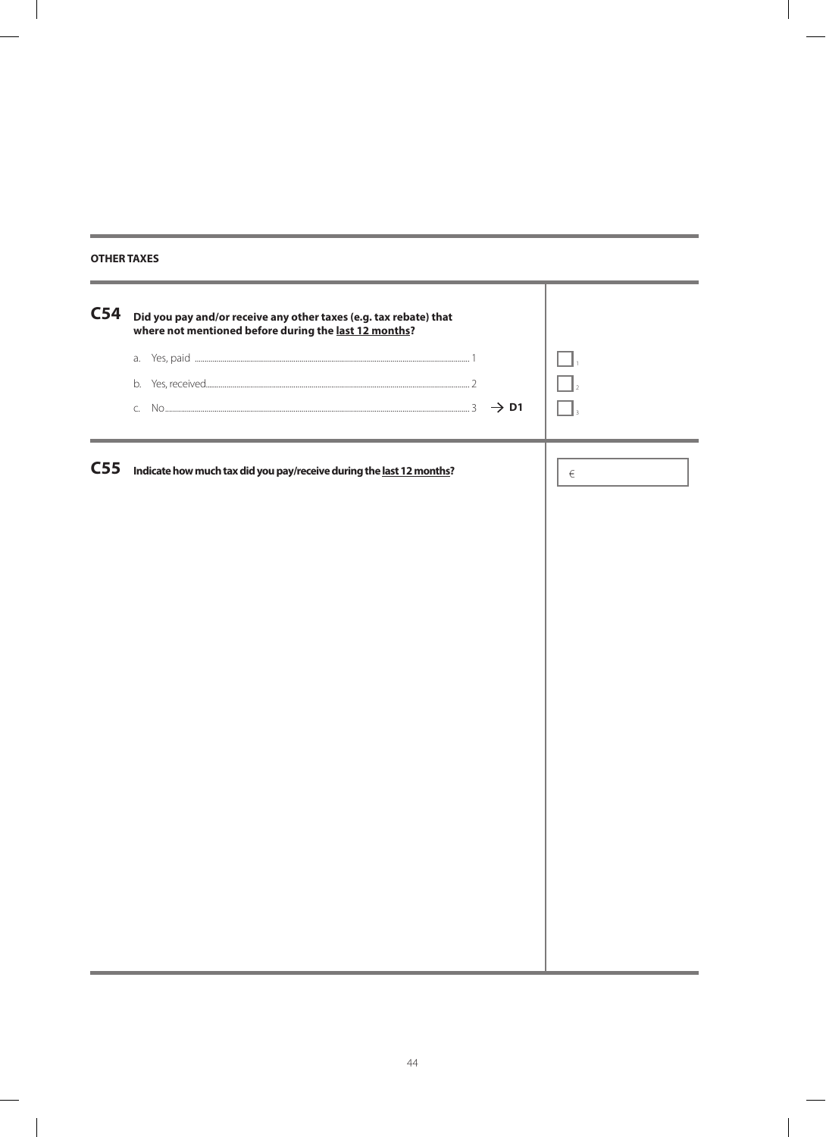## **OTHER TAXES**

| C <sub>54</sub> | Did you pay and/or receive any other taxes (e.g. tax rebate) that<br>where not mentioned before during the last 12 months? |       |
|-----------------|----------------------------------------------------------------------------------------------------------------------------|-------|
|                 | $\rightarrow$ D1                                                                                                           |       |
| <b>C55</b>      | Indicate how much tax did you pay/receive during the last 12 months?                                                       | $\in$ |
|                 |                                                                                                                            |       |
|                 |                                                                                                                            |       |
|                 |                                                                                                                            |       |
|                 |                                                                                                                            |       |
|                 |                                                                                                                            |       |
|                 |                                                                                                                            |       |
|                 |                                                                                                                            |       |
|                 |                                                                                                                            |       |
|                 |                                                                                                                            |       |
|                 |                                                                                                                            |       |
|                 |                                                                                                                            |       |
|                 |                                                                                                                            |       |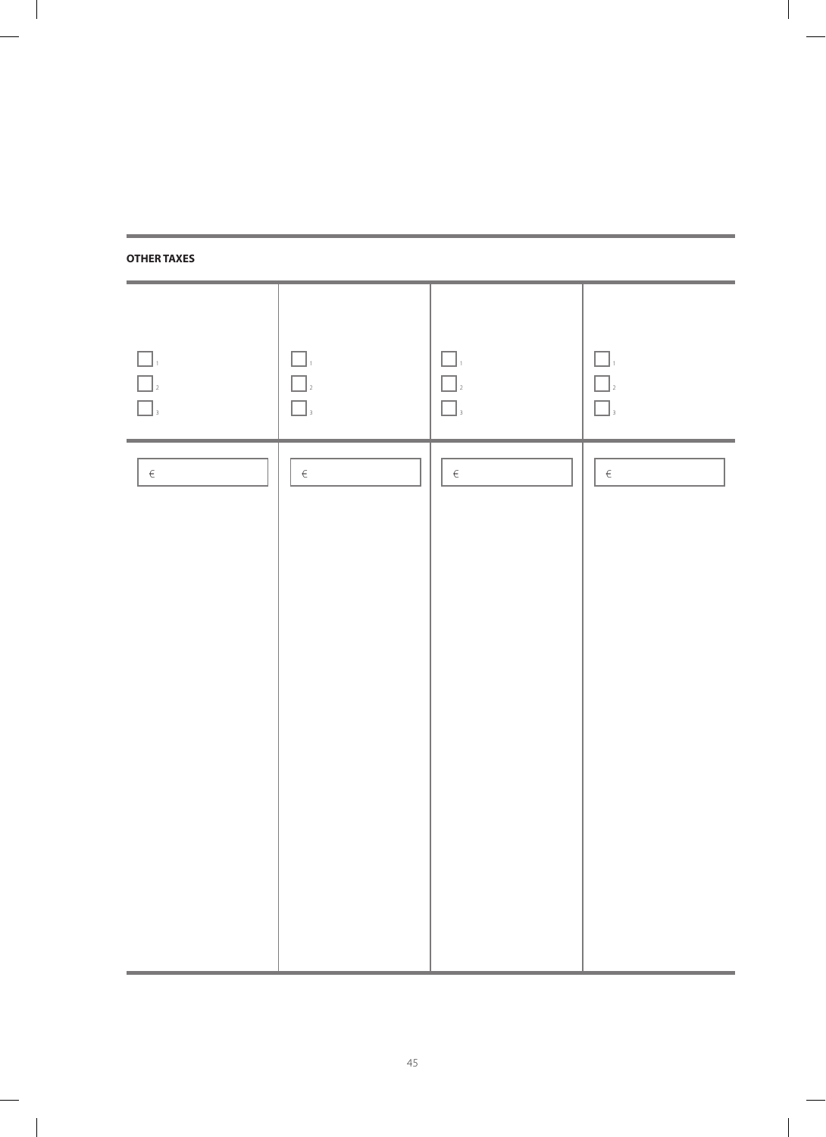## **OTHER TAXES**

 $\perp$ 

| $\Box_{\scriptscriptstyle{1}}$<br>$\begin{array}{c} \hline \rule{0pt}{2ex} \rule{0pt}{2ex} \rule{0pt}{2ex} \rule{0pt}{2ex} \rule{0pt}{2ex} \rule{0pt}{2ex} \rule{0pt}{2ex} \rule{0pt}{2ex} \rule{0pt}{2ex} \rule{0pt}{2ex} \rule{0pt}{2ex} \rule{0pt}{2ex} \rule{0pt}{2ex} \rule{0pt}{2ex} \rule{0pt}{2ex} \rule{0pt}{2ex} \rule{0pt}{2ex} \rule{0pt}{2ex} \rule{0pt}{2ex} \rule{0pt}{2ex} \rule{0pt}{2ex} \rule{0pt}{2ex} \rule{0pt}{2ex} \rule{$ | $\Box$<br>$\hfill\Box$ $\hfill$<br>$\hfill\blacksquare$ | $\Box_{^{1}}$<br>$\Box$ <sub>2</sub><br>$\Box$ | $\Box$<br>$\Box$<br>$\Box$ |
|----------------------------------------------------------------------------------------------------------------------------------------------------------------------------------------------------------------------------------------------------------------------------------------------------------------------------------------------------------------------------------------------------------------------------------------------------|---------------------------------------------------------|------------------------------------------------|----------------------------|
| $\in$                                                                                                                                                                                                                                                                                                                                                                                                                                              | $\in$                                                   | $\in$                                          | $\in$                      |
|                                                                                                                                                                                                                                                                                                                                                                                                                                                    |                                                         |                                                |                            |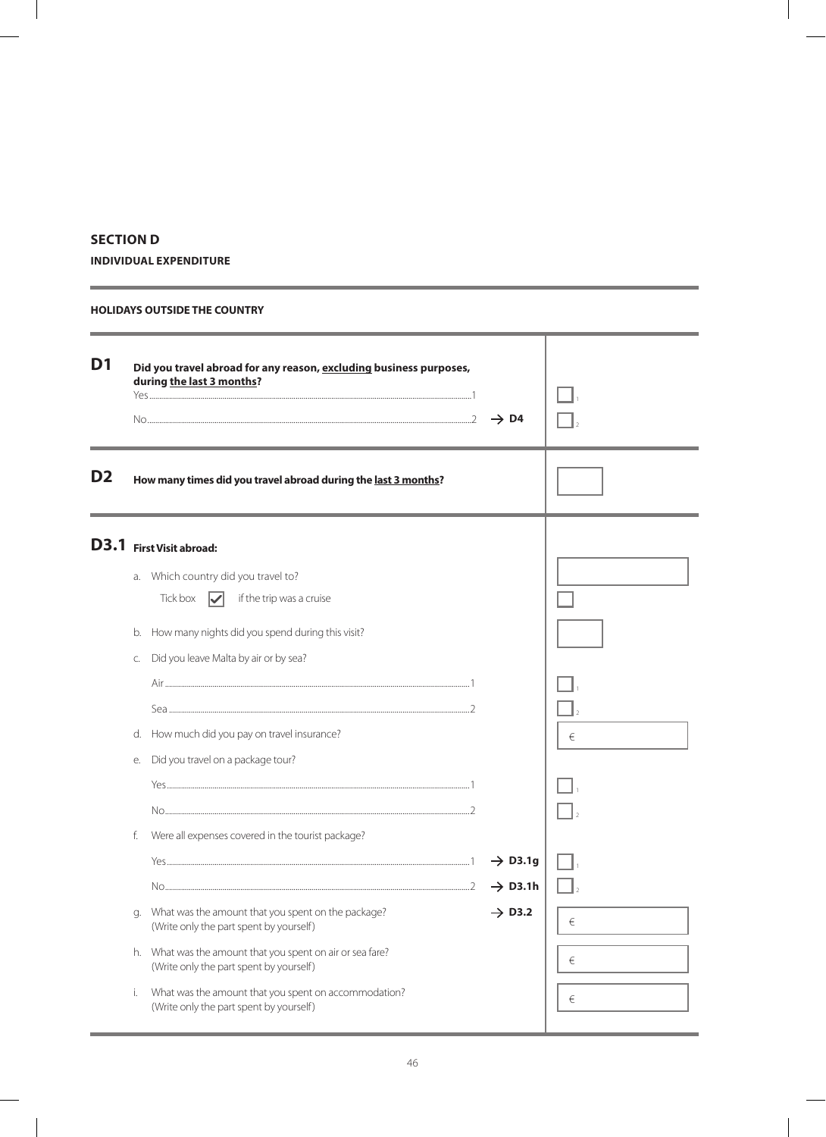### **SECTION D**

÷

**INDIVIDUAL EXPENDITURE**

#### **HOLIDAYS OUTSIDE THE COUNTRY**

| D <sub>1</sub> |                | Did you travel abroad for any reason, excluding business purposes,<br>during the last 3 months?                                                                                                                                                                                                                                                            | $\rightarrow$ D4                          |                 |
|----------------|----------------|------------------------------------------------------------------------------------------------------------------------------------------------------------------------------------------------------------------------------------------------------------------------------------------------------------------------------------------------------------|-------------------------------------------|-----------------|
| D <sub>2</sub> |                | How many times did you travel abroad during the last 3 months?                                                                                                                                                                                                                                                                                             |                                           |                 |
|                | C.<br>е.<br>f. | D3.1 First Visit abroad:<br>a. Which country did you travel to?<br>Tick box $\nabla$<br>if the trip was a cruise<br>b. How many nights did you spend during this visit?<br>Did you leave Malta by air or by sea?<br>d. How much did you pay on travel insurance?<br>Did you travel on a package tour?<br>Were all expenses covered in the tourist package? | $\rightarrow$ D3.1g                       | €               |
|                | q.<br>i.       | What was the amount that you spent on the package?<br>(Write only the part spent by yourself)<br>h. What was the amount that you spent on air or sea fare?<br>(Write only the part spent by yourself)<br>What was the amount that you spent on accommodation?<br>(Write only the part spent by yourself)                                                   | $\rightarrow$ D3.1h<br>$\rightarrow$ D3.2 | €<br>€<br>$\in$ |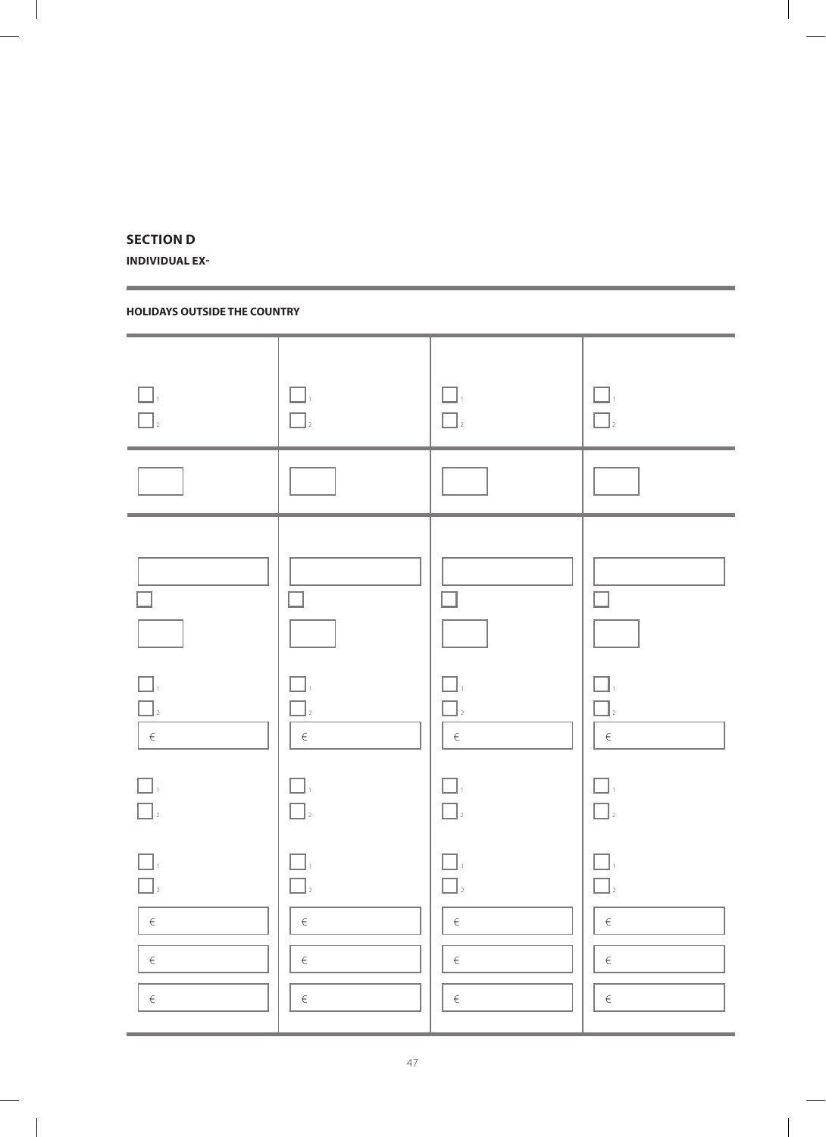### **SECTION D**

**INDIVIDUAL EX-**

### **HOLIDAYS OUTSIDE THE COUNTRY**

| $\Box$<br>$\Box$                                                  | $\Box$<br>$\Box$                                                | $\Box$<br>$\Box$                                                                                                                | $\Box$<br>$\boxed{\phantom{a}}_2$                                               |
|-------------------------------------------------------------------|-----------------------------------------------------------------|---------------------------------------------------------------------------------------------------------------------------------|---------------------------------------------------------------------------------|
|                                                                   |                                                                 |                                                                                                                                 |                                                                                 |
| $\Box$<br>$\Box$ <sub>2</sub><br>$ \epsilon $<br>$\Box$<br>$\Box$ | $\mathcal{L}$<br>٦.<br>$\Box$<br>$\in$<br>$\square$ ,<br>$\Box$ | П<br>$\Box$ .<br>$\Box$ <sub>2</sub><br>$\begin{array}{ccc} 1 & 1 & 1 \\ & \in & \\ -1 & 1 & 1 \end{array}$<br>$\Box$<br>$\Box$ | $\mathcal{L}$<br>$\Box$ ,<br>$\Box$<br>$\in$<br>$\Box$<br>$\hfill\Box$ $\hfill$ |
| $\square$ .<br>$\Box$<br>$\in$<br>$\in$<br>$\in$                  | П<br>$\mathbb{L}$<br>$\epsilon$<br>$\in$<br>$\in$               | $\vert$ 2<br>$\in$<br>$\epsilon$<br>$\in$                                                                                       | $\Box$<br>$\Box$<br>$\in$<br>$\in$<br>$\in$                                     |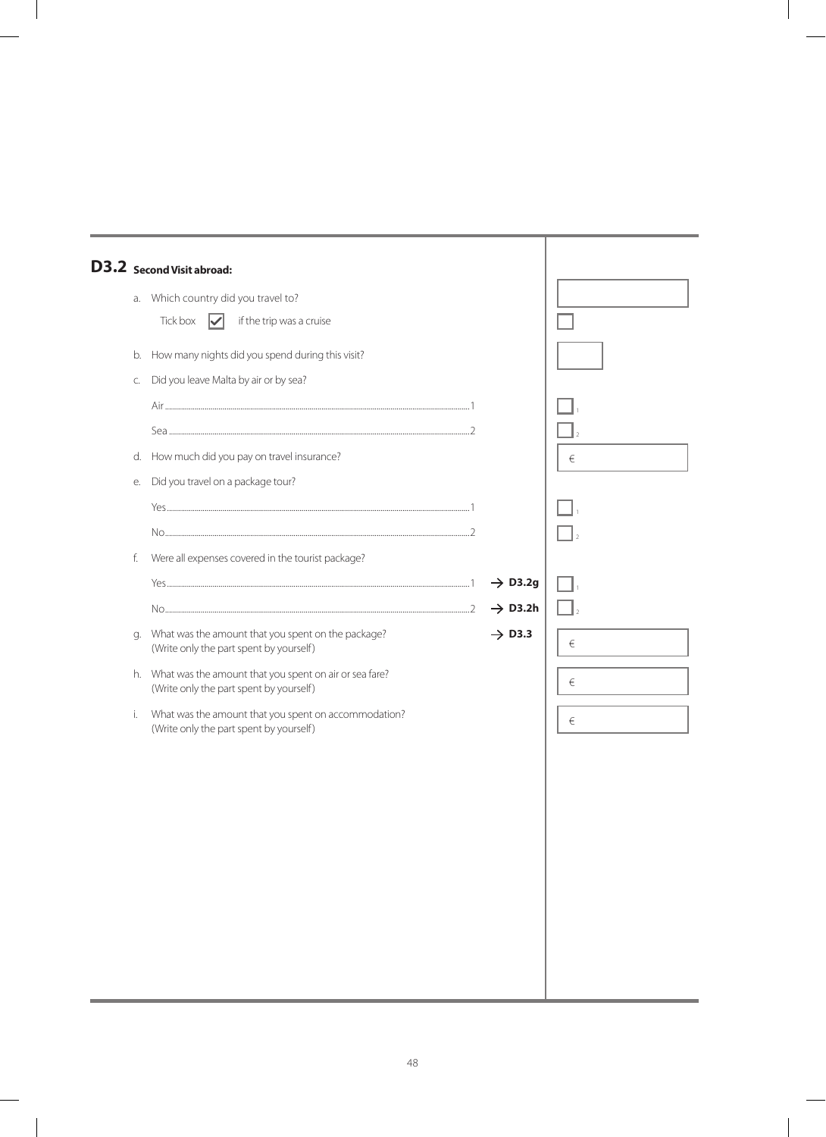|    | D3.2 Second Visit abroad:                                                                            |                                            |   |
|----|------------------------------------------------------------------------------------------------------|--------------------------------------------|---|
|    | a. Which country did you travel to?                                                                  |                                            |   |
|    | Tick box<br>if the trip was a cruise<br>$\overline{\vee}$                                            |                                            |   |
| b. | How many nights did you spend during this visit?                                                     |                                            |   |
| C. | Did you leave Malta by air or by sea?                                                                |                                            |   |
|    |                                                                                                      |                                            |   |
|    |                                                                                                      |                                            |   |
| d. | How much did you pay on travel insurance?                                                            |                                            | € |
| е. | Did you travel on a package tour?                                                                    |                                            |   |
|    |                                                                                                      |                                            |   |
|    |                                                                                                      |                                            |   |
| f. | Were all expenses covered in the tourist package?                                                    |                                            |   |
|    |                                                                                                      | $\rightarrow$ D3.2g<br>$\rightarrow$ D3.2h |   |
| q. | What was the amount that you spent on the package?                                                   | $\rightarrow$ D3.3                         |   |
|    | (Write only the part spent by yourself)                                                              |                                            | € |
|    | h. What was the amount that you spent on air or sea fare?<br>(Write only the part spent by yourself) |                                            | € |
| i. | What was the amount that you spent on accommodation?<br>(Write only the part spent by yourself)      |                                            | € |
|    |                                                                                                      |                                            |   |
|    |                                                                                                      |                                            |   |
|    |                                                                                                      |                                            |   |
|    |                                                                                                      |                                            |   |
|    |                                                                                                      |                                            |   |
|    |                                                                                                      |                                            |   |
|    |                                                                                                      |                                            |   |
|    |                                                                                                      |                                            |   |
|    |                                                                                                      |                                            |   |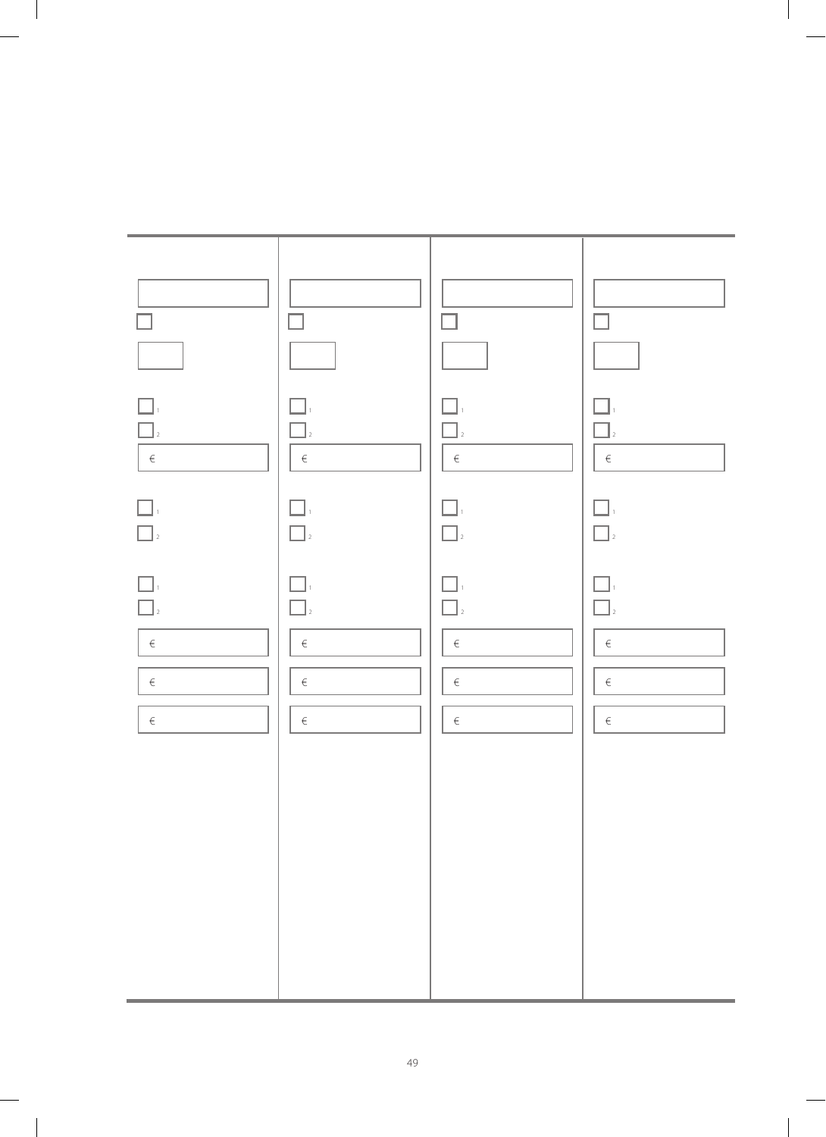

 $\begin{array}{c} \hline \end{array}$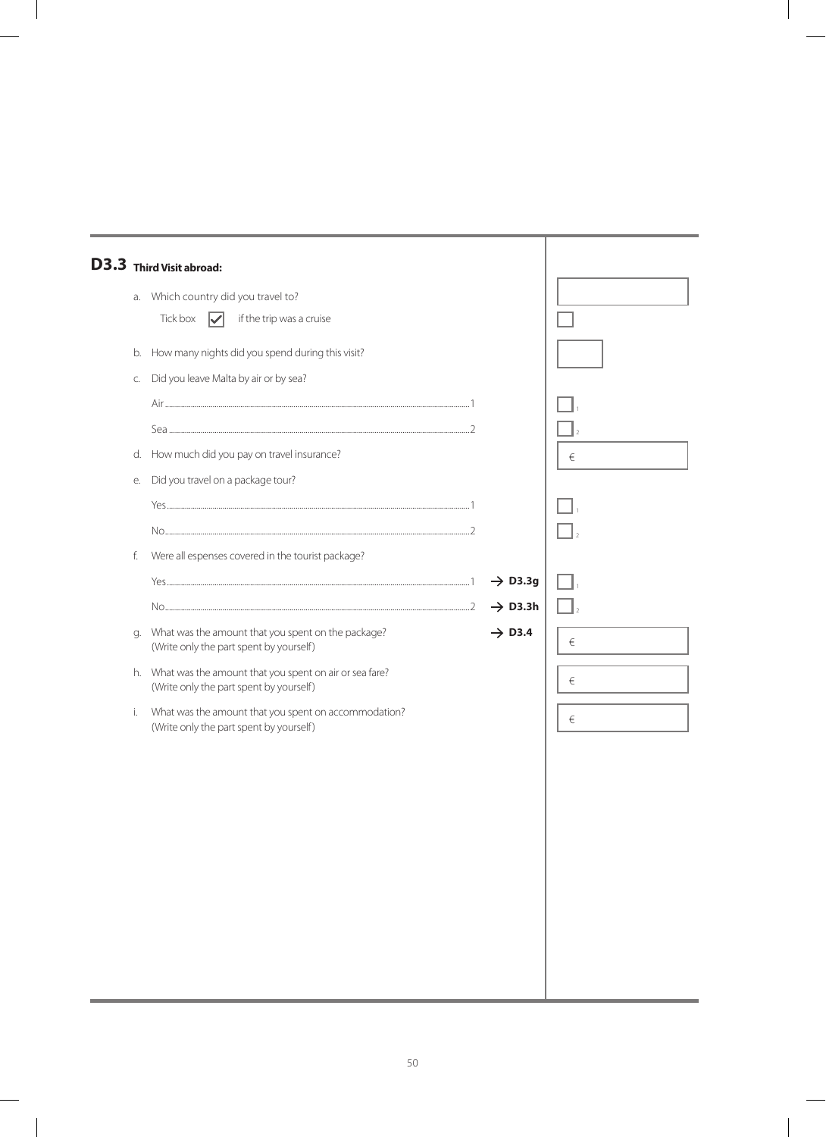|    | D3.3 Third Visit abroad:                                                                             |                     |   |
|----|------------------------------------------------------------------------------------------------------|---------------------|---|
| a. | Which country did you travel to?<br>Tick box<br>if the trip was a cruise<br>$\mathcal{U}$            |                     |   |
| b. | How many nights did you spend during this visit?                                                     |                     |   |
| C. | Did you leave Malta by air or by sea?                                                                |                     |   |
| d. | How much did you pay on travel insurance?                                                            |                     | € |
| е. | Did you travel on a package tour?                                                                    |                     |   |
|    |                                                                                                      |                     |   |
| f. | Were all espenses covered in the tourist package?                                                    |                     |   |
|    |                                                                                                      | $\rightarrow$ D3.3g |   |
|    |                                                                                                      | $\rightarrow$ D3.3h |   |
| g. | What was the amount that you spent on the package?<br>(Write only the part spent by yourself)        | $\rightarrow$ D3.4  | € |
|    | h. What was the amount that you spent on air or sea fare?<br>(Write only the part spent by yourself) |                     | € |
| i. | What was the amount that you spent on accommodation?<br>(Write only the part spent by yourself)      |                     | € |
|    |                                                                                                      |                     |   |
|    |                                                                                                      |                     |   |
|    |                                                                                                      |                     |   |
|    |                                                                                                      |                     |   |
|    |                                                                                                      |                     |   |
|    |                                                                                                      |                     |   |
|    |                                                                                                      |                     |   |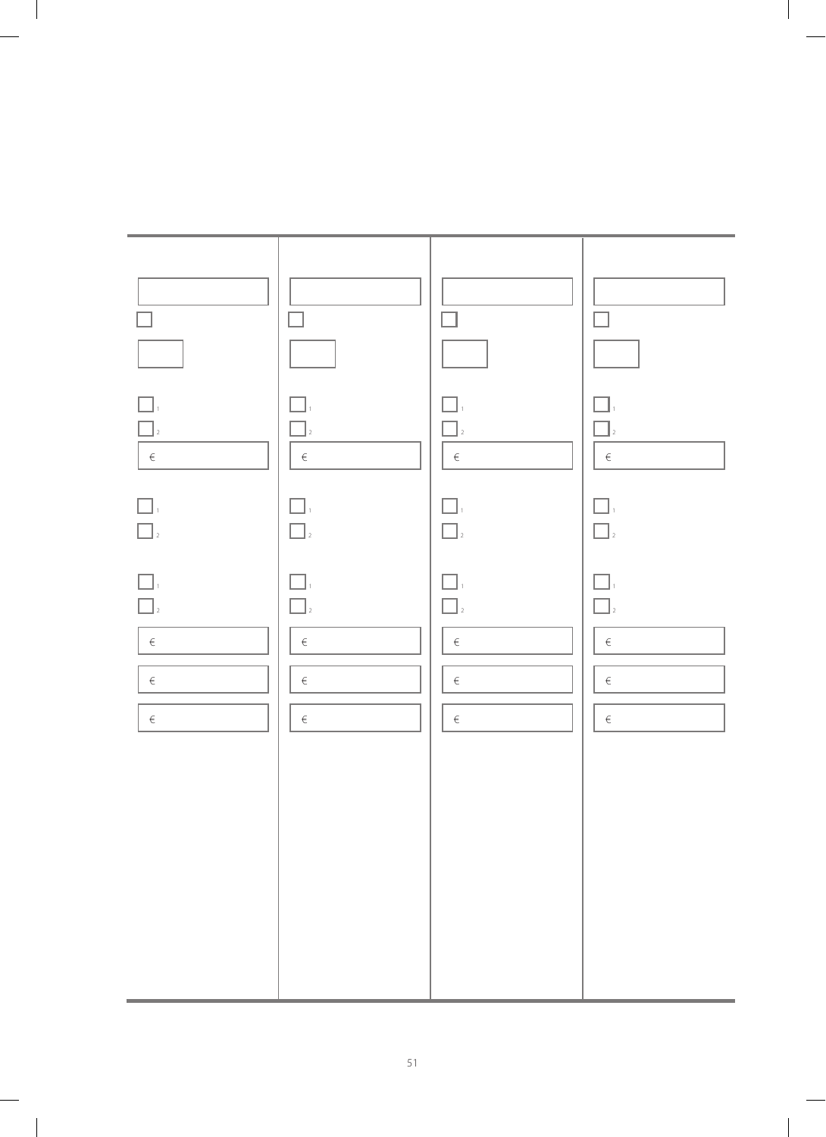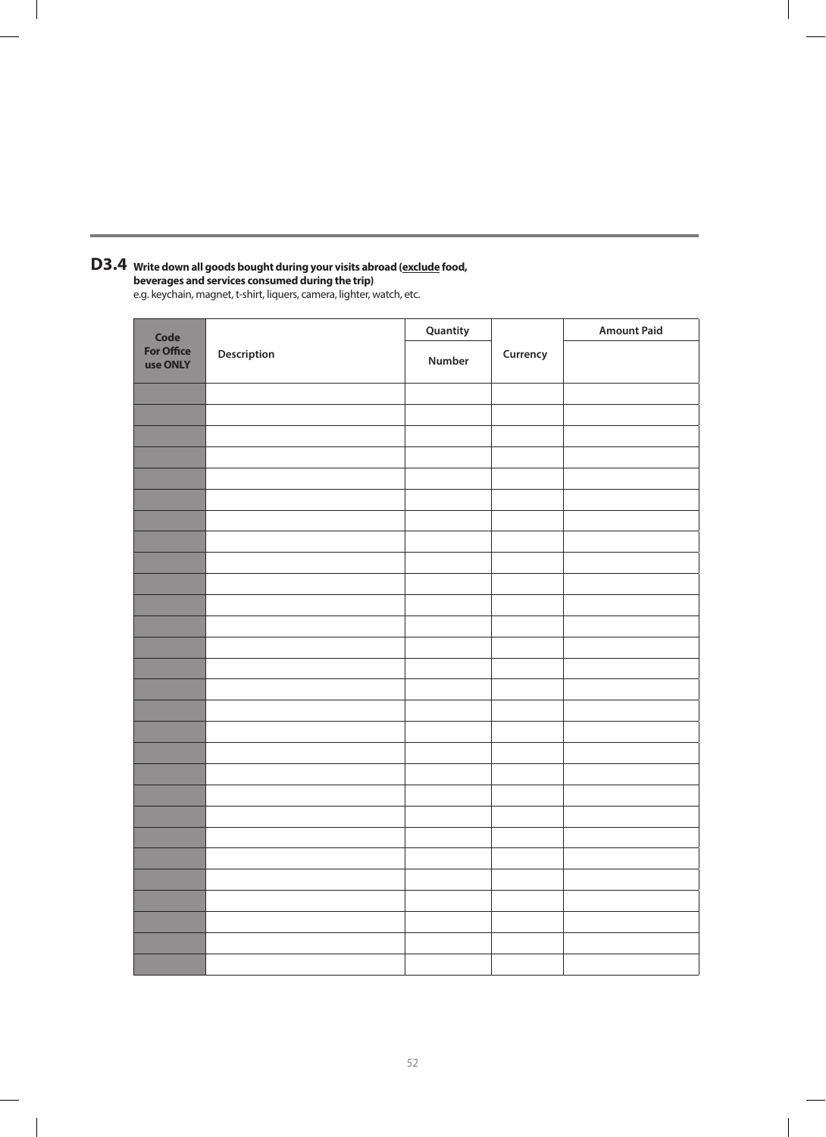#### **Write down all goods bought during your visits abroad (exclude food, beverages and services consumed during the trip) D3.4**

e.g. keychain, magnet, t-shirt, liquers, camera, lighter, watch, etc.

| Code                          | Description | Quantity |          | <b>Amount Paid</b> |
|-------------------------------|-------------|----------|----------|--------------------|
| <b>For Office</b><br>use ONLY |             | Number   | Currency |                    |
|                               |             |          |          |                    |
|                               |             |          |          |                    |
|                               |             |          |          |                    |
|                               |             |          |          |                    |
|                               |             |          |          |                    |
|                               |             |          |          |                    |
|                               |             |          |          |                    |
|                               |             |          |          |                    |
|                               |             |          |          |                    |
|                               |             |          |          |                    |
|                               |             |          |          |                    |
|                               |             |          |          |                    |
|                               |             |          |          |                    |
|                               |             |          |          |                    |
|                               |             |          |          |                    |
|                               |             |          |          |                    |
|                               |             |          |          |                    |
|                               |             |          |          |                    |
|                               |             |          |          |                    |
|                               |             |          |          |                    |
|                               |             |          |          |                    |
|                               |             |          |          |                    |
|                               |             |          |          |                    |
|                               |             |          |          |                    |
|                               |             |          |          |                    |
|                               |             |          |          |                    |
|                               |             |          |          |                    |
|                               |             |          |          |                    |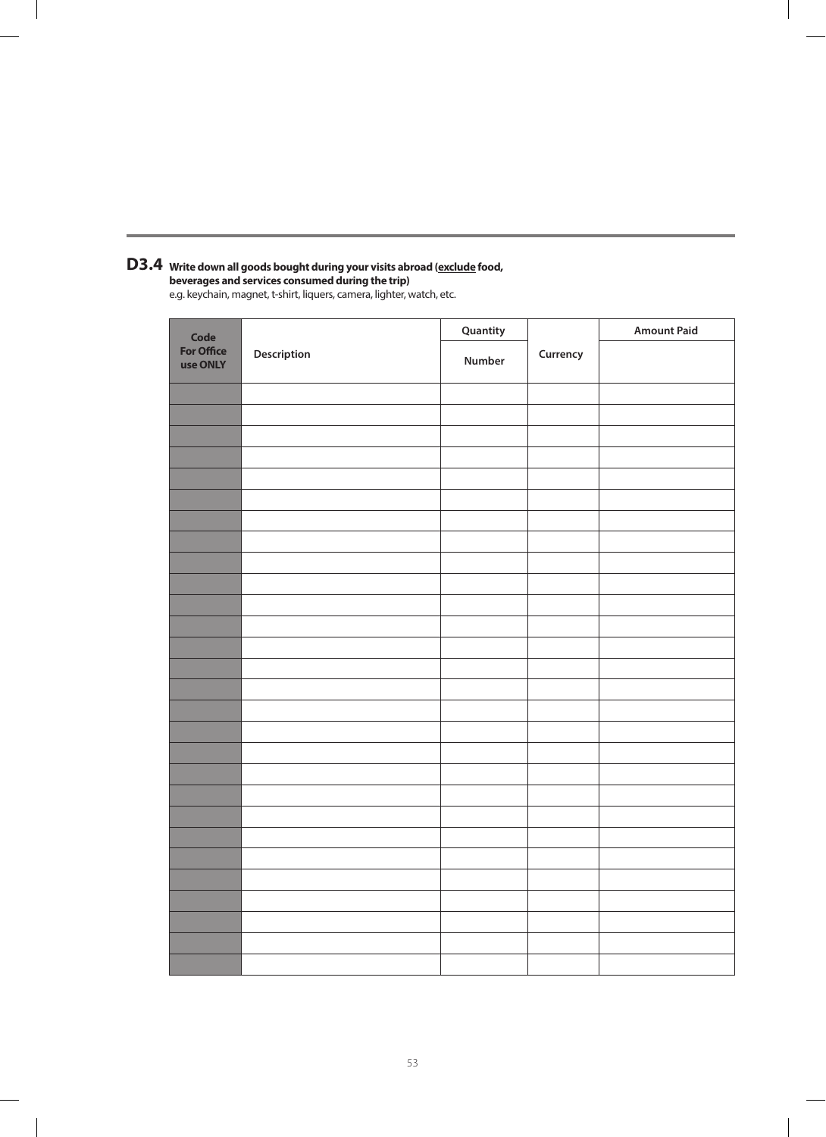#### **Write down all goods bought during your visits abroad (exclude food, D3.4**

**beverages and services consumed during the trip)** e.g. keychain, magnet, t-shirt, liquers, camera, lighter, watch, etc.

| Code                          |             | Quantity |          | <b>Amount Paid</b> |
|-------------------------------|-------------|----------|----------|--------------------|
| <b>For Office</b><br>use ONLY | Description | Number   | Currency |                    |
|                               |             |          |          |                    |
|                               |             |          |          |                    |
|                               |             |          |          |                    |
|                               |             |          |          |                    |
|                               |             |          |          |                    |
|                               |             |          |          |                    |
|                               |             |          |          |                    |
|                               |             |          |          |                    |
|                               |             |          |          |                    |
|                               |             |          |          |                    |
|                               |             |          |          |                    |
|                               |             |          |          |                    |
|                               |             |          |          |                    |
|                               |             |          |          |                    |
|                               |             |          |          |                    |
|                               |             |          |          |                    |
|                               |             |          |          |                    |
|                               |             |          |          |                    |
|                               |             |          |          |                    |
|                               |             |          |          |                    |
|                               |             |          |          |                    |
|                               |             |          |          |                    |
|                               |             |          |          |                    |
|                               |             |          |          |                    |
|                               |             |          |          |                    |
|                               |             |          |          |                    |
|                               |             |          |          |                    |
|                               |             |          |          |                    |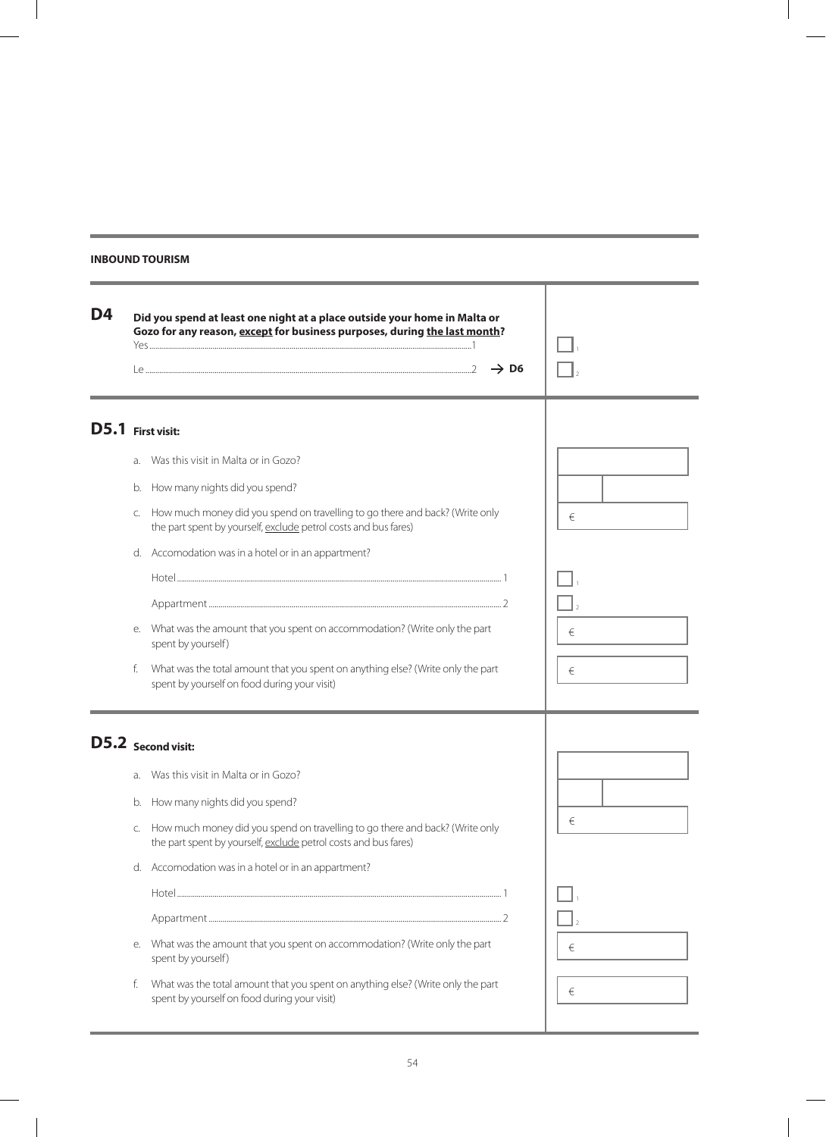### **INBOUNDTOURISM**

| D4                |    | Did you spend at least one night at a place outside your home in Malta or<br>Gozo for any reason, except for business purposes, during the last month?<br>$\rightarrow$ D6 |   |
|-------------------|----|----------------------------------------------------------------------------------------------------------------------------------------------------------------------------|---|
| D5.1 First visit: |    |                                                                                                                                                                            |   |
|                   | a. | Was this visit in Malta or in Gozo?                                                                                                                                        |   |
|                   | b. | How many nights did you spend?                                                                                                                                             |   |
|                   | C. | How much money did you spend on travelling to go there and back? (Write only<br>the part spent by yourself, exclude petrol costs and bus fares)                            | € |
|                   |    | d. Accomodation was in a hotel or in an appartment?                                                                                                                        |   |
|                   |    |                                                                                                                                                                            |   |
|                   |    |                                                                                                                                                                            |   |
|                   | е. | What was the amount that you spent on accommodation? (Write only the part<br>spent by yourself)                                                                            | € |
|                   | f. | What was the total amount that you spent on anything else? (Write only the part<br>spent by yourself on food during your visit)                                            | € |
|                   |    | D5.2 Second visit:                                                                                                                                                         |   |
|                   |    | a. Was this visit in Malta or in Gozo?                                                                                                                                     |   |
|                   | b. | How many nights did you spend?                                                                                                                                             |   |
|                   | C. | How much money did you spend on travelling to go there and back? (Write only<br>the part spent by yourself, exclude petrol costs and bus fares)                            | € |
|                   |    | d. Accomodation was in a hotel or in an appartment?                                                                                                                        |   |
|                   |    |                                                                                                                                                                            |   |
|                   |    |                                                                                                                                                                            |   |
|                   | е. | What was the amount that you spent on accommodation? (Write only the part<br>spent by yourself)                                                                            | € |
|                   | f. | What was the total amount that you spent on anything else? (Write only the part<br>spent by yourself on food during your visit)                                            | € |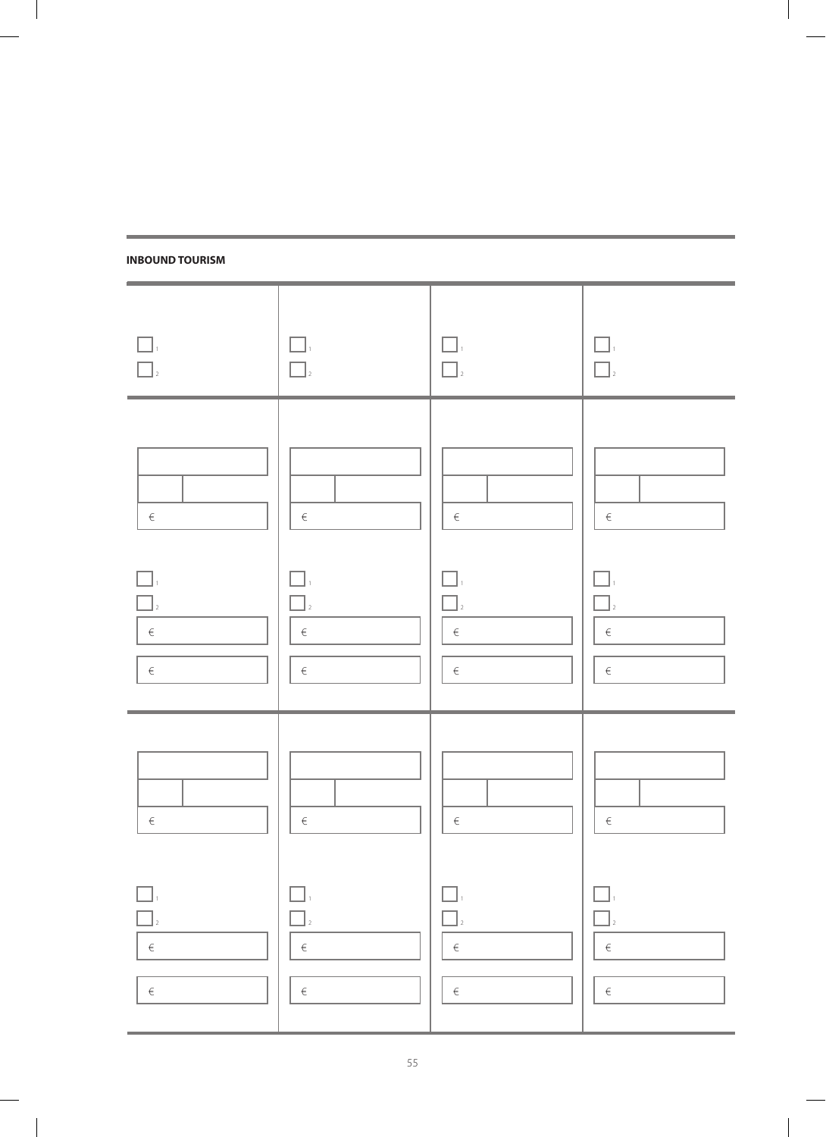

**INBOUNDTOURISM**

 $\begin{array}{c} \hline \end{array}$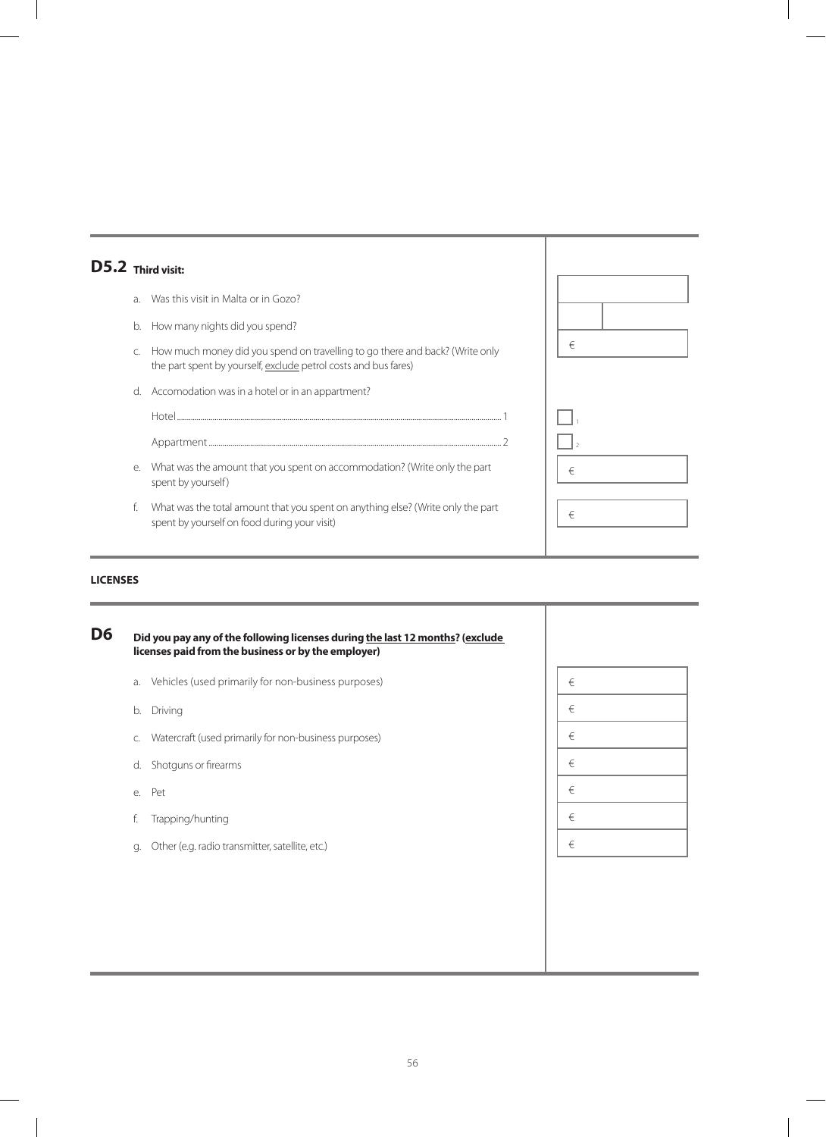| $D5.2$ Third visit: |           |                                                                                                                                                 |   |  |
|---------------------|-----------|-------------------------------------------------------------------------------------------------------------------------------------------------|---|--|
|                     | $\lambda$ | Was this visit in Malta or in Gozo?                                                                                                             |   |  |
|                     | b.        | How many nights did you spend?                                                                                                                  |   |  |
|                     | C.        | How much money did you spend on travelling to go there and back? (Write only<br>the part spent by yourself, exclude petrol costs and bus fares) | € |  |
|                     | d.        | Accomodation was in a hotel or in an appartment?                                                                                                |   |  |
|                     |           |                                                                                                                                                 |   |  |
|                     |           |                                                                                                                                                 |   |  |
|                     | е.        | What was the amount that you spent on accommodation? (Write only the part<br>spent by yourself)                                                 | € |  |
|                     | f.        | What was the total amount that you spent on anything else? (Write only the part<br>spent by yourself on food during your visit)                 | € |  |

#### **LICENSES**

**Did you pay any of the following licenses during the last 12 months? (exclude licenses paid from the business or by the employer)** a. Vehicles (used primarily for non-business purposes) b. Driving c. Watercraft (used primarily for non-business purposes) d. Shotguns or firearms e. Pet f. Trapping/hunting g. Other (e.g. radio transmitter, satellite, etc.) **D6** € € € € € € €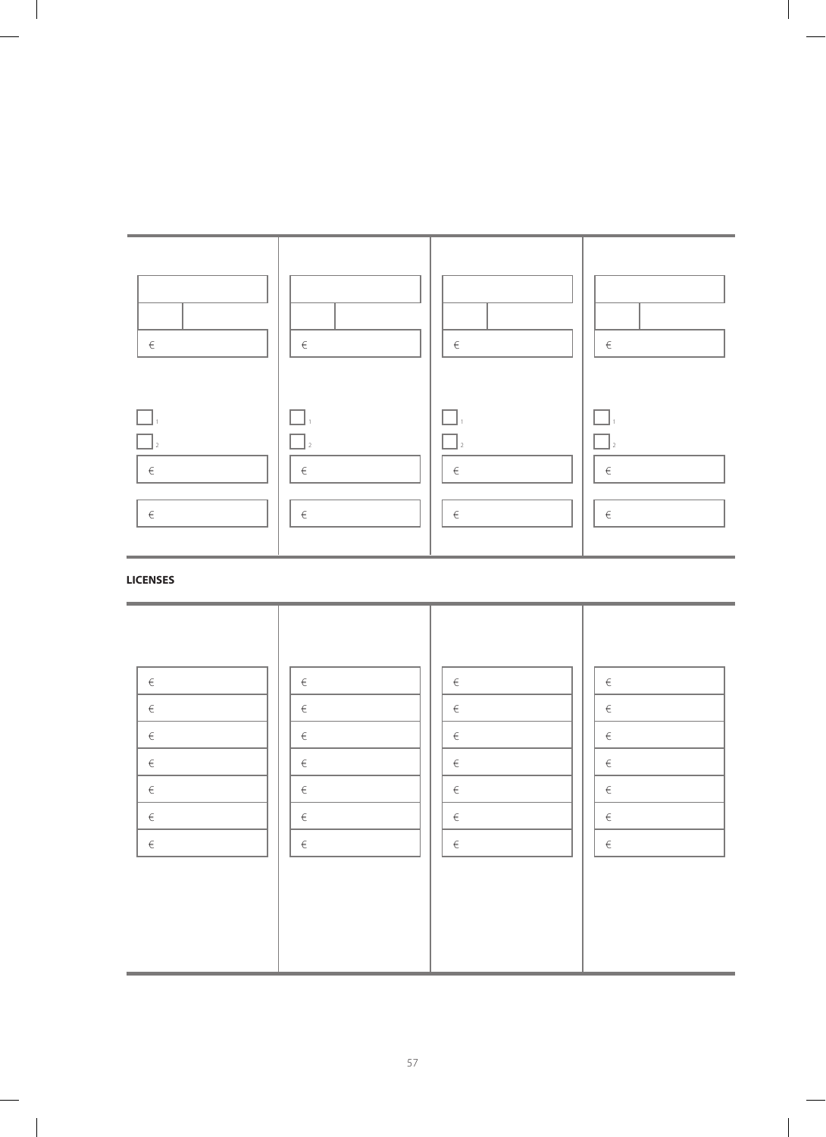

# **LICENSES**

| $\in$ | $\in$ | $\in$ | $\in$ |
|-------|-------|-------|-------|
| $\in$ | $\in$ | $\in$ | $\in$ |
| $\in$ | $\in$ | $\in$ | $\in$ |
| $\in$ | $\in$ | $\in$ | $\in$ |
| $\in$ | $\in$ | $\in$ | $\in$ |
| $\in$ | $\in$ | $\in$ | $\in$ |
| $\in$ | $\in$ | $\in$ | $\in$ |
|       |       |       |       |
|       |       |       |       |
|       |       |       |       |
|       |       |       |       |
|       |       |       |       |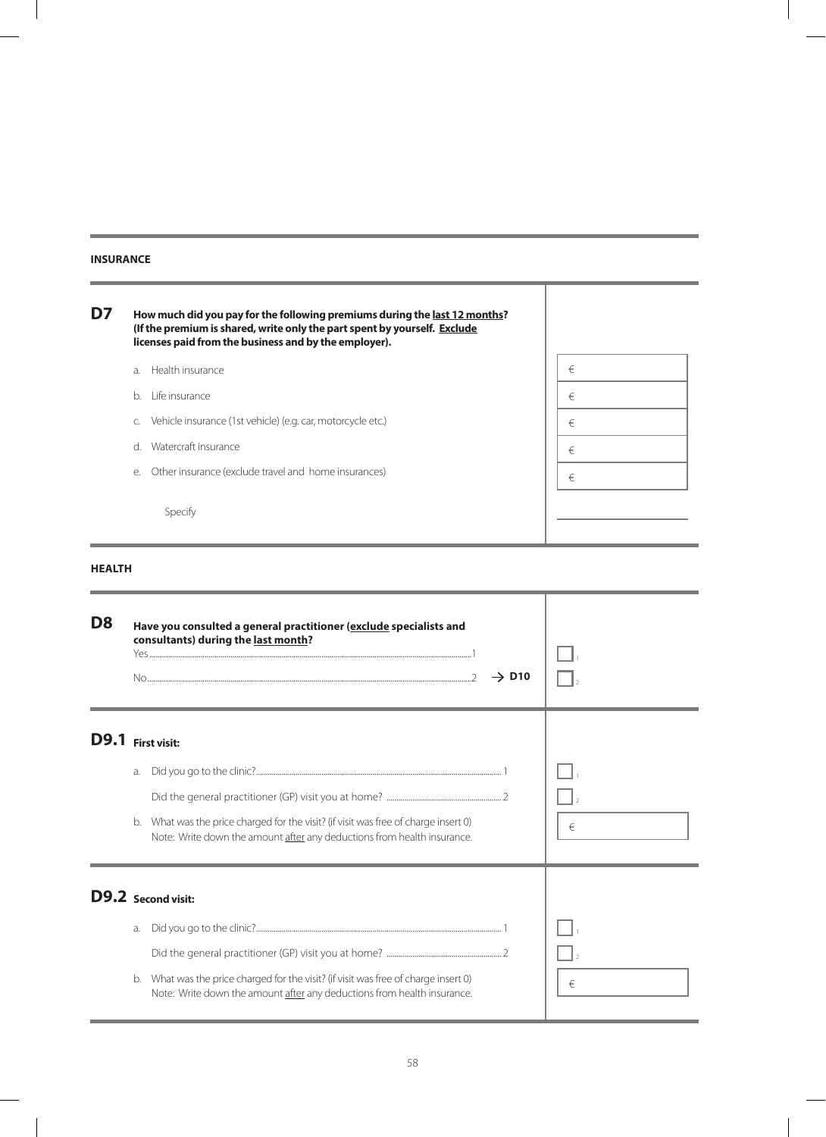#### **INSURANCE**

 $\overline{a}$ 

 $\overline{\phantom{a}}$ 

| D7 |              | How much did you pay for the following premiums during the last 12 months?<br>(If the premium is shared, write only the part spent by yourself. Exclude<br>licenses paid from the business and by the employer). |   |
|----|--------------|------------------------------------------------------------------------------------------------------------------------------------------------------------------------------------------------------------------|---|
|    | $\partial$ . | Health insurance                                                                                                                                                                                                 | € |
|    | b.           | Life insurance                                                                                                                                                                                                   | € |
|    | C.           | Vehicle insurance (1st vehicle) (e.g. car, motorcycle etc.)                                                                                                                                                      | € |
|    | <sub>d</sub> | Watercraft insurance                                                                                                                                                                                             | € |
|    | е.           | Other insurance (exclude travel and home insurances)                                                                                                                                                             | € |
|    |              | Specify                                                                                                                                                                                                          |   |

### **Health**

| D <sub>8</sub>    |          | Have you consulted a general practitioner (exclude specialists and<br>consultants) during the last month?<br>$\rightarrow$ D <sub>10</sub>                  |   |
|-------------------|----------|-------------------------------------------------------------------------------------------------------------------------------------------------------------|---|
| D9.1 First visit: | a.       |                                                                                                                                                             |   |
|                   | b.       | What was the price charged for the visit? (if visit was free of charge insert 0)<br>Note: Write down the amount after any deductions from health insurance. | € |
|                   |          | <b>D9.2</b> Second visit:                                                                                                                                   |   |
|                   | a.<br>b. | What was the price charged for the visit? (if visit was free of charge insert 0)<br>Note: Write down the amount after any deductions from health insurance. | € |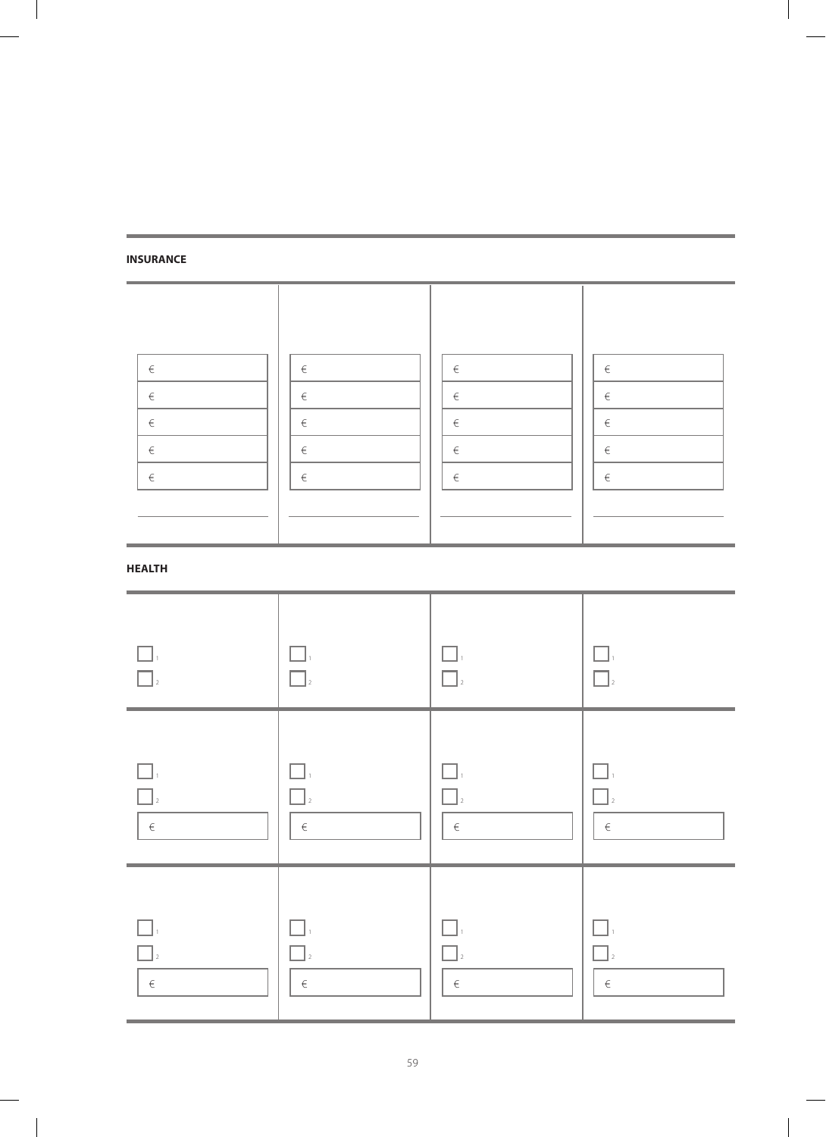### **INSURANCE**

 $\overline{\phantom{a}}$ 

 $\overline{\phantom{a}}$ 

| $\in$ | $\in$ | $\in$ | $\in$ |
|-------|-------|-------|-------|
| $\in$ | $\in$ | $\in$ | $\in$ |
| $\in$ | $\in$ | $\in$ | $\in$ |
| $\in$ | $\in$ | $\in$ | $\in$ |
| $\in$ | $\in$ | $\in$ | $\in$ |
|       |       |       |       |
|       |       |       |       |

### **Health**

| $\Box$               | . .                  | ΙI.                  | $\vert$ <sub>2</sub> |
|----------------------|----------------------|----------------------|----------------------|
| $\Box$ <sub>2</sub>  | $\overline{2}$       | $\Box$ <sub>2</sub>  |                      |
| $\Box$               | H                    | П                    | - 1                  |
| $\Box$               | $\int_2$             | $\Box$ <sub>2</sub>  | $\vert$ 2            |
| $\in$                | $\in$                | $\in$                | $\in$                |
| $\vert$ <sub>2</sub> | $\vert$ <sub>2</sub> | $\vert$ <sub>2</sub> | $\vert$ 2            |
| $\in$                | $\in$                | $\in$                | $\in$                |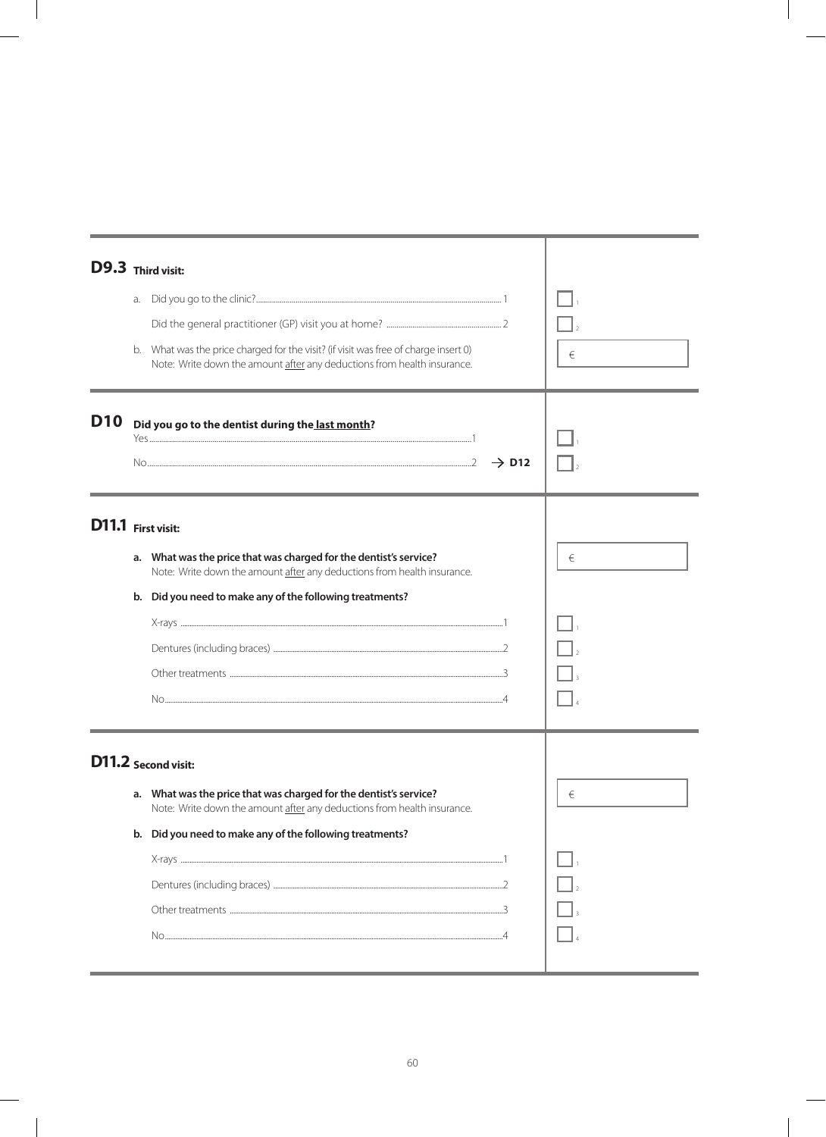|                    |    | D9.3 Third visit:                                                                                                                                              |   |
|--------------------|----|----------------------------------------------------------------------------------------------------------------------------------------------------------------|---|
|                    | a. |                                                                                                                                                                |   |
|                    |    |                                                                                                                                                                |   |
|                    |    | b. What was the price charged for the visit? (if visit was free of charge insert 0)<br>Note: Write down the amount after any deductions from health insurance. | € |
| <b>D10</b>         |    | Did you go to the dentist during the last month?                                                                                                               |   |
|                    |    | $\rightarrow$ D12                                                                                                                                              |   |
| D11.1 First visit: |    |                                                                                                                                                                |   |
|                    |    | a. What was the price that was charged for the dentist's service?<br>Note: Write down the amount after any deductions from health insurance.                   | € |
|                    |    | b. Did you need to make any of the following treatments?                                                                                                       |   |
|                    |    |                                                                                                                                                                |   |
|                    |    |                                                                                                                                                                |   |
|                    |    |                                                                                                                                                                |   |
|                    |    |                                                                                                                                                                |   |
|                    |    | D11.2 Second visit:                                                                                                                                            |   |
|                    |    | a. What was the price that was charged for the dentist's service?<br>Note: Write down the amount after any deductions from health insurance.                   | € |
|                    |    | b. Did you need to make any of the following treatments?                                                                                                       |   |
|                    |    |                                                                                                                                                                |   |
|                    |    |                                                                                                                                                                |   |
|                    |    |                                                                                                                                                                |   |
|                    |    |                                                                                                                                                                |   |
|                    |    |                                                                                                                                                                |   |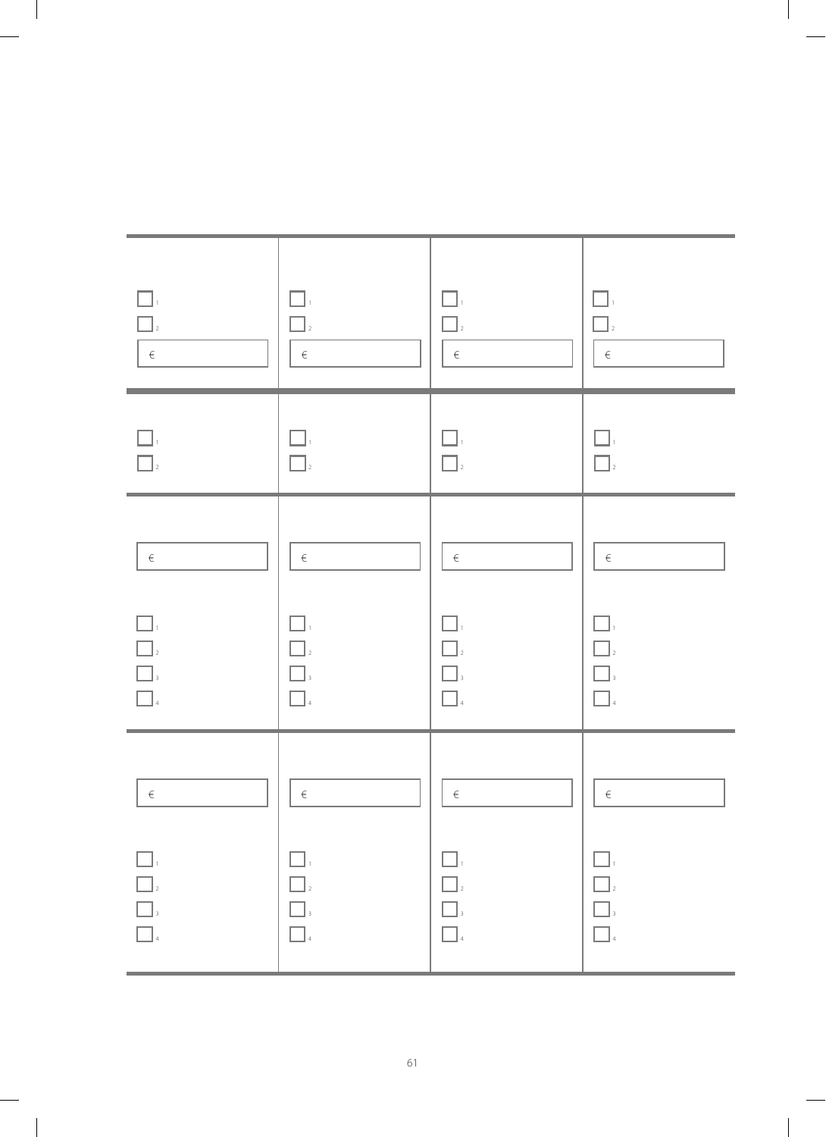| $\Box$<br>$\in$         | $\Box$ :<br>$\Box$<br>$\in$   | $\Box$<br>$\Box$<br>$\in$     | ΞΙ,<br>$\Box$<br>$\in$ |
|-------------------------|-------------------------------|-------------------------------|------------------------|
| $\Box$                  | $\square$ ,                   | $\Box$                        | $\Box$                 |
| $\Box$                  | $\Box$                        | $\Box$                        | $\Box$                 |
| $\in$                   | $\in$                         | $\in$                         | $\in$                  |
| $\square$               | $\Box.$                       | $\Box.$                       | $\Box$ ,               |
| $\Box$                  | $\Box$                        | $\Box$                        | $\Box$                 |
| $\boxed{\phantom{1}}_3$ | $\Box$                        | $\Box$                        | $\Box$                 |
| $\Box$<br>4             | $\Box$                        | $\Box$                        | $\Box$                 |
| $\in$                   | $\in$                         | $\in$                         | $\in$                  |
| $\Box$                  | $\square$ .                   | $\Box_{\cdot}$                | $\Box_{\pm}$           |
| $\hfill\Box$ $\hfill$   | $\Box$ $\Box$                 | $\Box_{\scriptscriptstyle 2}$ | $\hfill\Box_2$         |
| $\Box$                  | $\hfill\blacksquare$ $\hfill$ | $\Box$                        | $\Box$                 |
| $\Box$                  | $\Box$ 4                      | $\Box$                        | $\Box$                 |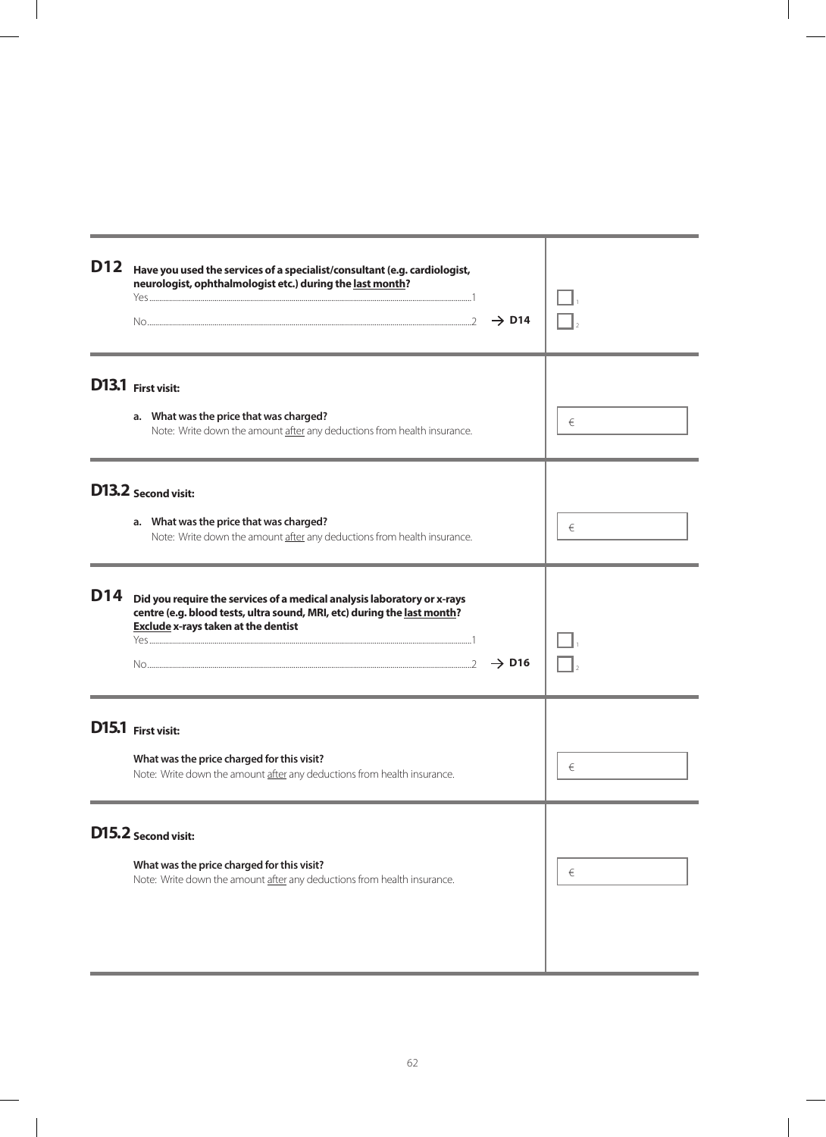| <b>D12</b> | Have you used the services of a specialist/consultant (e.g. cardiologist,<br>neurologist, ophthalmologist etc.) during the last month?<br>$\rightarrow$ D14                                                           |   |
|------------|-----------------------------------------------------------------------------------------------------------------------------------------------------------------------------------------------------------------------|---|
|            | D13.1 First visit:<br>a. What was the price that was charged?<br>Note: Write down the amount after any deductions from health insurance.                                                                              | € |
|            | D13.2 Second visit:<br>a. What was the price that was charged?<br>Note: Write down the amount after any deductions from health insurance.                                                                             | € |
| D14        | Did you require the services of a medical analysis laboratory or x-rays<br>centre (e.g. blood tests, ultra sound, MRI, etc) during the last month?<br><b>Exclude x-rays taken at the dentist</b><br>$\rightarrow$ D16 |   |
|            | D15.1 First visit:<br>What was the price charged for this visit?<br>Note: Write down the amount after any deductions from health insurance.                                                                           | € |
|            | D15.2 Second visit:<br>What was the price charged for this visit?<br>Note: Write down the amount after any deductions from health insurance.                                                                          | € |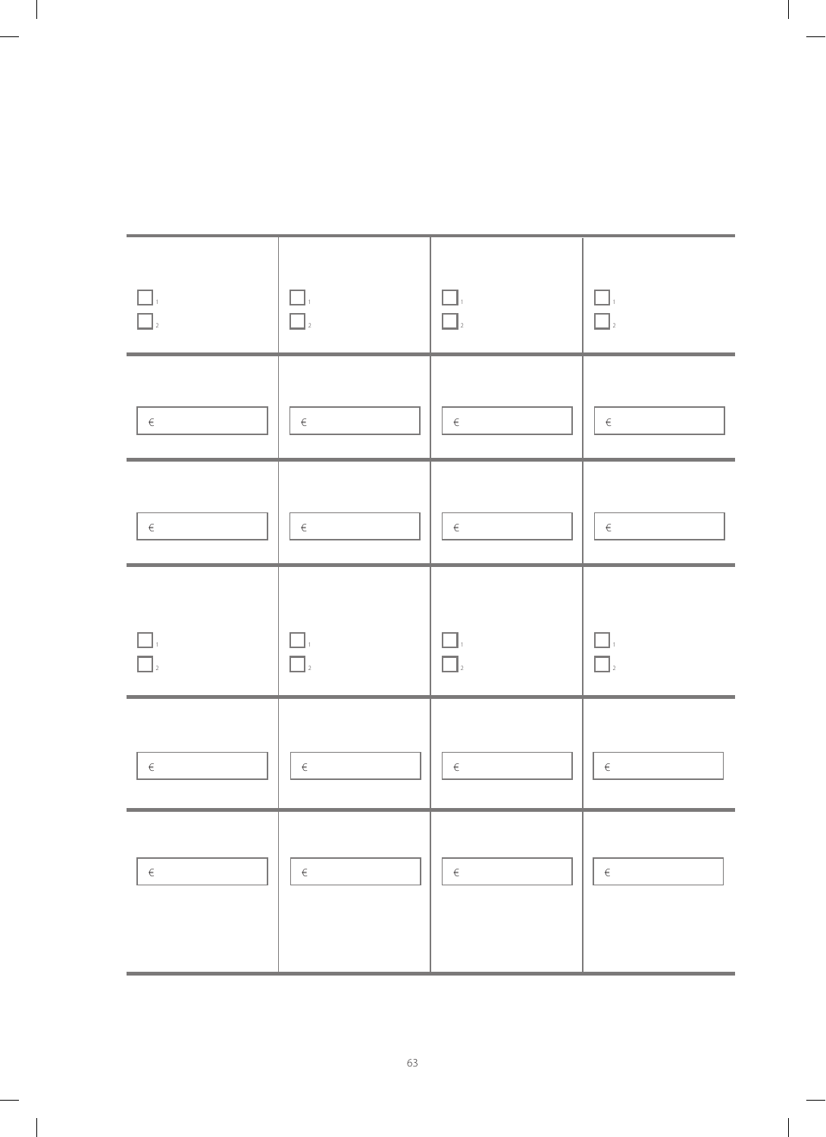| $\Box$<br>$\Box$ | $\Box$<br>$\Box$  | $\Box$<br>$\Box$  | - 1<br>$\Box$ |
|------------------|-------------------|-------------------|---------------|
| $\in$            | $\in$             | $\in$             | $\in$         |
| $\in$            | $\in$             | $\in$             | $\in$         |
| $\Box$           | $\Box.$<br>$\Box$ | $\Box.$<br>$\Box$ | H<br>$\Box$   |
| $\in$            | $\in$             | $\in$             | $\in$         |
| $\in$            | $\epsilon$        | $\in$             | $\in$         |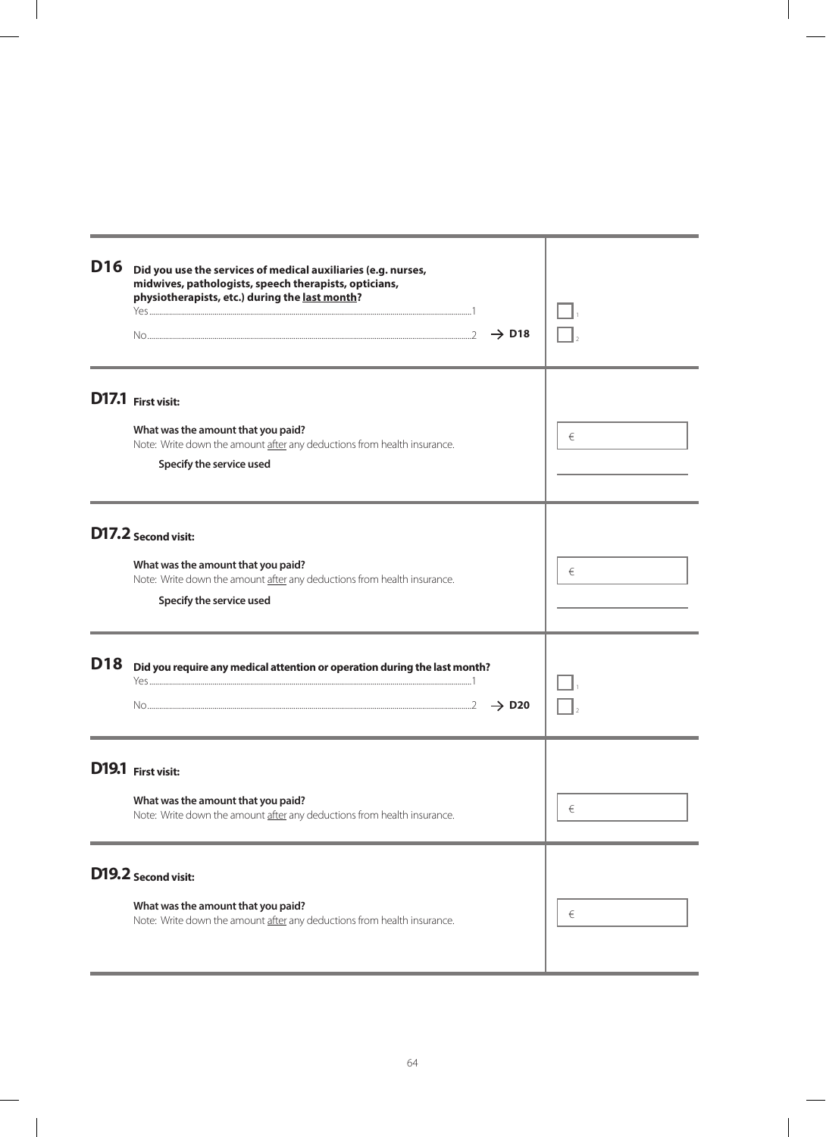| D16        | Did you use the services of medical auxiliaries (e.g. nurses,<br>midwives, pathologists, speech therapists, opticians,<br>physiotherapists, etc.) during the last month?<br>$\rightarrow$ D18 |       |
|------------|-----------------------------------------------------------------------------------------------------------------------------------------------------------------------------------------------|-------|
|            | D17.1 First visit:<br>What was the amount that you paid?<br>Note: Write down the amount after any deductions from health insurance.<br>Specify the service used                               | €     |
|            | D17.2 Second visit:<br>What was the amount that you paid?<br>Note: Write down the amount after any deductions from health insurance.<br>Specify the service used                              | €     |
| <b>D18</b> | Did you require any medical attention or operation during the last month?<br>$\rightarrow$ D <sub>20</sub>                                                                                    |       |
|            | D19.1 First visit:<br>What was the amount that you paid?<br>Note: Write down the amount after any deductions from health insurance.                                                           | $\in$ |
|            | D19.2 Second visit:<br>What was the amount that you paid?<br>Note: Write down the amount after any deductions from health insurance.                                                          | €     |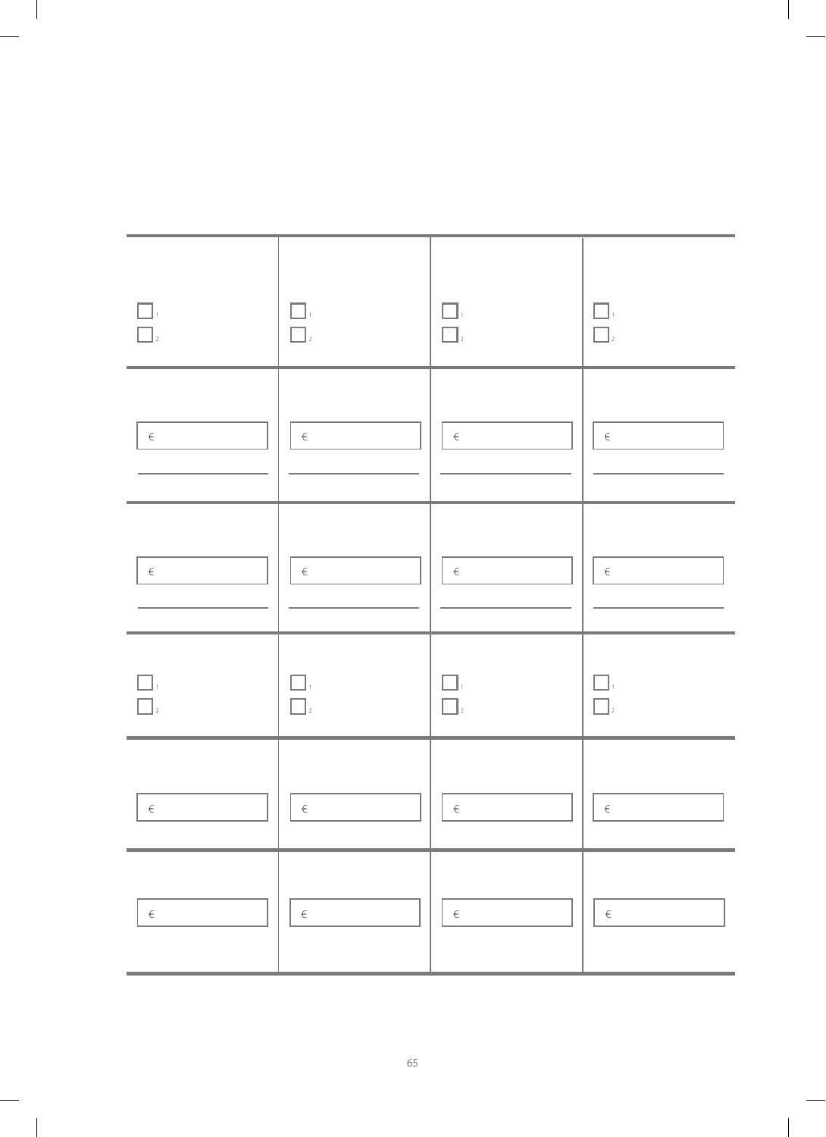| $\begin{array}{ c c }\hline \quad \  & 1 \\ \hline \quad \  & 1 \\ \hline \quad \  & 2 \\ \hline \end{array}$ | $\Box$<br>$\Box$    | $\Box$<br>$\overline{\square}$ | $\begin{array}{ c } \hline \quad \quad & 1 \\ \hline \quad \quad & 1 \\ \hline \quad \quad & 2 \end{array}$                                              |
|---------------------------------------------------------------------------------------------------------------|---------------------|--------------------------------|----------------------------------------------------------------------------------------------------------------------------------------------------------|
| $\in$                                                                                                         | $\in$               | $\in$                          | $\in$                                                                                                                                                    |
| $\in$                                                                                                         | $\in$               | $\in$                          | $\in$                                                                                                                                                    |
| $\boxed{\phantom{a}}$ ,<br>$\overline{\square}$                                                               | $\Box$<br>$\prod_2$ | $\Box$<br>$\Box$               | $\begin{array}{ c c }\hline \quad \  \  \, &\ \\ \hline \quad \  \  \, &\ \\ \hline \quad \  \  \, &\ \\ \hline \quad \  \  \, &\ \\ \hline \end{array}$ |
| $\in$                                                                                                         | $\in$               | $\in$                          | $\in$                                                                                                                                                    |
| $\in$                                                                                                         | $\in$               | $\in$                          | $\in$                                                                                                                                                    |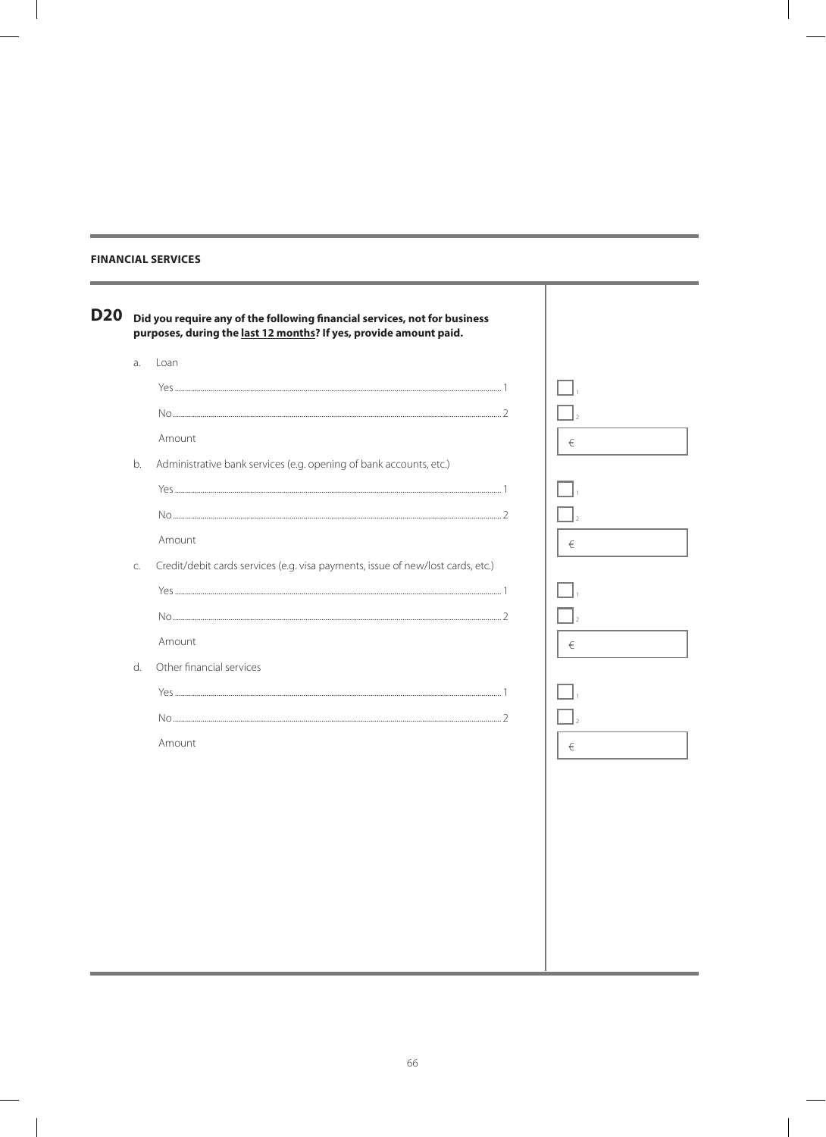### **FINANCIAL SERVICES**

 $\sim$ 

| <b>D20</b> | Did you require any of the following financial services, not for business       |   |
|------------|---------------------------------------------------------------------------------|---|
| a.         | purposes, during the last 12 months? If yes, provide amount paid.<br>Loan       |   |
|            |                                                                                 |   |
|            |                                                                                 |   |
|            |                                                                                 |   |
|            | Amount                                                                          | € |
| b.         | Administrative bank services (e.g. opening of bank accounts, etc.)              |   |
|            |                                                                                 |   |
|            |                                                                                 |   |
|            | Amount                                                                          | € |
| C.         | Credit/debit cards services (e.g. visa payments, issue of new/lost cards, etc.) |   |
|            |                                                                                 |   |
|            |                                                                                 |   |
|            | Amount                                                                          | € |
| d.         | Other financial services                                                        |   |
|            |                                                                                 |   |
|            |                                                                                 |   |
|            | Amount                                                                          |   |
|            |                                                                                 | € |
|            |                                                                                 |   |
|            |                                                                                 |   |
|            |                                                                                 |   |
|            |                                                                                 |   |
|            |                                                                                 |   |
|            |                                                                                 |   |
|            |                                                                                 |   |
|            |                                                                                 |   |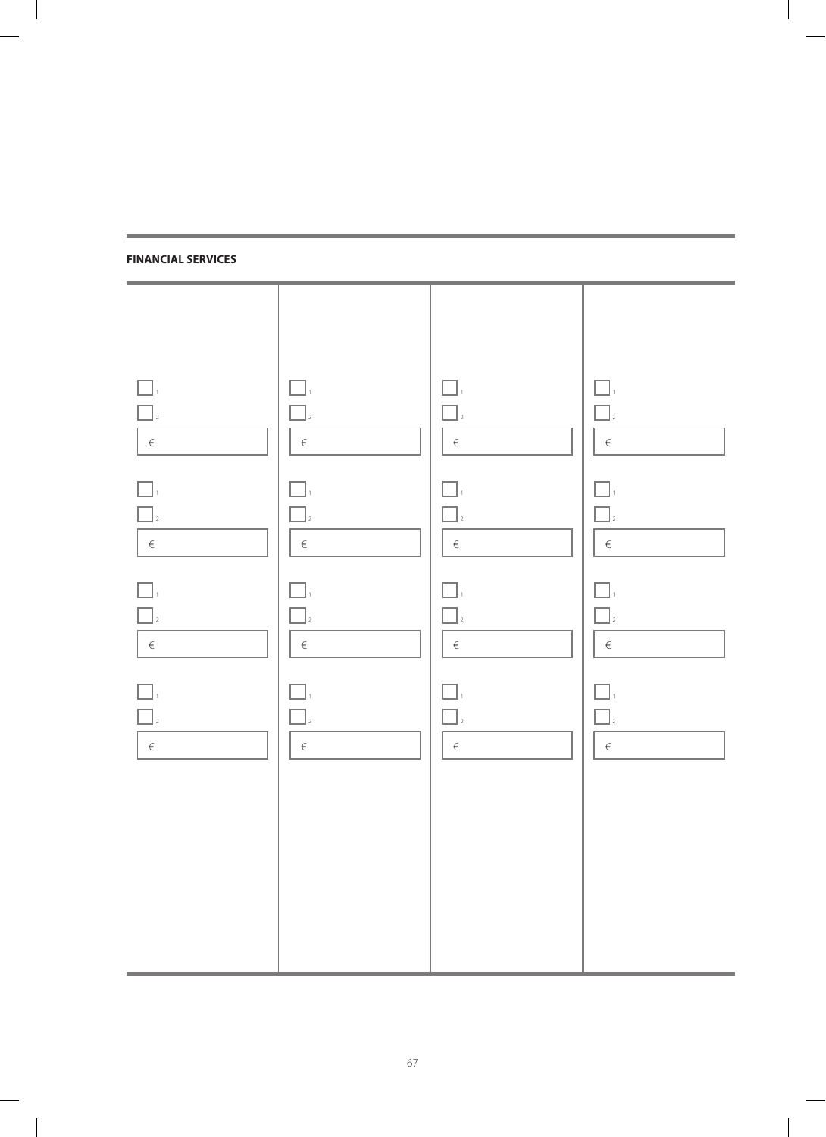#### **Financial services**

| $\Box$ <sub>2</sub><br>$\in$                                                              | $\Box$<br>$\Box$<br>$\begin{array}{c} 1 \\ - \end{array}$ | H<br>$\Box$ <sub>2</sub><br>$\in$             | $\Box$<br>$\Box$<br>$\in$                         |
|-------------------------------------------------------------------------------------------|-----------------------------------------------------------|-----------------------------------------------|---------------------------------------------------|
| $\Box$ .<br>$\Box$ <sub>2</sub><br>$\left  \begin{array}{c} \epsilon \end{array} \right $ | $\Box$ .<br>$\Box$ <sub>2</sub><br>$ \epsilon $           | $\Box$ .<br>$\Box$ <sub>2</sub><br>$\epsilon$ | П.<br>$\Box$<br>$\in$                             |
| $\frac{1}{2}$<br>$\in$                                                                    | $\Box$<br>$\sqrt{2}$<br>$\epsilon$                        | $\Box.$<br>$\Box$<br>$\in$                    | $\Box_{\scriptscriptstyle{1}}$<br>$\Box$<br>$\in$ |
| $\Box$<br>$\in$                                                                           | $\Box.$<br>$\Box$<br>$\in$                                | ГI.<br>$\Box$<br>$\in$                        | $\Box$<br>$\Box$<br>$\in$                         |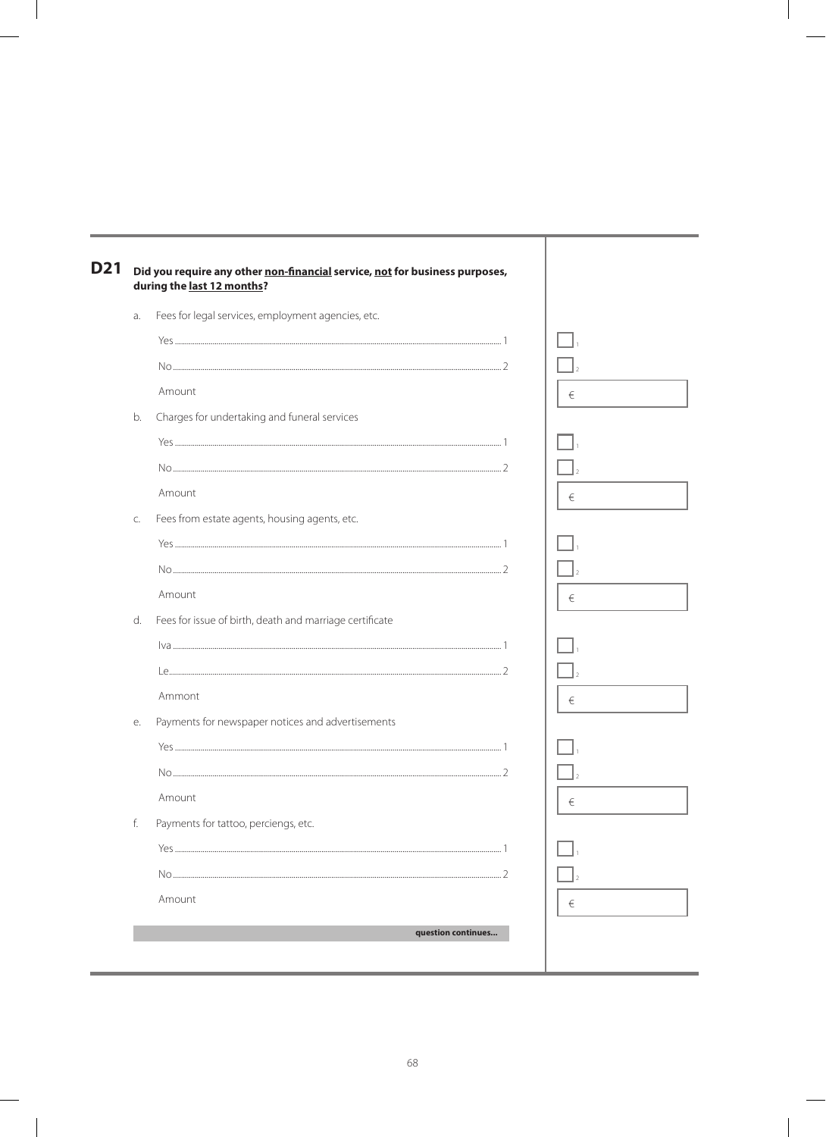| a. | Fees for legal services, employment agencies, etc.      |   |  |
|----|---------------------------------------------------------|---|--|
|    |                                                         |   |  |
|    |                                                         |   |  |
|    | Amount                                                  | € |  |
| b. | Charges for undertaking and funeral services            |   |  |
|    |                                                         |   |  |
|    |                                                         |   |  |
|    | Amount                                                  | € |  |
| C. | Fees from estate agents, housing agents, etc.           |   |  |
|    |                                                         |   |  |
|    |                                                         |   |  |
|    | Amount                                                  | € |  |
| d. | Fees for issue of birth, death and marriage certificate |   |  |
|    |                                                         |   |  |
|    |                                                         |   |  |
|    | Ammont                                                  | € |  |
| е. | Payments for newspaper notices and advertisements       |   |  |
|    |                                                         |   |  |
|    |                                                         |   |  |
|    | Amount                                                  | € |  |
| f. | Payments for tattoo, perciengs, etc.                    |   |  |
|    |                                                         |   |  |
|    |                                                         |   |  |
|    | Amount                                                  | € |  |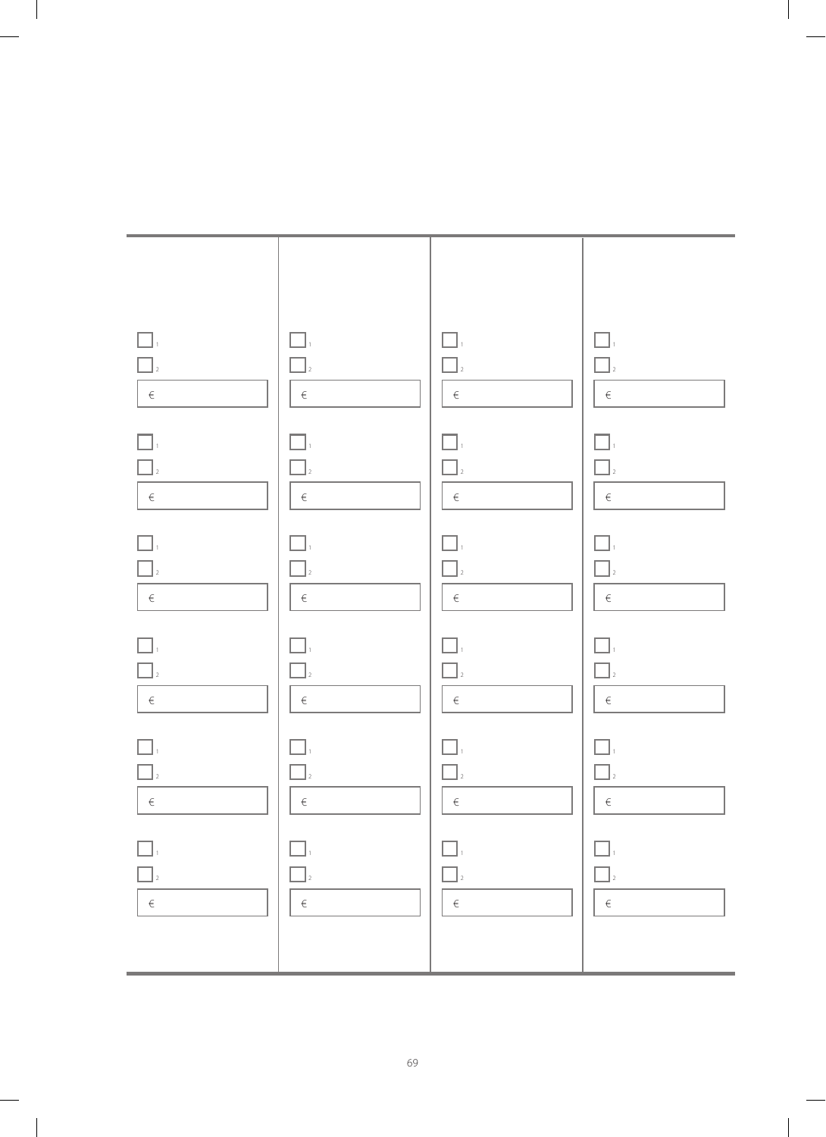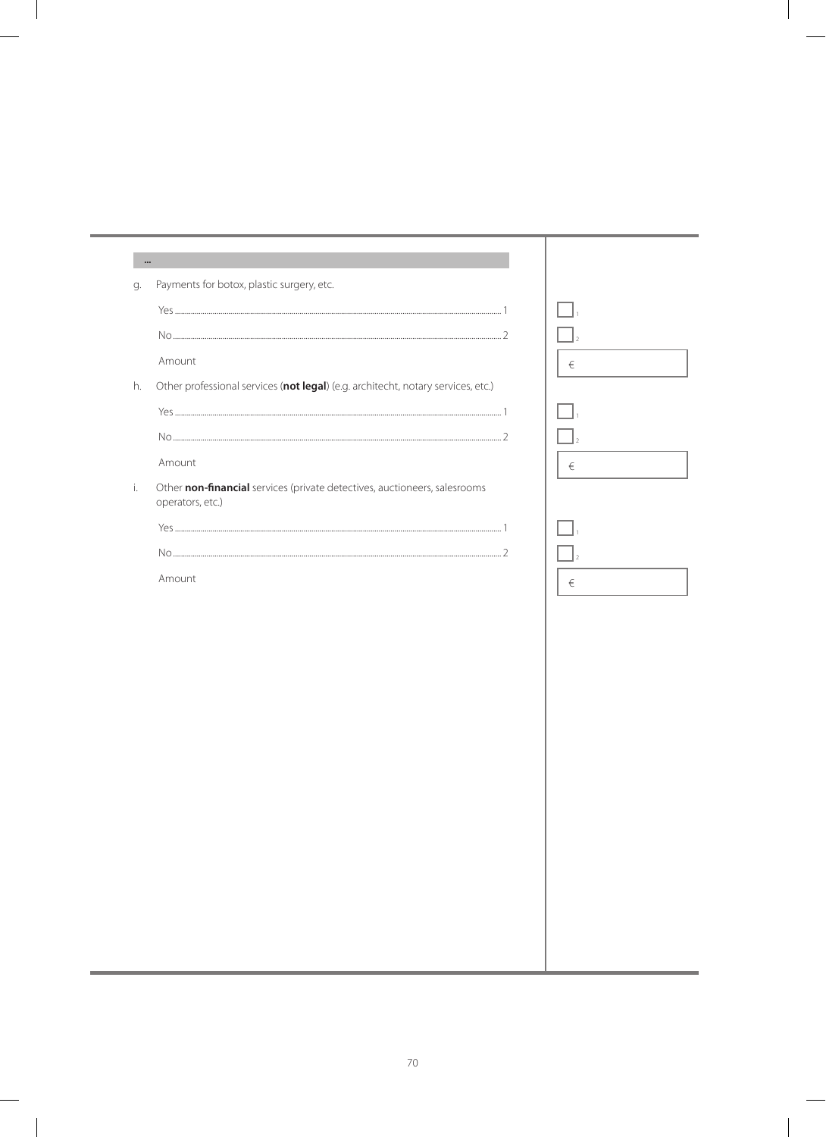| $\bullet\bullet\bullet$ |                                                                                               |   |
|-------------------------|-----------------------------------------------------------------------------------------------|---|
| g.                      | Payments for botox, plastic surgery, etc.                                                     |   |
|                         |                                                                                               |   |
|                         |                                                                                               |   |
|                         | Amount                                                                                        | € |
| h.                      | Other professional services (not legal) (e.g. architecht, notary services, etc.)              |   |
|                         |                                                                                               |   |
|                         |                                                                                               |   |
|                         | Amount                                                                                        | € |
| i.                      | Other non-financial services (private detectives, auctioneers, salesrooms<br>operators, etc.) |   |
|                         |                                                                                               |   |
|                         |                                                                                               |   |
|                         | Amount                                                                                        | € |
|                         |                                                                                               |   |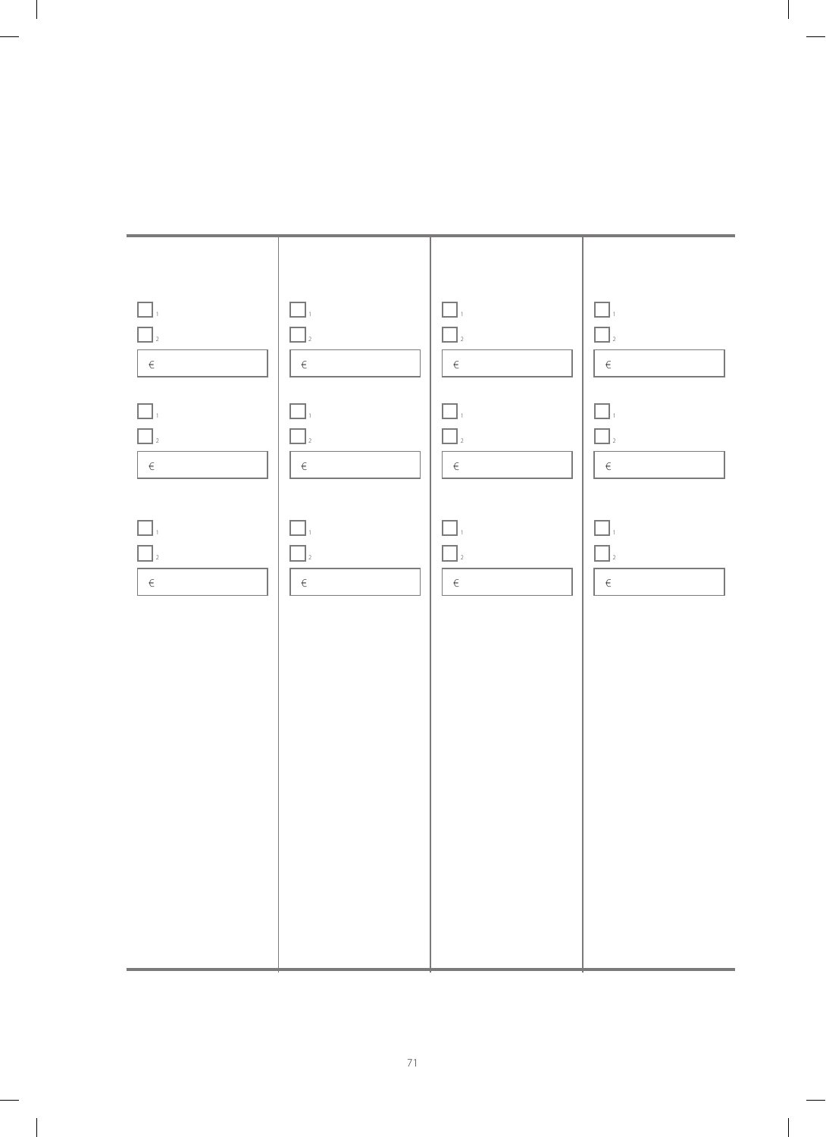

 $\sim$  1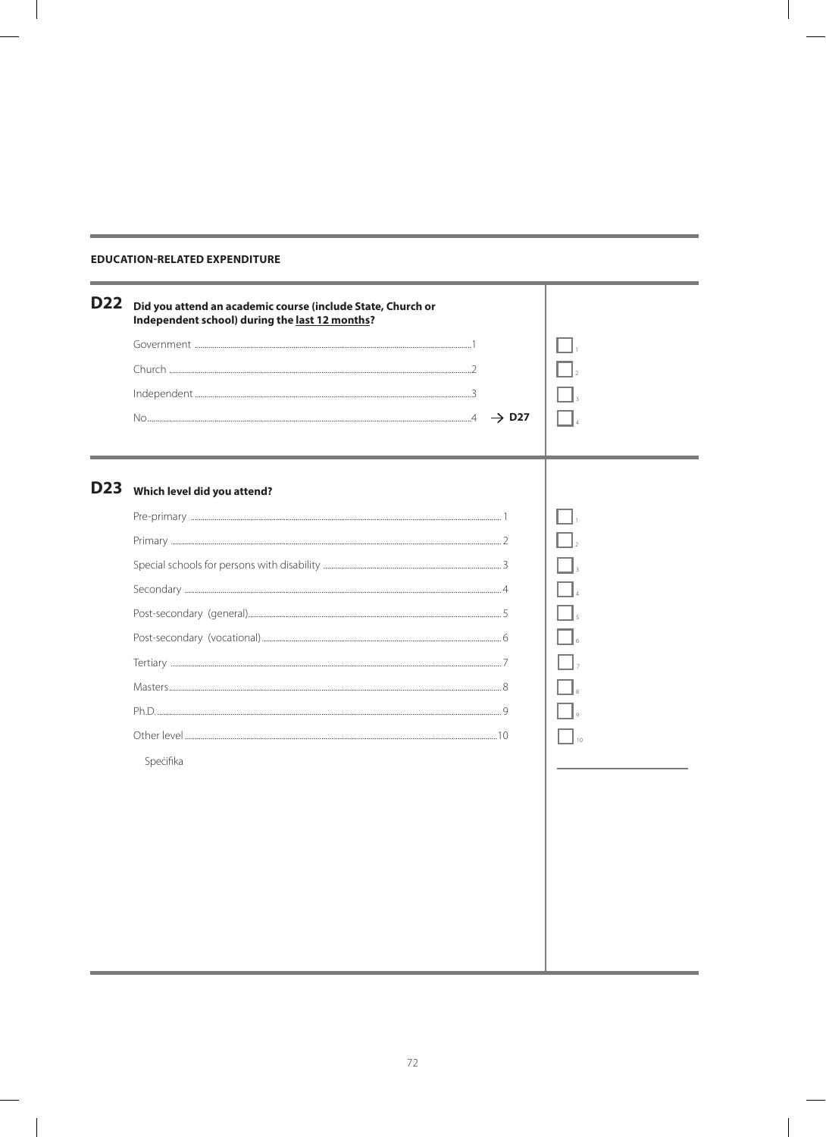### **EDUCATION-RELATED EXPENDITURE**

| <b>D22</b> | Did you attend an academic course (include State, Church or<br>Independent school) during the last 12 months?<br>$\rightarrow$ D27 |  |
|------------|------------------------------------------------------------------------------------------------------------------------------------|--|
| <b>D23</b> | Which level did you attend?<br>Specifika                                                                                           |  |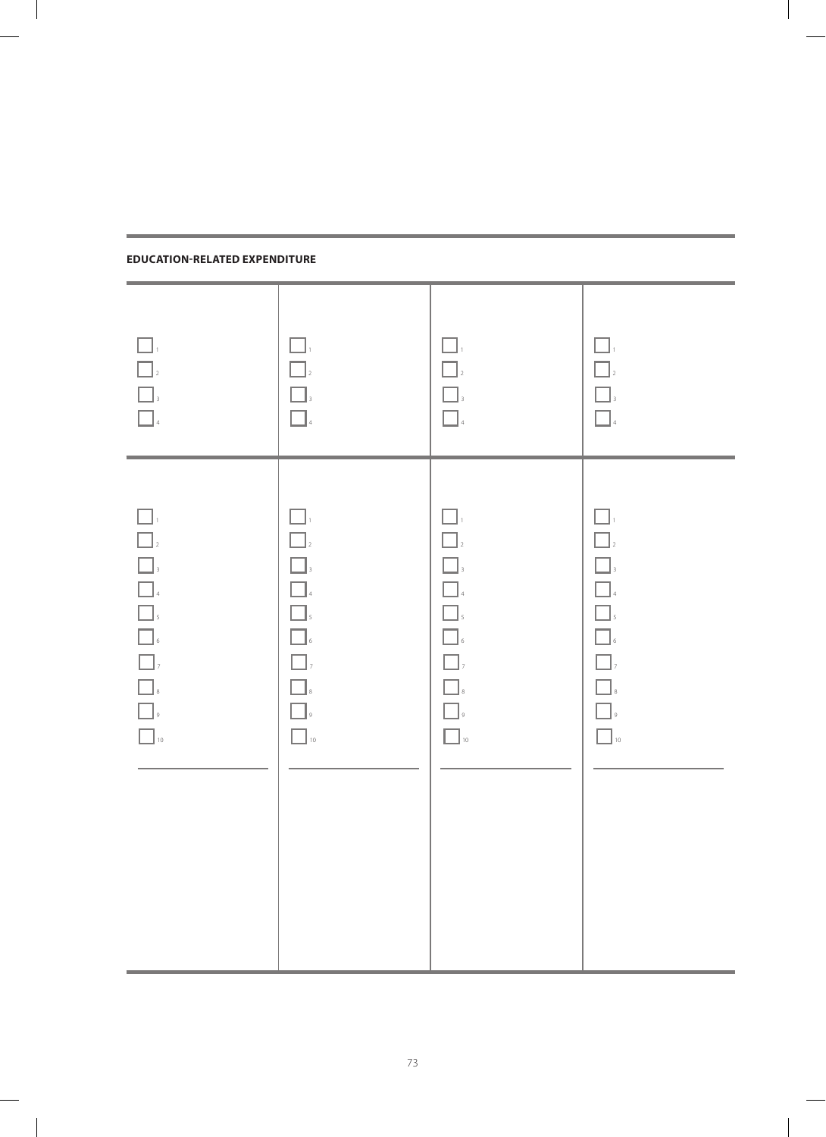| $\Box$<br><b>1</b><br>3<br>4                                                                                                                                                                                                                                                                                                                                                                                                                                        | $\Box$<br>$\Box$<br>$\Box_{\scriptscriptstyle{3}}$<br>$\Box_{\scriptscriptstyle{4}}$                                                                                                                             | $\square$ ,<br>$\Box$<br>$\boxed{\phantom{a}}$ ,<br>$\hfill\blacksquare$                                                                                                                                                             | $\Box$<br>$\hfill\Box_2$<br>$\begin{array}{ c c }\hline \rule{0pt}{12pt} \rule{0pt}{2.5pt} \rule{0pt}{2.5pt} \rule{0pt}{2.5pt} \rule{0pt}{2.5pt} \rule{0pt}{2.5pt} \rule{0pt}{2.5pt} \rule{0pt}{2.5pt} \rule{0pt}{2.5pt} \rule{0pt}{2.5pt} \rule{0pt}{2.5pt} \rule{0pt}{2.5pt} \rule{0pt}{2.5pt} \rule{0pt}{2.5pt} \rule{0pt}{2.5pt} \rule{0pt}{2.5pt} \rule{0pt}{2.5pt} \rule{0pt}{2.5pt} \rule{0pt}{2.5pt$ |
|---------------------------------------------------------------------------------------------------------------------------------------------------------------------------------------------------------------------------------------------------------------------------------------------------------------------------------------------------------------------------------------------------------------------------------------------------------------------|------------------------------------------------------------------------------------------------------------------------------------------------------------------------------------------------------------------|--------------------------------------------------------------------------------------------------------------------------------------------------------------------------------------------------------------------------------------|--------------------------------------------------------------------------------------------------------------------------------------------------------------------------------------------------------------------------------------------------------------------------------------------------------------------------------------------------------------------------------------------------------------|
| $\Box$<br>$\begin{array}{ c c c c }\hline \rule{0pt}{1ex}\rule{0pt}{1ex}\rule{0pt}{1ex}\rule{0pt}{1ex}\rule{0pt}{1ex}\rule{0pt}{1ex}\rule{0pt}{1ex}\rule{0pt}{1ex}\rule{0pt}{1ex}\rule{0pt}{1ex}\rule{0pt}{1ex}\rule{0pt}{1ex}\rule{0pt}{1ex}\rule{0pt}{1ex}\rule{0pt}{1ex}\rule{0pt}{1ex}\rule{0pt}{1ex}\rule{0pt}{1ex}\rule{0pt}{1ex}\rule{0pt}{1ex}\rule{0pt}{1ex}\rule{0pt}{1ex}\rule{0pt}{1ex}\rule{0pt}{1ex}\rule{0pt}{1ex}\rule{$<br>$\hfill\blacksquare$ 10 | $\Box$<br>$\Box$<br>$\Box$<br>$\Box_{\scriptscriptstyle{4}}$<br>$\boxed{\phantom{a}}$ ,<br>$\hfill\blacksquare$ $\hfill$<br>$\boxed{\phantom{a}}$ ,<br>$\Box_{\hbox{\tiny s}}$<br>$\Box$<br>$\Box$ <sub>10</sub> | $\Box$<br>$\Box$ <sub>2</sub><br>$\Box$<br>$\hfill \square$ $\hfill$<br>$\boxed{\phantom{15}\phantom{1}}_5$<br>$\hfill\blacksquare$ $\hfill$<br>$\Box$ ,<br>$\hfill\blacksquare$ $\hfill$<br>$\hfill\Box$<br>$\hfill\blacksquare$ 10 | $\Box$<br>$\hfill\Box$ $\hfill$<br><b>1</b><br><b>1</b><br>4<br>5<br>5<br>6<br>7<br>$\hfill\blacksquare$ $\sh$<br>$\Box$<br>$\Box$ <sub>10</sub>                                                                                                                                                                                                                                                             |

 $\overline{\phantom{a}}$ 

## **Education-related expenditure**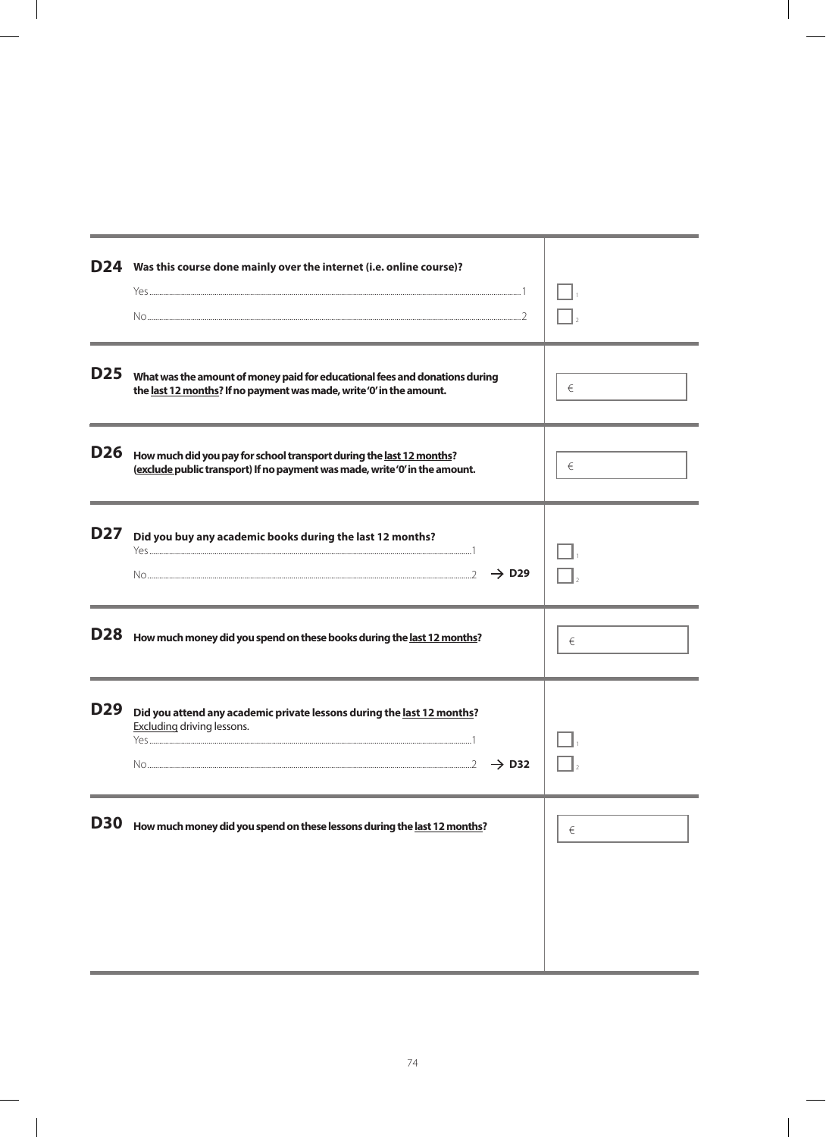|            | D24 Was this course done mainly over the internet (i.e. online course)?                                                                             |   |
|------------|-----------------------------------------------------------------------------------------------------------------------------------------------------|---|
| <b>D25</b> | What was the amount of money paid for educational fees and donations during<br>the last 12 months? If no payment was made, write'0' in the amount.  | € |
| D26        | How much did you pay for school transport during the last 12 months?<br>(exclude public transport) If no payment was made, write 'O' in the amount. | € |
| <b>D27</b> | Did you buy any academic books during the last 12 months?<br>$\rightarrow$ D <sub>29</sub>                                                          |   |
| <b>D28</b> | How much money did you spend on these books during the last 12 months?                                                                              | € |
| D29        | Did you attend any academic private lessons during the last 12 months?<br>Excluding driving lessons.<br>$\rightarrow$ D32                           |   |
| <b>D30</b> | How much money did you spend on these lessons during the last 12 months?                                                                            | € |
|            |                                                                                                                                                     |   |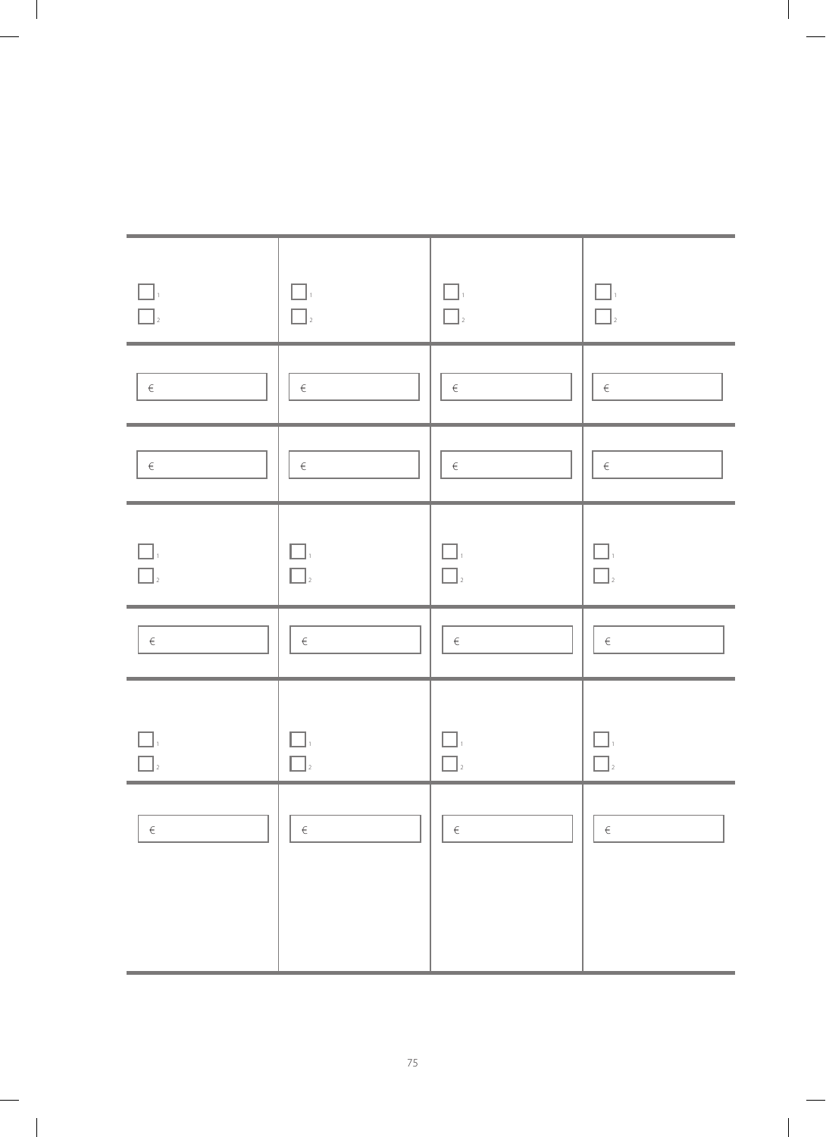| $\Box$<br>$\Box$ | $\Box$<br>$\Box$  | $\Box$<br>$\Box$ | $\Box_{\scriptscriptstyle{1}}$<br>$\Box$ |
|------------------|-------------------|------------------|------------------------------------------|
| $\in$            | $\in$             | $\in$            | $\in$                                    |
| $\in$            | $\in$             | $\in$            | $\in$                                    |
| П.<br>$\Box$     | $\Box.$<br>$\Box$ | $\Box$<br>$\Box$ | П<br>$\Box$                              |
| $\in$            | $\in$             | $\in$            | $\in$                                    |
|                  | $\Box$            |                  | $\Box$                                   |
| $\in$            | $\in$             | $\in$            | $\in$                                    |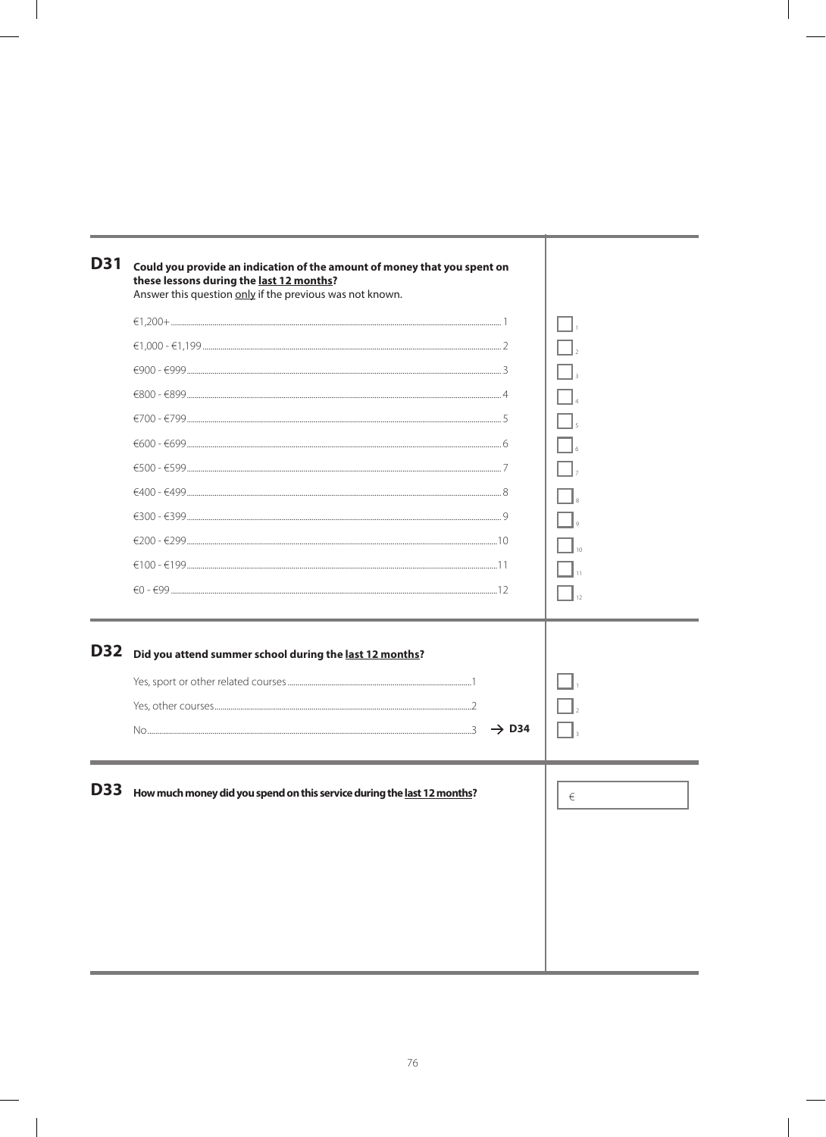| <b>D31</b> | Could you provide an indication of the amount of money that you spent on<br>these lessons during the last 12 months?<br>Answer this question only if the previous was not known. |   |
|------------|----------------------------------------------------------------------------------------------------------------------------------------------------------------------------------|---|
|            |                                                                                                                                                                                  |   |
|            |                                                                                                                                                                                  |   |
|            |                                                                                                                                                                                  |   |
|            |                                                                                                                                                                                  |   |
|            |                                                                                                                                                                                  |   |
|            |                                                                                                                                                                                  |   |
|            | $€500 - €599$                                                                                                                                                                    |   |
|            |                                                                                                                                                                                  |   |
|            |                                                                                                                                                                                  |   |
|            |                                                                                                                                                                                  |   |
|            |                                                                                                                                                                                  |   |
|            |                                                                                                                                                                                  |   |
|            |                                                                                                                                                                                  |   |
| <b>D32</b> | Did you attend summer school during the last 12 months?                                                                                                                          |   |
|            |                                                                                                                                                                                  |   |
|            |                                                                                                                                                                                  |   |
|            | $\rightarrow$ D34                                                                                                                                                                |   |
|            |                                                                                                                                                                                  |   |
| <b>D33</b> | How much money did you spend on this service during the last 12 months?                                                                                                          | € |
|            |                                                                                                                                                                                  |   |
|            |                                                                                                                                                                                  |   |
|            |                                                                                                                                                                                  |   |
|            |                                                                                                                                                                                  |   |
|            |                                                                                                                                                                                  |   |
|            |                                                                                                                                                                                  |   |
|            |                                                                                                                                                                                  |   |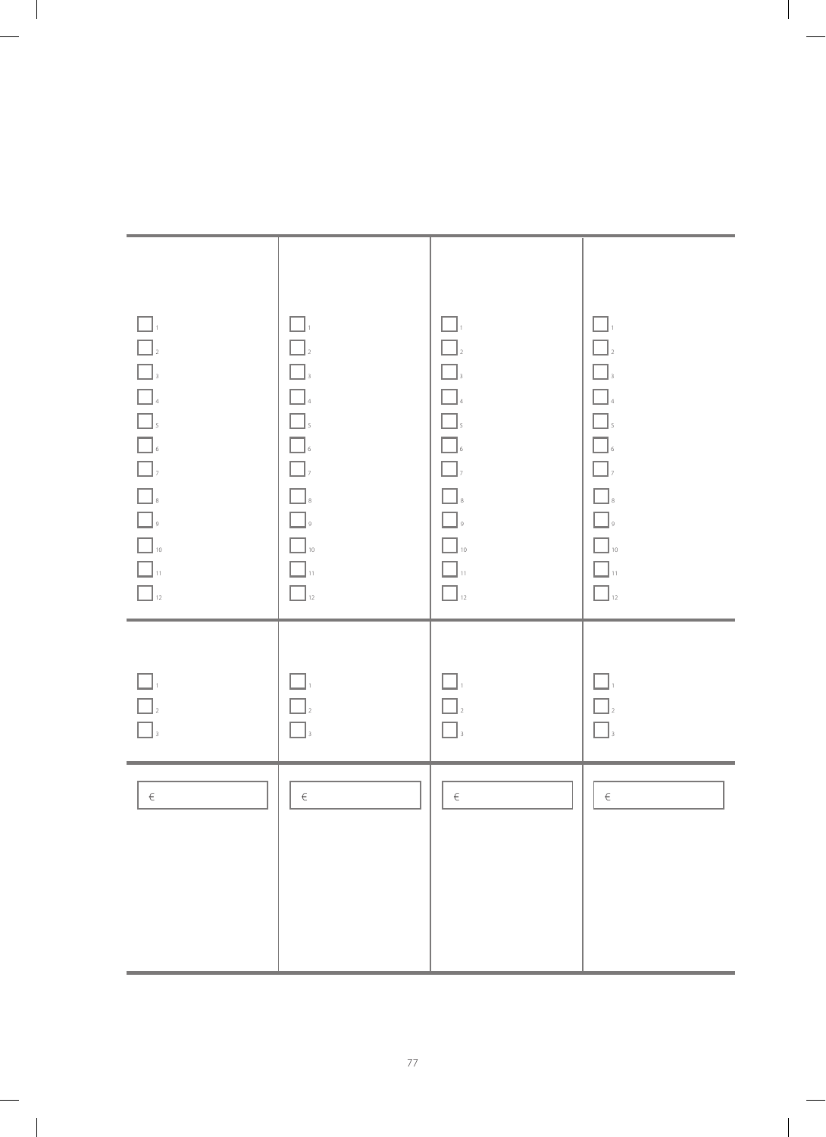| $\Box$<br>$\begin{array}{ c c c }\hline \quad \quad & \quad \quad & \quad \quad & \quad \quad \\ \hline \quad \quad & \quad \quad & \quad \quad & \quad \quad \\ \hline \quad \quad & \quad \quad & \quad \quad & \quad \quad \\ \hline \quad \quad & \quad \quad & \quad \quad & \quad \quad \\ \hline \quad \quad & \quad \quad & \quad \quad & \quad \quad \\ \hline \quad \quad & \quad \quad & \quad \quad & \quad \quad \\ \hline \quad \quad & \quad \quad & \quad \quad & \quad \quad \\ \hline \quad \quad & \quad \quad & \quad \quad & \quad \quad \\ \hline \quad \quad & \quad \quad & \quad \quad & \quad \quad \\ \$<br>10<br>11<br>12<br>12 | $\Box$<br>$\Box$<br>$\boxed{\phantom{a}}$ ,<br>$\Box$ 4<br>$\boxed{\phantom{a}}$ ,<br>$\hfill\blacksquare$ $\hfill$<br>$\Box$<br>$\Box$<br>$\Box$<br>$\Box$ 10<br>$\Box$ $\mathfrak{n}$<br>$\Box$ <sub>12</sub> | $\Box$<br>$\boxed{\phantom{a}}_2$<br>$\boxed{\phantom{a}}$ ,<br>$\hfill\blacksquare$<br>$\Box$<br>$\hfill\blacksquare$ $\hfill$<br>$\boxed{\phantom{a}}$ ,<br>$\hfill\blacksquare$<br>$\hfill\blacksquare$<br>$\hfill\Box$ 10<br>$\Box$ $\shortparallel$<br>$\boxed{\phantom{a}}_{12}$ | $\Box$<br>$\hfill\Box$ $\hfill$<br>$\Box$<br><b>1</b><br>4<br>5<br>5<br>6<br>6<br>$\Box$<br>$\hfill\Box$<br>$\hfill\blacksquare$ 10<br>$\Box$ $\shortparallel$<br>$\Box$ 12 |
|-------------------------------------------------------------------------------------------------------------------------------------------------------------------------------------------------------------------------------------------------------------------------------------------------------------------------------------------------------------------------------------------------------------------------------------------------------------------------------------------------------------------------------------------------------------------------------------------------------------------------------------------------------------|-----------------------------------------------------------------------------------------------------------------------------------------------------------------------------------------------------------------|----------------------------------------------------------------------------------------------------------------------------------------------------------------------------------------------------------------------------------------------------------------------------------------|-----------------------------------------------------------------------------------------------------------------------------------------------------------------------------|
| $\Box$<br>$\begin{array}{ c c }\hline \rule{0pt}{16pt} \rule{0pt}{2.5pt} \rule{0pt}{2.5pt} \rule{0pt}{2.5pt} \rule{0pt}{2.5pt} \rule{0pt}{2.5pt} \rule{0pt}{2.5pt} \rule{0pt}{2.5pt} \rule{0pt}{2.5pt} \rule{0pt}{2.5pt} \rule{0pt}{2.5pt} \rule{0pt}{2.5pt} \rule{0pt}{2.5pt} \rule{0pt}{2.5pt} \rule{0pt}{2.5pt} \rule{0pt}{2.5pt} \rule{0pt}{2.5pt} \rule{0pt}{2.5pt} \rule{0pt}{2.5pt$                                                                                                                                                                                                                                                                  | $\Box$<br>$\Box$<br>$\Box$                                                                                                                                                                                      | $\Box$<br>$\boxed{\phantom{a}}_2$<br>$\boxed{\phantom{a}}$ ,                                                                                                                                                                                                                           | $\Box$<br>$\hfill\Box$ $\hfill$<br>$\begin{array}{ c } \hline \end{array}$ ,                                                                                                |
| $\in$                                                                                                                                                                                                                                                                                                                                                                                                                                                                                                                                                                                                                                                       | $\in$                                                                                                                                                                                                           | $\in$                                                                                                                                                                                                                                                                                  | $\in$                                                                                                                                                                       |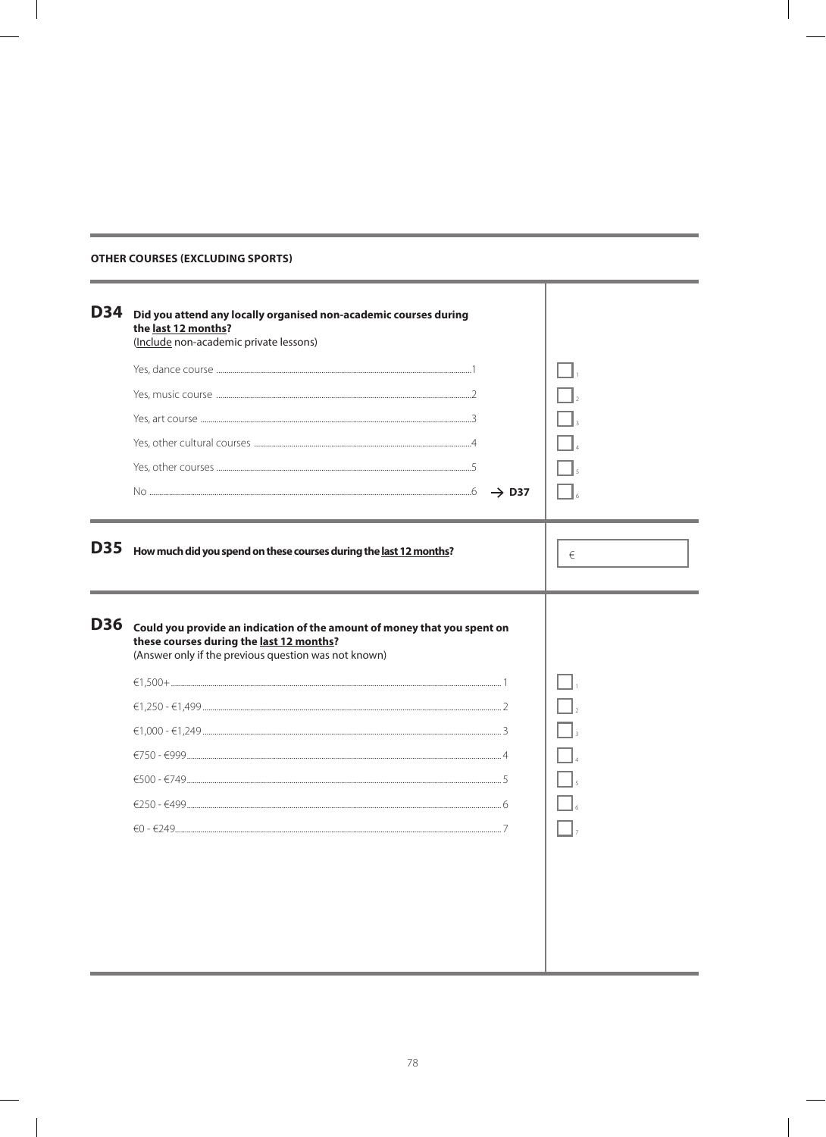| <b>D34</b> | Did you attend any locally organised non-academic courses during<br>the last 12 months?<br>(Include non-academic private lessons)                                            |   |
|------------|------------------------------------------------------------------------------------------------------------------------------------------------------------------------------|---|
|            |                                                                                                                                                                              |   |
|            |                                                                                                                                                                              |   |
|            |                                                                                                                                                                              |   |
|            |                                                                                                                                                                              |   |
|            |                                                                                                                                                                              |   |
|            |                                                                                                                                                                              |   |
| <b>D35</b> | How much did you spend on these courses during the last 12 months?                                                                                                           | € |
| <b>D36</b> | Could you provide an indication of the amount of money that you spent on<br>these courses during the last 12 months?<br>(Answer only if the previous question was not known) |   |
|            |                                                                                                                                                                              |   |
|            |                                                                                                                                                                              |   |
|            |                                                                                                                                                                              |   |
|            |                                                                                                                                                                              |   |
|            |                                                                                                                                                                              |   |
|            |                                                                                                                                                                              |   |
|            |                                                                                                                                                                              |   |
|            |                                                                                                                                                                              |   |
|            |                                                                                                                                                                              |   |
|            |                                                                                                                                                                              |   |
|            |                                                                                                                                                                              |   |
|            |                                                                                                                                                                              |   |

### **OTHER COURSES (EXCLUDING SPORTS)**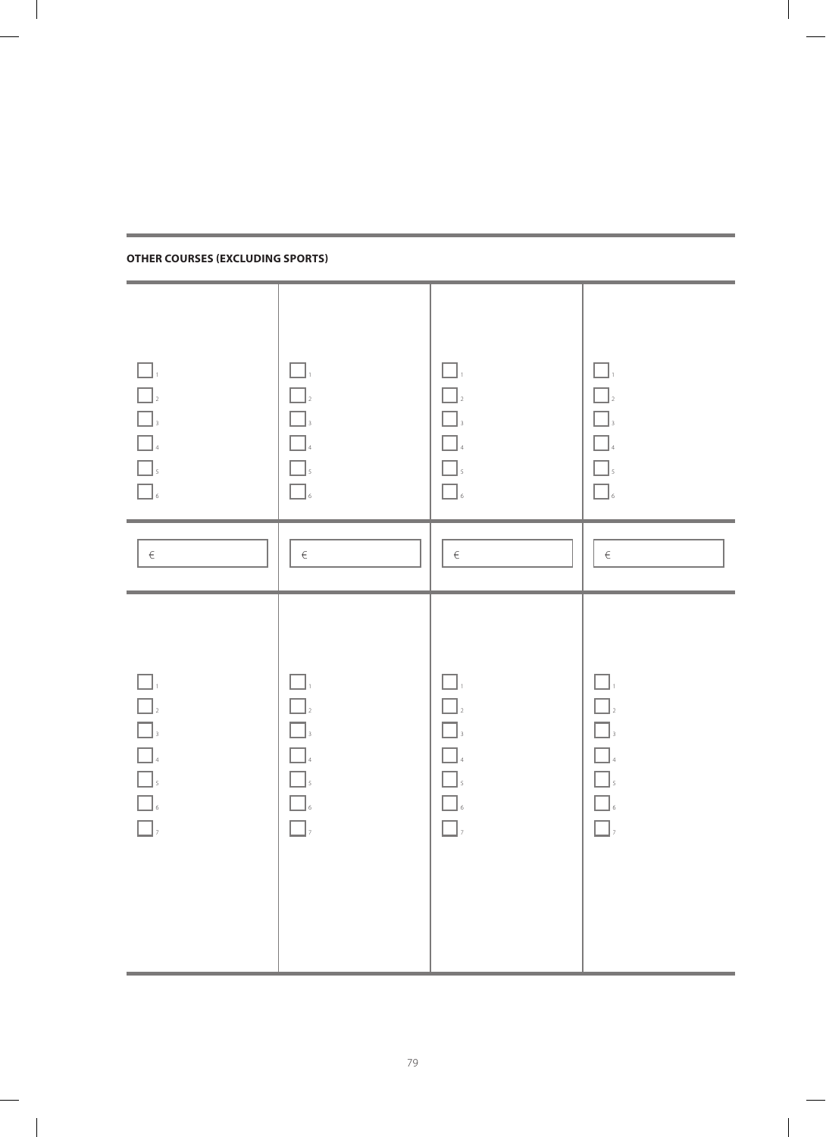| $\square$<br><b>1</b><br>3<br>3<br>4<br>5<br>6<br>6                                                                 | $\Box.$<br>$\Box$<br>$\Box$<br>$\Box$<br>$\Box$<br>$\Box$                | $\square$ ,<br>$\Box$<br>$\Box$<br>$\Box$<br>$\Box$<br>$\Box$                | $\Box$<br>$\boxed{\phantom{a}}_2$<br>$\Box_{\scriptscriptstyle 3}$<br>$\hfill \square$ $\hfill$<br>$\hfill\blacksquare$ $\hfill$<br>$\Box_{\mbox{\tiny{6}}}$ |
|---------------------------------------------------------------------------------------------------------------------|--------------------------------------------------------------------------|------------------------------------------------------------------------------|--------------------------------------------------------------------------------------------------------------------------------------------------------------|
| $\in$                                                                                                               | $\in$                                                                    | $\in$                                                                        | $\in$                                                                                                                                                        |
| $\Box$<br>$\boxed{\phantom{a}}_2$<br><b>1</b><br>3<br>3<br>4<br>5<br>5<br>$\hfill\blacksquare$ $\hfill$<br>$\Box$ , | $\Box$<br>$\Box$<br>$\Box$<br>$\Box$<br>$\Box$ ,<br>$\hfill\blacksquare$ | $\Box_{1}$<br>$\Box$<br>$\Box_{3}$<br>$\Box$<br>$\Box$<br>$\Box$<br>$\Box$ , | $\Box$<br>$\Box$<br>$\Box$<br>$\hfill\blacksquare$<br>4<br>$\Box$<br>$\hfill\blacksquare$ $\hfill$<br>$\Box$ ,                                               |

**Other courses (EXCLUDING sports)**

m.

 $\overline{\phantom{a}}$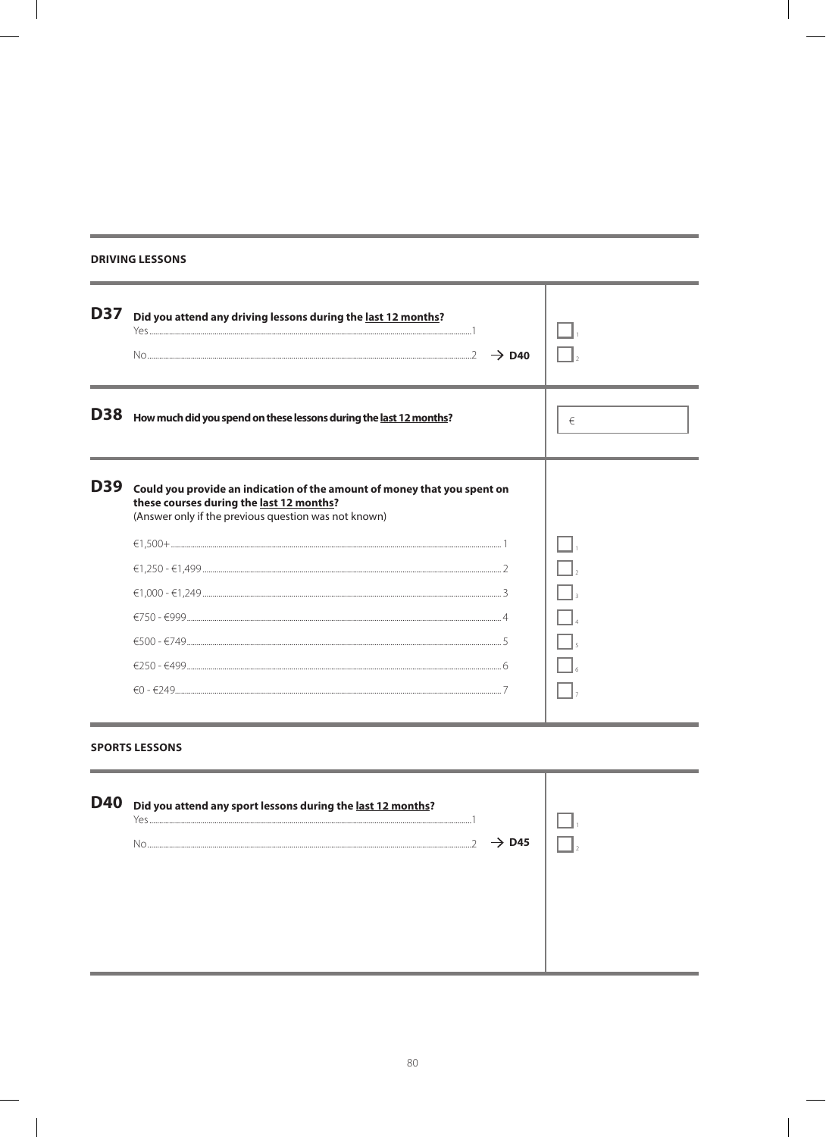### **DRIVING LESSONS**

Ē.

| <b>D37</b> | Did you attend any driving lessons during the last 12 months?<br>No $\sim$ 2 $\rightarrow$ D40                                                                               |   |
|------------|------------------------------------------------------------------------------------------------------------------------------------------------------------------------------|---|
| <b>D38</b> | How much did you spend on these lessons during the last 12 months?                                                                                                           | € |
| <b>D39</b> | Could you provide an indication of the amount of money that you spent on<br>these courses during the last 12 months?<br>(Answer only if the previous question was not known) |   |
|            |                                                                                                                                                                              |   |
|            |                                                                                                                                                                              |   |
|            |                                                                                                                                                                              |   |
|            |                                                                                                                                                                              |   |
|            |                                                                                                                                                                              |   |
|            |                                                                                                                                                                              |   |
|            |                                                                                                                                                                              |   |

## **SPORTS LESSONS**

Î.

| D40 Did you attend any sport lessons during the <u>last 12 months</u> ?<br>Yes. |  |
|---------------------------------------------------------------------------------|--|
| $\rightarrow$ D45<br>Nο                                                         |  |
|                                                                                 |  |
|                                                                                 |  |
|                                                                                 |  |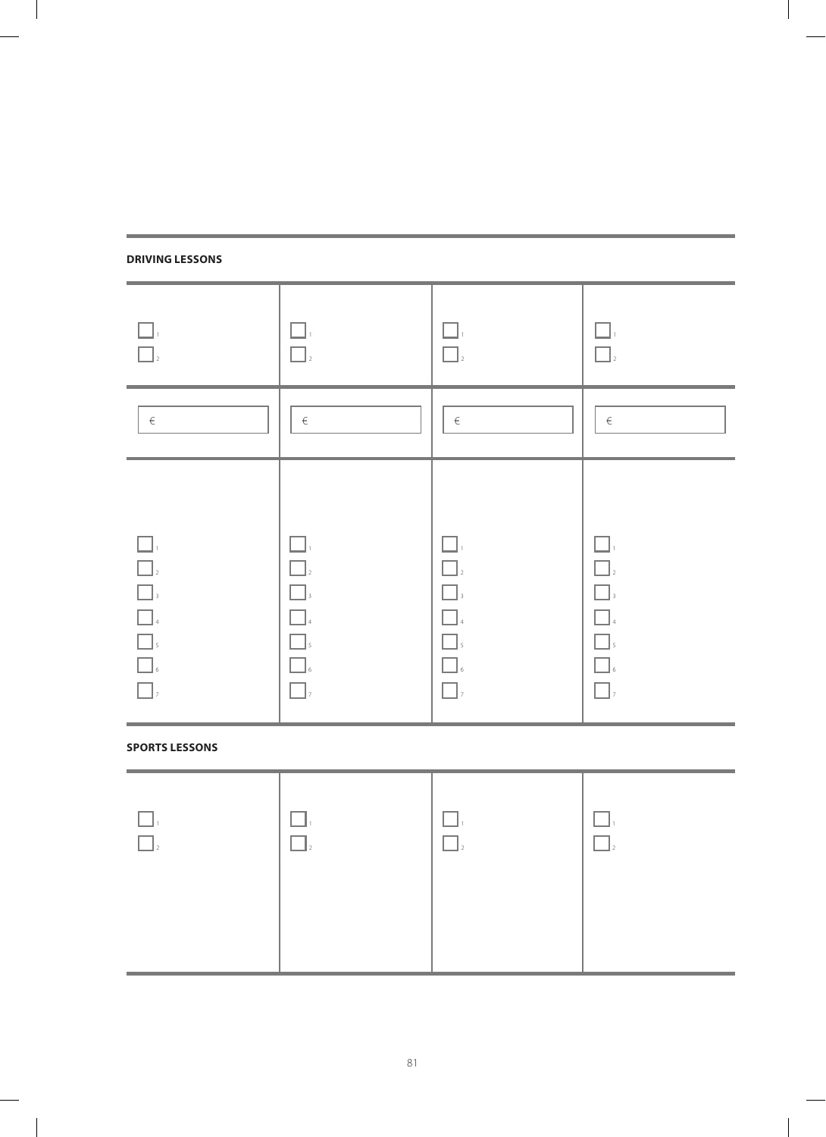## **Driving lessons**

 $\overline{\phantom{a}}$ 

| $\square$<br>$\Box$ <sub>2</sub>                                                  | $\Box$                                                               | $\Box.$<br>$\square$                                                   | $\Box.$<br>$\Box$                                              |
|-----------------------------------------------------------------------------------|----------------------------------------------------------------------|------------------------------------------------------------------------|----------------------------------------------------------------|
| $\in$                                                                             | $\in$                                                                | $\in$                                                                  | $\in$                                                          |
| $\Box$<br>$\Box$ <sub>2</sub><br>$\Box$<br>$\Box$<br>$\Box$<br>$\Box$<br>$\Box$ , | $\Box$<br>$\Box$<br>$\Box$<br>$\Box$<br>$\Box$<br>$\Box$<br>$\Box$ , | $\Box$ ,<br>$\Box$<br>$\Box$<br>$\Box$<br>$\Box$<br>$\Box$<br>$\Box$ , | $\Box$<br>$\Box$ ,<br>$\Box$<br>$\Box$ ,<br>$\Box$<br>$\Box$ , |

 $\overline{\phantom{a}}$ 

## **Sports lessons**

 $\begin{array}{c} \hline \end{array}$ 

| $\Box$ | $-$<br>__ | ___<br>$\Box$ | <b>Contract Contract</b> |
|--------|-----------|---------------|--------------------------|
|        |           |               |                          |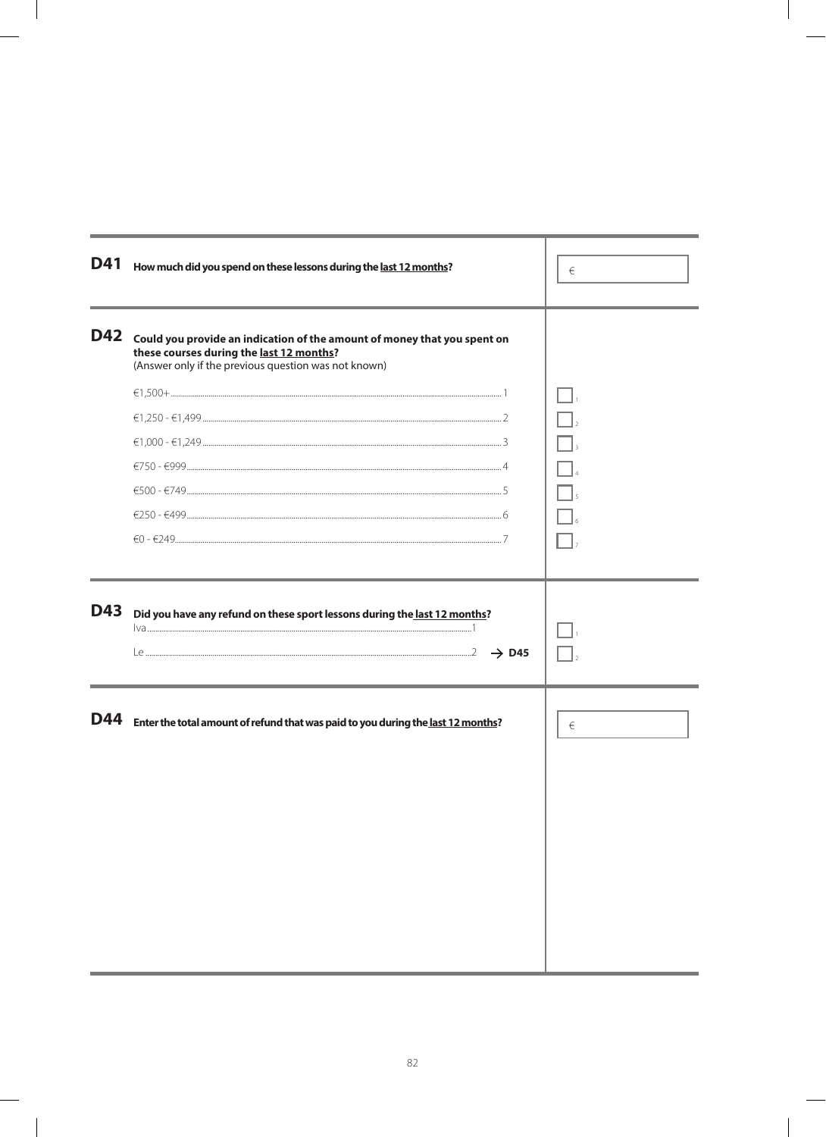| <b>D41</b> | How much did you spend on these lessons during the last 12 months?                                                                                                           | €     |
|------------|------------------------------------------------------------------------------------------------------------------------------------------------------------------------------|-------|
| D42        | Could you provide an indication of the amount of money that you spent on<br>these courses during the last 12 months?<br>(Answer only if the previous question was not known) |       |
|            |                                                                                                                                                                              |       |
|            |                                                                                                                                                                              |       |
|            |                                                                                                                                                                              |       |
|            | $€750 - €999122$                                                                                                                                                             |       |
|            |                                                                                                                                                                              |       |
|            |                                                                                                                                                                              |       |
|            |                                                                                                                                                                              |       |
| <b>D43</b> | Did you have any refund on these sport lessons during the last 12 months?                                                                                                    |       |
| D44        | Enter the total amount of refund that was paid to you during the last 12 months?                                                                                             | $\in$ |
|            |                                                                                                                                                                              |       |
|            |                                                                                                                                                                              |       |
|            |                                                                                                                                                                              |       |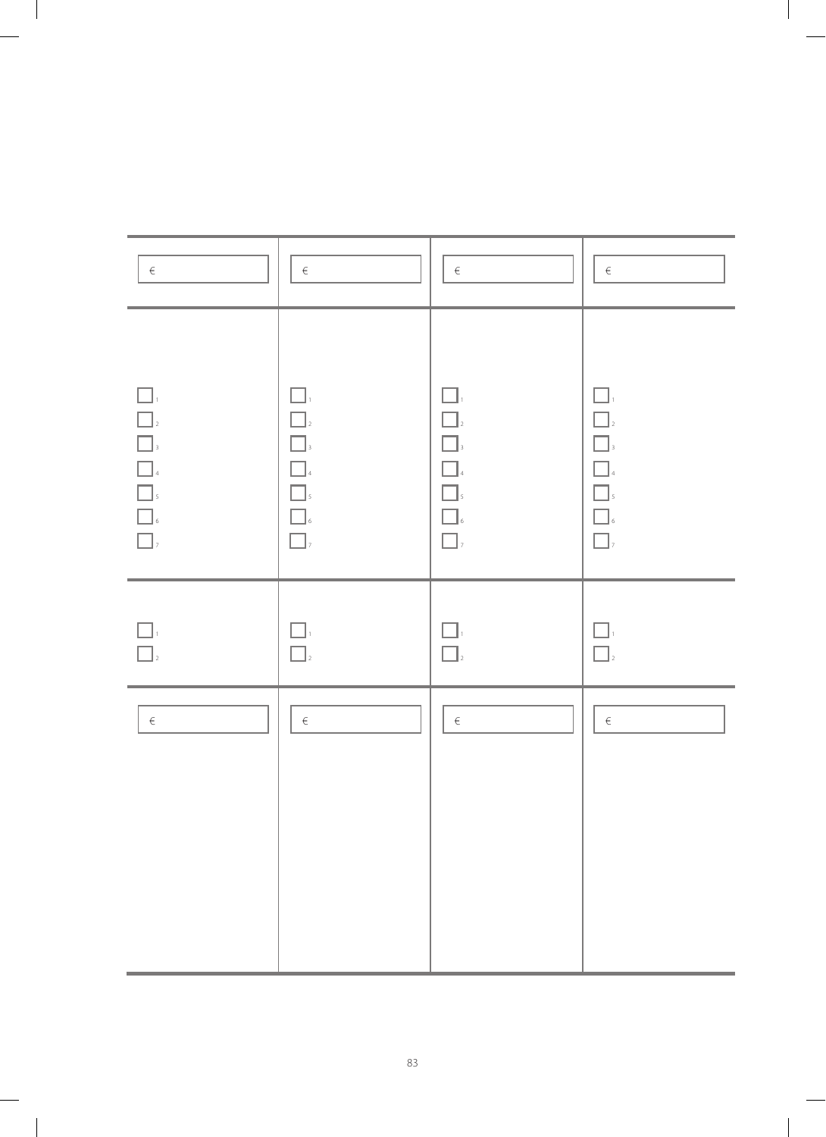| $\in$                                                                                                                                                                                                                                                                                                                                                                                              | $\in$                                                                                  | $\in$                                                                     | $\in$                                                                             |
|----------------------------------------------------------------------------------------------------------------------------------------------------------------------------------------------------------------------------------------------------------------------------------------------------------------------------------------------------------------------------------------------------|----------------------------------------------------------------------------------------|---------------------------------------------------------------------------|-----------------------------------------------------------------------------------|
| $\Box$<br>$\Box$<br><b>1</b><br>3<br>4<br>5<br>$\begin{array}{ c } \hline \rule{0.2cm}{0.15mm} \rule{0.2cm}{0.15mm} \rule{0.2cm}{0.15mm} \rule{0.2cm}{0.15mm} \rule{0.2cm}{0.15mm} \rule{0.2cm}{0.15mm} \rule{0.2cm}{0.15mm} \rule{0.2cm}{0.15mm} \rule{0.2cm}{0.15mm} \rule{0.2cm}{0.15mm} \rule{0.2cm}{0.15mm} \rule{0.2cm}{0.15mm} \rule{0.2cm}{0.15mm} \rule{0.2cm}{0.15mm} \rule{0.2cm}{0.15$ | $\Box$<br>$\Box$ <sub>2</sub><br>$\Box$<br>$\Box$<br>$\Box$<br>,<br>$\Box$<br>$\Box$ , | $\square$ ,<br>$\Box$<br>$\Box$<br>$\Box$<br>$\Box$<br>$\Box$<br>$\Box$ , | $\Box$<br>$\Box$ <sub>2</sub><br>$\Box$<br>$\Box$<br>$\Box$<br>$\Box$<br>$\Box$ , |
| $\Box$<br>$\Box$ <sub>2</sub>                                                                                                                                                                                                                                                                                                                                                                      | $\Box$<br>$\Box$ <sub>2</sub>                                                          | $\Box_{^{i}}$<br>$\Box$                                                   | $\Box$<br>$\Box$ <sub>2</sub>                                                     |
| $\in$                                                                                                                                                                                                                                                                                                                                                                                              | $\in$                                                                                  | $\in$                                                                     | $\in$                                                                             |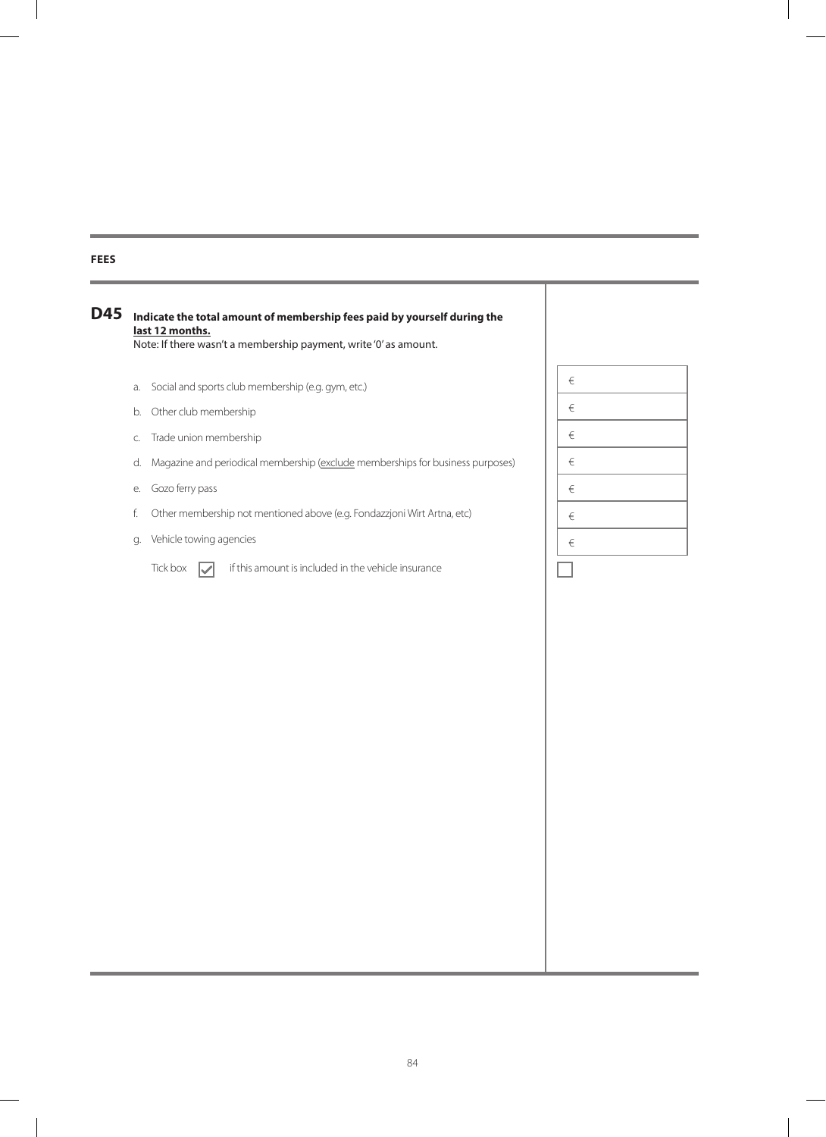### **Fees**

### **Indicate the total amount of membership fees paid by yourself during the D45 last 12 months.** Note: If there wasn't a membership payment, write '0' as amount.

- a. Social and sports club membership (e.g. gym, etc.)
- b. Other club membership
- c. Trade union membership
- d. Magazine and periodical membership (exclude memberships for business purposes)
- e. Gozo ferry pass
- f. Other membership not mentioned above (e.g. Fondazzjoni Wirt Artna, etc)
- g. Vehicle towing agencies

Tick box  $\boxed{\checkmark}$  if this amount is included in the vehicle insurance

| $\in$ |  |
|-------|--|
| $\in$ |  |
| $\in$ |  |
| $\in$ |  |
| €     |  |
| €     |  |
| $\in$ |  |
|       |  |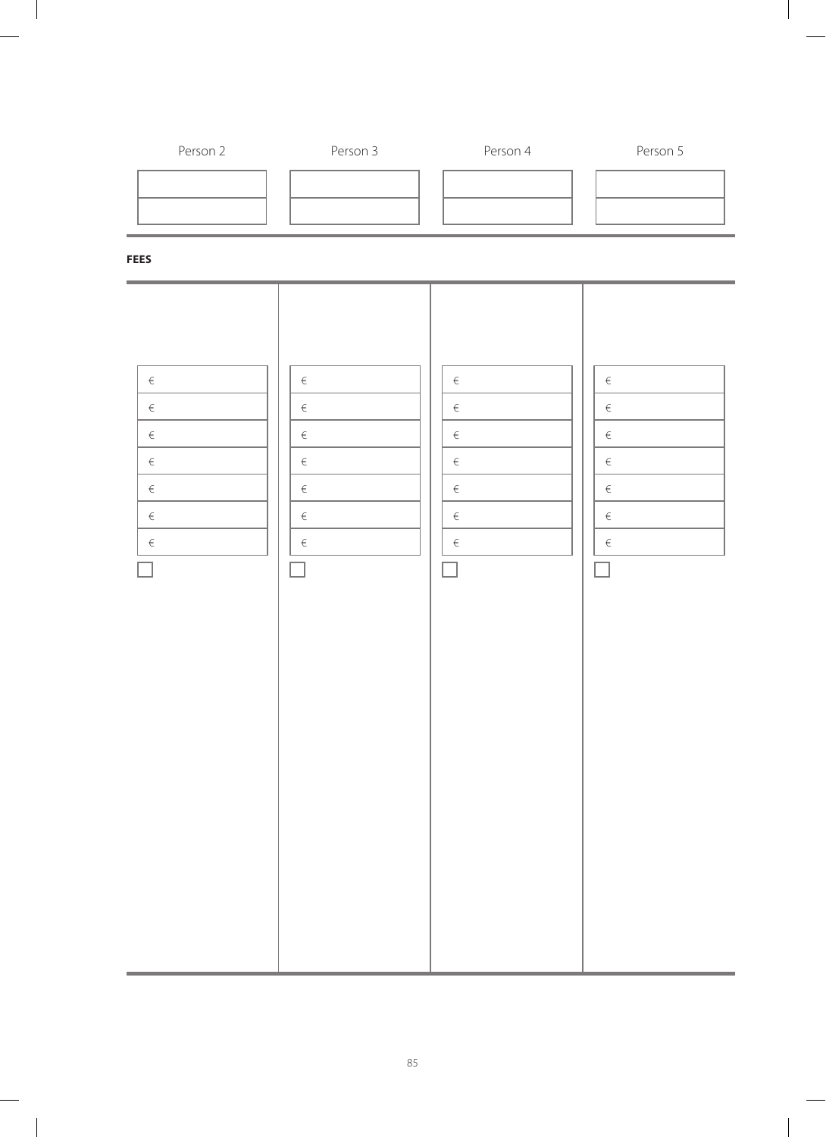

85

 $\overline{\phantom{a}}$ 

 $\sim$  1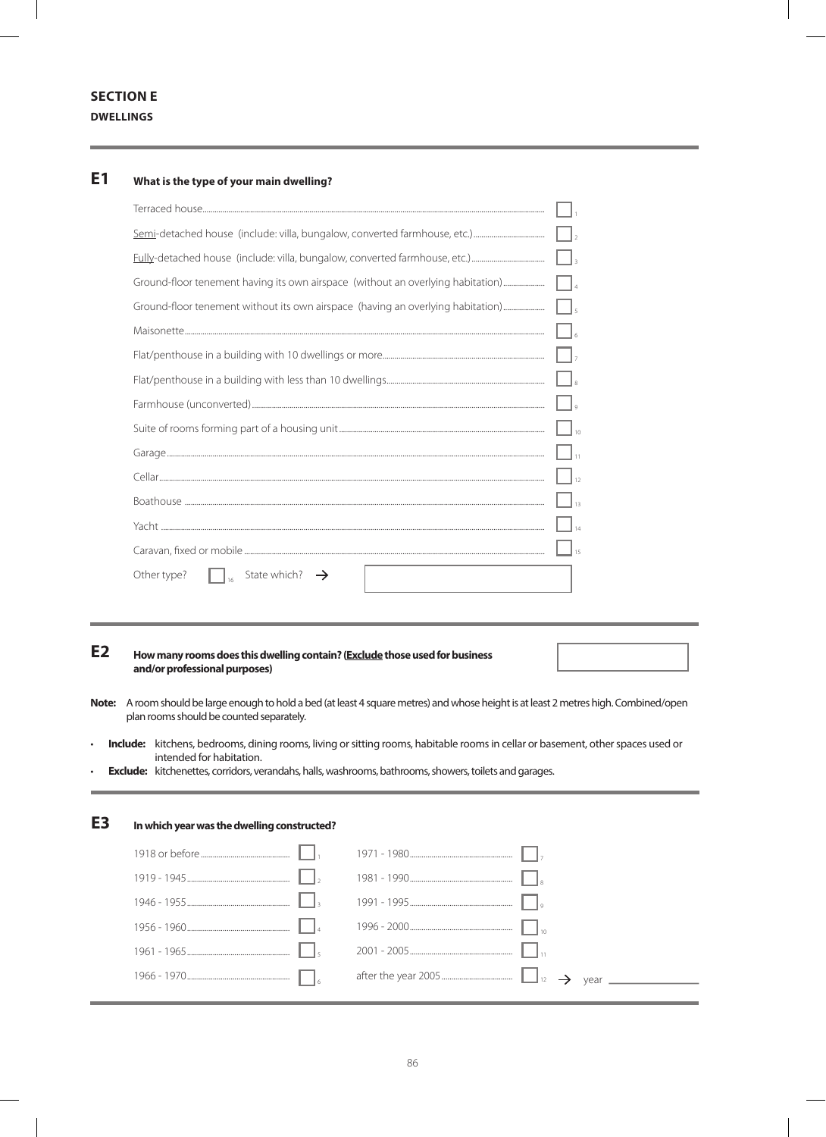## **SECTION E DWELLINGS**

#### **What is the type of your main dwelling? E1**

|                                                                                 | $\vert \vert$        |
|---------------------------------------------------------------------------------|----------------------|
|                                                                                 | $\Box$               |
| Ground-floor tenement having its own airspace (without an overlying habitation) | $\Box$               |
| Ground-floor tenement without its own airspace (having an overlying habitation) | $\Box$               |
|                                                                                 | $\Box$               |
|                                                                                 |                      |
|                                                                                 | $\Box$ $\sub$        |
|                                                                                 | $\Box$               |
|                                                                                 | $\Box$ <sub>10</sub> |
|                                                                                 | $\Box$ 11            |
|                                                                                 | $\frac{1}{12}$       |
|                                                                                 | $\Box$ 13            |
|                                                                                 | $\mathbb{I}_{14}$    |
|                                                                                 | 15                   |
| State which?<br>Other type?                                                     |                      |

#### **How many rooms does this dwelling contain? (Exclude those used for business and/or professional purposes) E2**

- A room should be large enough to hold a bed (at least 4 square metres) and whose height is at least 2 metres high. Combined/open **Note:** plan rooms should be counted separately.
- **Include:** kitchens, bedrooms, dining rooms, living or sitting rooms, habitable rooms in cellar or basement, other spaces used or intended for habitation.
- **Exclude:** kitchenettes, corridors, verandahs, halls, washrooms, bathrooms, showers, toilets and garages.

| ЕB | In which year was the dwelling constructed? |  |  |
|----|---------------------------------------------|--|--|
|    |                                             |  |  |
|    |                                             |  |  |
|    |                                             |  |  |
|    |                                             |  |  |
|    |                                             |  |  |
|    |                                             |  |  |
|    |                                             |  |  |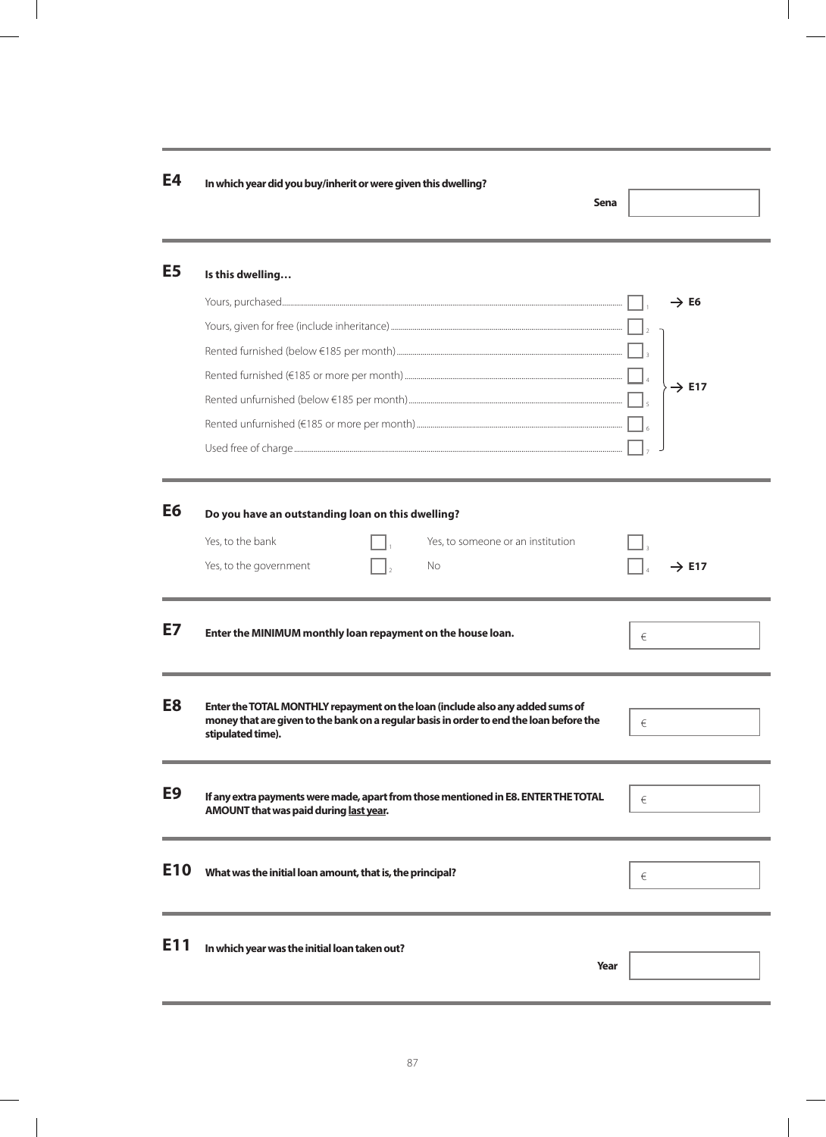| E4              | In which year did you buy/inherit or were given this dwelling?<br>Sena                                                                                                                        |                   |
|-----------------|-----------------------------------------------------------------------------------------------------------------------------------------------------------------------------------------------|-------------------|
| E <sub>5</sub>  | Is this dwelling                                                                                                                                                                              |                   |
|                 |                                                                                                                                                                                               | $\rightarrow$ E6  |
|                 |                                                                                                                                                                                               |                   |
|                 |                                                                                                                                                                                               |                   |
|                 |                                                                                                                                                                                               |                   |
|                 |                                                                                                                                                                                               | $\rightarrow$ E17 |
|                 |                                                                                                                                                                                               |                   |
|                 |                                                                                                                                                                                               |                   |
| E6              | Do you have an outstanding loan on this dwelling?                                                                                                                                             |                   |
|                 | Yes, to the bank<br>Yes, to someone or an institution                                                                                                                                         |                   |
|                 | Yes, to the government<br>No                                                                                                                                                                  | $\rightarrow$ E17 |
| E7              | Enter the MINIMUM monthly loan repayment on the house loan.                                                                                                                                   | €                 |
| E8              | Enter the TOTAL MONTHLY repayment on the loan (include also any added sums of<br>money that are given to the bank on a regular basis in order to end the loan before the<br>stipulated time). | $\in$             |
| E9              | If any extra payments were made, apart from those mentioned in E8. ENTER THE TOTAL<br>AMOUNT that was paid during last year.                                                                  | €                 |
| E <sub>10</sub> | What was the initial loan amount, that is, the principal?                                                                                                                                     | €                 |
|                 |                                                                                                                                                                                               |                   |
| E11             | In which year was the initial loan taken out?<br>Year                                                                                                                                         |                   |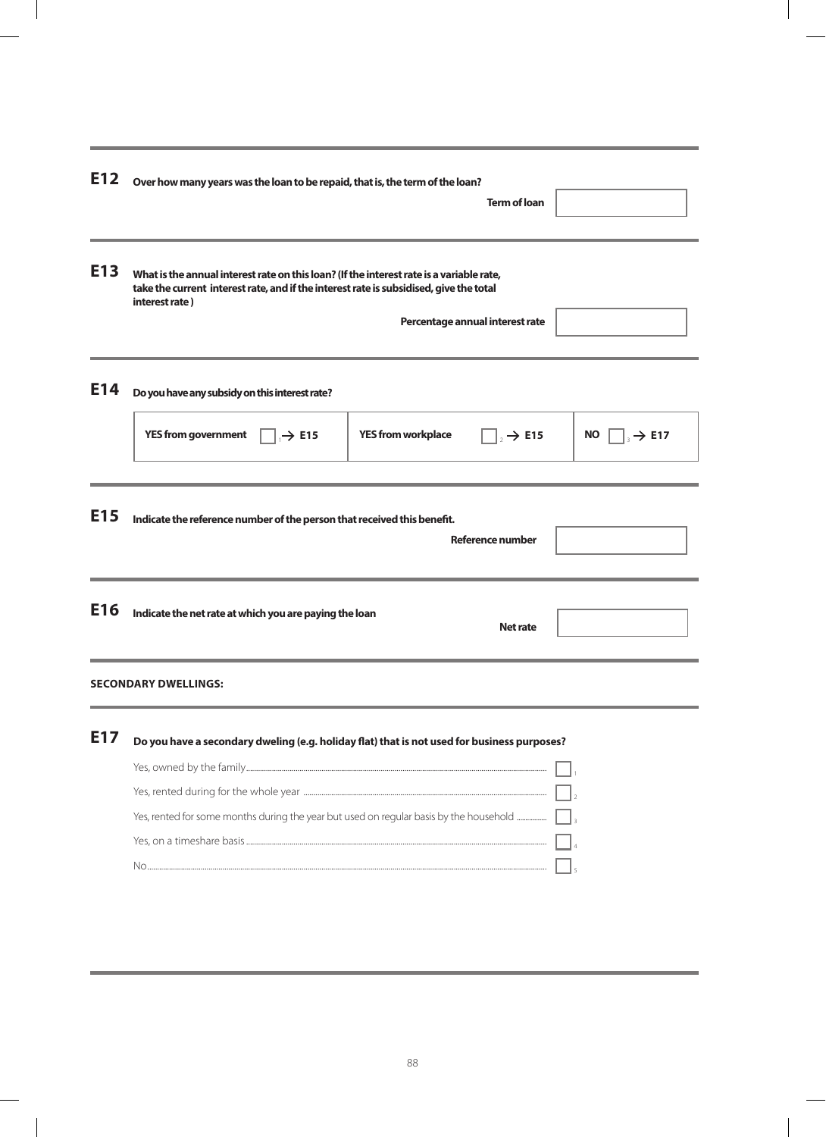| E12             | Over how many years was the loan to be repaid, that is, the term of the loan?                                                                                                                        |                           | <b>Term of loan</b>             |                                |
|-----------------|------------------------------------------------------------------------------------------------------------------------------------------------------------------------------------------------------|---------------------------|---------------------------------|--------------------------------|
| E <sub>13</sub> | What is the annual interest rate on this loan? (If the interest rate is a variable rate,<br>take the current interest rate, and if the interest rate is subsidised, give the total<br>interest rate) |                           | Percentage annual interest rate |                                |
| E14             | Do you have any subsidy on this interest rate?                                                                                                                                                       |                           |                                 |                                |
|                 | <b>YES from government</b><br>$\rightarrow$ E15                                                                                                                                                      | <b>YES from workplace</b> | $\Rightarrow$ E15               | $\rightarrow$ E17<br><b>NO</b> |
|                 |                                                                                                                                                                                                      |                           |                                 |                                |
| E <sub>15</sub> | Indicate the reference number of the person that received this benefit.                                                                                                                              |                           | Reference number                |                                |
| E16             | Indicate the net rate at which you are paying the loan                                                                                                                                               |                           | <b>Net rate</b>                 |                                |
|                 | <b>SECONDARY DWELLINGS:</b>                                                                                                                                                                          |                           |                                 |                                |
| E17             | Do you have a secondary dweling (e.g. holiday flat) that is not used for business purposes?                                                                                                          |                           |                                 |                                |
|                 |                                                                                                                                                                                                      |                           |                                 |                                |
|                 |                                                                                                                                                                                                      |                           |                                 |                                |
|                 | Yes, rented for some months during the year but used on regular basis by the household                                                                                                               |                           |                                 |                                |
|                 |                                                                                                                                                                                                      |                           |                                 |                                |
|                 |                                                                                                                                                                                                      |                           |                                 |                                |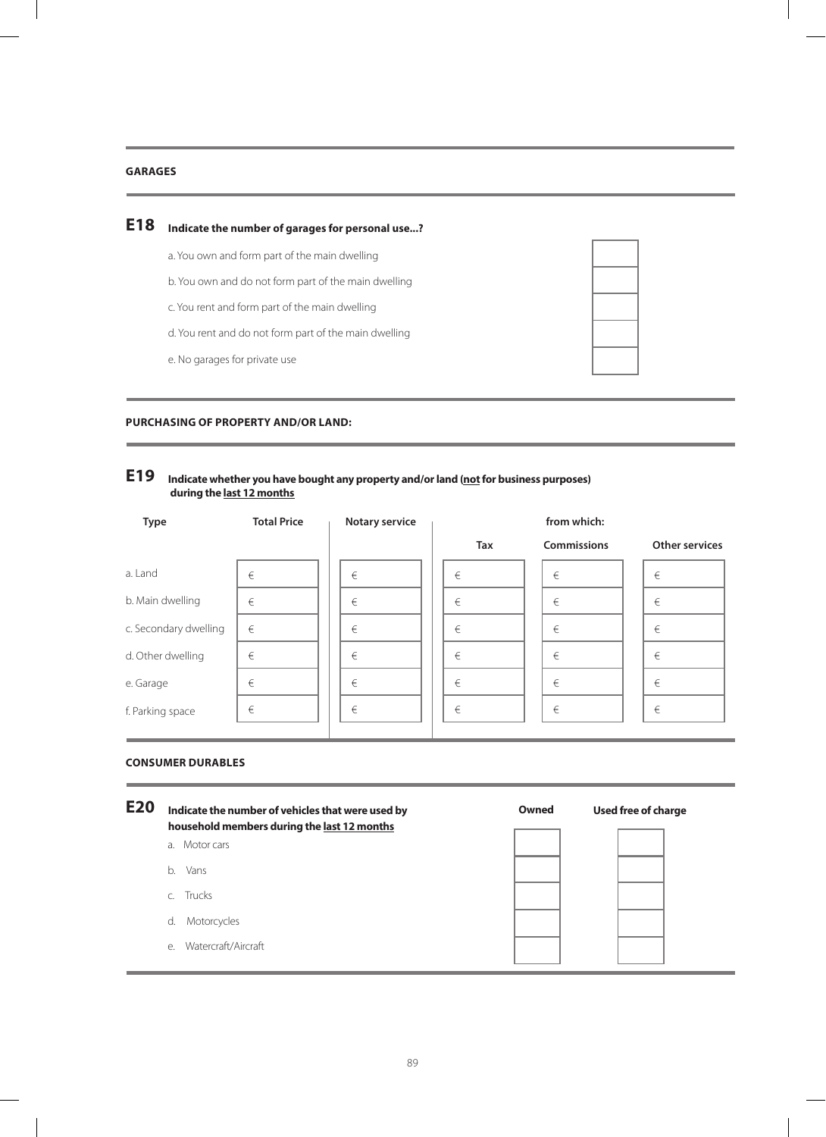### **Garages**

#### **E18 Indicate the number of garages for personal use...?**

- a. You own and form part of the main dwelling
- b. You own and do not form part of the main dwelling
- c. You rent and form part of the main dwelling
- d. You rent and do not form part of the main dwelling
- e. No garages for private use

### **Purchasing of property and/or land:**

## **Indicate whether you have bought any property and/or land (not for business purposes) E19 during the last 12 months**

| <b>Type</b>           | <b>Total Price</b> | <b>Notary service</b> | from which: |  |                    |  |                       |
|-----------------------|--------------------|-----------------------|-------------|--|--------------------|--|-----------------------|
|                       |                    |                       | <b>Tax</b>  |  | <b>Commissions</b> |  | <b>Other services</b> |
| a. Land               | €                  | €                     | €           |  | €                  |  | €                     |
| b. Main dwelling      | €                  | €                     | €           |  | €                  |  | €                     |
| c. Secondary dwelling | €                  | €                     | €           |  | €                  |  | €                     |
| d. Other dwelling     | €                  | €                     | €           |  | €                  |  | €                     |
| e. Garage             | €                  | €                     | €           |  | €                  |  | €                     |
| f. Parking space      | €                  | €                     | €           |  | €                  |  | €                     |

### **Consumer durables**

| <b>E20</b> | Indicate the number of vehicles that were used by<br>household members during the last 12 months | Owned | Used free of charge |
|------------|--------------------------------------------------------------------------------------------------|-------|---------------------|
|            | a. Motor cars                                                                                    |       |                     |
|            | Vans<br>b.                                                                                       |       |                     |
|            | c. Trucks                                                                                        |       |                     |
|            | Motorcycles<br>d.                                                                                |       |                     |
|            | Watercraft/Aircraft<br>$e_{1}$                                                                   |       |                     |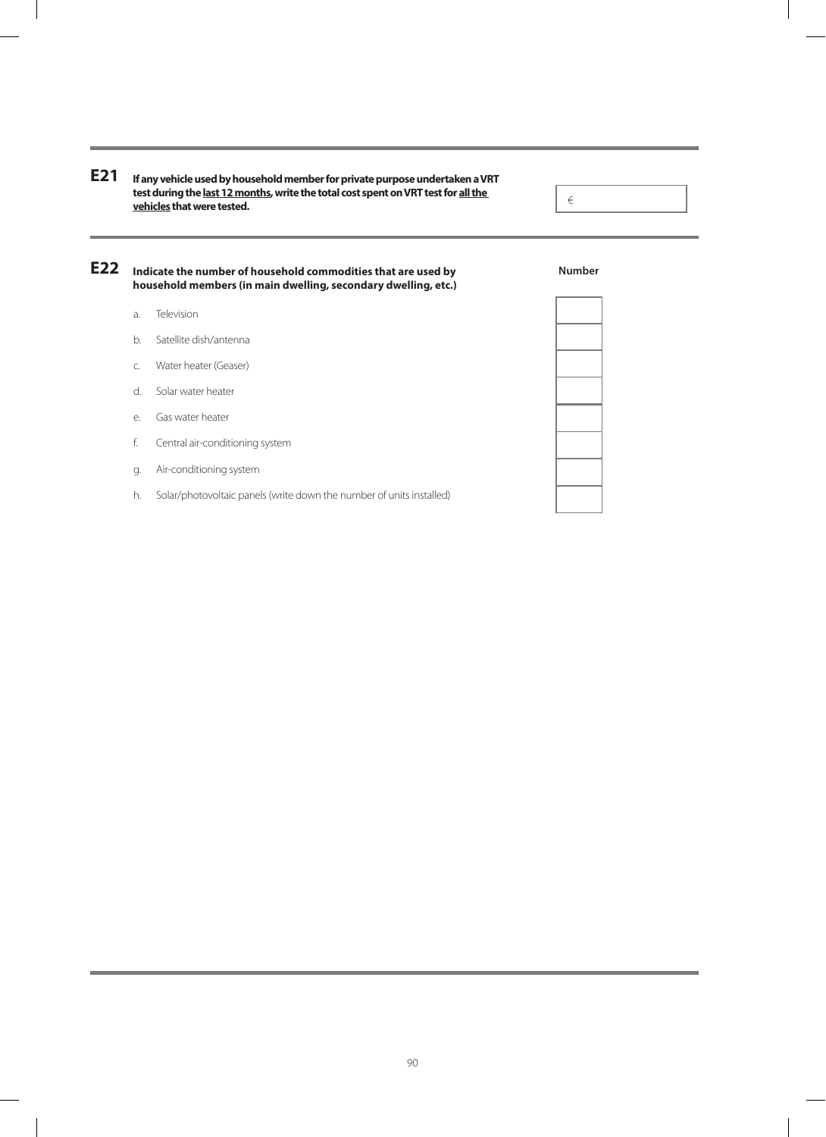**If any vehicle used by household member for private purpose undertaken a VRT E21 test during the last 12 months, write the total cost spent on VRT test for all the vehicles that were tested.**

**Indicate the number of household commodities that are used by E22household members (in main dwelling, secondary dwelling, etc.)**

- a. Television
- b. Satellite dish/antenna
- c. Water heater (Geaser)
- d. Solar water heater
- e. Gas water heater
- f. Central air-conditioning system
- g. Air-conditioning system
- h. Solar/photovoltaic panels (write down the number of units installed)

**Number**

€

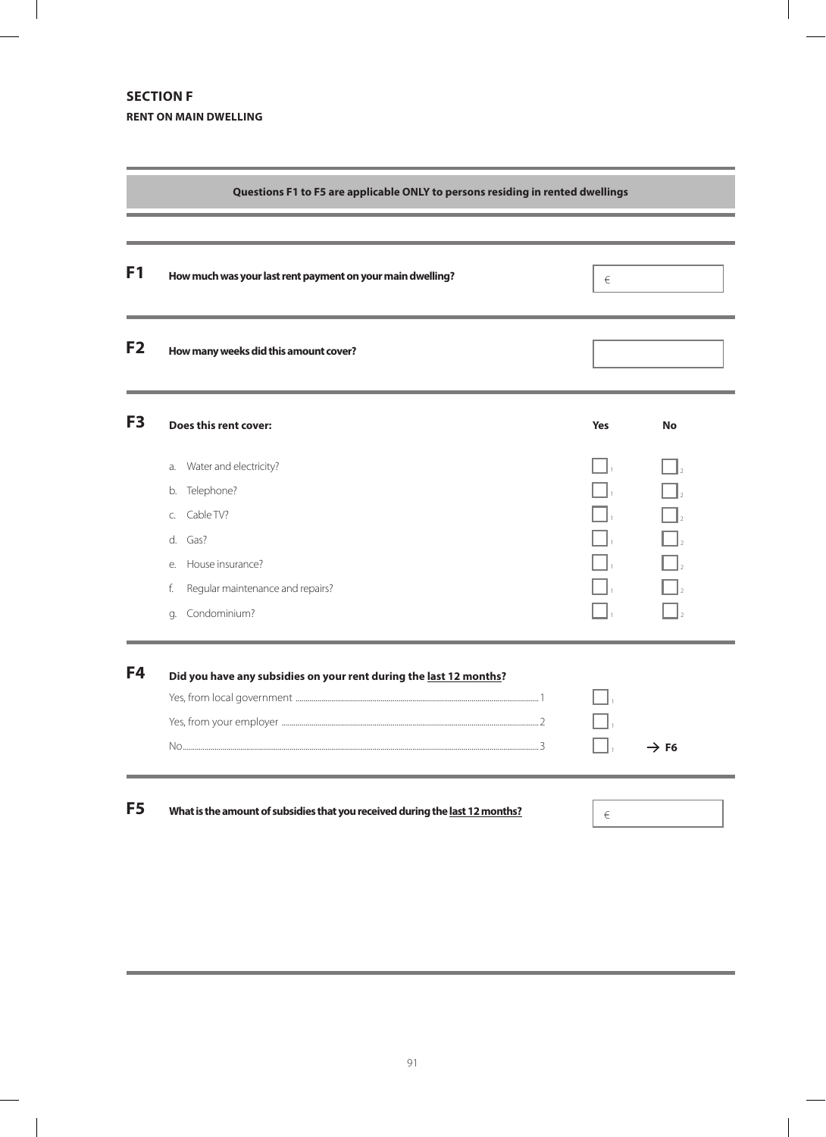# **Section F RENT ON MAIN DWELLING**

 $\overline{\phantom{a}}$ 

|                | Questions F1 to F5 are applicable ONLY to persons residing in rented dwellings                                                                                              |            |                  |
|----------------|-----------------------------------------------------------------------------------------------------------------------------------------------------------------------------|------------|------------------|
| F <sub>1</sub> | How much was your last rent payment on your main dwelling?                                                                                                                  | €          |                  |
| F <sub>2</sub> | How many weeks did this amount cover?                                                                                                                                       |            |                  |
| F <sub>3</sub> | Does this rent cover:                                                                                                                                                       | <b>Yes</b> | No               |
|                | Water and electricity?<br>a.<br>Telephone?<br>b.<br>Cable TV?<br>C.<br>Gas?<br>d.<br>House insurance?<br>e.<br>Regular maintenance and repairs?<br>f.<br>Condominium?<br>g. |            |                  |
| F4             | Did you have any subsidies on your rent during the last 12 months?                                                                                                          |            | $\rightarrow$ F6 |
| F5             | What is the amount of subsidies that you received during the last 12 months?                                                                                                | €          |                  |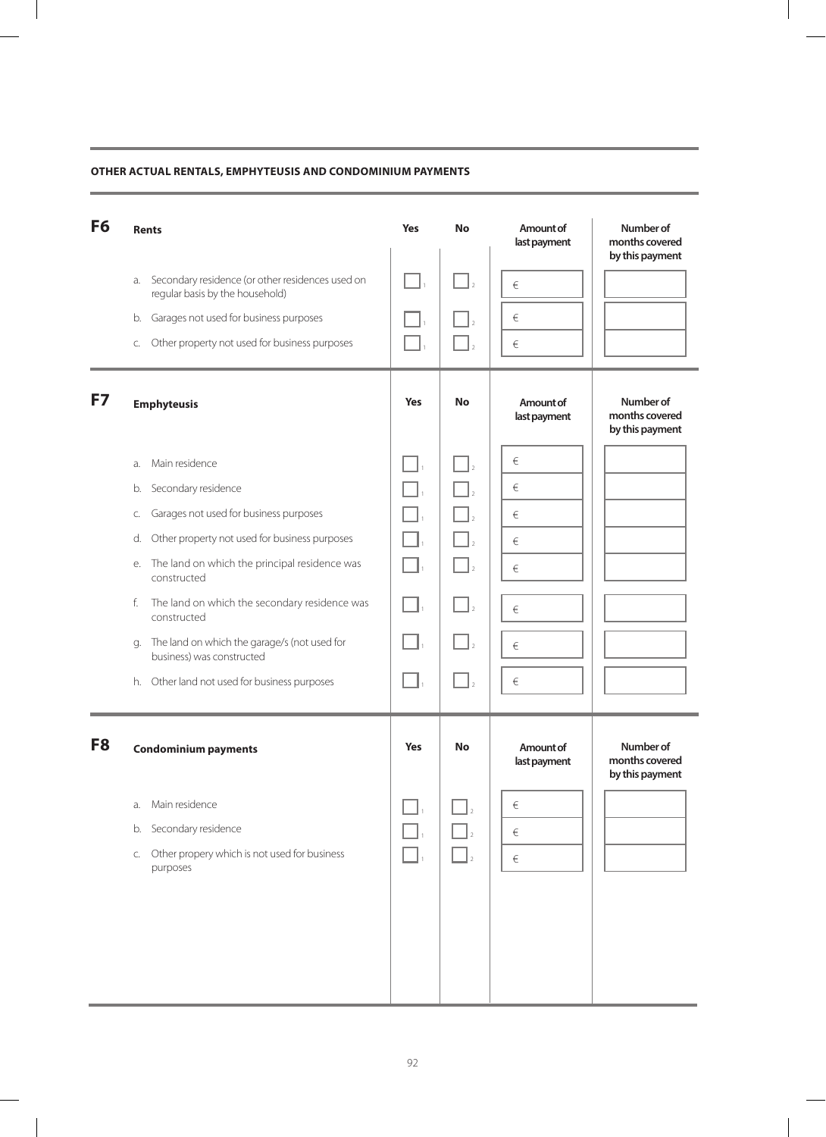### **Other actual rentals, emphyteusis and condominium payments**

| F <sub>6</sub> | <b>Rents</b>                                                                              | <b>Yes</b> | <b>No</b> | Amount of<br>last payment | Number of<br>months covered<br>by this payment |
|----------------|-------------------------------------------------------------------------------------------|------------|-----------|---------------------------|------------------------------------------------|
|                | Secondary residence (or other residences used on<br>a.<br>regular basis by the household) |            |           | €                         |                                                |
|                | Garages not used for business purposes<br>b.                                              |            |           | €                         |                                                |
|                | Other property not used for business purposes<br>C.                                       |            |           | €                         |                                                |
| F7             | <b>Emphyteusis</b>                                                                        | <b>Yes</b> | No        | Amount of<br>last payment | Number of<br>months covered<br>by this payment |
|                | Main residence<br>a.                                                                      |            |           | €                         |                                                |
|                | Secondary residence<br>b.                                                                 |            |           | €                         |                                                |
|                | Garages not used for business purposes<br>С.                                              |            |           | €                         |                                                |
|                | Other property not used for business purposes<br>d.                                       |            |           | €                         |                                                |
|                | The land on which the principal residence was<br>е.<br>constructed                        |            |           | €                         |                                                |
|                | The land on which the secondary residence was<br>f.<br>constructed                        |            |           | €                         |                                                |
|                | The land on which the garage/s (not used for<br>g.<br>business) was constructed           |            |           | €                         |                                                |
|                | h. Other land not used for business purposes                                              |            |           | €                         |                                                |
| F <sub>8</sub> | <b>Condominium payments</b>                                                               | <b>Yes</b> | <b>No</b> | Amount of<br>last payment | Number of<br>months covered<br>by this payment |
|                | Main residence<br>a.                                                                      |            |           | €                         |                                                |
|                | Secondary residence<br>b.                                                                 |            |           | €                         |                                                |
|                | Other propery which is not used for business<br>C.<br>purposes                            |            |           | $\in$                     |                                                |
|                |                                                                                           |            |           |                           |                                                |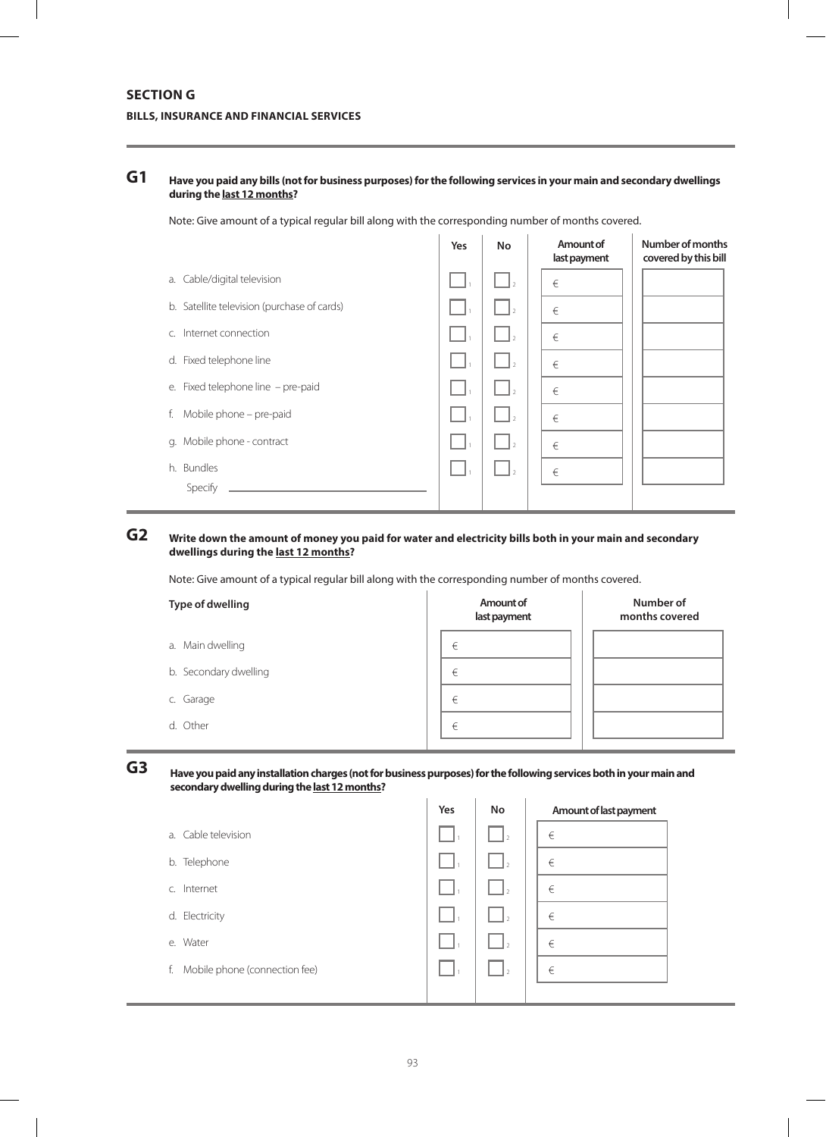## **SECTION G BILLS, INSURANCE AND FINANCIAL SERVICES**

#### **Have you paid any bills (not for business purposes) for the following services in your main and secondary dwellings during the last 12 months? G1**

Note: Give amount of a typical regular bill along with the corresponding number of months covered.

|                                             | Yes | <b>No</b>      | Amount of<br>last payment | Number of months<br>covered by this bill |
|---------------------------------------------|-----|----------------|---------------------------|------------------------------------------|
| a. Cable/digital television                 |     |                | €                         |                                          |
| b. Satellite television (purchase of cards) |     |                | €                         |                                          |
| c. Internet connection                      |     |                | €                         |                                          |
| d. Fixed telephone line                     |     | $\overline{z}$ | €                         |                                          |
| e. Fixed telephone line - pre-paid          |     | $\overline{2}$ | €                         |                                          |
| Mobile phone - pre-paid<br>f.               |     | ١D             | €                         |                                          |
| g. Mobile phone - contract                  |     | $\overline{z}$ | €                         |                                          |
| h. Bundles                                  |     | $\overline{z}$ | €                         |                                          |
| Specify                                     |     |                |                           |                                          |

#### **Write down the amount of money you paid for water and electricity bills both in your main and secondary dwellings during the last 12 months? G2**

Note: Give amount of a typical regular bill along with the corresponding number of months covered.

| Type of dwelling      | Amount of<br>last payment | Number of<br>months covered |
|-----------------------|---------------------------|-----------------------------|
| a. Main dwelling      | €                         |                             |
| b. Secondary dwelling | €                         |                             |
| c. Garage             | €                         |                             |
| d. Other              | €                         |                             |

**G3**

**Have you paid any installation charges (not for business purposes) for the following services both in your main and secondary dwelling during the last 12 months?**

|                                     | Yes | No             | Amount of last payment |
|-------------------------------------|-----|----------------|------------------------|
| a. Cable television                 |     | $\mathbf{I}_2$ | €                      |
| b. Telephone                        |     | Ŀэ             | €                      |
| Internet<br>$C_{1}$                 |     |                | €                      |
| d. Electricity                      |     |                | €                      |
| e. Water                            |     |                | €                      |
| Mobile phone (connection fee)<br>f. |     |                | €                      |
|                                     |     |                |                        |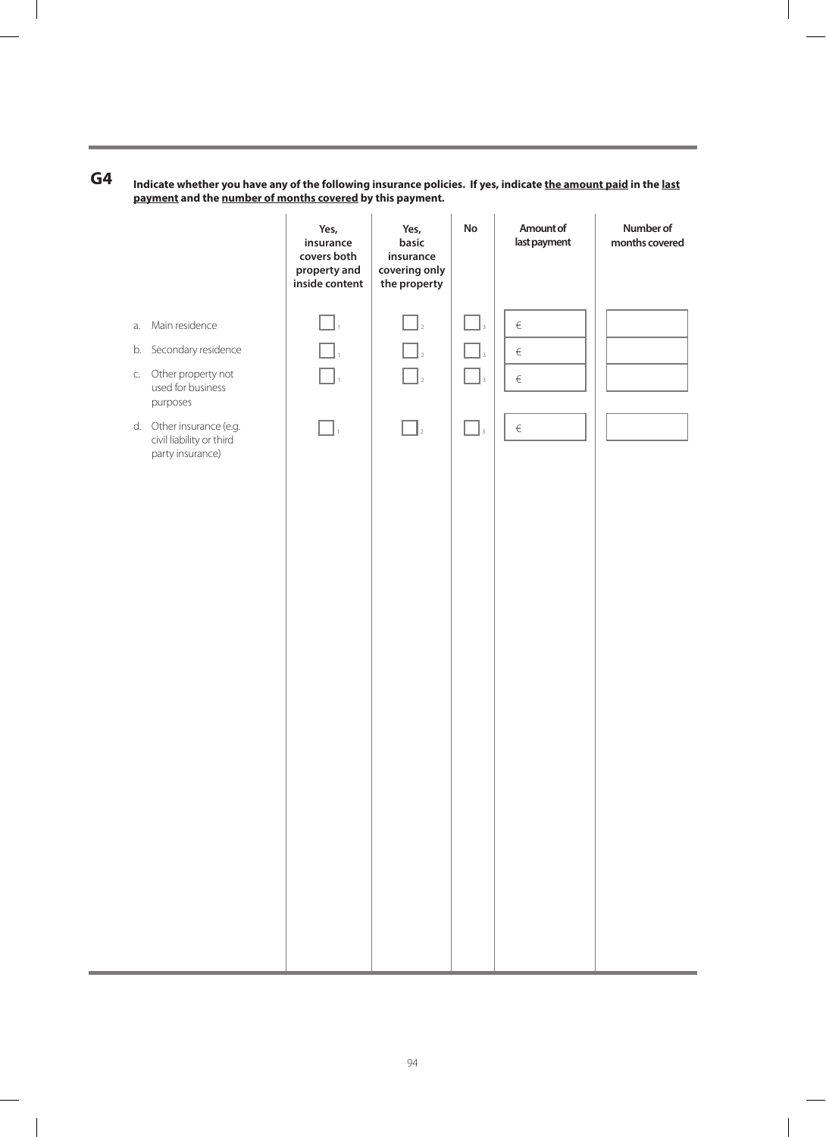$\Box$ <sub>2</sub>  $\Box$ <sub>3</sub>  $\Box$ <sub>2</sub>  $\Box$ <sub>3</sub>  $\Box$ <sub>2</sub>  $\Box$ <sub>3</sub>  $\Box$ <sub>2</sub>  $\Box$ <sub>3</sub> € € € € a. Main residence b. Secondary residence c. Other property not used for business purposes d. Other insurance (e.g. civil liability or third party insurance) **Amount of No Number of last payment months covered**  $\Box$ .  $\Box$ .  $\Box.$  $\Box$ **Yes, insurance covers both property and inside content Yes, basic insurance covering only the property**

**Indicate whether you have any of the following insurance policies. If yes, indicate the amount paid in the last payment and the number of months covered by this payment. G4**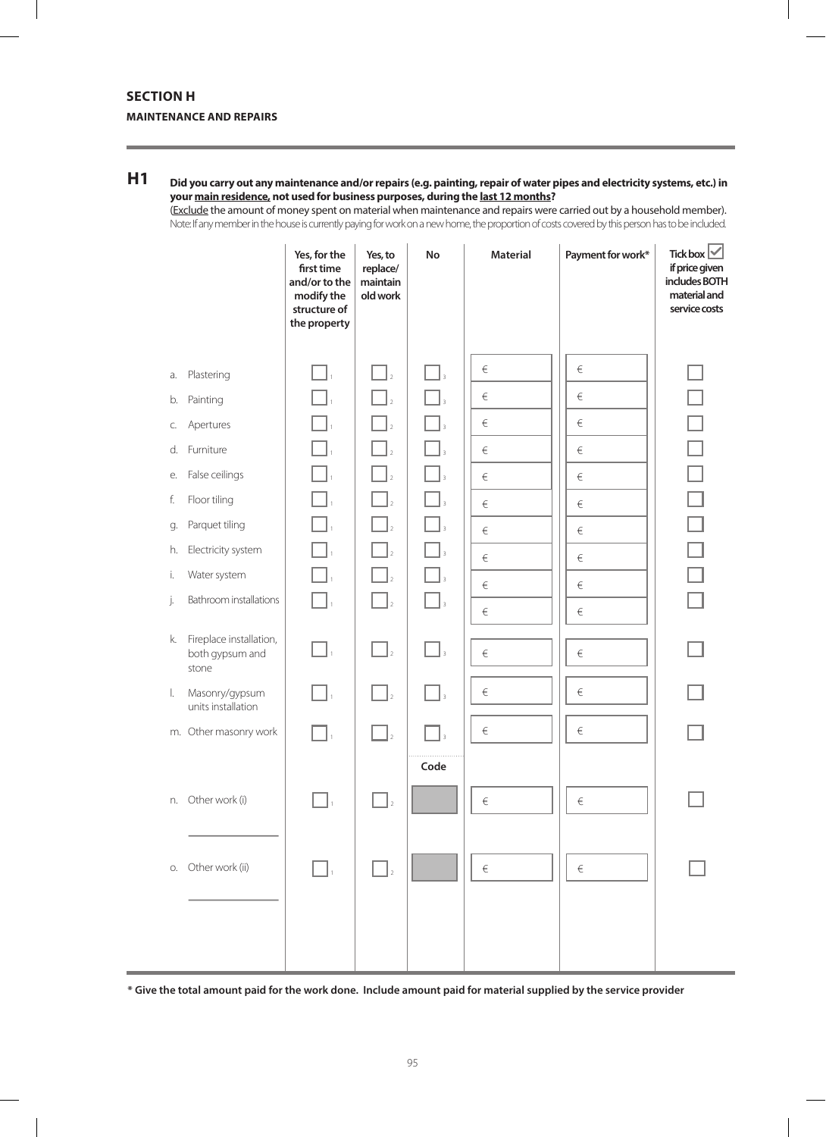## **SECTION H MAINTENANCE AND REPAIRS**

### **Did you carry out any maintenance and/or repairs (e.g. painting, repair of water pipes and electricity systems, etc.) in your main residence, not used for business purposes, during the last 12 months? H1**

(Exclude the amount of money spent on material when maintenance and repairs were carried out by a household member). Note: If any member in the house is currently paying for work on a new home, the proportion of costs covered by this person has to be included.

|    |                                                     | Yes, for the<br>first time<br>and/or to the<br>modify the<br>structure of<br>the property | Yes, to<br>replace/<br>maintain<br>old work | No                                        | <b>Material</b> | Payment for work* | Tickbox $\vee$<br>if price given<br>includes BOTH<br>material and<br>service costs |
|----|-----------------------------------------------------|-------------------------------------------------------------------------------------------|---------------------------------------------|-------------------------------------------|-----------------|-------------------|------------------------------------------------------------------------------------|
| a. | Plastering                                          |                                                                                           | $\begin{bmatrix} 1 \\ 2 \end{bmatrix}$      | $\overline{3}$                            | $\in$           | $\in$             |                                                                                    |
| b. | Painting                                            |                                                                                           |                                             |                                           | $\in$           | $\in$             |                                                                                    |
| C. | Apertures                                           |                                                                                           | $\Box$                                      |                                           | $\in$           | $\in$             |                                                                                    |
|    | d. Furniture                                        |                                                                                           | $\mathbb{Z}_{2}$                            |                                           | $\in$           | $\in$             | $\Box$                                                                             |
| е. | False ceilings                                      |                                                                                           | $\mathbb{I}_2$                              |                                           | $\in$           | $\in$             |                                                                                    |
| f. | Floor tiling                                        |                                                                                           | $\bigcap_{2}$                               |                                           | $\in$           | $\in$             |                                                                                    |
| g. | Parquet tiling                                      |                                                                                           | $\ $ <sub>2</sub>                           |                                           | $\in$           | $\in$             |                                                                                    |
| h. | Electricity system                                  |                                                                                           | $\ _2$                                      |                                           | $\in$           | $\in$             |                                                                                    |
| i. | Water system                                        |                                                                                           | $\ $ <sub>2</sub>                           |                                           | $\in$           | €                 |                                                                                    |
| j. | Bathroom installations                              | $\mathbf{I}_1$                                                                            | $\mathbf{L}$                                | $\lceil \ \rceil_{\scriptscriptstyle{3}}$ | $\in$           | $\in$             |                                                                                    |
| k. | Fireplace installation,<br>both gypsum and<br>stone | ٦.                                                                                        | $\Box$ <sub>2</sub>                         | $\bigcap_{\beta}$                         | $\in$           | $\in$             |                                                                                    |
| I. | Masonry/gypsum<br>units installation                | $\mathbf{I}_1$                                                                            | $\Box$                                      | $\Box_3$                                  | $\in$           | €                 |                                                                                    |
|    | m. Other masonry work                               |                                                                                           | $\mathbf{I}_2$                              |                                           | $\in$           | $\in$             |                                                                                    |
|    |                                                     |                                                                                           |                                             | Code                                      |                 |                   |                                                                                    |
|    | n. Other work (i)                                   |                                                                                           | $\overline{2}$                              |                                           | $\in$           | $\in$             |                                                                                    |
| О. | Other work (ii)                                     | $\mathsf{L}$ $\mathsf{L}$                                                                 | $\Box$                                      |                                           | $\in$           | $\in$             |                                                                                    |
|    |                                                     |                                                                                           |                                             |                                           |                 |                   |                                                                                    |

**\* Give the total amount paid for the work done. Include amount paid for material supplied by the service provider**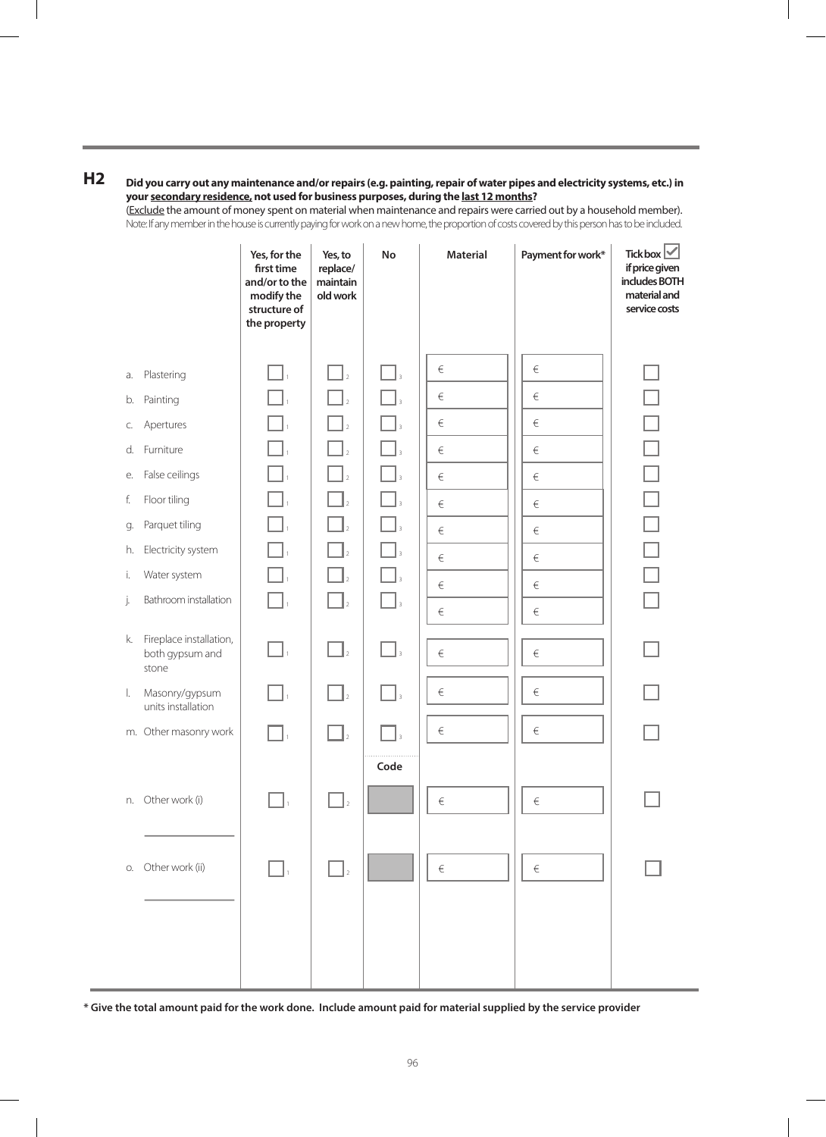### **H2 Did you carry out any maintenance and/or repairs (e.g. painting, repair of water pipes and electricity systems, etc.) in your secondary residence, not used for business purposes, during the last 12 months?**

(Exclude the amount of money spent on material when maintenance and repairs were carried out by a household member). Note: If any member in the house is currently paying for work on a new home, the proportion of costs covered by this person has to be included.

|    |                                                     | Yes, for the<br>first time<br>and/or to the<br>modify the<br>structure of<br>the property | Yes, to<br>replace/<br>maintain<br>old work | No                | <b>Material</b> | Payment for work* | Tick box $\vee$<br>if price given<br>includes BOTH<br>material and<br>service costs |
|----|-----------------------------------------------------|-------------------------------------------------------------------------------------------|---------------------------------------------|-------------------|-----------------|-------------------|-------------------------------------------------------------------------------------|
|    |                                                     |                                                                                           |                                             |                   | $\in$           | $\in$             |                                                                                     |
| a. | Plastering                                          |                                                                                           | $\mathbb{Z}_{2}$                            | $\Box$            |                 |                   |                                                                                     |
| b. | Painting                                            |                                                                                           | $\mathbb{Z}_{2}$                            |                   | $\in$           | $\in$             |                                                                                     |
| C. | Apertures                                           | $\Box$                                                                                    | $\bigcap_{2}$                               |                   | $\in$           | $\in$             | $\Box$                                                                              |
|    | d. Furniture                                        |                                                                                           | $\Box$ <sub>2</sub>                         |                   | $\in$           | $\in$             | $\Box$                                                                              |
| е. | False ceilings                                      |                                                                                           | $\vert$ <sub>2</sub>                        |                   | $\in$           | $\in$             |                                                                                     |
| f. | Floor tiling                                        |                                                                                           | $\bigcap_{2}$                               | $\overline{3}$    | $\in$           | $\in$             | $\Box$                                                                              |
| g. | Parquet tiling                                      |                                                                                           | $\Box$ <sub>2</sub>                         |                   | $\in$           | $\in$             | $\Box$                                                                              |
| h. | Electricity system                                  |                                                                                           | $\bigcap_{2}$                               |                   | $\in$           | $\in$             |                                                                                     |
| i. | Water system                                        | ヿ,                                                                                        | $\bigcap_{2}$                               | $\bigcap_{3}$     | $\in$           | $\in$             | $\Box$                                                                              |
| j. | Bathroom installation                               | $\Box.$                                                                                   | $\Box$ <sub>2</sub>                         | $\ $ <sub>3</sub> | $\in$           | $\in$             |                                                                                     |
| k. | Fireplace installation,<br>both gypsum and<br>stone | $\mathbb{I}_{\mathbf{1}}$                                                                 | $\Box$ <sub>2</sub>                         | $\bigcap_{3}$     | $\in$           | $\in$             |                                                                                     |
| I. | Masonry/gypsum<br>units installation                | $\mathbb{L}$                                                                              | $\mathbf{I}_2$                              | $\mathbf{I}_3$    | $\in$           | $\in$             |                                                                                     |
|    | m. Other masonry work                               |                                                                                           | $\vert$ <sub>2</sub>                        |                   | $\in$           | $\in$             |                                                                                     |
|    |                                                     |                                                                                           |                                             | Code              |                 |                   |                                                                                     |
|    | n. Other work (i)                                   |                                                                                           | $\overline{2}$                              |                   | $\in$           | $\in$             |                                                                                     |
| О. | Other work (ii)                                     |                                                                                           | $\bigcap_{2}$                               |                   | $\in$           | $\in$             |                                                                                     |
|    |                                                     |                                                                                           |                                             |                   |                 |                   |                                                                                     |

**\* Give the total amount paid for the work done. Include amount paid for material supplied by the service provider**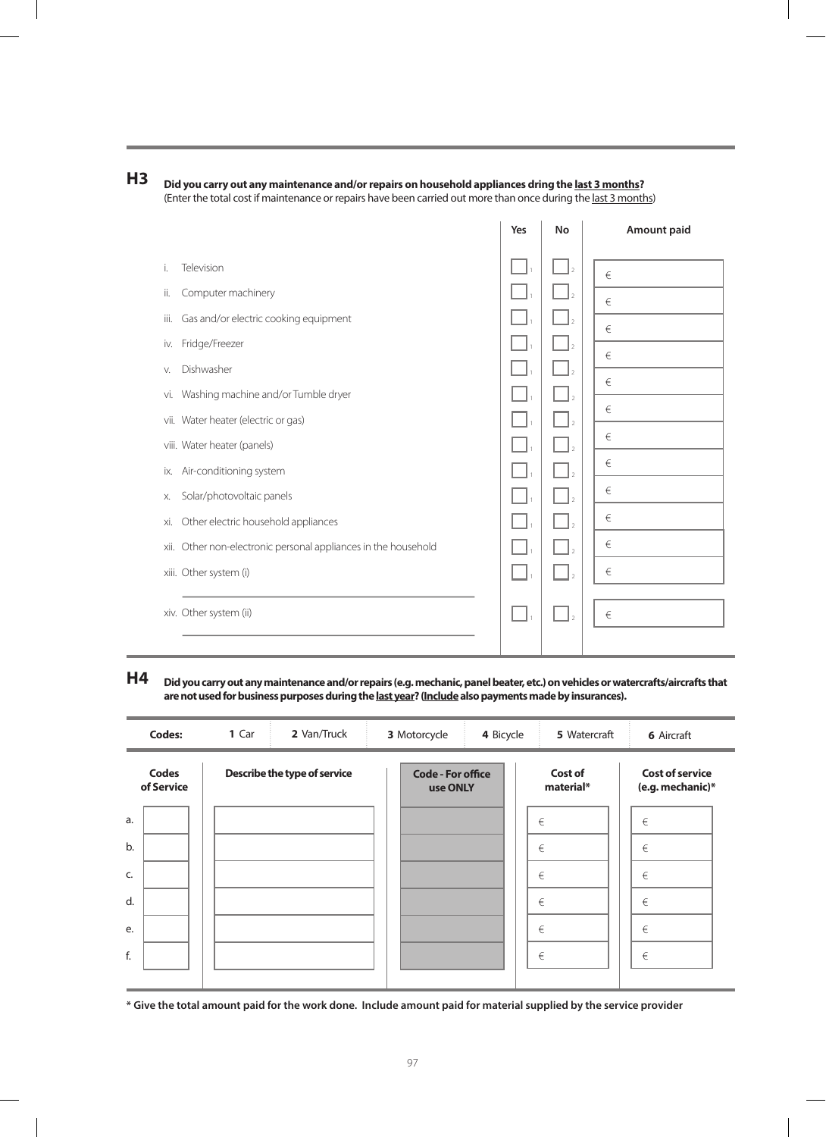

|                                                                   | Yes | <b>No</b>      | <b>Amount paid</b> |
|-------------------------------------------------------------------|-----|----------------|--------------------|
| Television<br>İ.                                                  |     |                | $\in$              |
| Computer machinery<br>ii.                                         |     |                | $\in$              |
| Gas and/or electric cooking equipment<br>iii.                     |     |                | €                  |
| Fridge/Freezer<br>iv.                                             |     |                | $\in$              |
| Dishwasher<br>V.                                                  |     |                |                    |
| Washing machine and/or Tumble dryer<br>Vİ.                        |     |                | €                  |
| vii. Water heater (electric or gas)                               |     |                | $\in$              |
| viii. Water heater (panels)                                       |     |                | €                  |
| Air-conditioning system<br>ix.                                    |     |                | €                  |
| Solar/photovoltaic panels<br>Х.                                   |     |                | €                  |
| Other electric household appliances<br>xi.                        |     |                | €                  |
| Other non-electronic personal appliances in the household<br>xii. |     |                | €                  |
| xiii. Other system (i)                                            |     | $\overline{2}$ | €                  |
| xiv. Other system (ii)                                            |     |                | $\in$              |
|                                                                   |     |                |                    |

 $\overline{1}$ 

 $\bar{1}$ 

**H4 Did you carry out any maintenance and/or repairs (e.g. mechanic, panel beater, etc.) on vehicles or watercrafts/aircrafts that are not used for business purposes during the last year? (Include also payments made by insurances).**

| <b>Codes:</b>              | 1 Car<br>2 Van/Truck         | 3 Motorcycle                         | 4 Bicycle | 5 Watercraft         | <b>6</b> Aircraft                          |
|----------------------------|------------------------------|--------------------------------------|-----------|----------------------|--------------------------------------------|
| <b>Codes</b><br>of Service | Describe the type of service | <b>Code - For office</b><br>use ONLY |           | Cost of<br>material* | <b>Cost of service</b><br>(e.g. mechanic)* |
| a.                         |                              |                                      |           | €                    | $\in$                                      |
| b.                         |                              |                                      |           | €                    | €                                          |
| C.                         |                              |                                      |           | €                    | €                                          |
| d.                         |                              |                                      |           | €                    | €                                          |
| e.                         |                              |                                      |           | €                    | €                                          |
| f.                         |                              |                                      |           | €                    | €                                          |
|                            |                              |                                      |           |                      |                                            |

**\* Give the total amount paid for the work done. Include amount paid for material supplied by the service provider**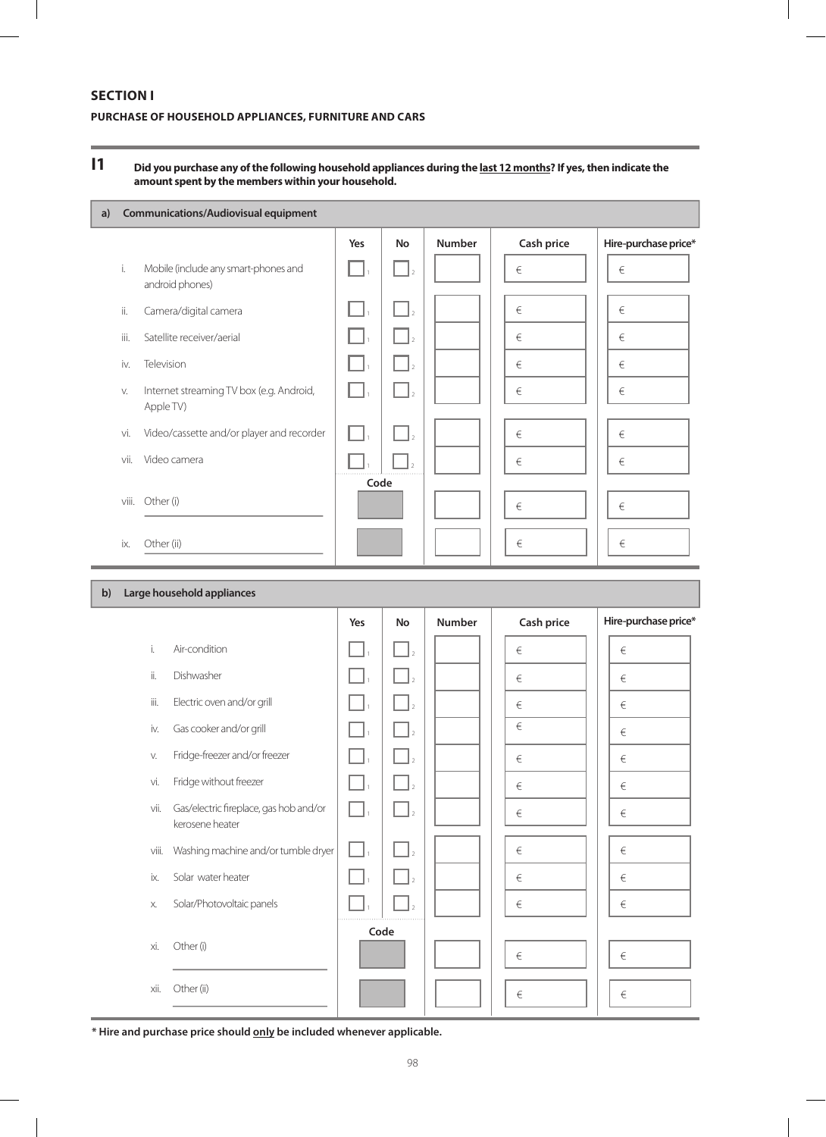### **SECTION I**

### **PURCHASE OF HOUSEHOLD APPLIANCES, FURNITURE AND CARS**

#### **I1 Did you purchase any of the following household appliances during the last 12 months? If yes, then indicate the amount spent by the members within your household.**

| a) |       | <b>Communications/Audiovisual equipment</b>             |      |                |               |            |                      |
|----|-------|---------------------------------------------------------|------|----------------|---------------|------------|----------------------|
|    |       |                                                         | Yes  | <b>No</b>      | <b>Number</b> | Cash price | Hire-purchase price* |
|    | i.    | Mobile (include any smart-phones and<br>android phones) |      |                |               | $\in$      | €                    |
|    | ii.   | Camera/digital camera                                   |      | $\overline{2}$ |               | €          | €                    |
|    | iii.  | Satellite receiver/aerial                               |      |                |               | €          | €                    |
|    | iv.   | Television                                              |      |                |               | €          | €                    |
|    | V.    | Internet streaming TV box (e.g. Android,<br>Apple TV)   |      |                |               | €          | €                    |
|    | vi.   | Video/cassette and/or player and recorder               |      |                |               | €          | €                    |
|    | vii.  | Video camera                                            |      |                |               | €          | €                    |
|    | viii. | Other (i)                                               | Code |                |               | €          | €                    |
|    | ix.   | Other (ii)                                              |      |                |               | €          | €                    |

| $\mathbf{b}$ |       | Large household appliances                                |     |           |               |            |                      |
|--------------|-------|-----------------------------------------------------------|-----|-----------|---------------|------------|----------------------|
|              |       |                                                           | Yes | <b>No</b> | <b>Number</b> | Cash price | Hire-purchase price* |
|              | i.    | Air-condition                                             |     |           |               | €          | €                    |
|              | ii.   | Dishwasher                                                |     |           |               | €          | $\in$                |
|              | iii.  | Electric oven and/or grill                                |     |           |               | €          | €                    |
|              | iv.   | Gas cooker and/or grill                                   |     |           |               | $\in$      | €                    |
|              | V.    | Fridge-freezer and/or freezer                             |     |           |               | $\in$      | €                    |
|              | vi.   | Fridge without freezer                                    |     |           |               | $\in$      | $\in$                |
|              | vii.  | Gas/electric fireplace, gas hob and/or<br>kerosene heater |     |           |               | €          | $\in$                |
|              | viii. | Washing machine and/or tumble dryer                       |     |           |               | €          | €                    |
|              | ix.   | Solar water heater                                        |     |           |               | €          | €                    |
|              | Х.    | Solar/Photovoltaic panels                                 |     |           |               | €          | $\in$                |
|              | хi.   | Other (i)                                                 |     | Code      |               | $\in$      | $\in$                |
|              | xii.  | Other (ii)                                                |     |           |               | $\in$      | €                    |

**\* Hire and purchase price should only be included whenever applicable.**

ř.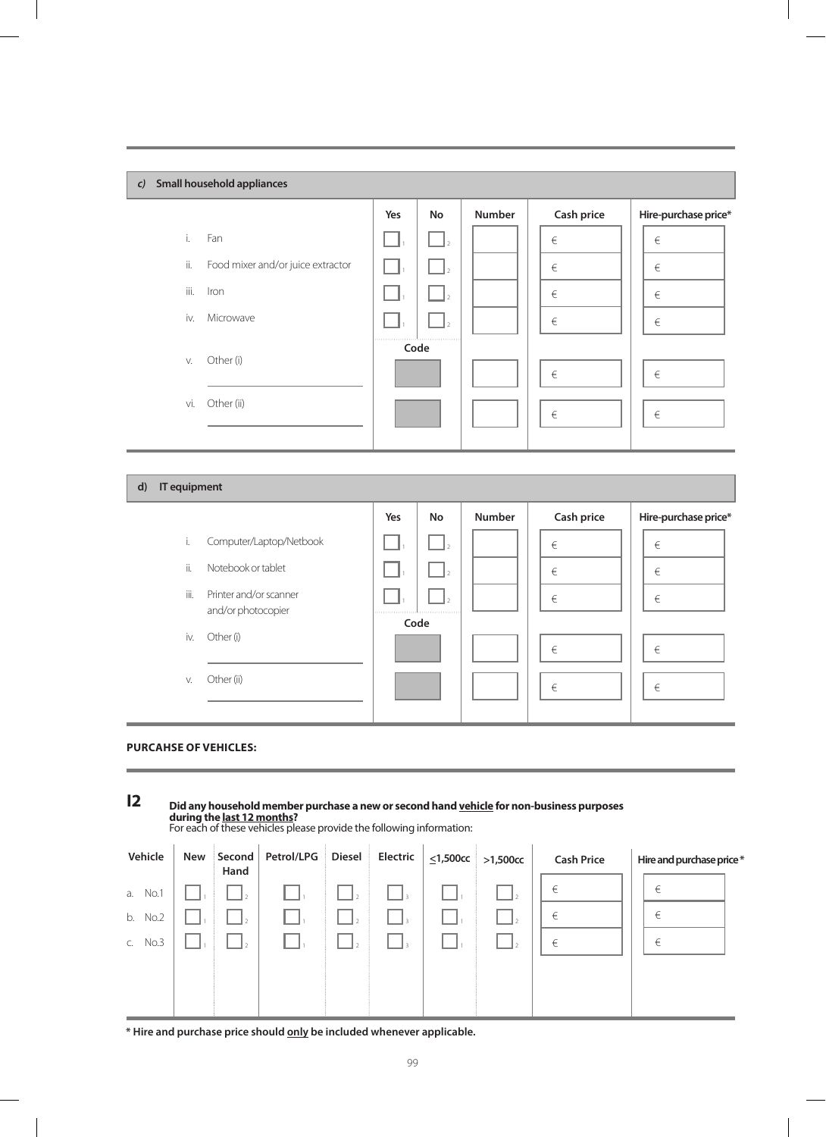|              | Small household appliances<br>$\mathcal{C}$ |     |           |               |            |                      |  |  |  |  |  |
|--------------|---------------------------------------------|-----|-----------|---------------|------------|----------------------|--|--|--|--|--|
|              |                                             | Yes | No        | <b>Number</b> | Cash price | Hire-purchase price* |  |  |  |  |  |
| i.           | Fan                                         |     |           |               | $\in$      | $\in$                |  |  |  |  |  |
| ii.          | Food mixer and/or juice extractor           |     |           |               | $\in$      | $\in$                |  |  |  |  |  |
| iii.         | Iron                                        |     |           |               | €          | $\in$                |  |  |  |  |  |
| iv.          | Microwave                                   |     |           |               | $\in$      | $\in$                |  |  |  |  |  |
|              |                                             |     | Code      |               |            |                      |  |  |  |  |  |
| V.           | Other (i)                                   |     |           |               | $\in$      | $\in$                |  |  |  |  |  |
| vi.          | Other (ii)                                  |     |           |               |            |                      |  |  |  |  |  |
|              |                                             |     |           |               | $\in$      | $\in$                |  |  |  |  |  |
|              |                                             |     |           |               |            |                      |  |  |  |  |  |
| IT equipment |                                             |     |           |               |            |                      |  |  |  |  |  |
| d)           |                                             |     |           |               |            |                      |  |  |  |  |  |
|              |                                             | Yes | <b>No</b> | Number        | Cash price | Hire-purchase price* |  |  |  |  |  |
| i.           | Computer/Laptop/Netbook                     |     |           |               | $\in$      | $\in$                |  |  |  |  |  |
| ii.          | Notebook or tablet                          |     |           |               | $\in$      | $\in$                |  |  |  |  |  |
| iii.         | Printer and/or scanner                      |     |           |               | $\in$      | $\in$                |  |  |  |  |  |
|              | and/or photocopier                          |     | Code      |               |            |                      |  |  |  |  |  |
| iv.          | Other (i)                                   |     |           |               | $\in$      | $\in$                |  |  |  |  |  |
| V.           | Other (ii)                                  |     |           |               | $\in$      | $\in$                |  |  |  |  |  |

 $\overline{\phantom{a}}$ 



 $\overline{\phantom{a}}$ 

 $\begin{array}{c} \hline \end{array}$ 

| $\overline{2}$ | Did any household member purchase a new or second hand vehicle for non-business purposes<br>during the last 12 months?<br>For each of these vehicles please provide the following information: |     |                |            |               |                 |                |          |                   |                          |  |  |
|----------------|------------------------------------------------------------------------------------------------------------------------------------------------------------------------------------------------|-----|----------------|------------|---------------|-----------------|----------------|----------|-------------------|--------------------------|--|--|
| Vehicle        |                                                                                                                                                                                                | New | Second<br>Hand | Petrol/LPG | <b>Diesel</b> | <b>Electric</b> | $<$ 1,500 $cc$ | >1,500cc | <b>Cash Price</b> | Hire and purchase price* |  |  |
| No.1<br>a.     |                                                                                                                                                                                                |     |                |            |               |                 |                |          | €                 | €                        |  |  |
| No.2<br>b.     |                                                                                                                                                                                                |     |                |            |               |                 |                |          | €                 | €                        |  |  |
| No.3           |                                                                                                                                                                                                |     |                |            |               |                 |                |          | €                 | €                        |  |  |
|                |                                                                                                                                                                                                |     |                |            |               |                 |                |          |                   |                          |  |  |
|                |                                                                                                                                                                                                |     |                |            |               |                 |                |          |                   |                          |  |  |
|                |                                                                                                                                                                                                |     |                |            |               |                 |                |          |                   |                          |  |  |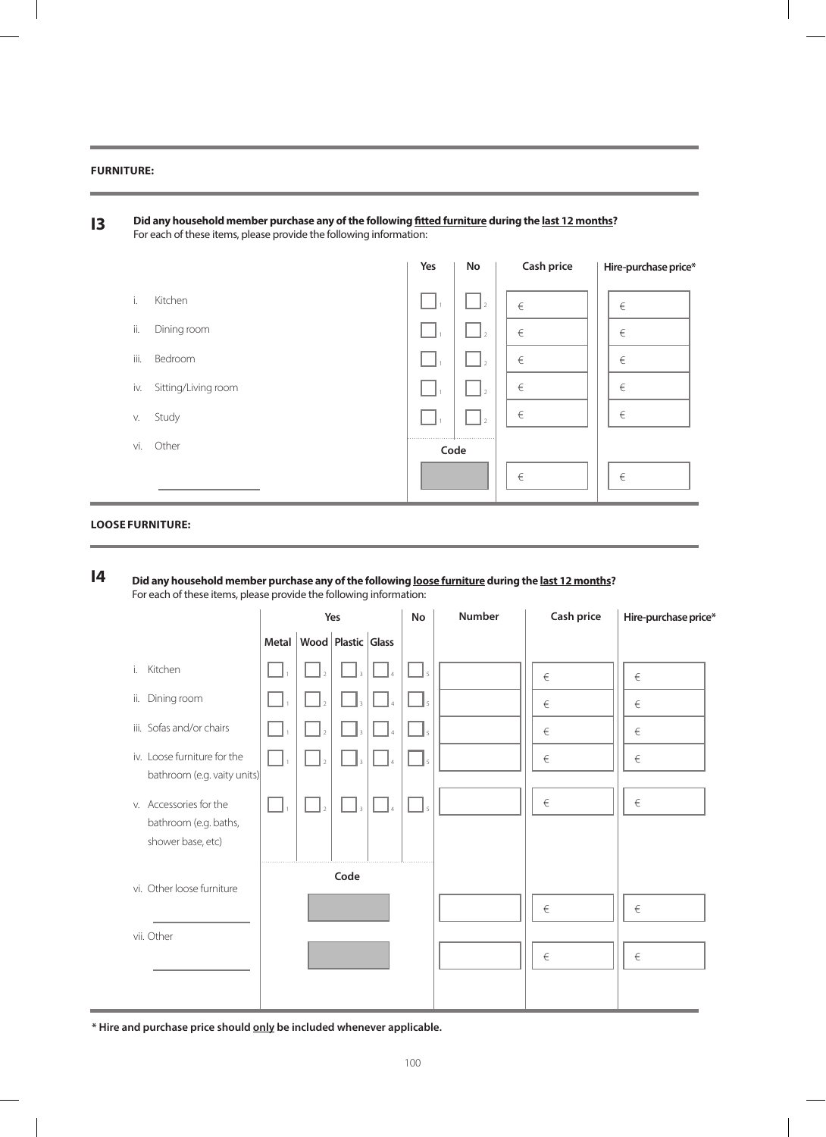### **Furniture:**

|      |                     | Yes | No   | Cash price | Hire-purchase price* |
|------|---------------------|-----|------|------------|----------------------|
| i.   | Kitchen             |     |      | €          | €                    |
| ii.  | Dining room         |     |      | €          | €                    |
| iii. | Bedroom             |     |      | €          | €                    |
| iv.  | Sitting/Living room |     |      | €          | €                    |
| V.   | Study               |     |      | €          | €                    |
| vi.  | Other               |     | Code |            |                      |
|      |                     |     |      | €          | €                    |

**Did any household member purchase any of the following loose furniture during the last 12 months?**  For each of these items, please provide the following information: **I4**

|                                                                      | Yes |                          | <b>No</b>                      | Number   | Cash price               | Hire-purchase price* |       |       |
|----------------------------------------------------------------------|-----|--------------------------|--------------------------------|----------|--------------------------|----------------------|-------|-------|
|                                                                      |     |                          | Metal   Wood   Plastic   Glass |          |                          |                      |       |       |
| Kitchen<br>i.                                                        |     | $\mathbb{I}_2$           | $\overline{\mathcal{R}}$       | $\Delta$ | $\mathsf{I}_5$           |                      | €     | €     |
| ii.<br>Dining room                                                   |     | $\vert$ <sub>2</sub>     |                                |          |                          |                      | $\in$ | €     |
| iii. Sofas and/or chairs                                             |     | $\overline{\phantom{a}}$ |                                |          | $\overline{\phantom{a}}$ |                      | $\in$ | $\in$ |
| iv. Loose furniture for the<br>bathroom (e.g. vaity units)           |     |                          |                                |          |                          |                      | $\in$ | $\in$ |
| v. Accessories for the<br>bathroom (e.g. baths,<br>shower base, etc) |     |                          |                                |          |                          |                      | $\in$ | $\in$ |
| vi. Other loose furniture                                            |     |                          | Code                           |          |                          |                      | $\in$ | $\in$ |
| vii. Other                                                           |     |                          |                                |          |                          |                      | $\in$ | $\in$ |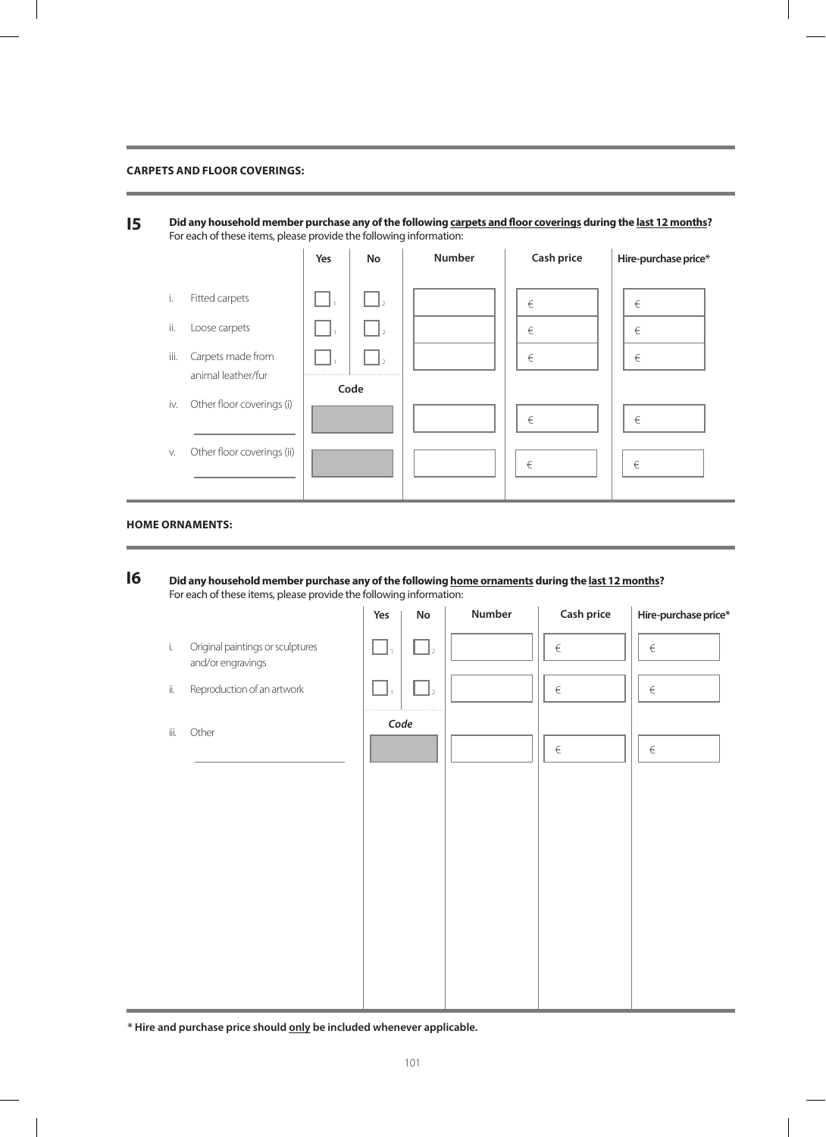### **Carpets and floor coverings:**

**Did any household member purchase any of the following carpets and floor coverings during the last 12 months?**  For each of these items, please provide the following information: **I5**

|                   |                                                      | Yes | <b>No</b>             | <b>Number</b> | Cash price  | Hire-purchase price* |
|-------------------|------------------------------------------------------|-----|-----------------------|---------------|-------------|----------------------|
| Τ.<br>ii.<br>iii. | Fitted carpets<br>Loose carpets<br>Carpets made from |     | l 2<br>$\overline{2}$ |               | €<br>€<br>€ | €<br>€<br>€          |
| iv.               | animal leather/fur<br>Other floor coverings (i)      |     | Code                  |               | $\in$       | $\in$                |
| V.                | Other floor coverings (ii)                           |     |                       |               | €           | €                    |

### **Home ornaments:**

**Did any household member purchase any of the following home ornaments during the last 12 months?**  For each of these items, please provide the following information: **I6**

|                     |                                                       | Yes  | ${\sf No}$     | Number | Cash price | Hire-purchase price* |
|---------------------|-------------------------------------------------------|------|----------------|--------|------------|----------------------|
| $\mathbf{i}$        | Original paintings or sculptures<br>and/or engravings |      | $\mathbf{I}$   |        | $\in$      | $\in$                |
| $\dddot{\text{II}}$ | Reproduction of an artwork                            |      | $\overline{2}$ |        | $\in$      | $\in$                |
| iii.                | Other                                                 | Code |                |        | $\in$      | $\in$                |
|                     |                                                       |      |                |        |            |                      |
|                     |                                                       |      |                |        |            |                      |
|                     |                                                       |      |                |        |            |                      |
|                     |                                                       |      |                |        |            |                      |
|                     |                                                       |      |                |        |            |                      |
|                     |                                                       |      |                |        |            |                      |
|                     |                                                       |      |                |        |            |                      |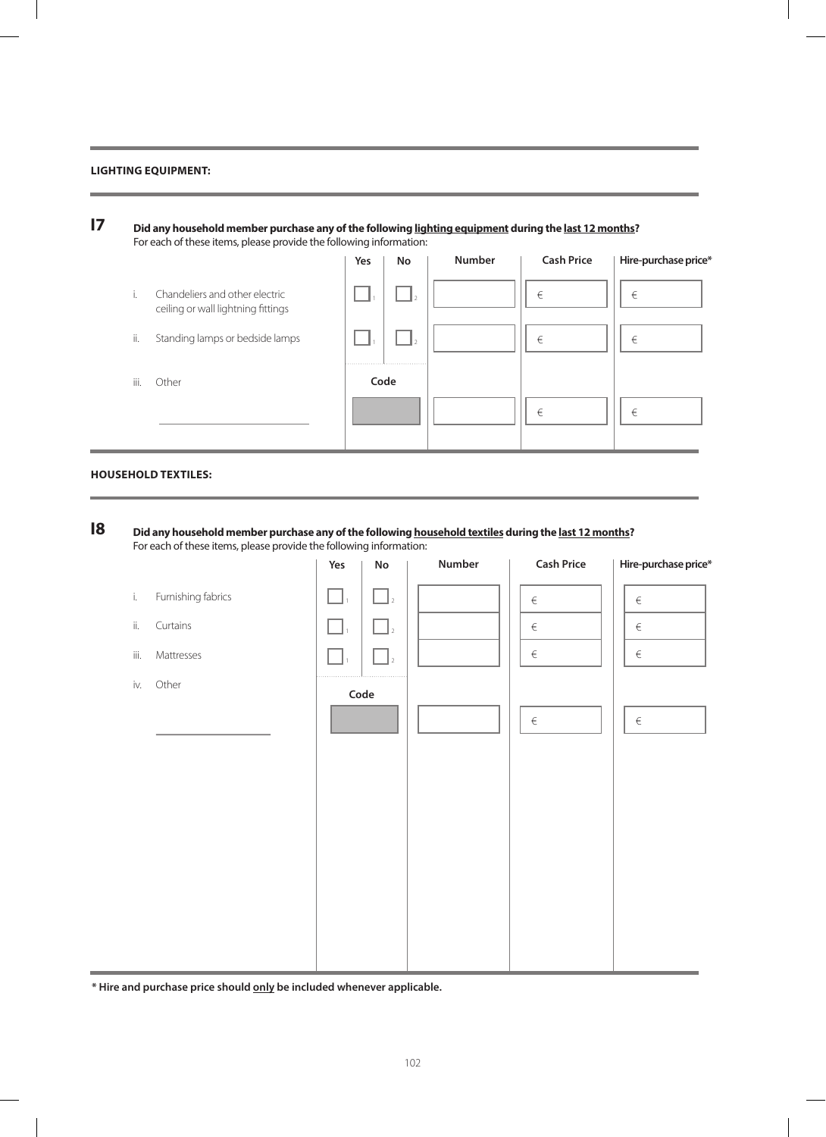### **Lighting equipment:**

|                                                                            | Yes  | No | <b>Number</b> | <b>Cash Price</b> | Hire-purchase price* |
|----------------------------------------------------------------------------|------|----|---------------|-------------------|----------------------|
| i.<br>Chandeliers and other electric<br>ceiling or wall lightning fittings |      |    |               | €                 | €                    |
| Standing lamps or bedside lamps<br>ii.                                     |      |    |               | $\in$             | €                    |
| iii.<br>Other                                                              | Code |    |               |                   |                      |
|                                                                            |      |    |               | €                 | €                    |

### **Household textiles:**

#### **Did any household member purchase any of the following household textiles during the last 12 months?**  For each of these items, please provide the following information: **I8**

|              |                    | Yes          | ${\sf No}$                             | Number | <b>Cash Price</b> | Hire-purchase price* |
|--------------|--------------------|--------------|----------------------------------------|--------|-------------------|----------------------|
| $\mathbf{i}$ | Furnishing fabrics | $\Box$       | $\Box$                                 |        | $\in$             | $\in$                |
| ii.          | Curtains           | $\mathbf{L}$ | $\begin{bmatrix} 1 \\ 2 \end{bmatrix}$ |        | $\in$             | $\in$                |
| iii.         | Mattresses         |              | $\overline{2}$                         |        | $\in$             | $\in$                |
| iv.          | Other              |              | $\mathsf{Code}$                        |        |                   |                      |
|              |                    |              |                                        |        | $\in$             | $\in$                |
|              |                    |              |                                        |        |                   |                      |
|              |                    |              |                                        |        |                   |                      |
|              |                    |              |                                        |        |                   |                      |
|              |                    |              |                                        |        |                   |                      |
|              |                    |              |                                        |        |                   |                      |
|              |                    |              |                                        |        |                   |                      |
|              |                    |              |                                        |        |                   |                      |